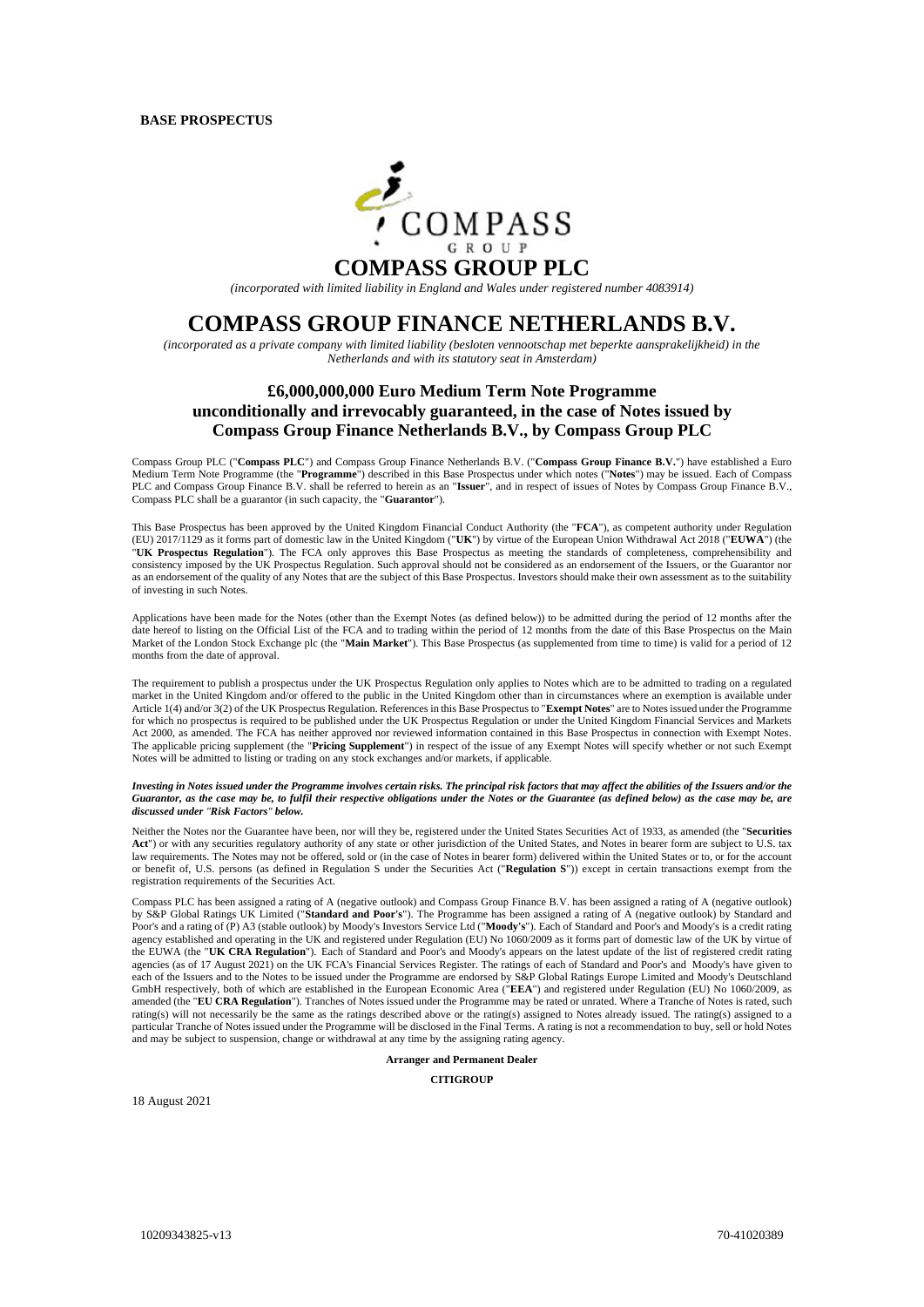

*(incorporated with limited liability in England and Wales under registered number 4083914)* 

# **COMPASS GROUP FINANCE NETHERLANDS B.V.**

*(incorporated as a private company with limited liability (besloten vennootschap met beperkte aansprakelijkheid) in the Netherlands and with its statutory seat in Amsterdam)* 

## **£6,000,000,000 Euro Medium Term Note Programme unconditionally and irrevocably guaranteed, in the case of Notes issued by Compass Group Finance Netherlands B.V., by Compass Group PLC**

Compass Group PLC ("**Compass PLC**") and Compass Group Finance Netherlands B.V. ("**Compass Group Finance B.V.**") have established a Euro Medium Term Note Programme (the "**Programme**") described in this Base Prospectus under which notes ("**Notes**") may be issued. Each of Compass PLC and Compass Group Finance B.V. shall be referred to herein as an "**Issuer**", and in respect of issues of Notes by Compass Group Finance B.V., Compass PLC shall be a guarantor (in such capacity, the "**Guarantor**").

This Base Prospectus has been approved by the United Kingdom Financial Conduct Authority (the "**FCA**"), as competent authority under Regulation (EU) 2017/1129 as it forms part of domestic law in the United Kingdom ("**UK**") by virtue of the European Union Withdrawal Act 2018 ("**EUWA**") (the "**UK Prospectus Regulation**"). The FCA only approves this Base Prospectus as meeting the standards of completeness, comprehensibility and consistency imposed by the UK Prospectus Regulation. Such approval should not be considered as an endorsement of the Issuers, or the Guarantor nor as an endorsement of the quality of any Notes that are the subject of this Base Prospectus. Investors should make their own assessment as to the suitability of investing in such Notes.

Applications have been made for the Notes (other than the Exempt Notes (as defined below)) to be admitted during the period of 12 months after the date hereof to listing on the Official List of the FCA and to trading within the period of 12 months from the date of this Base Prospectus on the Main Market of the London Stock Exchange plc (the "**Main Market**"). This Base Prospectus (as supplemented from time to time) is valid for a period of 12 months from the date of approval.

The requirement to publish a prospectus under the UK Prospectus Regulation only applies to Notes which are to be admitted to trading on a regulated market in the United Kingdom and/or offered to the public in the United Kingdom other than in circumstances where an exemption is available under Article 1(4) and/or 3(2) of the UK Prospectus Regulation. References in this Base Prospectus to "**Exempt Notes**" are to Notes issued under the Programme for which no prospectus is required to be published under the UK Prospectus Regulation or under the United Kingdom Financial Services and Markets Act 2000, as amended. The FCA has neither approved nor reviewed information contained in this Base Prospectus in connection with Exempt Notes. The applicable pricing supplement (the "**Pricing Supplement**") in respect of the issue of any Exempt Notes will specify whether or not such Exempt Notes will be admitted to listing or trading on any stock exchanges and/or markets, if applicable.

*Investing in Notes issued under the Programme involves certain risks. The principal risk factors that may affect the abilities of the Issuers and/or the Guarantor, as the case may be, to fulfil their respective obligations under the Notes or the Guarantee (as defined below) as the case may be, are discussed under "Risk Factors" below.* 

Neither the Notes nor the Guarantee have been, nor will they be, registered under the United States Securities Act of 1933, as amended (the "**Securities Act**") or with any securities regulatory authority of any state or other jurisdiction of the United States, and Notes in bearer form are subject to U.S. tax law requirements. The Notes may not be offered, sold or (in the case of Notes in bearer form) delivered within the United States or to, or for the account or benefit of, U.S. persons (as defined in Regulation S under the Securities Act ("**Regulation S**")) except in certain transactions exempt from the registration requirements of the Securities Act.

Compass PLC has been assigned a rating of A (negative outlook) and Compass Group Finance B.V. has been assigned a rating of A (negative outlook) by S&P Global Ratings UK Limited ("**Standard and Poor's**"). The Programme has been assigned a rating of A (negative outlook) by Standard and Poor's and a rating of (P) A3 (stable outlook) by Moody's Investors Service Ltd ("**Moody's**"). Each of Standard and Poor's and Moody's is a credit rating agency established and operating in the UK and registered under Regulation (EU) No 1060/2009 as it forms part of domestic law of the UK by virtue of the EUWA (the "**UK CRA Regulation**"). Each of Standard and Poor's and Moody's appears on the latest update of the list of registered credit rating agencies (as of 17 August 2021) on the UK FCA's Financial Services Register. The ratings of each of Standard and Poor's and Moody's have given to each of the Issuers and to the Notes to be issued under the Programme are endorsed by S&P Global Ratings Europe Limited and Moody's Deutschland GmbH respectively, both of which are established in the European Economic Area ("**EEA**") and registered under Regulation (EU) No 1060/2009, as amended (the "EU CRA Regulation"). Tranches of Notes issued under the Programme may be rated or unrated. Where a Tranche of Notes is rated, such rating(s) will not necessarily be the same as the ratings described above or the rating(s) assigned to Notes already issued. The rating(s) assigned to a particular Tranche of Notes issued under the Programme will be disclosed in the Final Terms. A rating is not a recommendation to buy, sell or hold Notes and may be subject to suspension, change or withdrawal at any time by the assigning rating agency.

**Arranger and Permanent Dealer** 

**CITIGROUP** 

18 August 2021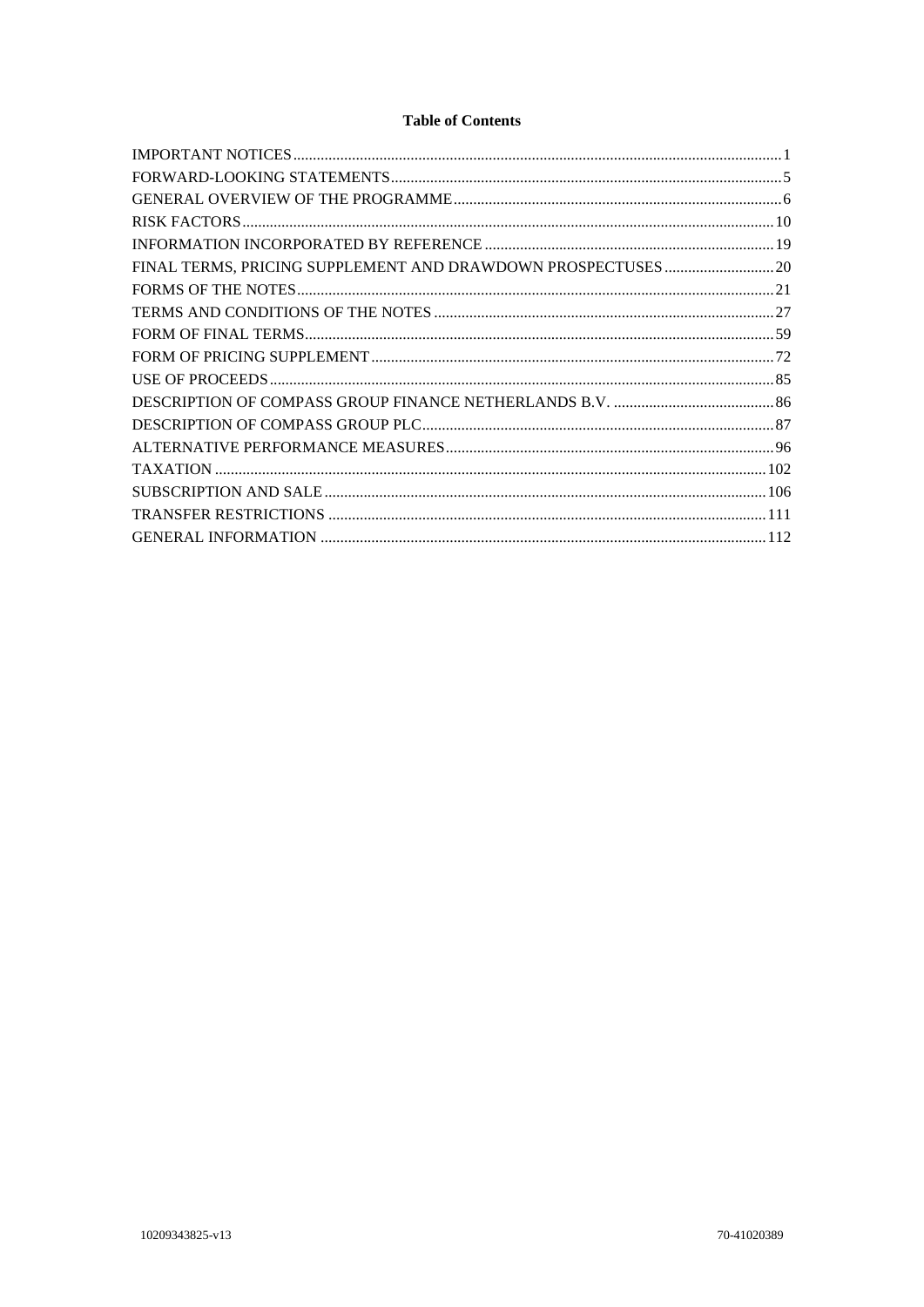## **Table of Contents**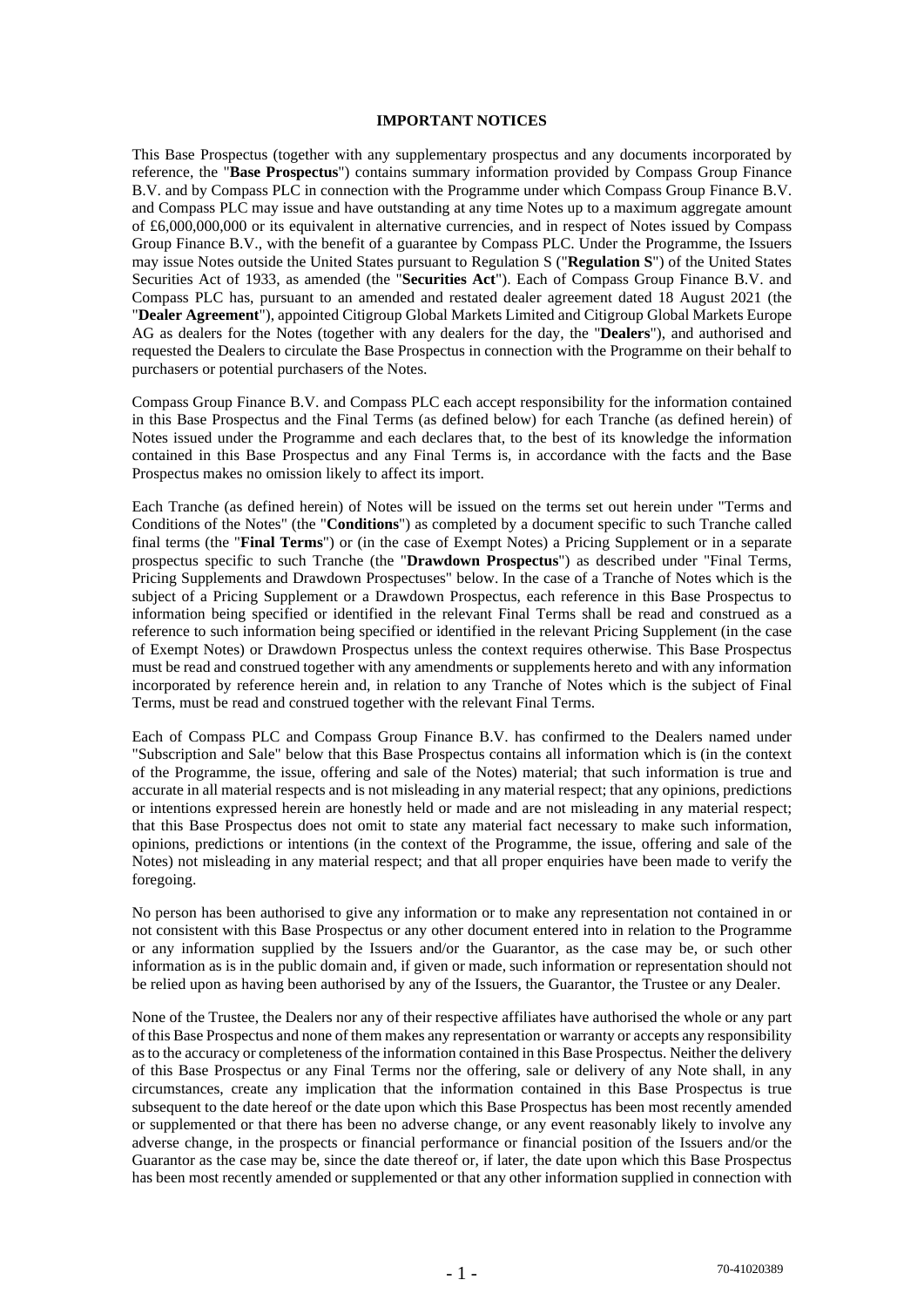#### **IMPORTANT NOTICES**

This Base Prospectus (together with any supplementary prospectus and any documents incorporated by reference, the "**Base Prospectus**") contains summary information provided by Compass Group Finance B.V. and by Compass PLC in connection with the Programme under which Compass Group Finance B.V. and Compass PLC may issue and have outstanding at any time Notes up to a maximum aggregate amount of £6,000,000,000 or its equivalent in alternative currencies, and in respect of Notes issued by Compass Group Finance B.V., with the benefit of a guarantee by Compass PLC. Under the Programme, the Issuers may issue Notes outside the United States pursuant to Regulation S ("**Regulation S**") of the United States Securities Act of 1933, as amended (the "**Securities Act**"). Each of Compass Group Finance B.V. and Compass PLC has, pursuant to an amended and restated dealer agreement dated 18 August 2021 (the "**Dealer Agreement**"), appointed Citigroup Global Markets Limited and Citigroup Global Markets Europe AG as dealers for the Notes (together with any dealers for the day, the "**Dealers**"), and authorised and requested the Dealers to circulate the Base Prospectus in connection with the Programme on their behalf to purchasers or potential purchasers of the Notes.

Compass Group Finance B.V. and Compass PLC each accept responsibility for the information contained in this Base Prospectus and the Final Terms (as defined below) for each Tranche (as defined herein) of Notes issued under the Programme and each declares that, to the best of its knowledge the information contained in this Base Prospectus and any Final Terms is, in accordance with the facts and the Base Prospectus makes no omission likely to affect its import.

Each Tranche (as defined herein) of Notes will be issued on the terms set out herein under "Terms and Conditions of the Notes" (the "**Conditions**") as completed by a document specific to such Tranche called final terms (the "**Final Terms**") or (in the case of Exempt Notes) a Pricing Supplement or in a separate prospectus specific to such Tranche (the "**Drawdown Prospectus**") as described under "Final Terms, Pricing Supplements and Drawdown Prospectuses" below. In the case of a Tranche of Notes which is the subject of a Pricing Supplement or a Drawdown Prospectus, each reference in this Base Prospectus to information being specified or identified in the relevant Final Terms shall be read and construed as a reference to such information being specified or identified in the relevant Pricing Supplement (in the case of Exempt Notes) or Drawdown Prospectus unless the context requires otherwise. This Base Prospectus must be read and construed together with any amendments or supplements hereto and with any information incorporated by reference herein and, in relation to any Tranche of Notes which is the subject of Final Terms, must be read and construed together with the relevant Final Terms.

Each of Compass PLC and Compass Group Finance B.V. has confirmed to the Dealers named under "Subscription and Sale" below that this Base Prospectus contains all information which is (in the context of the Programme, the issue, offering and sale of the Notes) material; that such information is true and accurate in all material respects and is not misleading in any material respect; that any opinions, predictions or intentions expressed herein are honestly held or made and are not misleading in any material respect; that this Base Prospectus does not omit to state any material fact necessary to make such information, opinions, predictions or intentions (in the context of the Programme, the issue, offering and sale of the Notes) not misleading in any material respect; and that all proper enquiries have been made to verify the foregoing.

No person has been authorised to give any information or to make any representation not contained in or not consistent with this Base Prospectus or any other document entered into in relation to the Programme or any information supplied by the Issuers and/or the Guarantor, as the case may be, or such other information as is in the public domain and, if given or made, such information or representation should not be relied upon as having been authorised by any of the Issuers, the Guarantor, the Trustee or any Dealer.

None of the Trustee, the Dealers nor any of their respective affiliates have authorised the whole or any part of this Base Prospectus and none of them makes any representation or warranty or accepts any responsibility as to the accuracy or completeness of the information contained in this Base Prospectus. Neither the delivery of this Base Prospectus or any Final Terms nor the offering, sale or delivery of any Note shall, in any circumstances, create any implication that the information contained in this Base Prospectus is true subsequent to the date hereof or the date upon which this Base Prospectus has been most recently amended or supplemented or that there has been no adverse change, or any event reasonably likely to involve any adverse change, in the prospects or financial performance or financial position of the Issuers and/or the Guarantor as the case may be, since the date thereof or, if later, the date upon which this Base Prospectus has been most recently amended or supplemented or that any other information supplied in connection with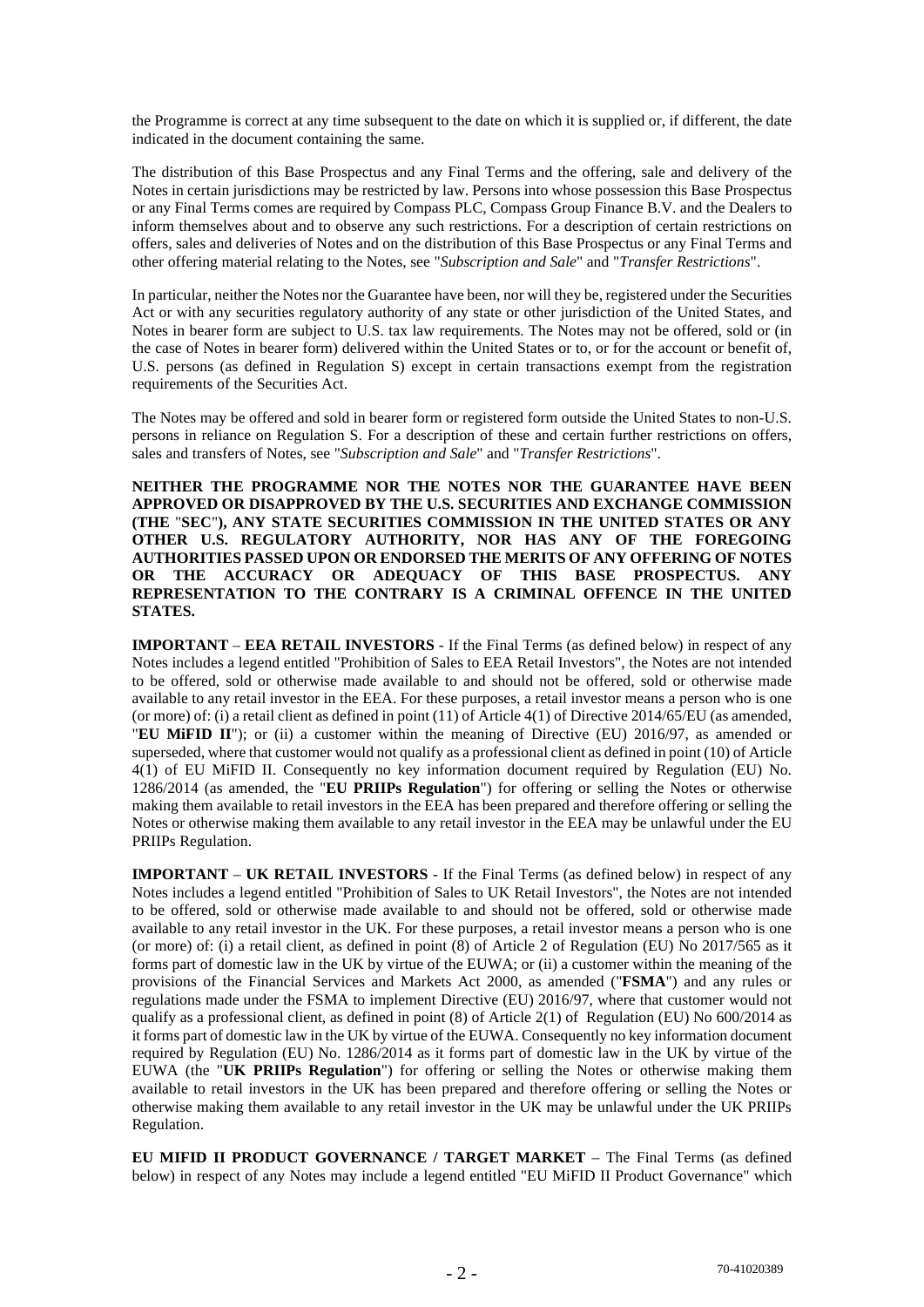the Programme is correct at any time subsequent to the date on which it is supplied or, if different, the date indicated in the document containing the same.

The distribution of this Base Prospectus and any Final Terms and the offering, sale and delivery of the Notes in certain jurisdictions may be restricted by law. Persons into whose possession this Base Prospectus or any Final Terms comes are required by Compass PLC, Compass Group Finance B.V. and the Dealers to inform themselves about and to observe any such restrictions. For a description of certain restrictions on offers, sales and deliveries of Notes and on the distribution of this Base Prospectus or any Final Terms and other offering material relating to the Notes, see "*Subscription and Sale*" and "*Transfer Restrictions*".

In particular, neither the Notes nor the Guarantee have been, nor will they be, registered under the Securities Act or with any securities regulatory authority of any state or other jurisdiction of the United States, and Notes in bearer form are subject to U.S. tax law requirements. The Notes may not be offered, sold or (in the case of Notes in bearer form) delivered within the United States or to, or for the account or benefit of, U.S. persons (as defined in Regulation S) except in certain transactions exempt from the registration requirements of the Securities Act.

The Notes may be offered and sold in bearer form or registered form outside the United States to non-U.S. persons in reliance on Regulation S. For a description of these and certain further restrictions on offers, sales and transfers of Notes, see "*Subscription and Sale*" and "*Transfer Restrictions*".

**NEITHER THE PROGRAMME NOR THE NOTES NOR THE GUARANTEE HAVE BEEN APPROVED OR DISAPPROVED BY THE U.S. SECURITIES AND EXCHANGE COMMISSION (THE** "**SEC**"**), ANY STATE SECURITIES COMMISSION IN THE UNITED STATES OR ANY OTHER U.S. REGULATORY AUTHORITY, NOR HAS ANY OF THE FOREGOING AUTHORITIES PASSED UPON OR ENDORSED THE MERITS OF ANY OFFERING OF NOTES OR THE ACCURACY OR ADEQUACY OF THIS BASE PROSPECTUS. ANY REPRESENTATION TO THE CONTRARY IS A CRIMINAL OFFENCE IN THE UNITED STATES.** 

**IMPORTANT** – **EEA RETAIL INVESTORS** - If the Final Terms (as defined below) in respect of any Notes includes a legend entitled "Prohibition of Sales to EEA Retail Investors", the Notes are not intended to be offered, sold or otherwise made available to and should not be offered, sold or otherwise made available to any retail investor in the EEA. For these purposes, a retail investor means a person who is one (or more) of: (i) a retail client as defined in point (11) of Article 4(1) of Directive 2014/65/EU (as amended, "**EU MiFID II**"); or (ii) a customer within the meaning of Directive (EU) 2016/97, as amended or superseded, where that customer would not qualify as a professional client as defined in point (10) of Article 4(1) of EU MiFID II. Consequently no key information document required by Regulation (EU) No. 1286/2014 (as amended, the "**EU PRIIPs Regulation**") for offering or selling the Notes or otherwise making them available to retail investors in the EEA has been prepared and therefore offering or selling the Notes or otherwise making them available to any retail investor in the EEA may be unlawful under the EU PRIIPs Regulation.

**IMPORTANT** – **UK RETAIL INVESTORS** - If the Final Terms (as defined below) in respect of any Notes includes a legend entitled "Prohibition of Sales to UK Retail Investors", the Notes are not intended to be offered, sold or otherwise made available to and should not be offered, sold or otherwise made available to any retail investor in the UK. For these purposes, a retail investor means a person who is one (or more) of: (i) a retail client, as defined in point (8) of Article 2 of Regulation (EU) No 2017/565 as it forms part of domestic law in the UK by virtue of the EUWA; or (ii) a customer within the meaning of the provisions of the Financial Services and Markets Act 2000, as amended ("**FSMA**") and any rules or regulations made under the FSMA to implement Directive (EU) 2016/97, where that customer would not qualify as a professional client, as defined in point (8) of Article 2(1) of Regulation (EU) No 600/2014 as it forms part of domestic law in the UK by virtue of the EUWA. Consequently no key information document required by Regulation (EU) No. 1286/2014 as it forms part of domestic law in the UK by virtue of the EUWA (the "**UK PRIIPs Regulation**") for offering or selling the Notes or otherwise making them available to retail investors in the UK has been prepared and therefore offering or selling the Notes or otherwise making them available to any retail investor in the UK may be unlawful under the UK PRIIPs Regulation.

**EU MIFID II PRODUCT GOVERNANCE / TARGET MARKET** – The Final Terms (as defined below) in respect of any Notes may include a legend entitled "EU MiFID II Product Governance" which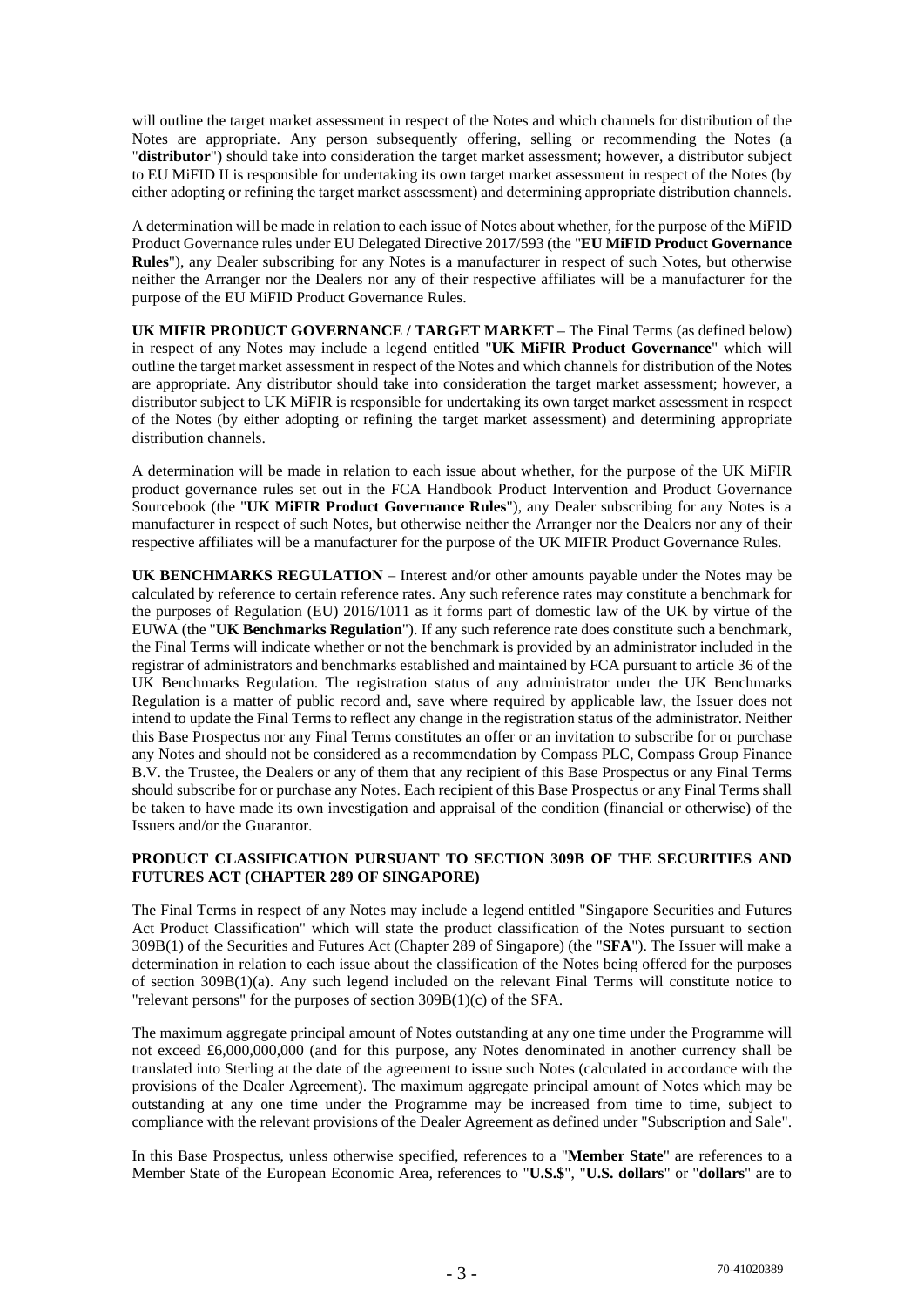will outline the target market assessment in respect of the Notes and which channels for distribution of the Notes are appropriate. Any person subsequently offering, selling or recommending the Notes (a "**distributor**") should take into consideration the target market assessment; however, a distributor subject to EU MiFID II is responsible for undertaking its own target market assessment in respect of the Notes (by either adopting or refining the target market assessment) and determining appropriate distribution channels.

A determination will be made in relation to each issue of Notes about whether, for the purpose of the MiFID Product Governance rules under EU Delegated Directive 2017/593 (the "**EU MiFID Product Governance Rules**"), any Dealer subscribing for any Notes is a manufacturer in respect of such Notes, but otherwise neither the Arranger nor the Dealers nor any of their respective affiliates will be a manufacturer for the purpose of the EU MiFID Product Governance Rules.

**UK MIFIR PRODUCT GOVERNANCE / TARGET MARKET** – The Final Terms (as defined below) in respect of any Notes may include a legend entitled "**UK MiFIR Product Governance**" which will outline the target market assessment in respect of the Notes and which channels for distribution of the Notes are appropriate. Any distributor should take into consideration the target market assessment; however, a distributor subject to UK MiFIR is responsible for undertaking its own target market assessment in respect of the Notes (by either adopting or refining the target market assessment) and determining appropriate distribution channels.

A determination will be made in relation to each issue about whether, for the purpose of the UK MiFIR product governance rules set out in the FCA Handbook Product Intervention and Product Governance Sourcebook (the "**UK MiFIR Product Governance Rules**"), any Dealer subscribing for any Notes is a manufacturer in respect of such Notes, but otherwise neither the Arranger nor the Dealers nor any of their respective affiliates will be a manufacturer for the purpose of the UK MIFIR Product Governance Rules.

**UK BENCHMARKS REGULATION** – Interest and/or other amounts payable under the Notes may be calculated by reference to certain reference rates. Any such reference rates may constitute a benchmark for the purposes of Regulation (EU) 2016/1011 as it forms part of domestic law of the UK by virtue of the EUWA (the "**UK Benchmarks Regulation**"). If any such reference rate does constitute such a benchmark, the Final Terms will indicate whether or not the benchmark is provided by an administrator included in the registrar of administrators and benchmarks established and maintained by FCA pursuant to article 36 of the UK Benchmarks Regulation. The registration status of any administrator under the UK Benchmarks Regulation is a matter of public record and, save where required by applicable law, the Issuer does not intend to update the Final Terms to reflect any change in the registration status of the administrator. Neither this Base Prospectus nor any Final Terms constitutes an offer or an invitation to subscribe for or purchase any Notes and should not be considered as a recommendation by Compass PLC, Compass Group Finance B.V. the Trustee, the Dealers or any of them that any recipient of this Base Prospectus or any Final Terms should subscribe for or purchase any Notes. Each recipient of this Base Prospectus or any Final Terms shall be taken to have made its own investigation and appraisal of the condition (financial or otherwise) of the Issuers and/or the Guarantor.

## **PRODUCT CLASSIFICATION PURSUANT TO SECTION 309B OF THE SECURITIES AND FUTURES ACT (CHAPTER 289 OF SINGAPORE)**

The Final Terms in respect of any Notes may include a legend entitled "Singapore Securities and Futures Act Product Classification" which will state the product classification of the Notes pursuant to section 309B(1) of the Securities and Futures Act (Chapter 289 of Singapore) (the "**SFA**"). The Issuer will make a determination in relation to each issue about the classification of the Notes being offered for the purposes of section 309B(1)(a). Any such legend included on the relevant Final Terms will constitute notice to "relevant persons" for the purposes of section 309B(1)(c) of the SFA.

The maximum aggregate principal amount of Notes outstanding at any one time under the Programme will not exceed £6,000,000,000 (and for this purpose, any Notes denominated in another currency shall be translated into Sterling at the date of the agreement to issue such Notes (calculated in accordance with the provisions of the Dealer Agreement). The maximum aggregate principal amount of Notes which may be outstanding at any one time under the Programme may be increased from time to time, subject to compliance with the relevant provisions of the Dealer Agreement as defined under "Subscription and Sale".

In this Base Prospectus, unless otherwise specified, references to a "**Member State**" are references to a Member State of the European Economic Area, references to "**U.S.\$**", "**U.S. dollars**" or "**dollars**" are to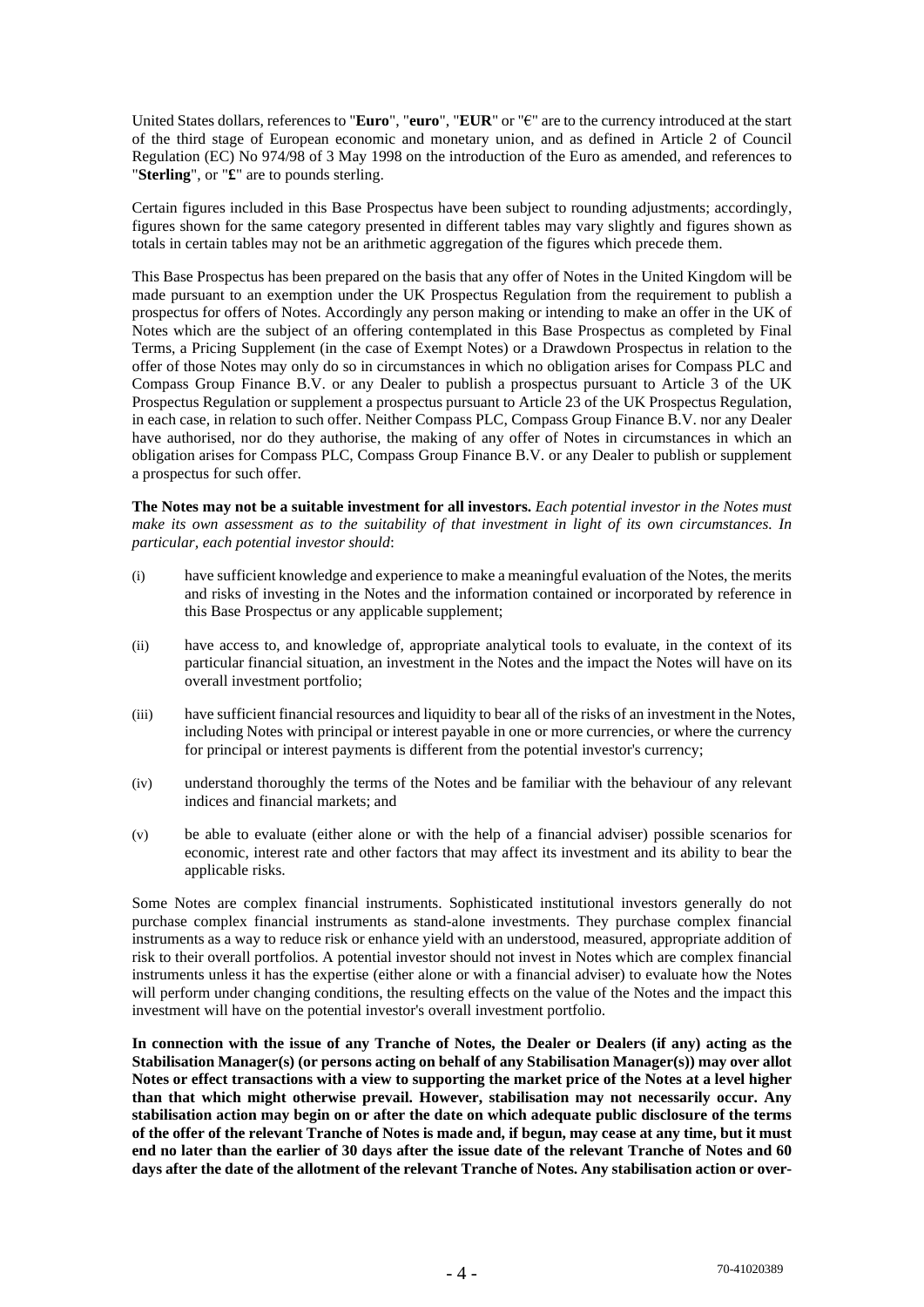United States dollars, references to "**Euro**", "**euro**", "**EUR**" or "€" are to the currency introduced at the start of the third stage of European economic and monetary union, and as defined in Article 2 of Council Regulation (EC) No 974/98 of 3 May 1998 on the introduction of the Euro as amended, and references to "**Sterling**", or "**£**" are to pounds sterling.

Certain figures included in this Base Prospectus have been subject to rounding adjustments; accordingly, figures shown for the same category presented in different tables may vary slightly and figures shown as totals in certain tables may not be an arithmetic aggregation of the figures which precede them.

This Base Prospectus has been prepared on the basis that any offer of Notes in the United Kingdom will be made pursuant to an exemption under the UK Prospectus Regulation from the requirement to publish a prospectus for offers of Notes. Accordingly any person making or intending to make an offer in the UK of Notes which are the subject of an offering contemplated in this Base Prospectus as completed by Final Terms, a Pricing Supplement (in the case of Exempt Notes) or a Drawdown Prospectus in relation to the offer of those Notes may only do so in circumstances in which no obligation arises for Compass PLC and Compass Group Finance B.V. or any Dealer to publish a prospectus pursuant to Article 3 of the UK Prospectus Regulation or supplement a prospectus pursuant to Article 23 of the UK Prospectus Regulation, in each case, in relation to such offer. Neither Compass PLC, Compass Group Finance B.V. nor any Dealer have authorised, nor do they authorise, the making of any offer of Notes in circumstances in which an obligation arises for Compass PLC, Compass Group Finance B.V. or any Dealer to publish or supplement a prospectus for such offer.

**The Notes may not be a suitable investment for all investors.** *Each potential investor in the Notes must make its own assessment as to the suitability of that investment in light of its own circumstances. In particular, each potential investor should*:

- (i) have sufficient knowledge and experience to make a meaningful evaluation of the Notes, the merits and risks of investing in the Notes and the information contained or incorporated by reference in this Base Prospectus or any applicable supplement;
- (ii) have access to, and knowledge of, appropriate analytical tools to evaluate, in the context of its particular financial situation, an investment in the Notes and the impact the Notes will have on its overall investment portfolio;
- (iii) have sufficient financial resources and liquidity to bear all of the risks of an investment in the Notes, including Notes with principal or interest payable in one or more currencies, or where the currency for principal or interest payments is different from the potential investor's currency;
- (iv) understand thoroughly the terms of the Notes and be familiar with the behaviour of any relevant indices and financial markets; and
- (v) be able to evaluate (either alone or with the help of a financial adviser) possible scenarios for economic, interest rate and other factors that may affect its investment and its ability to bear the applicable risks.

Some Notes are complex financial instruments. Sophisticated institutional investors generally do not purchase complex financial instruments as stand-alone investments. They purchase complex financial instruments as a way to reduce risk or enhance yield with an understood, measured, appropriate addition of risk to their overall portfolios. A potential investor should not invest in Notes which are complex financial instruments unless it has the expertise (either alone or with a financial adviser) to evaluate how the Notes will perform under changing conditions, the resulting effects on the value of the Notes and the impact this investment will have on the potential investor's overall investment portfolio.

**In connection with the issue of any Tranche of Notes, the Dealer or Dealers (if any) acting as the Stabilisation Manager(s) (or persons acting on behalf of any Stabilisation Manager(s)) may over allot Notes or effect transactions with a view to supporting the market price of the Notes at a level higher than that which might otherwise prevail. However, stabilisation may not necessarily occur. Any stabilisation action may begin on or after the date on which adequate public disclosure of the terms of the offer of the relevant Tranche of Notes is made and, if begun, may cease at any time, but it must end no later than the earlier of 30 days after the issue date of the relevant Tranche of Notes and 60 days after the date of the allotment of the relevant Tranche of Notes. Any stabilisation action or over-**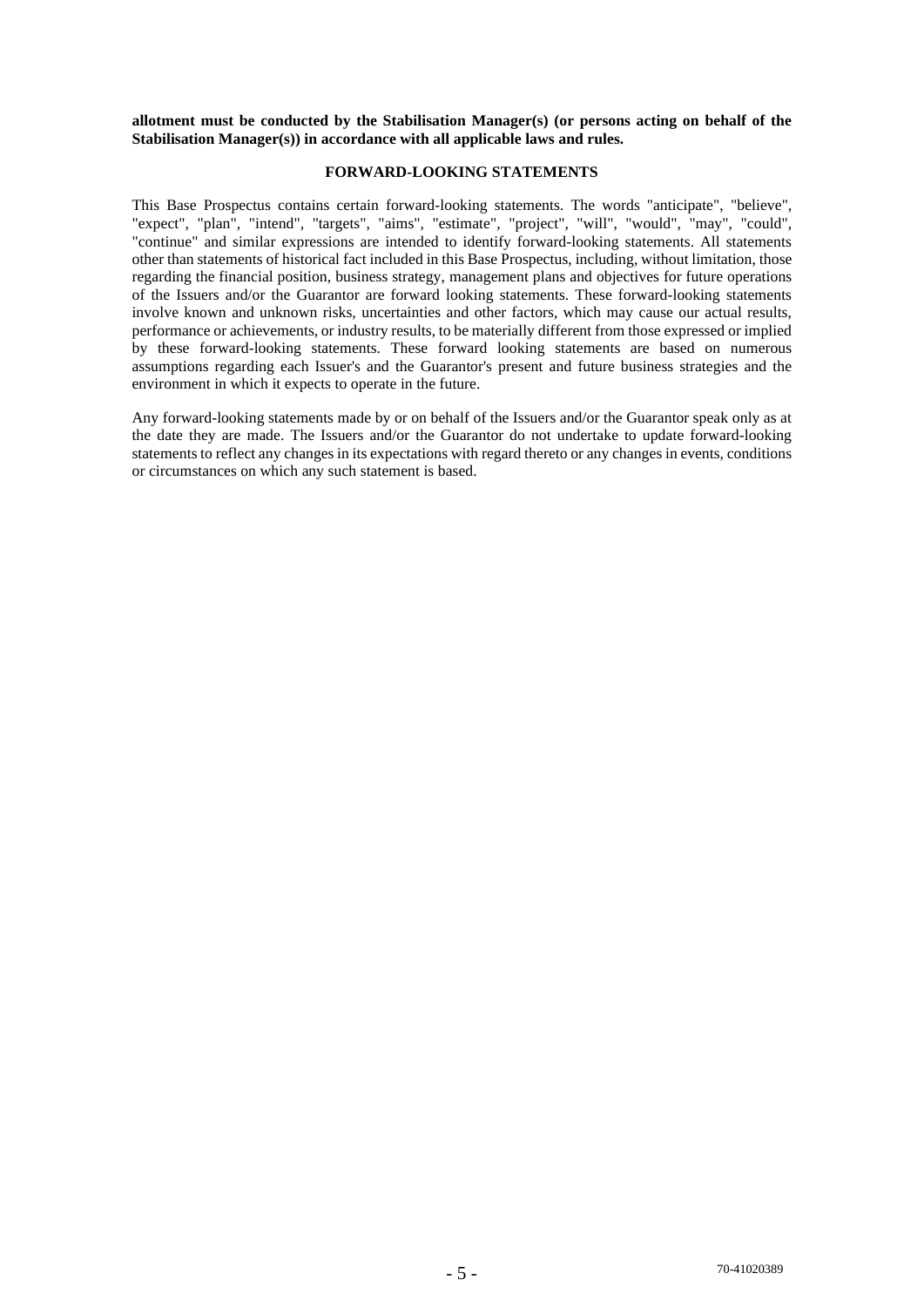**allotment must be conducted by the Stabilisation Manager(s) (or persons acting on behalf of the Stabilisation Manager(s)) in accordance with all applicable laws and rules.** 

## **FORWARD-LOOKING STATEMENTS**

This Base Prospectus contains certain forward-looking statements. The words "anticipate", "believe", "expect", "plan", "intend", "targets", "aims", "estimate", "project", "will", "would", "may", "could", "continue" and similar expressions are intended to identify forward-looking statements. All statements other than statements of historical fact included in this Base Prospectus, including, without limitation, those regarding the financial position, business strategy, management plans and objectives for future operations of the Issuers and/or the Guarantor are forward looking statements. These forward-looking statements involve known and unknown risks, uncertainties and other factors, which may cause our actual results, performance or achievements, or industry results, to be materially different from those expressed or implied by these forward-looking statements. These forward looking statements are based on numerous assumptions regarding each Issuer's and the Guarantor's present and future business strategies and the environment in which it expects to operate in the future.

Any forward-looking statements made by or on behalf of the Issuers and/or the Guarantor speak only as at the date they are made. The Issuers and/or the Guarantor do not undertake to update forward-looking statements to reflect any changes in its expectations with regard thereto or any changes in events, conditions or circumstances on which any such statement is based.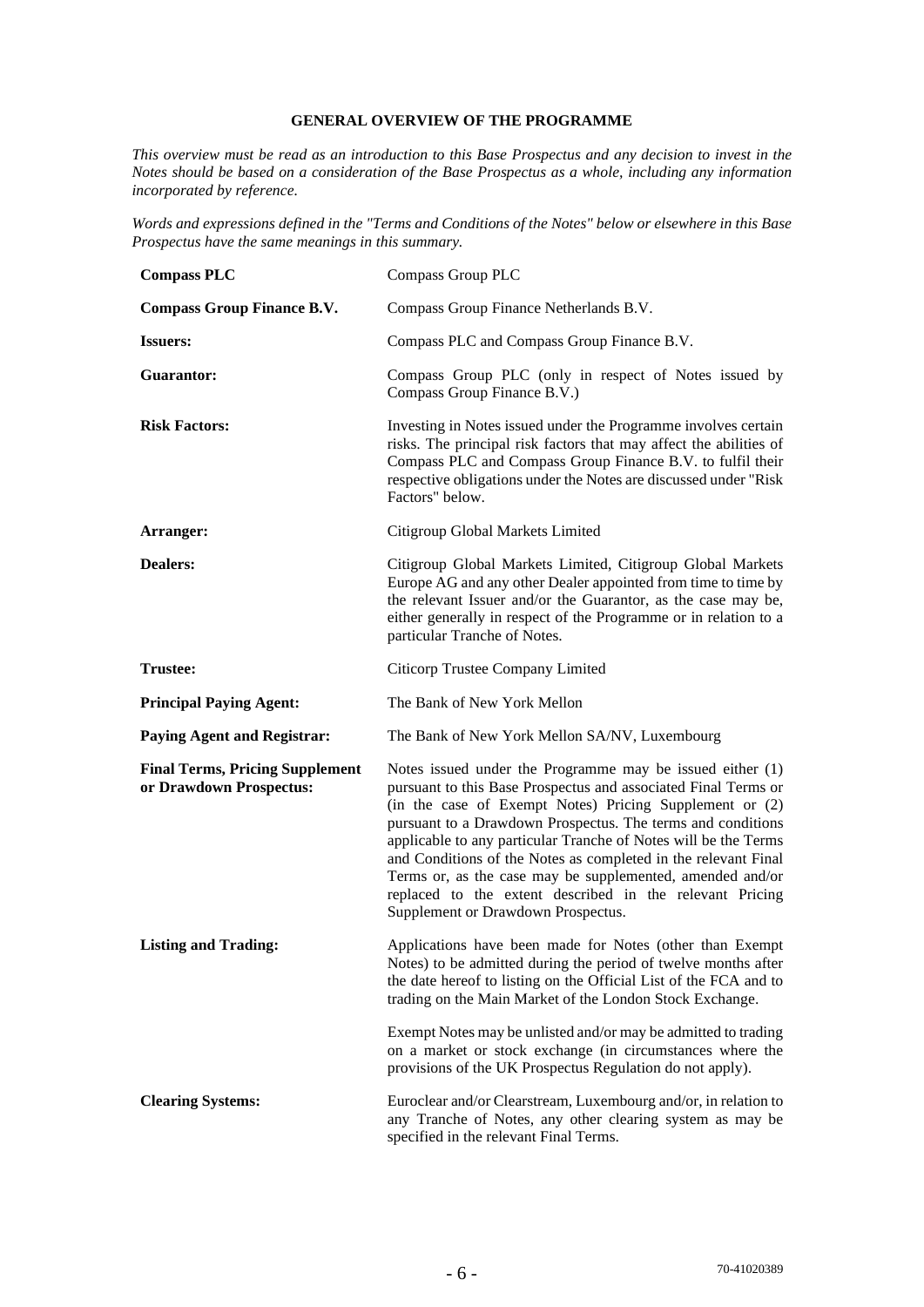## **GENERAL OVERVIEW OF THE PROGRAMME**

*This overview must be read as an introduction to this Base Prospectus and any decision to invest in the Notes should be based on a consideration of the Base Prospectus as a whole, including any information incorporated by reference.* 

*Words and expressions defined in the "Terms and Conditions of the Notes" below or elsewhere in this Base Prospectus have the same meanings in this summary.* 

| <b>Compass PLC</b>                                                | <b>Compass Group PLC</b>                                                                                                                                                                                                                                                                                                                                                                                                                                                                                                                                  |
|-------------------------------------------------------------------|-----------------------------------------------------------------------------------------------------------------------------------------------------------------------------------------------------------------------------------------------------------------------------------------------------------------------------------------------------------------------------------------------------------------------------------------------------------------------------------------------------------------------------------------------------------|
| <b>Compass Group Finance B.V.</b>                                 | Compass Group Finance Netherlands B.V.                                                                                                                                                                                                                                                                                                                                                                                                                                                                                                                    |
| <b>Issuers:</b>                                                   | Compass PLC and Compass Group Finance B.V.                                                                                                                                                                                                                                                                                                                                                                                                                                                                                                                |
| Guarantor:                                                        | Compass Group PLC (only in respect of Notes issued by<br>Compass Group Finance B.V.)                                                                                                                                                                                                                                                                                                                                                                                                                                                                      |
| <b>Risk Factors:</b>                                              | Investing in Notes issued under the Programme involves certain<br>risks. The principal risk factors that may affect the abilities of<br>Compass PLC and Compass Group Finance B.V. to fulfil their<br>respective obligations under the Notes are discussed under "Risk"<br>Factors" below.                                                                                                                                                                                                                                                                |
| Arranger:                                                         | Citigroup Global Markets Limited                                                                                                                                                                                                                                                                                                                                                                                                                                                                                                                          |
| <b>Dealers:</b>                                                   | Citigroup Global Markets Limited, Citigroup Global Markets<br>Europe AG and any other Dealer appointed from time to time by<br>the relevant Issuer and/or the Guarantor, as the case may be,<br>either generally in respect of the Programme or in relation to a<br>particular Tranche of Notes.                                                                                                                                                                                                                                                          |
| <b>Trustee:</b>                                                   | Citicorp Trustee Company Limited                                                                                                                                                                                                                                                                                                                                                                                                                                                                                                                          |
| <b>Principal Paying Agent:</b>                                    | The Bank of New York Mellon                                                                                                                                                                                                                                                                                                                                                                                                                                                                                                                               |
| <b>Paying Agent and Registrar:</b>                                | The Bank of New York Mellon SA/NV, Luxembourg                                                                                                                                                                                                                                                                                                                                                                                                                                                                                                             |
| <b>Final Terms, Pricing Supplement</b><br>or Drawdown Prospectus: | Notes issued under the Programme may be issued either (1)<br>pursuant to this Base Prospectus and associated Final Terms or<br>(in the case of Exempt Notes) Pricing Supplement or (2)<br>pursuant to a Drawdown Prospectus. The terms and conditions<br>applicable to any particular Tranche of Notes will be the Terms<br>and Conditions of the Notes as completed in the relevant Final<br>Terms or, as the case may be supplemented, amended and/or<br>replaced to the extent described in the relevant Pricing<br>Supplement or Drawdown Prospectus. |
| <b>Listing and Trading:</b>                                       | Applications have been made for Notes (other than Exempt<br>Notes) to be admitted during the period of twelve months after<br>the date hereof to listing on the Official List of the FCA and to<br>trading on the Main Market of the London Stock Exchange.                                                                                                                                                                                                                                                                                               |
|                                                                   | Exempt Notes may be unlisted and/or may be admitted to trading<br>on a market or stock exchange (in circumstances where the<br>provisions of the UK Prospectus Regulation do not apply).                                                                                                                                                                                                                                                                                                                                                                  |
| <b>Clearing Systems:</b>                                          | Euroclear and/or Clearstream, Luxembourg and/or, in relation to<br>any Tranche of Notes, any other clearing system as may be<br>specified in the relevant Final Terms.                                                                                                                                                                                                                                                                                                                                                                                    |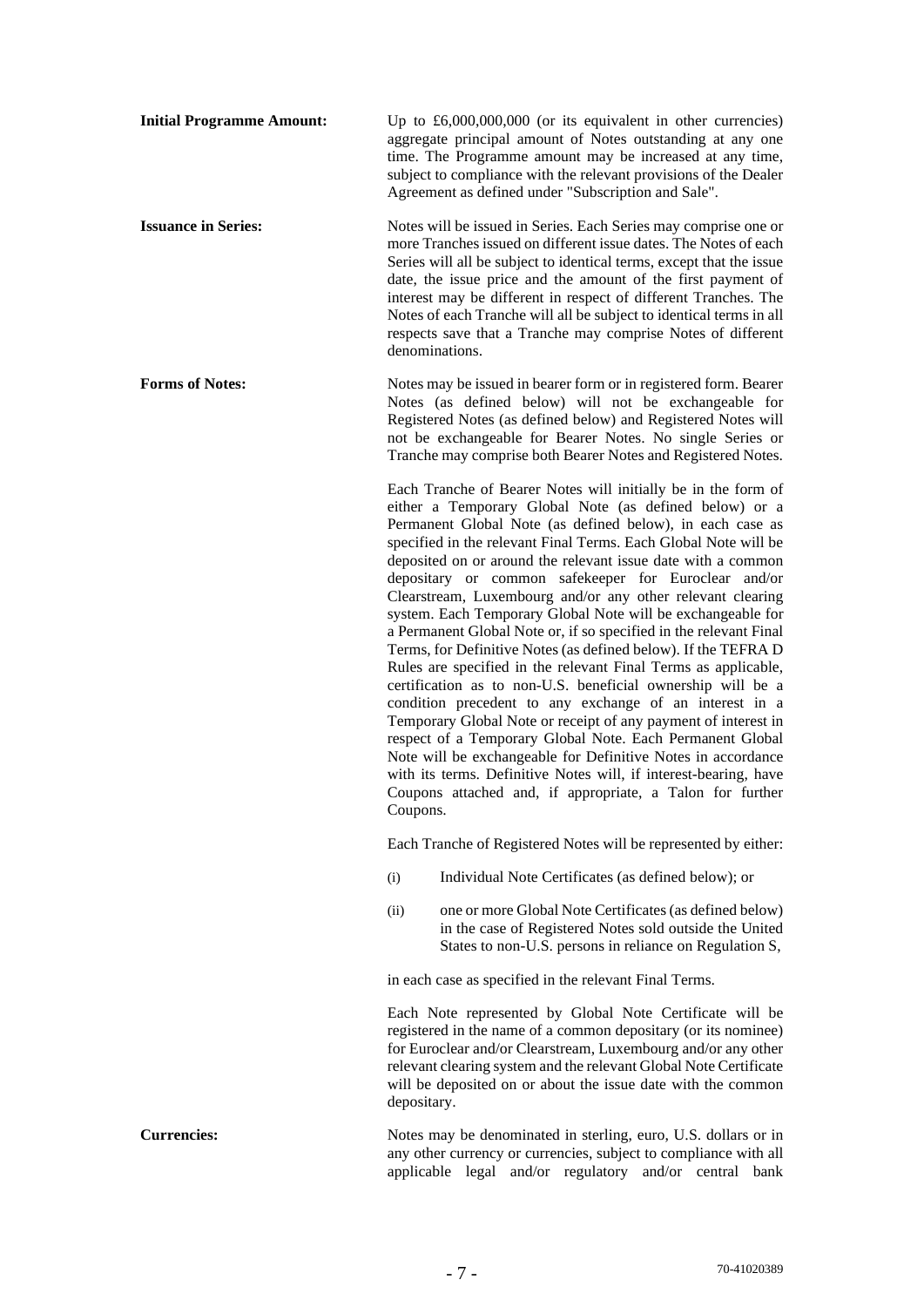|                            | time. The Programme amount may be increased at any time,<br>subject to compliance with the relevant provisions of the Dealer<br>Agreement as defined under "Subscription and Sale".                                                                                                                                                                                                                                                                                                                                                                                                                                                                                                                                                                                                                                                                                                                                                                                                                                                                                                                                                                                                         |
|----------------------------|---------------------------------------------------------------------------------------------------------------------------------------------------------------------------------------------------------------------------------------------------------------------------------------------------------------------------------------------------------------------------------------------------------------------------------------------------------------------------------------------------------------------------------------------------------------------------------------------------------------------------------------------------------------------------------------------------------------------------------------------------------------------------------------------------------------------------------------------------------------------------------------------------------------------------------------------------------------------------------------------------------------------------------------------------------------------------------------------------------------------------------------------------------------------------------------------|
| <b>Issuance in Series:</b> | Notes will be issued in Series. Each Series may comprise one or<br>more Tranches issued on different issue dates. The Notes of each<br>Series will all be subject to identical terms, except that the issue<br>date, the issue price and the amount of the first payment of<br>interest may be different in respect of different Tranches. The<br>Notes of each Tranche will all be subject to identical terms in all<br>respects save that a Tranche may comprise Notes of different<br>denominations.                                                                                                                                                                                                                                                                                                                                                                                                                                                                                                                                                                                                                                                                                     |
| <b>Forms of Notes:</b>     | Notes may be issued in bearer form or in registered form. Bearer<br>Notes (as defined below) will not be exchangeable for<br>Registered Notes (as defined below) and Registered Notes will<br>not be exchangeable for Bearer Notes. No single Series or<br>Tranche may comprise both Bearer Notes and Registered Notes.                                                                                                                                                                                                                                                                                                                                                                                                                                                                                                                                                                                                                                                                                                                                                                                                                                                                     |
|                            | Each Tranche of Bearer Notes will initially be in the form of<br>either a Temporary Global Note (as defined below) or a<br>Permanent Global Note (as defined below), in each case as<br>specified in the relevant Final Terms. Each Global Note will be<br>deposited on or around the relevant issue date with a common<br>depositary or common safekeeper for Euroclear and/or<br>Clearstream, Luxembourg and/or any other relevant clearing<br>system. Each Temporary Global Note will be exchangeable for<br>a Permanent Global Note or, if so specified in the relevant Final<br>Terms, for Definitive Notes (as defined below). If the TEFRA D<br>Rules are specified in the relevant Final Terms as applicable,<br>certification as to non-U.S. beneficial ownership will be a<br>condition precedent to any exchange of an interest in a<br>Temporary Global Note or receipt of any payment of interest in<br>respect of a Temporary Global Note. Each Permanent Global<br>Note will be exchangeable for Definitive Notes in accordance<br>with its terms. Definitive Notes will, if interest-bearing, have<br>Coupons attached and, if appropriate, a Talon for further<br>Coupons. |
|                            | Each Tranche of Registered Notes will be represented by either:                                                                                                                                                                                                                                                                                                                                                                                                                                                                                                                                                                                                                                                                                                                                                                                                                                                                                                                                                                                                                                                                                                                             |
|                            | Individual Note Certificates (as defined below); or<br>(i)                                                                                                                                                                                                                                                                                                                                                                                                                                                                                                                                                                                                                                                                                                                                                                                                                                                                                                                                                                                                                                                                                                                                  |
|                            | one or more Global Note Certificates (as defined below)<br>(ii)<br>in the case of Registered Notes sold outside the United<br>States to non-U.S. persons in reliance on Regulation S,                                                                                                                                                                                                                                                                                                                                                                                                                                                                                                                                                                                                                                                                                                                                                                                                                                                                                                                                                                                                       |
|                            | in each case as specified in the relevant Final Terms.                                                                                                                                                                                                                                                                                                                                                                                                                                                                                                                                                                                                                                                                                                                                                                                                                                                                                                                                                                                                                                                                                                                                      |
|                            | Each Note represented by Global Note Certificate will be<br>registered in the name of a common depositary (or its nominee)<br>for Euroclear and/or Clearstream, Luxembourg and/or any other<br>relevant clearing system and the relevant Global Note Certificate<br>will be deposited on or about the issue date with the common<br>depositary.                                                                                                                                                                                                                                                                                                                                                                                                                                                                                                                                                                                                                                                                                                                                                                                                                                             |
| <b>Currencies:</b>         | Notes may be denominated in sterling, euro, U.S. dollars or in<br>any other currency or currencies, subject to compliance with all<br>applicable legal and/or regulatory and/or central bank                                                                                                                                                                                                                                                                                                                                                                                                                                                                                                                                                                                                                                                                                                                                                                                                                                                                                                                                                                                                |

**Initial Programme Amount:** Up to £6,000,000,000 (or its equivalent in other currencies)

aggregate principal amount of Notes outstanding at any one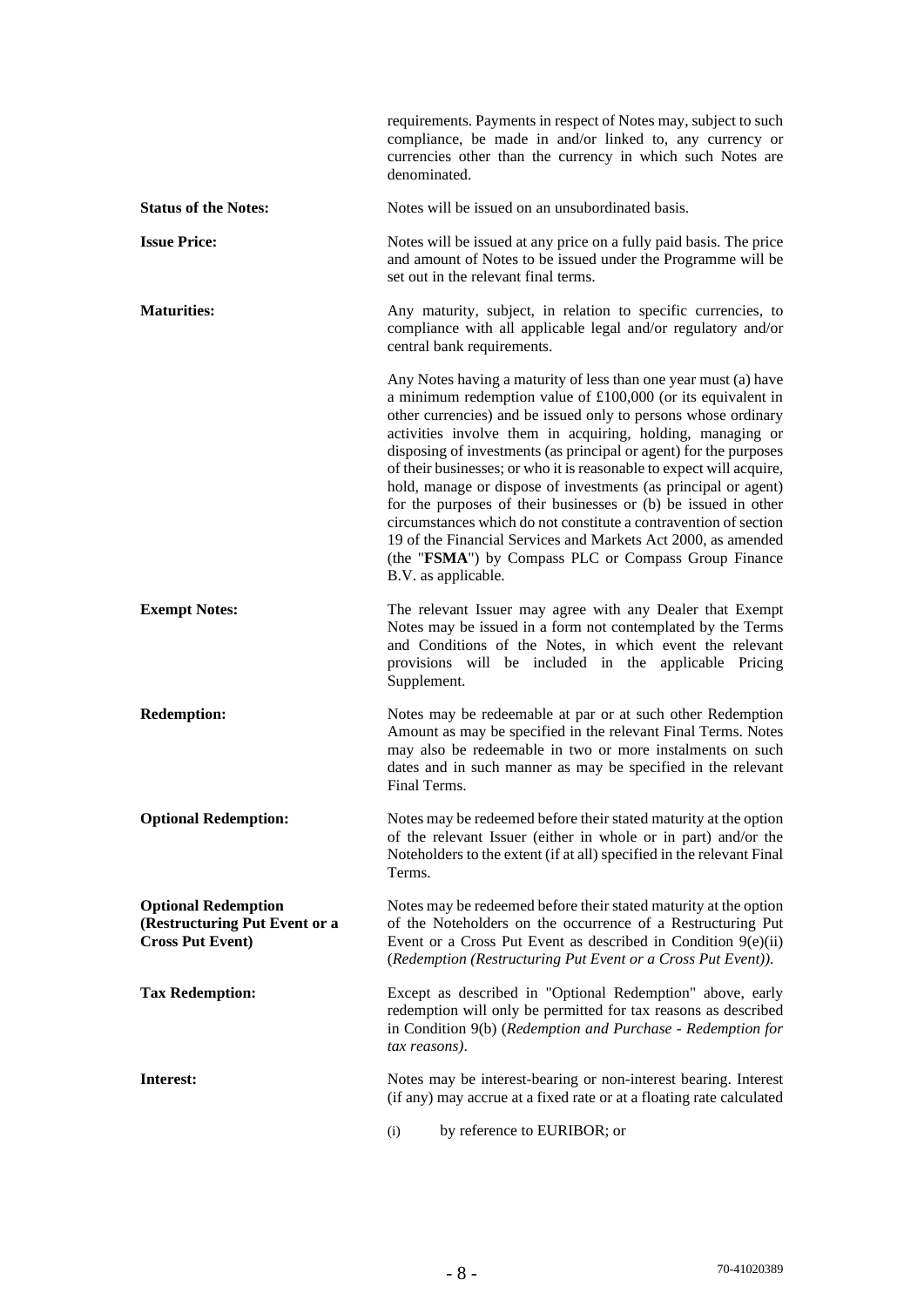|                                                                                        | requirements. Payments in respect of Notes may, subject to such<br>compliance, be made in and/or linked to, any currency or<br>currencies other than the currency in which such Notes are<br>denominated.                                                                                                                                                                                                                                                                                                                                                                                                                                                                                                                                                              |
|----------------------------------------------------------------------------------------|------------------------------------------------------------------------------------------------------------------------------------------------------------------------------------------------------------------------------------------------------------------------------------------------------------------------------------------------------------------------------------------------------------------------------------------------------------------------------------------------------------------------------------------------------------------------------------------------------------------------------------------------------------------------------------------------------------------------------------------------------------------------|
| <b>Status of the Notes:</b>                                                            | Notes will be issued on an unsubordinated basis.                                                                                                                                                                                                                                                                                                                                                                                                                                                                                                                                                                                                                                                                                                                       |
| <b>Issue Price:</b>                                                                    | Notes will be issued at any price on a fully paid basis. The price<br>and amount of Notes to be issued under the Programme will be<br>set out in the relevant final terms.                                                                                                                                                                                                                                                                                                                                                                                                                                                                                                                                                                                             |
| <b>Maturities:</b>                                                                     | Any maturity, subject, in relation to specific currencies, to<br>compliance with all applicable legal and/or regulatory and/or<br>central bank requirements.                                                                                                                                                                                                                                                                                                                                                                                                                                                                                                                                                                                                           |
|                                                                                        | Any Notes having a maturity of less than one year must (a) have<br>a minimum redemption value of $£100,000$ (or its equivalent in<br>other currencies) and be issued only to persons whose ordinary<br>activities involve them in acquiring, holding, managing or<br>disposing of investments (as principal or agent) for the purposes<br>of their businesses; or who it is reasonable to expect will acquire,<br>hold, manage or dispose of investments (as principal or agent)<br>for the purposes of their businesses or (b) be issued in other<br>circumstances which do not constitute a contravention of section<br>19 of the Financial Services and Markets Act 2000, as amended<br>(the "FSMA") by Compass PLC or Compass Group Finance<br>B.V. as applicable. |
| <b>Exempt Notes:</b>                                                                   | The relevant Issuer may agree with any Dealer that Exempt<br>Notes may be issued in a form not contemplated by the Terms<br>and Conditions of the Notes, in which event the relevant<br>provisions will be included in the applicable Pricing<br>Supplement.                                                                                                                                                                                                                                                                                                                                                                                                                                                                                                           |
| <b>Redemption:</b>                                                                     | Notes may be redeemable at par or at such other Redemption<br>Amount as may be specified in the relevant Final Terms. Notes<br>may also be redeemable in two or more instalments on such<br>dates and in such manner as may be specified in the relevant<br>Final Terms.                                                                                                                                                                                                                                                                                                                                                                                                                                                                                               |
| <b>Optional Redemption:</b>                                                            | Notes may be redeemed before their stated maturity at the option<br>of the relevant Issuer (either in whole or in part) and/or the<br>Noteholders to the extent (if at all) specified in the relevant Final<br>Terms.                                                                                                                                                                                                                                                                                                                                                                                                                                                                                                                                                  |
| <b>Optional Redemption</b><br>(Restructuring Put Event or a<br><b>Cross Put Event)</b> | Notes may be redeemed before their stated maturity at the option<br>of the Noteholders on the occurrence of a Restructuring Put<br>Event or a Cross Put Event as described in Condition $9(e)(ii)$<br>(Redemption (Restructuring Put Event or a Cross Put Event)).                                                                                                                                                                                                                                                                                                                                                                                                                                                                                                     |
| <b>Tax Redemption:</b>                                                                 | Except as described in "Optional Redemption" above, early<br>redemption will only be permitted for tax reasons as described<br>in Condition 9(b) (Redemption and Purchase - Redemption for<br>tax reasons).                                                                                                                                                                                                                                                                                                                                                                                                                                                                                                                                                            |
| Interest:                                                                              | Notes may be interest-bearing or non-interest bearing. Interest<br>(if any) may accrue at a fixed rate or at a floating rate calculated                                                                                                                                                                                                                                                                                                                                                                                                                                                                                                                                                                                                                                |
|                                                                                        | by reference to EURIBOR; or<br>(i)                                                                                                                                                                                                                                                                                                                                                                                                                                                                                                                                                                                                                                                                                                                                     |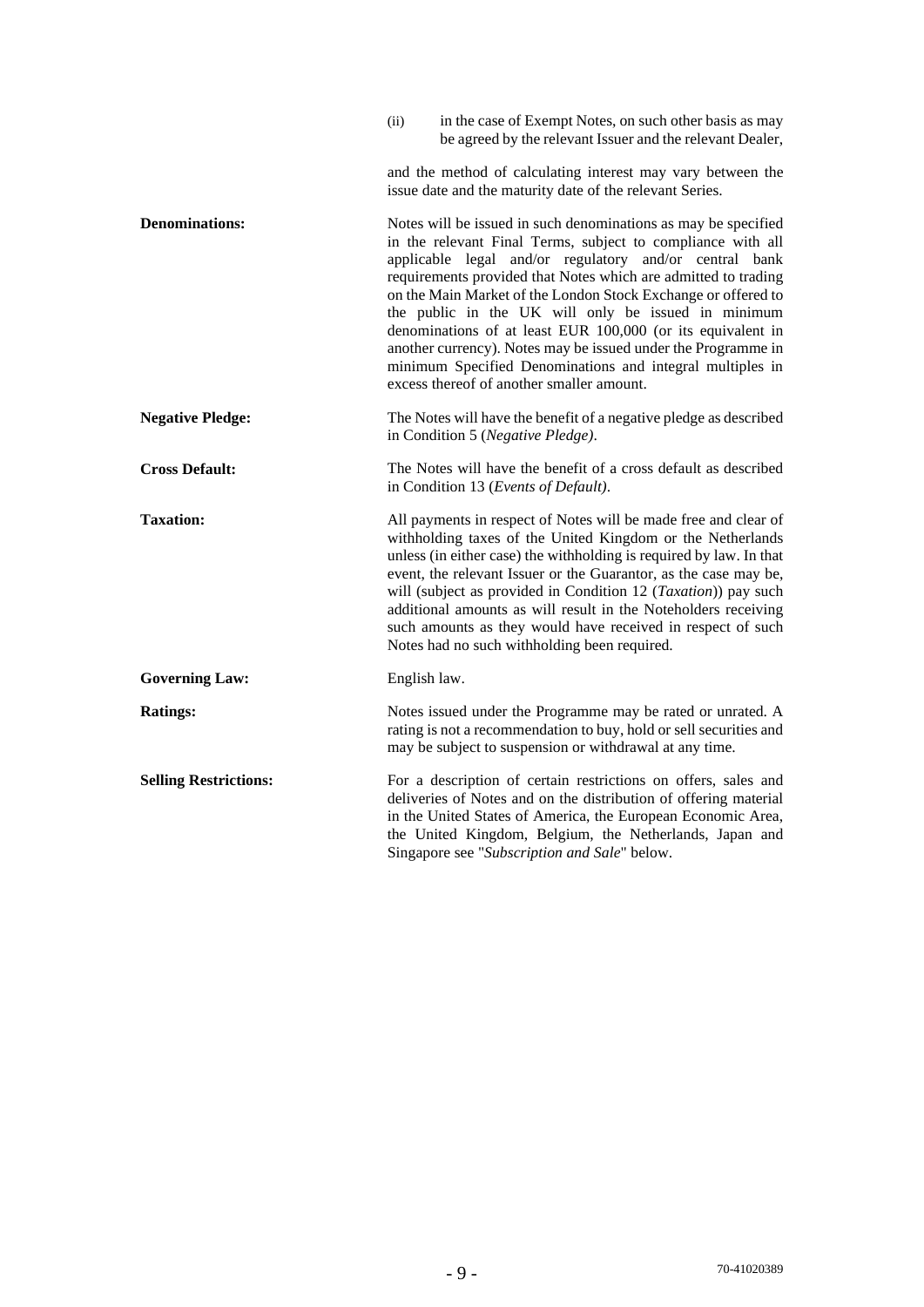|                              | in the case of Exempt Notes, on such other basis as may<br>(ii)<br>be agreed by the relevant Issuer and the relevant Dealer,                                                                                                                                                                                                                                                                                                                                                                                                                                                                                                |
|------------------------------|-----------------------------------------------------------------------------------------------------------------------------------------------------------------------------------------------------------------------------------------------------------------------------------------------------------------------------------------------------------------------------------------------------------------------------------------------------------------------------------------------------------------------------------------------------------------------------------------------------------------------------|
|                              | and the method of calculating interest may vary between the<br>issue date and the maturity date of the relevant Series.                                                                                                                                                                                                                                                                                                                                                                                                                                                                                                     |
| <b>Denominations:</b>        | Notes will be issued in such denominations as may be specified<br>in the relevant Final Terms, subject to compliance with all<br>applicable legal and/or regulatory and/or central bank<br>requirements provided that Notes which are admitted to trading<br>on the Main Market of the London Stock Exchange or offered to<br>the public in the UK will only be issued in minimum<br>denominations of at least EUR 100,000 (or its equivalent in<br>another currency). Notes may be issued under the Programme in<br>minimum Specified Denominations and integral multiples in<br>excess thereof of another smaller amount. |
| <b>Negative Pledge:</b>      | The Notes will have the benefit of a negative pledge as described<br>in Condition 5 (Negative Pledge).                                                                                                                                                                                                                                                                                                                                                                                                                                                                                                                      |
| <b>Cross Default:</b>        | The Notes will have the benefit of a cross default as described<br>in Condition 13 (Events of Default).                                                                                                                                                                                                                                                                                                                                                                                                                                                                                                                     |
| <b>Taxation:</b>             | All payments in respect of Notes will be made free and clear of<br>withholding taxes of the United Kingdom or the Netherlands<br>unless (in either case) the withholding is required by law. In that<br>event, the relevant Issuer or the Guarantor, as the case may be,<br>will (subject as provided in Condition 12 (Taxation)) pay such<br>additional amounts as will result in the Noteholders receiving<br>such amounts as they would have received in respect of such<br>Notes had no such withholding been required.                                                                                                 |
| <b>Governing Law:</b>        | English law.                                                                                                                                                                                                                                                                                                                                                                                                                                                                                                                                                                                                                |
| <b>Ratings:</b>              | Notes issued under the Programme may be rated or unrated. A<br>rating is not a recommendation to buy, hold or sell securities and<br>may be subject to suspension or withdrawal at any time.                                                                                                                                                                                                                                                                                                                                                                                                                                |
| <b>Selling Restrictions:</b> | For a description of certain restrictions on offers, sales and<br>deliveries of Notes and on the distribution of offering material<br>in the United States of America, the European Economic Area,<br>the United Kingdom, Belgium, the Netherlands, Japan and<br>Singapore see "Subscription and Sale" below.                                                                                                                                                                                                                                                                                                               |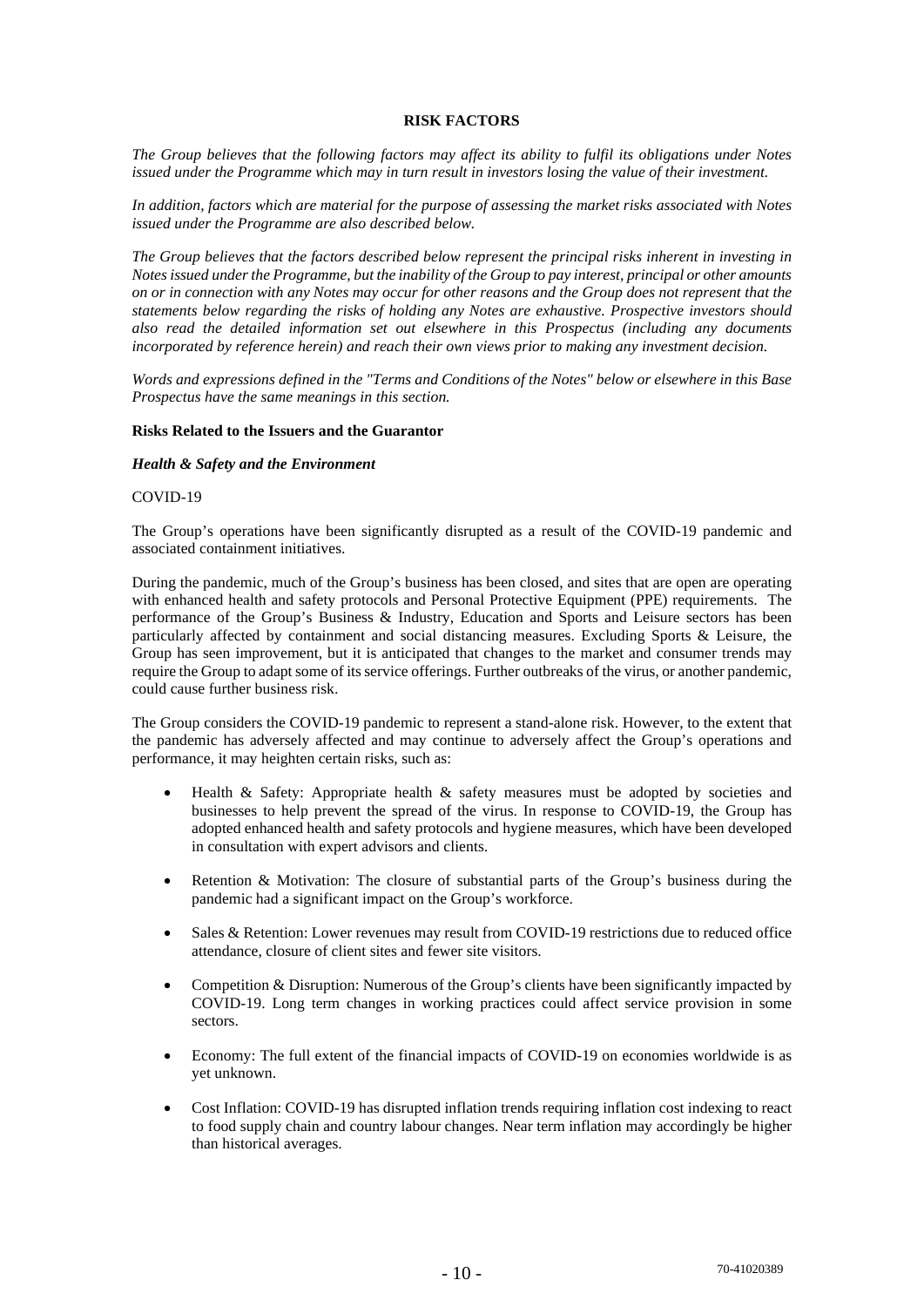## **RISK FACTORS**

*The Group believes that the following factors may affect its ability to fulfil its obligations under Notes*  issued under the Programme which may in turn result in investors losing the value of their investment.

*In addition, factors which are material for the purpose of assessing the market risks associated with Notes issued under the Programme are also described below.* 

*The Group believes that the factors described below represent the principal risks inherent in investing in Notes issued under the Programme, but the inability of the Group to pay interest, principal or other amounts on or in connection with any Notes may occur for other reasons and the Group does not represent that the statements below regarding the risks of holding any Notes are exhaustive. Prospective investors should also read the detailed information set out elsewhere in this Prospectus (including any documents incorporated by reference herein) and reach their own views prior to making any investment decision.* 

*Words and expressions defined in the "Terms and Conditions of the Notes" below or elsewhere in this Base Prospectus have the same meanings in this section.* 

#### **Risks Related to the Issuers and the Guarantor**

#### *Health & Safety and the Environment*

#### COVID-19

The Group's operations have been significantly disrupted as a result of the COVID-19 pandemic and associated containment initiatives.

During the pandemic, much of the Group's business has been closed, and sites that are open are operating with enhanced health and safety protocols and Personal Protective Equipment (PPE) requirements. The performance of the Group's Business & Industry, Education and Sports and Leisure sectors has been particularly affected by containment and social distancing measures. Excluding Sports & Leisure, the Group has seen improvement, but it is anticipated that changes to the market and consumer trends may require the Group to adapt some of its service offerings. Further outbreaks of the virus, or another pandemic, could cause further business risk.

The Group considers the COVID-19 pandemic to represent a stand-alone risk. However, to the extent that the pandemic has adversely affected and may continue to adversely affect the Group's operations and performance, it may heighten certain risks, such as:

- Health & Safety: Appropriate health & safety measures must be adopted by societies and businesses to help prevent the spread of the virus. In response to COVID-19, the Group has adopted enhanced health and safety protocols and hygiene measures, which have been developed in consultation with expert advisors and clients.
- Retention & Motivation: The closure of substantial parts of the Group's business during the pandemic had a significant impact on the Group's workforce.
- Sales & Retention: Lower revenues may result from COVID-19 restrictions due to reduced office attendance, closure of client sites and fewer site visitors.
- Competition & Disruption: Numerous of the Group's clients have been significantly impacted by COVID-19. Long term changes in working practices could affect service provision in some sectors.
- Economy: The full extent of the financial impacts of COVID-19 on economies worldwide is as yet unknown.
- Cost Inflation: COVID-19 has disrupted inflation trends requiring inflation cost indexing to react to food supply chain and country labour changes. Near term inflation may accordingly be higher than historical averages.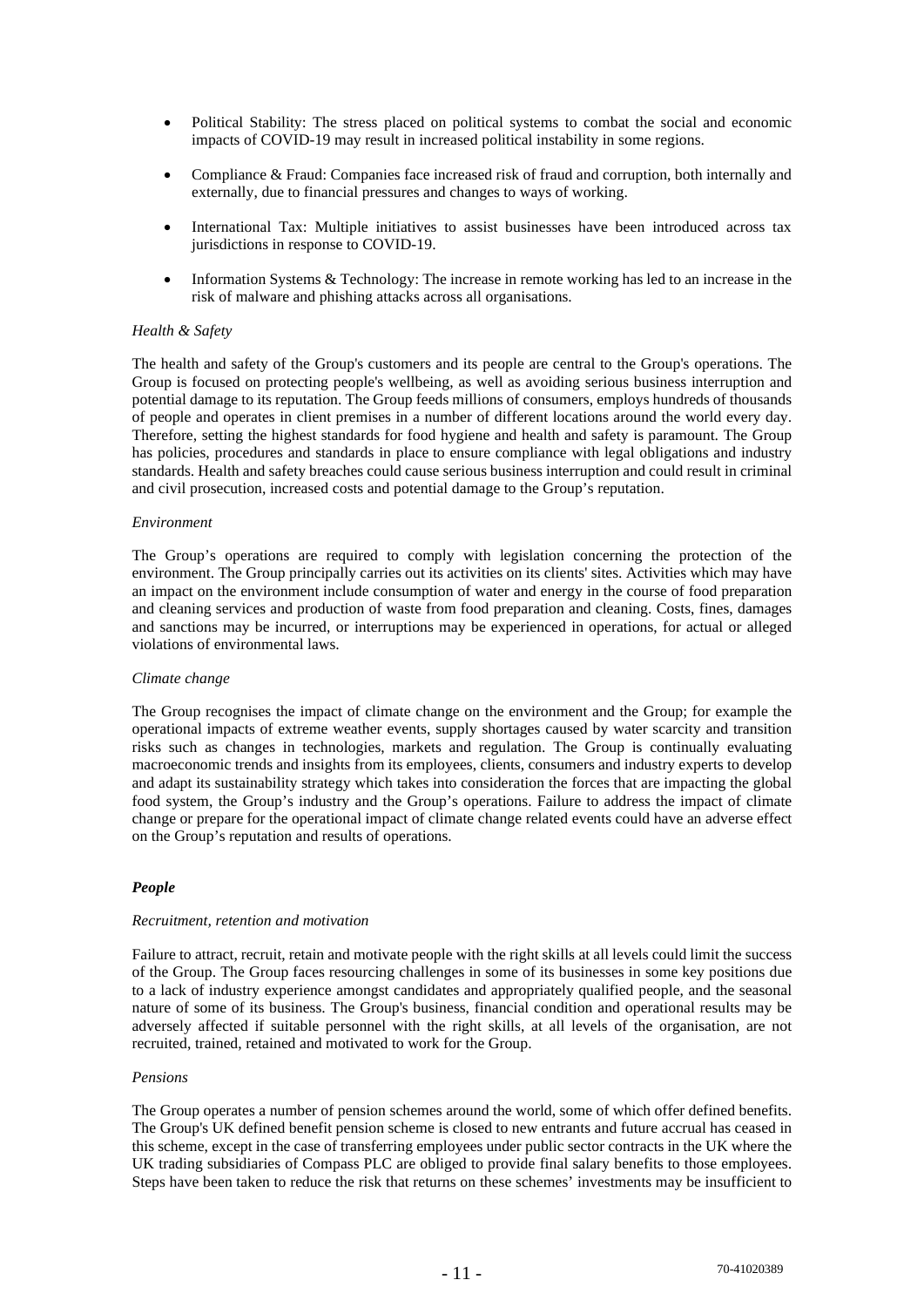- Political Stability: The stress placed on political systems to combat the social and economic impacts of COVID-19 may result in increased political instability in some regions.
- Compliance & Fraud: Companies face increased risk of fraud and corruption, both internally and externally, due to financial pressures and changes to ways of working.
- International Tax: Multiple initiatives to assist businesses have been introduced across tax jurisdictions in response to COVID-19.
- Information Systems & Technology: The increase in remote working has led to an increase in the risk of malware and phishing attacks across all organisations.

#### *Health & Safety*

The health and safety of the Group's customers and its people are central to the Group's operations. The Group is focused on protecting people's wellbeing, as well as avoiding serious business interruption and potential damage to its reputation. The Group feeds millions of consumers, employs hundreds of thousands of people and operates in client premises in a number of different locations around the world every day. Therefore, setting the highest standards for food hygiene and health and safety is paramount. The Group has policies, procedures and standards in place to ensure compliance with legal obligations and industry standards. Health and safety breaches could cause serious business interruption and could result in criminal and civil prosecution, increased costs and potential damage to the Group's reputation.

#### *Environment*

The Group's operations are required to comply with legislation concerning the protection of the environment. The Group principally carries out its activities on its clients' sites. Activities which may have an impact on the environment include consumption of water and energy in the course of food preparation and cleaning services and production of waste from food preparation and cleaning. Costs, fines, damages and sanctions may be incurred, or interruptions may be experienced in operations, for actual or alleged violations of environmental laws.

#### *Climate change*

The Group recognises the impact of climate change on the environment and the Group; for example the operational impacts of extreme weather events, supply shortages caused by water scarcity and transition risks such as changes in technologies, markets and regulation. The Group is continually evaluating macroeconomic trends and insights from its employees, clients, consumers and industry experts to develop and adapt its sustainability strategy which takes into consideration the forces that are impacting the global food system, the Group's industry and the Group's operations. Failure to address the impact of climate change or prepare for the operational impact of climate change related events could have an adverse effect on the Group's reputation and results of operations.

## *People*

#### *Recruitment, retention and motivation*

Failure to attract, recruit, retain and motivate people with the right skills at all levels could limit the success of the Group. The Group faces resourcing challenges in some of its businesses in some key positions due to a lack of industry experience amongst candidates and appropriately qualified people, and the seasonal nature of some of its business. The Group's business, financial condition and operational results may be adversely affected if suitable personnel with the right skills, at all levels of the organisation, are not recruited, trained, retained and motivated to work for the Group.

#### *Pensions*

The Group operates a number of pension schemes around the world, some of which offer defined benefits. The Group's UK defined benefit pension scheme is closed to new entrants and future accrual has ceased in this scheme, except in the case of transferring employees under public sector contracts in the UK where the UK trading subsidiaries of Compass PLC are obliged to provide final salary benefits to those employees. Steps have been taken to reduce the risk that returns on these schemes' investments may be insufficient to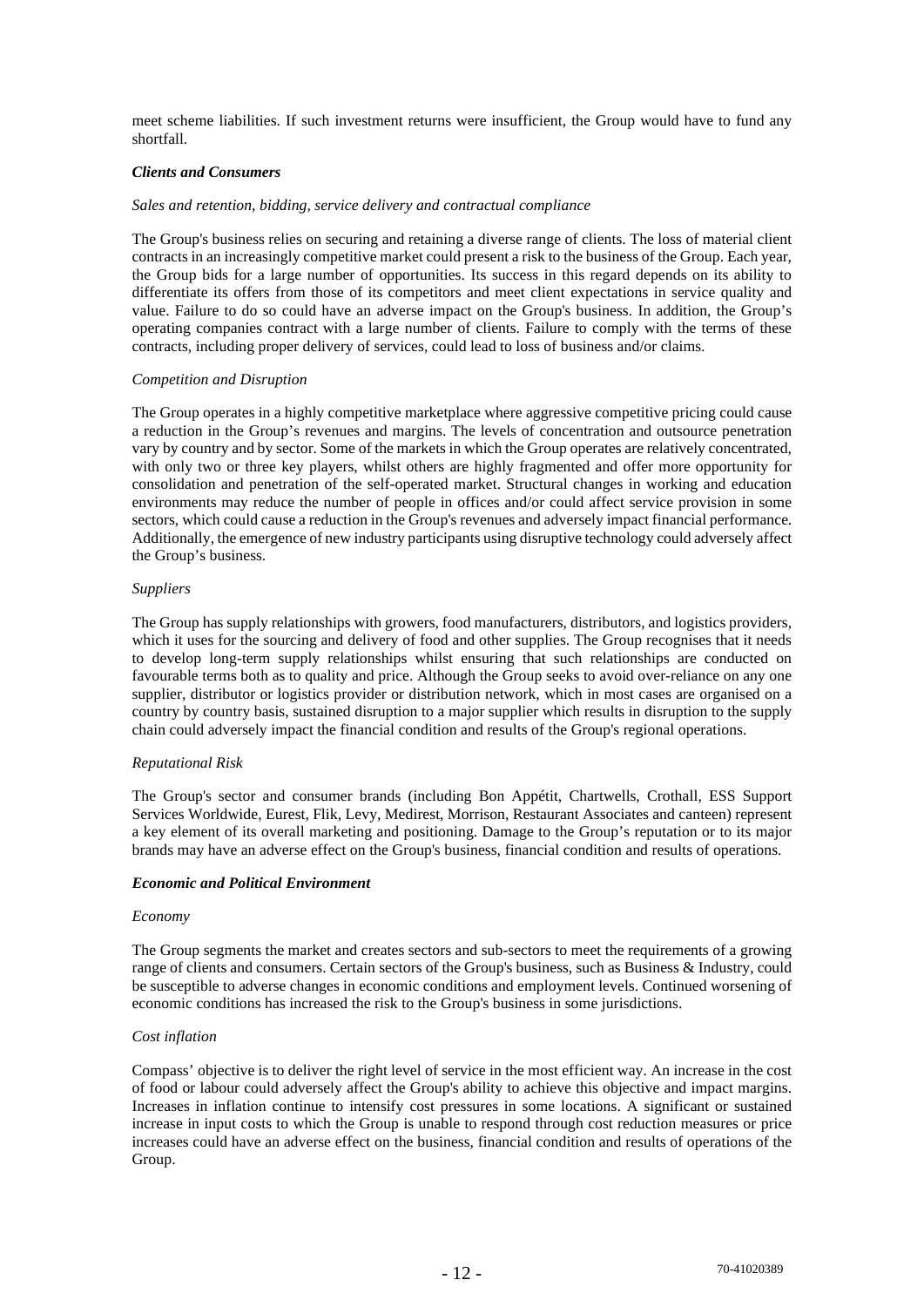meet scheme liabilities. If such investment returns were insufficient, the Group would have to fund any shortfall.

## *Clients and Consumers*

#### *Sales and retention, bidding, service delivery and contractual compliance*

The Group's business relies on securing and retaining a diverse range of clients. The loss of material client contracts in an increasingly competitive market could present a risk to the business of the Group. Each year, the Group bids for a large number of opportunities. Its success in this regard depends on its ability to differentiate its offers from those of its competitors and meet client expectations in service quality and value. Failure to do so could have an adverse impact on the Group's business. In addition, the Group's operating companies contract with a large number of clients. Failure to comply with the terms of these contracts, including proper delivery of services, could lead to loss of business and/or claims.

#### *Competition and Disruption*

The Group operates in a highly competitive marketplace where aggressive competitive pricing could cause a reduction in the Group's revenues and margins. The levels of concentration and outsource penetration vary by country and by sector. Some of the markets in which the Group operates are relatively concentrated, with only two or three key players, whilst others are highly fragmented and offer more opportunity for consolidation and penetration of the self-operated market. Structural changes in working and education environments may reduce the number of people in offices and/or could affect service provision in some sectors, which could cause a reduction in the Group's revenues and adversely impact financial performance. Additionally, the emergence of new industry participants using disruptive technology could adversely affect the Group's business.

#### *Suppliers*

The Group has supply relationships with growers, food manufacturers, distributors, and logistics providers, which it uses for the sourcing and delivery of food and other supplies. The Group recognises that it needs to develop long-term supply relationships whilst ensuring that such relationships are conducted on favourable terms both as to quality and price. Although the Group seeks to avoid over-reliance on any one supplier, distributor or logistics provider or distribution network, which in most cases are organised on a country by country basis, sustained disruption to a major supplier which results in disruption to the supply chain could adversely impact the financial condition and results of the Group's regional operations.

## *Reputational Risk*

The Group's sector and consumer brands (including Bon Appétit, Chartwells, Crothall, ESS Support Services Worldwide, Eurest, Flik, Levy, Medirest, Morrison, Restaurant Associates and canteen) represent a key element of its overall marketing and positioning. Damage to the Group's reputation or to its major brands may have an adverse effect on the Group's business, financial condition and results of operations.

#### *Economic and Political Environment*

#### *Economy*

The Group segments the market and creates sectors and sub-sectors to meet the requirements of a growing range of clients and consumers. Certain sectors of the Group's business, such as Business & Industry, could be susceptible to adverse changes in economic conditions and employment levels. Continued worsening of economic conditions has increased the risk to the Group's business in some jurisdictions.

## *Cost inflation*

Compass' objective is to deliver the right level of service in the most efficient way. An increase in the cost of food or labour could adversely affect the Group's ability to achieve this objective and impact margins. Increases in inflation continue to intensify cost pressures in some locations. A significant or sustained increase in input costs to which the Group is unable to respond through cost reduction measures or price increases could have an adverse effect on the business, financial condition and results of operations of the Group.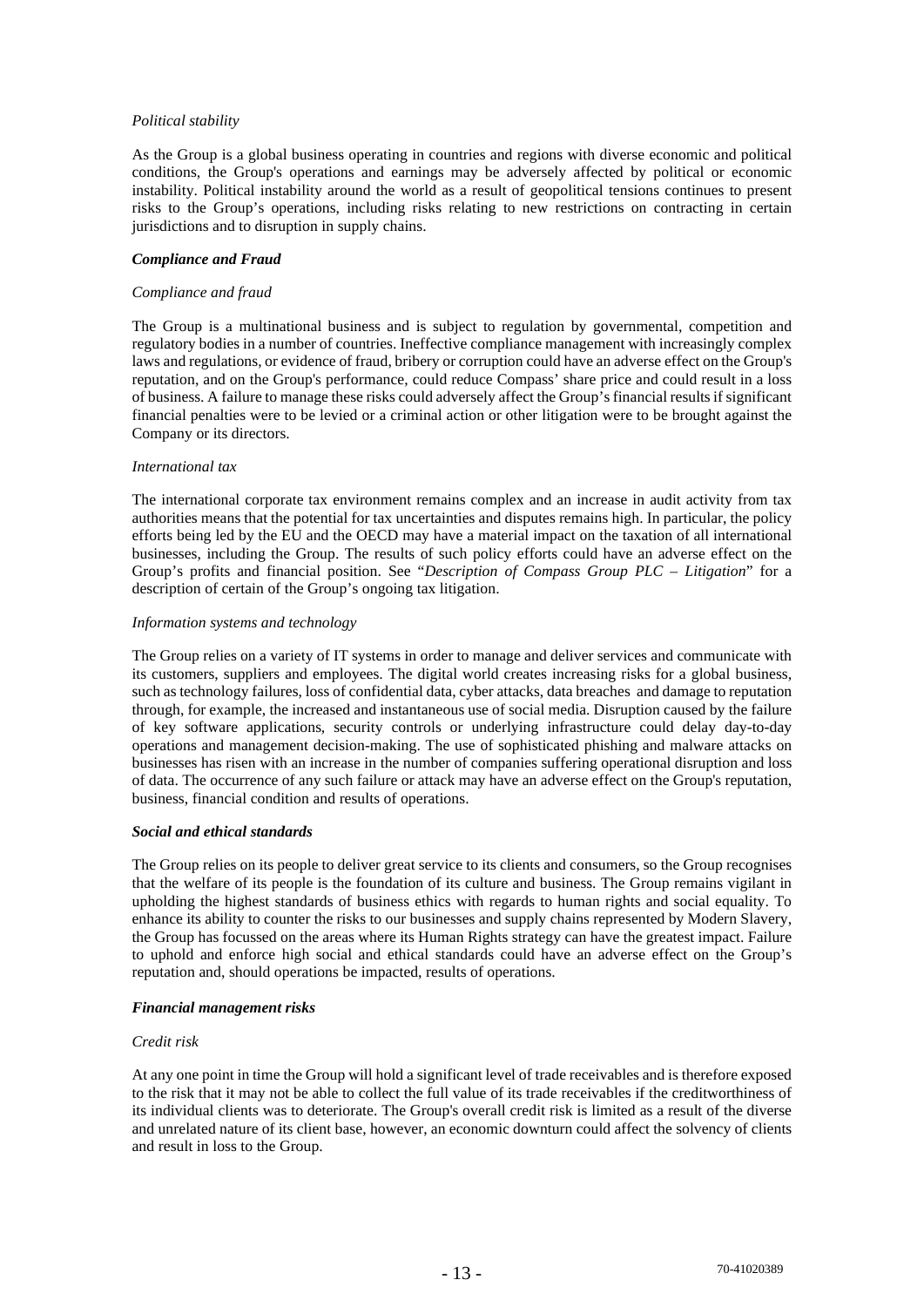## *Political stability*

As the Group is a global business operating in countries and regions with diverse economic and political conditions, the Group's operations and earnings may be adversely affected by political or economic instability. Political instability around the world as a result of geopolitical tensions continues to present risks to the Group's operations, including risks relating to new restrictions on contracting in certain jurisdictions and to disruption in supply chains.

## *Compliance and Fraud*

#### *Compliance and fraud*

The Group is a multinational business and is subject to regulation by governmental, competition and regulatory bodies in a number of countries. Ineffective compliance management with increasingly complex laws and regulations, or evidence of fraud, bribery or corruption could have an adverse effect on the Group's reputation, and on the Group's performance, could reduce Compass' share price and could result in a loss of business. A failure to manage these risks could adversely affect the Group's financial results if significant financial penalties were to be levied or a criminal action or other litigation were to be brought against the Company or its directors.

#### *International tax*

The international corporate tax environment remains complex and an increase in audit activity from tax authorities means that the potential for tax uncertainties and disputes remains high. In particular, the policy efforts being led by the EU and the OECD may have a material impact on the taxation of all international businesses, including the Group. The results of such policy efforts could have an adverse effect on the Group's profits and financial position. See "*Description of Compass Group PLC – Litigation*" for a description of certain of the Group's ongoing tax litigation.

#### *Information systems and technology*

The Group relies on a variety of IT systems in order to manage and deliver services and communicate with its customers, suppliers and employees. The digital world creates increasing risks for a global business, such as technology failures, loss of confidential data, cyber attacks, data breaches and damage to reputation through, for example, the increased and instantaneous use of social media. Disruption caused by the failure of key software applications, security controls or underlying infrastructure could delay day-to-day operations and management decision-making. The use of sophisticated phishing and malware attacks on businesses has risen with an increase in the number of companies suffering operational disruption and loss of data. The occurrence of any such failure or attack may have an adverse effect on the Group's reputation, business, financial condition and results of operations.

## *Social and ethical standards*

The Group relies on its people to deliver great service to its clients and consumers, so the Group recognises that the welfare of its people is the foundation of its culture and business. The Group remains vigilant in upholding the highest standards of business ethics with regards to human rights and social equality. To enhance its ability to counter the risks to our businesses and supply chains represented by Modern Slavery, the Group has focussed on the areas where its Human Rights strategy can have the greatest impact. Failure to uphold and enforce high social and ethical standards could have an adverse effect on the Group's reputation and, should operations be impacted, results of operations.

## *Financial management risks*

#### *Credit risk*

At any one point in time the Group will hold a significant level of trade receivables and is therefore exposed to the risk that it may not be able to collect the full value of its trade receivables if the creditworthiness of its individual clients was to deteriorate. The Group's overall credit risk is limited as a result of the diverse and unrelated nature of its client base, however, an economic downturn could affect the solvency of clients and result in loss to the Group.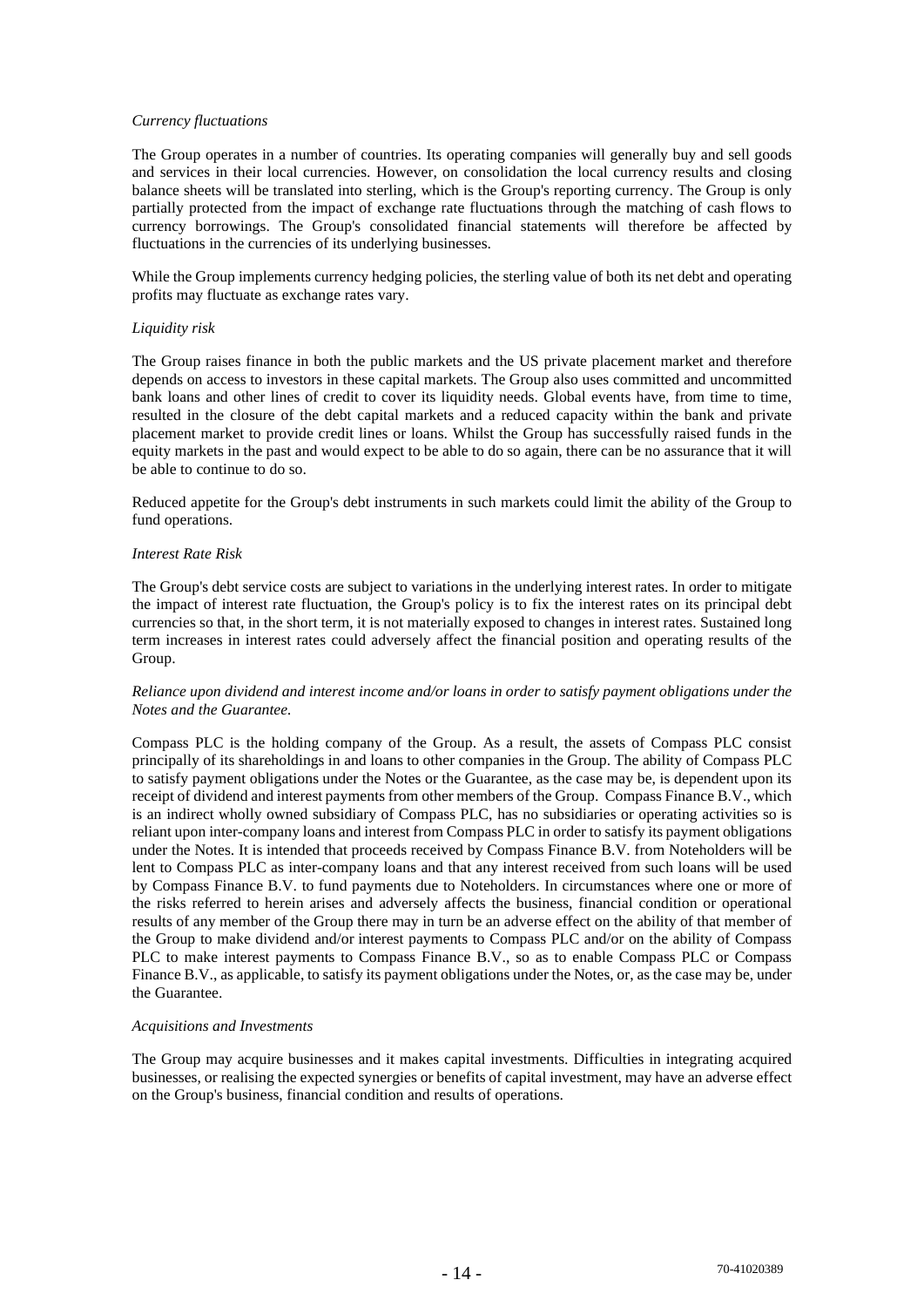#### *Currency fluctuations*

The Group operates in a number of countries. Its operating companies will generally buy and sell goods and services in their local currencies. However, on consolidation the local currency results and closing balance sheets will be translated into sterling, which is the Group's reporting currency. The Group is only partially protected from the impact of exchange rate fluctuations through the matching of cash flows to currency borrowings. The Group's consolidated financial statements will therefore be affected by fluctuations in the currencies of its underlying businesses.

While the Group implements currency hedging policies, the sterling value of both its net debt and operating profits may fluctuate as exchange rates vary.

#### *Liquidity risk*

The Group raises finance in both the public markets and the US private placement market and therefore depends on access to investors in these capital markets. The Group also uses committed and uncommitted bank loans and other lines of credit to cover its liquidity needs. Global events have, from time to time, resulted in the closure of the debt capital markets and a reduced capacity within the bank and private placement market to provide credit lines or loans. Whilst the Group has successfully raised funds in the equity markets in the past and would expect to be able to do so again, there can be no assurance that it will be able to continue to do so.

Reduced appetite for the Group's debt instruments in such markets could limit the ability of the Group to fund operations.

#### *Interest Rate Risk*

The Group's debt service costs are subject to variations in the underlying interest rates. In order to mitigate the impact of interest rate fluctuation, the Group's policy is to fix the interest rates on its principal debt currencies so that, in the short term, it is not materially exposed to changes in interest rates. Sustained long term increases in interest rates could adversely affect the financial position and operating results of the Group.

#### *Reliance upon dividend and interest income and/or loans in order to satisfy payment obligations under the Notes and the Guarantee.*

Compass PLC is the holding company of the Group. As a result, the assets of Compass PLC consist principally of its shareholdings in and loans to other companies in the Group. The ability of Compass PLC to satisfy payment obligations under the Notes or the Guarantee, as the case may be, is dependent upon its receipt of dividend and interest payments from other members of the Group. Compass Finance B.V., which is an indirect wholly owned subsidiary of Compass PLC, has no subsidiaries or operating activities so is reliant upon inter-company loans and interest from Compass PLC in order to satisfy its payment obligations under the Notes. It is intended that proceeds received by Compass Finance B.V. from Noteholders will be lent to Compass PLC as inter-company loans and that any interest received from such loans will be used by Compass Finance B.V. to fund payments due to Noteholders. In circumstances where one or more of the risks referred to herein arises and adversely affects the business, financial condition or operational results of any member of the Group there may in turn be an adverse effect on the ability of that member of the Group to make dividend and/or interest payments to Compass PLC and/or on the ability of Compass PLC to make interest payments to Compass Finance B.V., so as to enable Compass PLC or Compass Finance B.V., as applicable, to satisfy its payment obligations under the Notes, or, as the case may be, under the Guarantee.

#### *Acquisitions and Investments*

The Group may acquire businesses and it makes capital investments. Difficulties in integrating acquired businesses, or realising the expected synergies or benefits of capital investment, may have an adverse effect on the Group's business, financial condition and results of operations.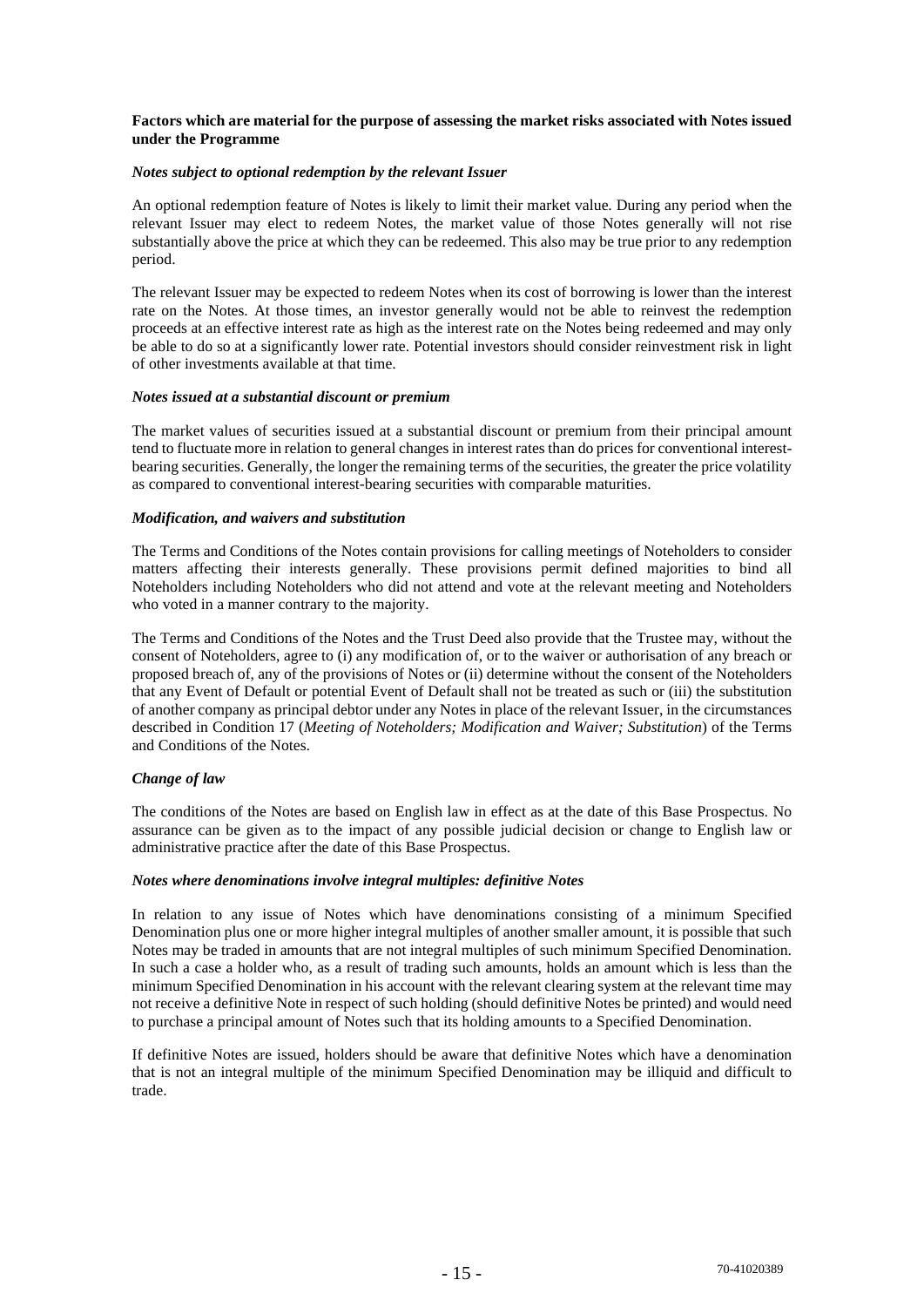#### **Factors which are material for the purpose of assessing the market risks associated with Notes issued under the Programme**

#### *Notes subject to optional redemption by the relevant Issuer*

An optional redemption feature of Notes is likely to limit their market value. During any period when the relevant Issuer may elect to redeem Notes, the market value of those Notes generally will not rise substantially above the price at which they can be redeemed. This also may be true prior to any redemption period.

The relevant Issuer may be expected to redeem Notes when its cost of borrowing is lower than the interest rate on the Notes. At those times, an investor generally would not be able to reinvest the redemption proceeds at an effective interest rate as high as the interest rate on the Notes being redeemed and may only be able to do so at a significantly lower rate. Potential investors should consider reinvestment risk in light of other investments available at that time.

#### *Notes issued at a substantial discount or premium*

The market values of securities issued at a substantial discount or premium from their principal amount tend to fluctuate more in relation to general changes in interest rates than do prices for conventional interestbearing securities. Generally, the longer the remaining terms of the securities, the greater the price volatility as compared to conventional interest-bearing securities with comparable maturities.

#### *Modification, and waivers and substitution*

The Terms and Conditions of the Notes contain provisions for calling meetings of Noteholders to consider matters affecting their interests generally. These provisions permit defined majorities to bind all Noteholders including Noteholders who did not attend and vote at the relevant meeting and Noteholders who voted in a manner contrary to the majority.

The Terms and Conditions of the Notes and the Trust Deed also provide that the Trustee may, without the consent of Noteholders, agree to (i) any modification of, or to the waiver or authorisation of any breach or proposed breach of, any of the provisions of Notes or (ii) determine without the consent of the Noteholders that any Event of Default or potential Event of Default shall not be treated as such or (iii) the substitution of another company as principal debtor under any Notes in place of the relevant Issuer, in the circumstances described in Condition 17 (*Meeting of Noteholders; Modification and Waiver; Substitution*) of the Terms and Conditions of the Notes.

## *Change of law*

The conditions of the Notes are based on English law in effect as at the date of this Base Prospectus. No assurance can be given as to the impact of any possible judicial decision or change to English law or administrative practice after the date of this Base Prospectus.

#### *Notes where denominations involve integral multiples: definitive Notes*

In relation to any issue of Notes which have denominations consisting of a minimum Specified Denomination plus one or more higher integral multiples of another smaller amount, it is possible that such Notes may be traded in amounts that are not integral multiples of such minimum Specified Denomination. In such a case a holder who, as a result of trading such amounts, holds an amount which is less than the minimum Specified Denomination in his account with the relevant clearing system at the relevant time may not receive a definitive Note in respect of such holding (should definitive Notes be printed) and would need to purchase a principal amount of Notes such that its holding amounts to a Specified Denomination.

If definitive Notes are issued, holders should be aware that definitive Notes which have a denomination that is not an integral multiple of the minimum Specified Denomination may be illiquid and difficult to trade.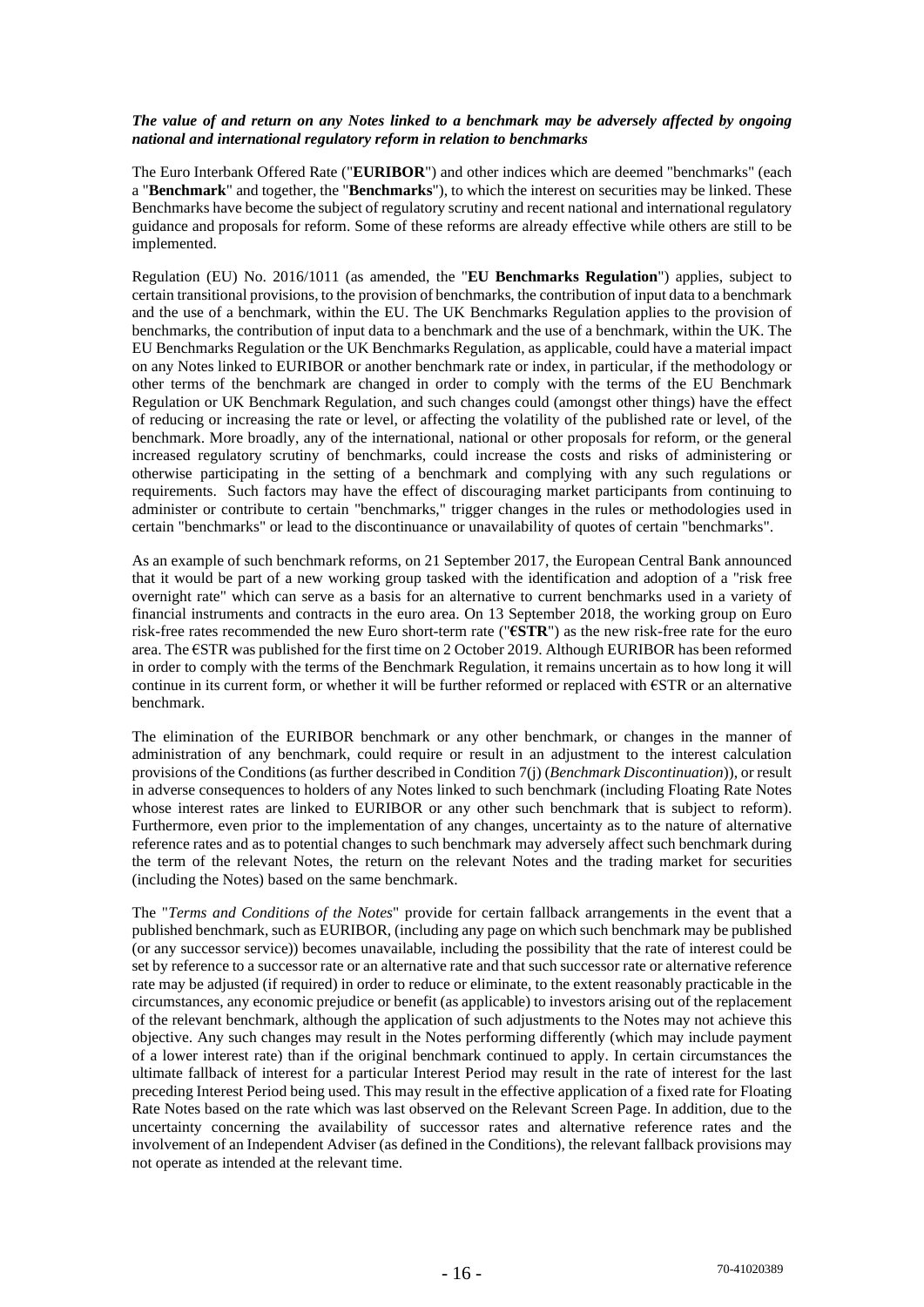#### *The value of and return on any Notes linked to a benchmark may be adversely affected by ongoing national and international regulatory reform in relation to benchmarks*

The Euro Interbank Offered Rate ("**EURIBOR**") and other indices which are deemed "benchmarks" (each a "**Benchmark**" and together, the "**Benchmarks**"), to which the interest on securities may be linked. These Benchmarks have become the subject of regulatory scrutiny and recent national and international regulatory guidance and proposals for reform. Some of these reforms are already effective while others are still to be implemented.

Regulation (EU) No. 2016/1011 (as amended, the "**EU Benchmarks Regulation**") applies, subject to certain transitional provisions, to the provision of benchmarks, the contribution of input data to a benchmark and the use of a benchmark, within the EU. The UK Benchmarks Regulation applies to the provision of benchmarks, the contribution of input data to a benchmark and the use of a benchmark, within the UK. The EU Benchmarks Regulation or the UK Benchmarks Regulation, as applicable, could have a material impact on any Notes linked to EURIBOR or another benchmark rate or index, in particular, if the methodology or other terms of the benchmark are changed in order to comply with the terms of the EU Benchmark Regulation or UK Benchmark Regulation, and such changes could (amongst other things) have the effect of reducing or increasing the rate or level, or affecting the volatility of the published rate or level, of the benchmark. More broadly, any of the international, national or other proposals for reform, or the general increased regulatory scrutiny of benchmarks, could increase the costs and risks of administering or otherwise participating in the setting of a benchmark and complying with any such regulations or requirements. Such factors may have the effect of discouraging market participants from continuing to administer or contribute to certain "benchmarks," trigger changes in the rules or methodologies used in certain "benchmarks" or lead to the discontinuance or unavailability of quotes of certain "benchmarks".

As an example of such benchmark reforms, on 21 September 2017, the European Central Bank announced that it would be part of a new working group tasked with the identification and adoption of a "risk free overnight rate" which can serve as a basis for an alternative to current benchmarks used in a variety of financial instruments and contracts in the euro area. On 13 September 2018, the working group on Euro risk-free rates recommended the new Euro short-term rate ("**€STR**") as the new risk-free rate for the euro area. The €STR was published for the first time on 2 October 2019. Although EURIBOR has been reformed in order to comply with the terms of the Benchmark Regulation, it remains uncertain as to how long it will continue in its current form, or whether it will be further reformed or replaced with €STR or an alternative benchmark.

The elimination of the EURIBOR benchmark or any other benchmark, or changes in the manner of administration of any benchmark, could require or result in an adjustment to the interest calculation provisions of the Conditions (as further described in Condition 7(j) (*Benchmark Discontinuation*)), or result in adverse consequences to holders of any Notes linked to such benchmark (including Floating Rate Notes whose interest rates are linked to EURIBOR or any other such benchmark that is subject to reform). Furthermore, even prior to the implementation of any changes, uncertainty as to the nature of alternative reference rates and as to potential changes to such benchmark may adversely affect such benchmark during the term of the relevant Notes, the return on the relevant Notes and the trading market for securities (including the Notes) based on the same benchmark.

The "*Terms and Conditions of the Notes*" provide for certain fallback arrangements in the event that a published benchmark, such as EURIBOR, (including any page on which such benchmark may be published (or any successor service)) becomes unavailable, including the possibility that the rate of interest could be set by reference to a successor rate or an alternative rate and that such successor rate or alternative reference rate may be adjusted (if required) in order to reduce or eliminate, to the extent reasonably practicable in the circumstances, any economic prejudice or benefit (as applicable) to investors arising out of the replacement of the relevant benchmark, although the application of such adjustments to the Notes may not achieve this objective. Any such changes may result in the Notes performing differently (which may include payment of a lower interest rate) than if the original benchmark continued to apply. In certain circumstances the ultimate fallback of interest for a particular Interest Period may result in the rate of interest for the last preceding Interest Period being used. This may result in the effective application of a fixed rate for Floating Rate Notes based on the rate which was last observed on the Relevant Screen Page. In addition, due to the uncertainty concerning the availability of successor rates and alternative reference rates and the involvement of an Independent Adviser (as defined in the Conditions), the relevant fallback provisions may not operate as intended at the relevant time.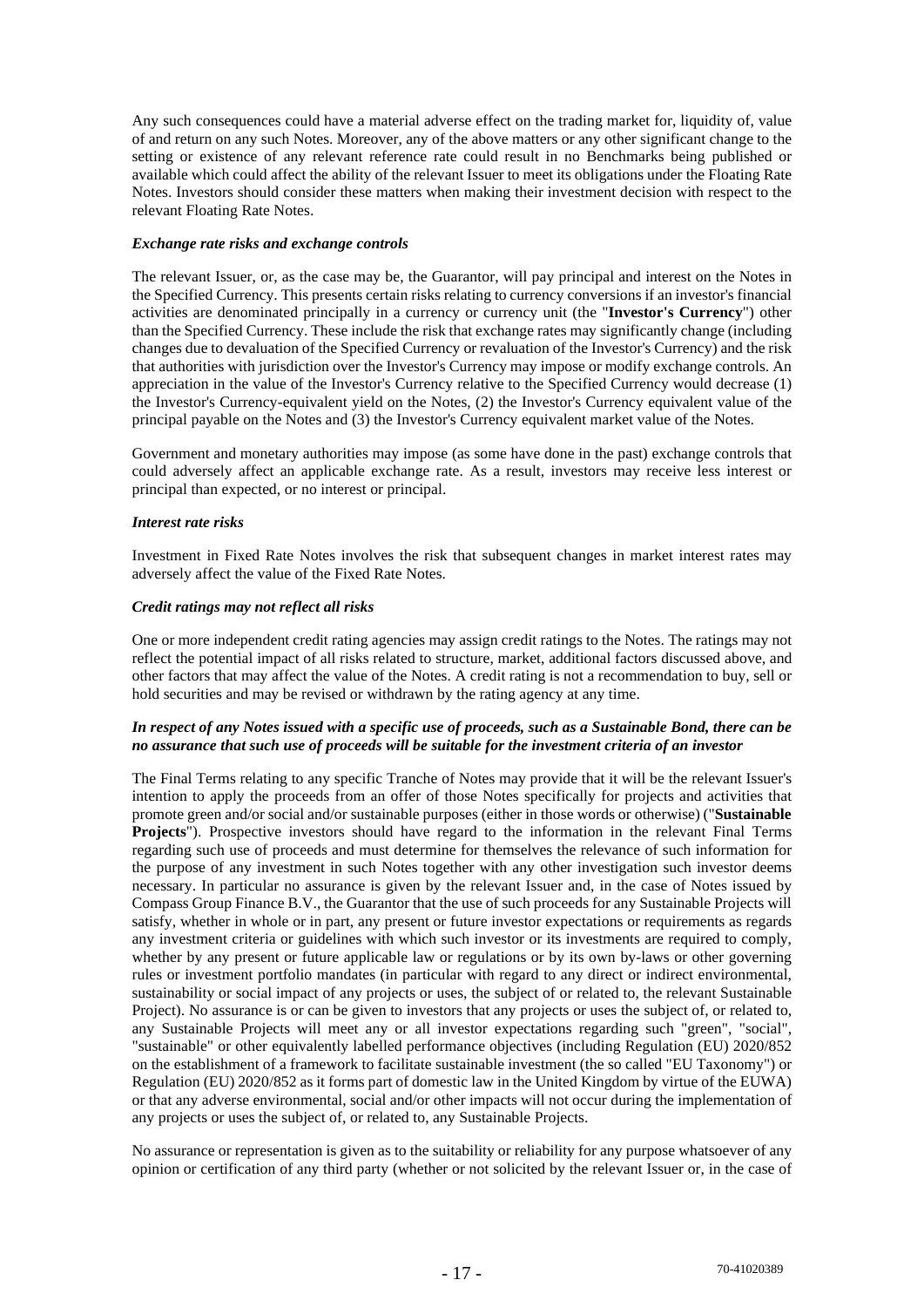Any such consequences could have a material adverse effect on the trading market for, liquidity of, value of and return on any such Notes. Moreover, any of the above matters or any other significant change to the setting or existence of any relevant reference rate could result in no Benchmarks being published or available which could affect the ability of the relevant Issuer to meet its obligations under the Floating Rate Notes. Investors should consider these matters when making their investment decision with respect to the relevant Floating Rate Notes.

## *Exchange rate risks and exchange controls*

The relevant Issuer, or, as the case may be, the Guarantor, will pay principal and interest on the Notes in the Specified Currency. This presents certain risks relating to currency conversions if an investor's financial activities are denominated principally in a currency or currency unit (the "**Investor's Currency**") other than the Specified Currency. These include the risk that exchange rates may significantly change (including changes due to devaluation of the Specified Currency or revaluation of the Investor's Currency) and the risk that authorities with jurisdiction over the Investor's Currency may impose or modify exchange controls. An appreciation in the value of the Investor's Currency relative to the Specified Currency would decrease (1) the Investor's Currency-equivalent yield on the Notes, (2) the Investor's Currency equivalent value of the principal payable on the Notes and (3) the Investor's Currency equivalent market value of the Notes.

Government and monetary authorities may impose (as some have done in the past) exchange controls that could adversely affect an applicable exchange rate. As a result, investors may receive less interest or principal than expected, or no interest or principal.

## *Interest rate risks*

Investment in Fixed Rate Notes involves the risk that subsequent changes in market interest rates may adversely affect the value of the Fixed Rate Notes.

## *Credit ratings may not reflect all risks*

One or more independent credit rating agencies may assign credit ratings to the Notes. The ratings may not reflect the potential impact of all risks related to structure, market, additional factors discussed above, and other factors that may affect the value of the Notes. A credit rating is not a recommendation to buy, sell or hold securities and may be revised or withdrawn by the rating agency at any time.

## *In respect of any Notes issued with a specific use of proceeds, such as a Sustainable Bond, there can be no assurance that such use of proceeds will be suitable for the investment criteria of an investor*

The Final Terms relating to any specific Tranche of Notes may provide that it will be the relevant Issuer's intention to apply the proceeds from an offer of those Notes specifically for projects and activities that promote green and/or social and/or sustainable purposes (either in those words or otherwise) ("**Sustainable Projects**"). Prospective investors should have regard to the information in the relevant Final Terms regarding such use of proceeds and must determine for themselves the relevance of such information for the purpose of any investment in such Notes together with any other investigation such investor deems necessary. In particular no assurance is given by the relevant Issuer and, in the case of Notes issued by Compass Group Finance B.V., the Guarantor that the use of such proceeds for any Sustainable Projects will satisfy, whether in whole or in part, any present or future investor expectations or requirements as regards any investment criteria or guidelines with which such investor or its investments are required to comply, whether by any present or future applicable law or regulations or by its own by-laws or other governing rules or investment portfolio mandates (in particular with regard to any direct or indirect environmental, sustainability or social impact of any projects or uses, the subject of or related to, the relevant Sustainable Project). No assurance is or can be given to investors that any projects or uses the subject of, or related to, any Sustainable Projects will meet any or all investor expectations regarding such "green", "social", "sustainable" or other equivalently labelled performance objectives (including Regulation (EU) 2020/852 on the establishment of a framework to facilitate sustainable investment (the so called "EU Taxonomy") or Regulation (EU) 2020/852 as it forms part of domestic law in the United Kingdom by virtue of the EUWA) or that any adverse environmental, social and/or other impacts will not occur during the implementation of any projects or uses the subject of, or related to, any Sustainable Projects.

No assurance or representation is given as to the suitability or reliability for any purpose whatsoever of any opinion or certification of any third party (whether or not solicited by the relevant Issuer or, in the case of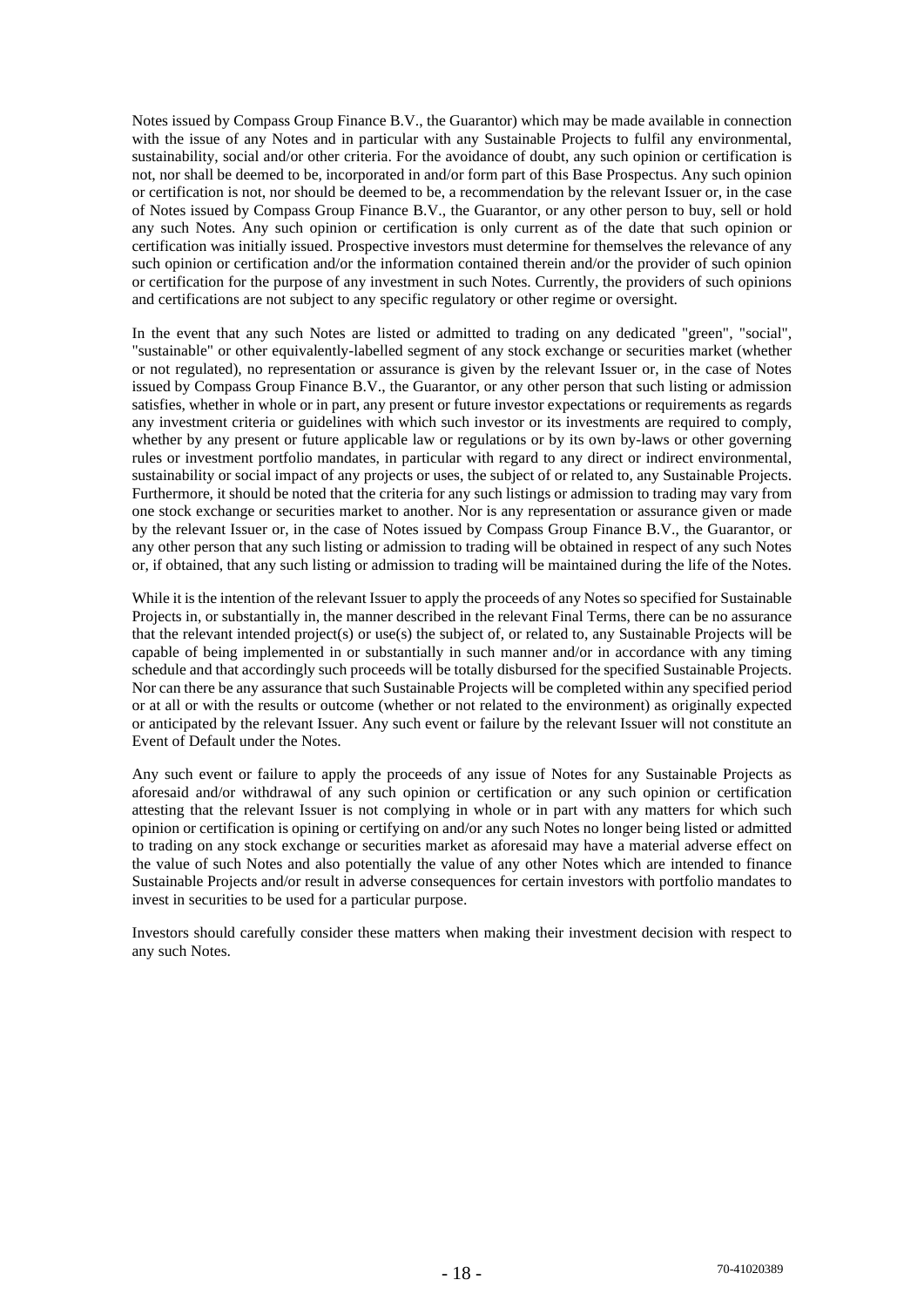Notes issued by Compass Group Finance B.V., the Guarantor) which may be made available in connection with the issue of any Notes and in particular with any Sustainable Projects to fulfil any environmental, sustainability, social and/or other criteria. For the avoidance of doubt, any such opinion or certification is not, nor shall be deemed to be, incorporated in and/or form part of this Base Prospectus. Any such opinion or certification is not, nor should be deemed to be, a recommendation by the relevant Issuer or, in the case of Notes issued by Compass Group Finance B.V., the Guarantor, or any other person to buy, sell or hold any such Notes. Any such opinion or certification is only current as of the date that such opinion or certification was initially issued. Prospective investors must determine for themselves the relevance of any such opinion or certification and/or the information contained therein and/or the provider of such opinion or certification for the purpose of any investment in such Notes. Currently, the providers of such opinions and certifications are not subject to any specific regulatory or other regime or oversight.

In the event that any such Notes are listed or admitted to trading on any dedicated "green", "social", "sustainable" or other equivalently-labelled segment of any stock exchange or securities market (whether or not regulated), no representation or assurance is given by the relevant Issuer or, in the case of Notes issued by Compass Group Finance B.V., the Guarantor, or any other person that such listing or admission satisfies, whether in whole or in part, any present or future investor expectations or requirements as regards any investment criteria or guidelines with which such investor or its investments are required to comply, whether by any present or future applicable law or regulations or by its own by-laws or other governing rules or investment portfolio mandates, in particular with regard to any direct or indirect environmental, sustainability or social impact of any projects or uses, the subject of or related to, any Sustainable Projects. Furthermore, it should be noted that the criteria for any such listings or admission to trading may vary from one stock exchange or securities market to another. Nor is any representation or assurance given or made by the relevant Issuer or, in the case of Notes issued by Compass Group Finance B.V., the Guarantor, or any other person that any such listing or admission to trading will be obtained in respect of any such Notes or, if obtained, that any such listing or admission to trading will be maintained during the life of the Notes.

While it is the intention of the relevant Issuer to apply the proceeds of any Notes so specified for Sustainable Projects in, or substantially in, the manner described in the relevant Final Terms, there can be no assurance that the relevant intended project(s) or use(s) the subject of, or related to, any Sustainable Projects will be capable of being implemented in or substantially in such manner and/or in accordance with any timing schedule and that accordingly such proceeds will be totally disbursed for the specified Sustainable Projects. Nor can there be any assurance that such Sustainable Projects will be completed within any specified period or at all or with the results or outcome (whether or not related to the environment) as originally expected or anticipated by the relevant Issuer. Any such event or failure by the relevant Issuer will not constitute an Event of Default under the Notes.

Any such event or failure to apply the proceeds of any issue of Notes for any Sustainable Projects as aforesaid and/or withdrawal of any such opinion or certification or any such opinion or certification attesting that the relevant Issuer is not complying in whole or in part with any matters for which such opinion or certification is opining or certifying on and/or any such Notes no longer being listed or admitted to trading on any stock exchange or securities market as aforesaid may have a material adverse effect on the value of such Notes and also potentially the value of any other Notes which are intended to finance Sustainable Projects and/or result in adverse consequences for certain investors with portfolio mandates to invest in securities to be used for a particular purpose.

Investors should carefully consider these matters when making their investment decision with respect to any such Notes.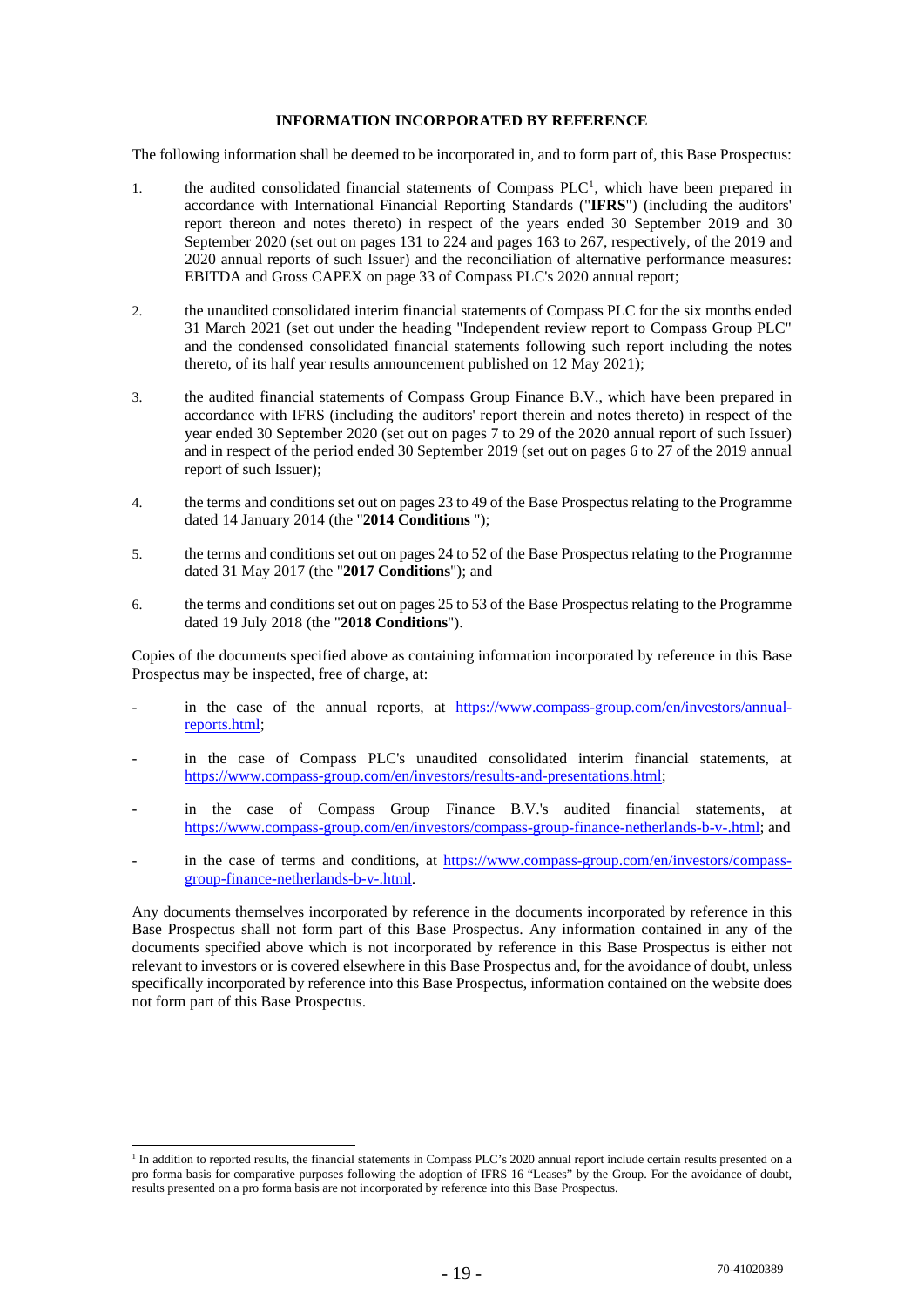### **INFORMATION INCORPORATED BY REFERENCE**

The following information shall be deemed to be incorporated in, and to form part of, this Base Prospectus:

- 1. the audited consolidated financial statements of Compass  $PLC<sup>1</sup>$ , which have been prepared in accordance with International Financial Reporting Standards ("**IFRS**") (including the auditors' report thereon and notes thereto) in respect of the years ended 30 September 2019 and 30 September 2020 (set out on pages 131 to 224 and pages 163 to 267, respectively, of the 2019 and 2020 annual reports of such Issuer) and the reconciliation of alternative performance measures: EBITDA and Gross CAPEX on page 33 of Compass PLC's 2020 annual report;
- 2. the unaudited consolidated interim financial statements of Compass PLC for the six months ended 31 March 2021 (set out under the heading "Independent review report to Compass Group PLC" and the condensed consolidated financial statements following such report including the notes thereto, of its half year results announcement published on 12 May 2021);
- 3. the audited financial statements of Compass Group Finance B.V., which have been prepared in accordance with IFRS (including the auditors' report therein and notes thereto) in respect of the year ended 30 September 2020 (set out on pages 7 to 29 of the 2020 annual report of such Issuer) and in respect of the period ended 30 September 2019 (set out on pages 6 to 27 of the 2019 annual report of such Issuer);
- 4. the terms and conditions set out on pages 23 to 49 of the Base Prospectus relating to the Programme dated 14 January 2014 (the "**2014 Conditions** ");
- 5. the terms and conditions set out on pages 24 to 52 of the Base Prospectus relating to the Programme dated 31 May 2017 (the "**2017 Conditions**"); and
- 6. the terms and conditions set out on pages 25 to 53 of the Base Prospectus relating to the Programme dated 19 July 2018 (the "**2018 Conditions**").

Copies of the documents specified above as containing information incorporated by reference in this Base Prospectus may be inspected, free of charge, at:

- in the case of the annual reports, at https://www.compass-group.com/en/investors/annualreports.html;
- in the case of Compass PLC's unaudited consolidated interim financial statements, at https://www.compass-group.com/en/investors/results-and-presentations.html:
- in the case of Compass Group Finance B.V.'s audited financial statements, at https://www.compass-group.com/en/investors/compass-group-finance-netherlands-b-v-.html; and
- in the case of terms and conditions, at https://www.compass-group.com/en/investors/compassgroup-finance-netherlands-b-v-.html.

Any documents themselves incorporated by reference in the documents incorporated by reference in this Base Prospectus shall not form part of this Base Prospectus. Any information contained in any of the documents specified above which is not incorporated by reference in this Base Prospectus is either not relevant to investors or is covered elsewhere in this Base Prospectus and, for the avoidance of doubt, unless specifically incorporated by reference into this Base Prospectus, information contained on the website does not form part of this Base Prospectus.

<sup>&</sup>lt;sup>1</sup> In addition to reported results, the financial statements in Compass PLC's 2020 annual report include certain results presented on a pro forma basis for comparative purposes following the adoption of IFRS 16 "Leases" by the Group. For the avoidance of doubt, results presented on a pro forma basis are not incorporated by reference into this Base Prospectus.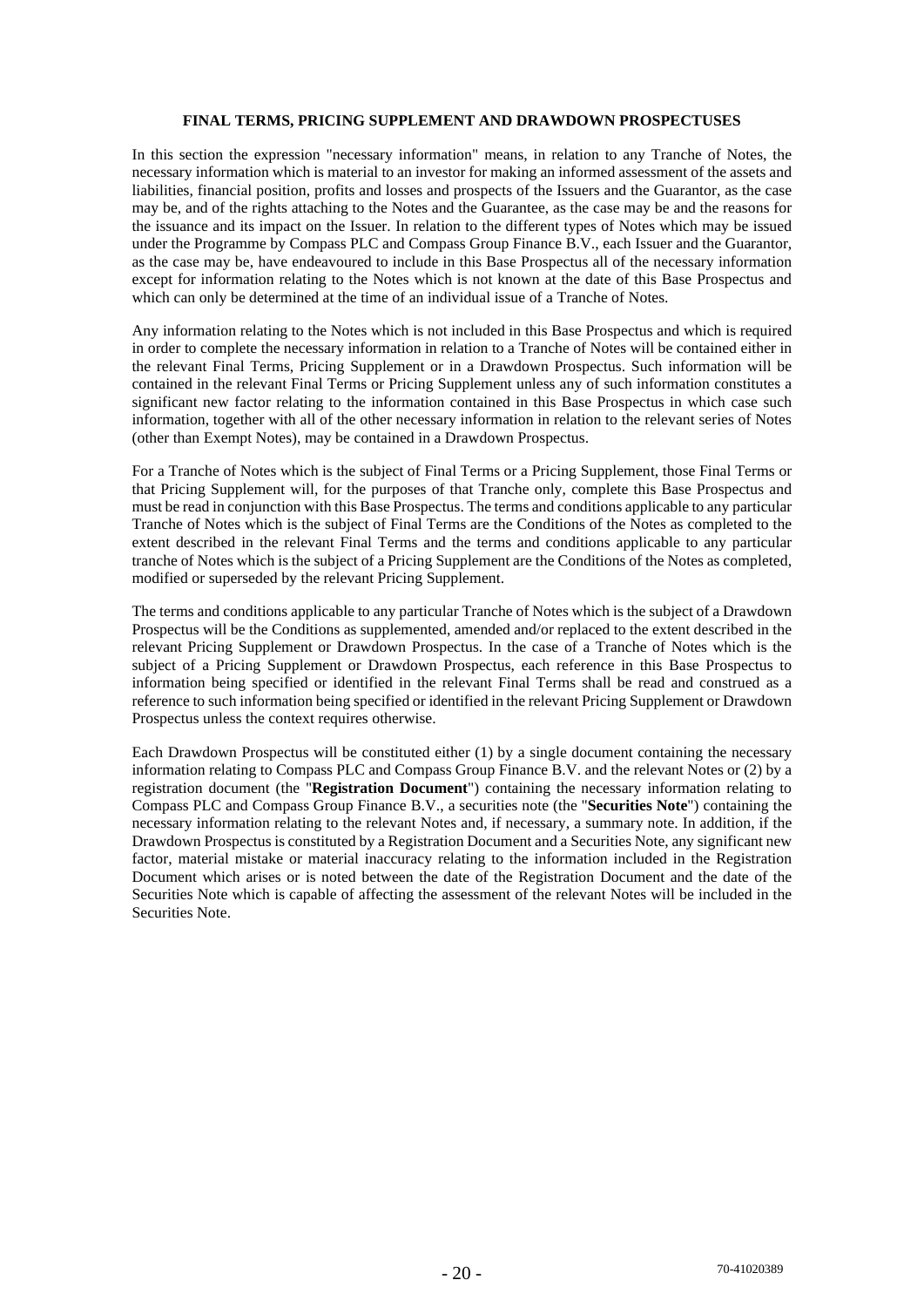## **FINAL TERMS, PRICING SUPPLEMENT AND DRAWDOWN PROSPECTUSES**

In this section the expression "necessary information" means, in relation to any Tranche of Notes, the necessary information which is material to an investor for making an informed assessment of the assets and liabilities, financial position, profits and losses and prospects of the Issuers and the Guarantor, as the case may be, and of the rights attaching to the Notes and the Guarantee, as the case may be and the reasons for the issuance and its impact on the Issuer. In relation to the different types of Notes which may be issued under the Programme by Compass PLC and Compass Group Finance B.V., each Issuer and the Guarantor, as the case may be, have endeavoured to include in this Base Prospectus all of the necessary information except for information relating to the Notes which is not known at the date of this Base Prospectus and which can only be determined at the time of an individual issue of a Tranche of Notes.

Any information relating to the Notes which is not included in this Base Prospectus and which is required in order to complete the necessary information in relation to a Tranche of Notes will be contained either in the relevant Final Terms, Pricing Supplement or in a Drawdown Prospectus. Such information will be contained in the relevant Final Terms or Pricing Supplement unless any of such information constitutes a significant new factor relating to the information contained in this Base Prospectus in which case such information, together with all of the other necessary information in relation to the relevant series of Notes (other than Exempt Notes), may be contained in a Drawdown Prospectus.

For a Tranche of Notes which is the subject of Final Terms or a Pricing Supplement, those Final Terms or that Pricing Supplement will, for the purposes of that Tranche only, complete this Base Prospectus and must be read in conjunction with this Base Prospectus. The terms and conditions applicable to any particular Tranche of Notes which is the subject of Final Terms are the Conditions of the Notes as completed to the extent described in the relevant Final Terms and the terms and conditions applicable to any particular tranche of Notes which is the subject of a Pricing Supplement are the Conditions of the Notes as completed, modified or superseded by the relevant Pricing Supplement.

The terms and conditions applicable to any particular Tranche of Notes which is the subject of a Drawdown Prospectus will be the Conditions as supplemented, amended and/or replaced to the extent described in the relevant Pricing Supplement or Drawdown Prospectus. In the case of a Tranche of Notes which is the subject of a Pricing Supplement or Drawdown Prospectus, each reference in this Base Prospectus to information being specified or identified in the relevant Final Terms shall be read and construed as a reference to such information being specified or identified in the relevant Pricing Supplement or Drawdown Prospectus unless the context requires otherwise.

Each Drawdown Prospectus will be constituted either (1) by a single document containing the necessary information relating to Compass PLC and Compass Group Finance B.V. and the relevant Notes or (2) by a registration document (the "**Registration Document**") containing the necessary information relating to Compass PLC and Compass Group Finance B.V., a securities note (the "**Securities Note**") containing the necessary information relating to the relevant Notes and, if necessary, a summary note. In addition, if the Drawdown Prospectus is constituted by a Registration Document and a Securities Note, any significant new factor, material mistake or material inaccuracy relating to the information included in the Registration Document which arises or is noted between the date of the Registration Document and the date of the Securities Note which is capable of affecting the assessment of the relevant Notes will be included in the Securities Note.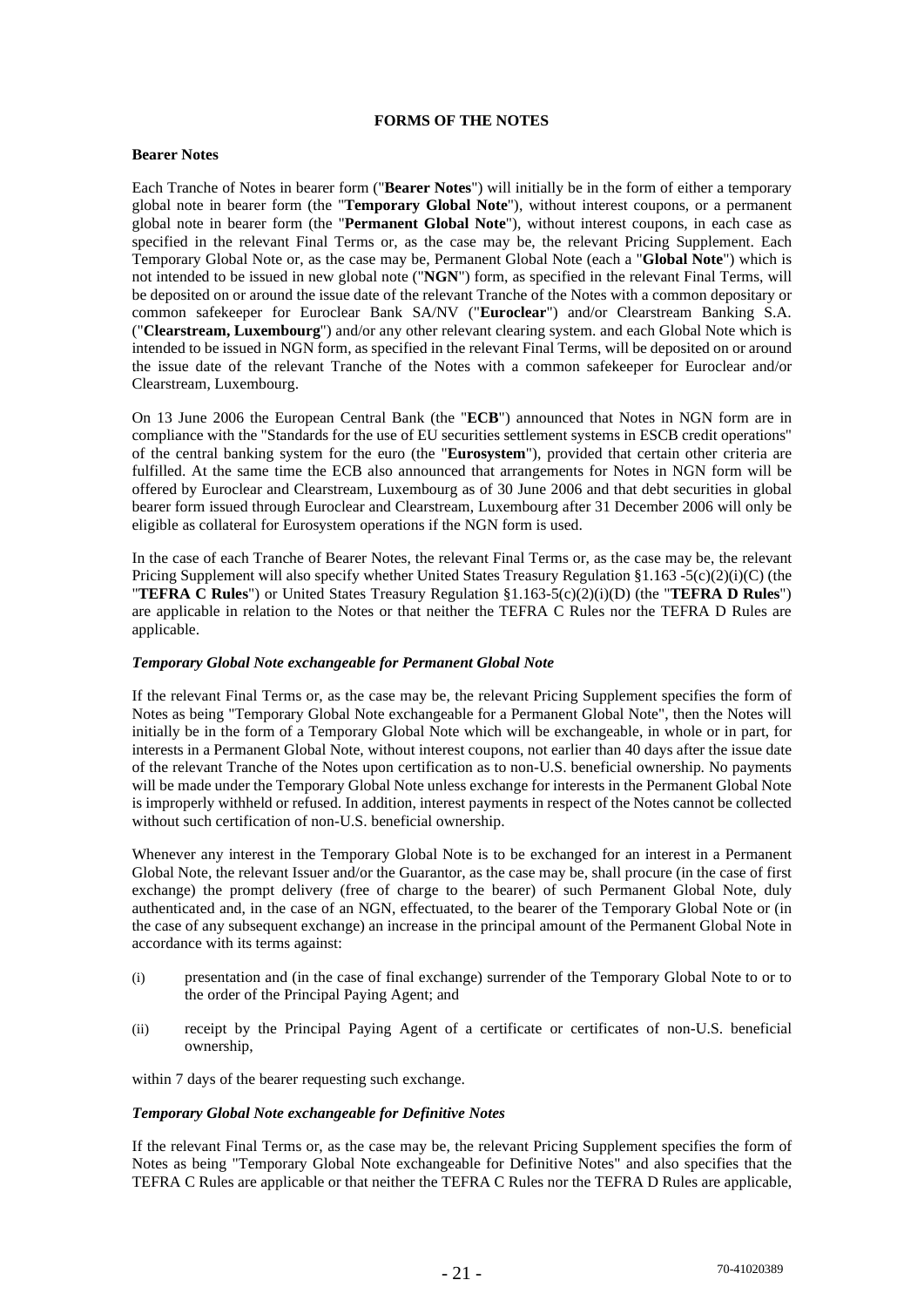## **FORMS OF THE NOTES**

### **Bearer Notes**

Each Tranche of Notes in bearer form ("**Bearer Notes**") will initially be in the form of either a temporary global note in bearer form (the "**Temporary Global Note**"), without interest coupons, or a permanent global note in bearer form (the "**Permanent Global Note**"), without interest coupons, in each case as specified in the relevant Final Terms or, as the case may be, the relevant Pricing Supplement. Each Temporary Global Note or, as the case may be, Permanent Global Note (each a "**Global Note**") which is not intended to be issued in new global note ("**NGN**") form, as specified in the relevant Final Terms, will be deposited on or around the issue date of the relevant Tranche of the Notes with a common depositary or common safekeeper for Euroclear Bank SA/NV ("**Euroclear**") and/or Clearstream Banking S.A. ("**Clearstream, Luxembourg**") and/or any other relevant clearing system. and each Global Note which is intended to be issued in NGN form, as specified in the relevant Final Terms, will be deposited on or around the issue date of the relevant Tranche of the Notes with a common safekeeper for Euroclear and/or Clearstream, Luxembourg.

On 13 June 2006 the European Central Bank (the "**ECB**") announced that Notes in NGN form are in compliance with the "Standards for the use of EU securities settlement systems in ESCB credit operations" of the central banking system for the euro (the "**Eurosystem**"), provided that certain other criteria are fulfilled. At the same time the ECB also announced that arrangements for Notes in NGN form will be offered by Euroclear and Clearstream, Luxembourg as of 30 June 2006 and that debt securities in global bearer form issued through Euroclear and Clearstream, Luxembourg after 31 December 2006 will only be eligible as collateral for Eurosystem operations if the NGN form is used.

In the case of each Tranche of Bearer Notes, the relevant Final Terms or, as the case may be, the relevant Pricing Supplement will also specify whether United States Treasury Regulation §1.163 -5(c)(2)(i)(C) (the "**TEFRA C Rules**") or United States Treasury Regulation §1.163-5(c)(2)(i)(D) (the "**TEFRA D Rules**") are applicable in relation to the Notes or that neither the TEFRA C Rules nor the TEFRA D Rules are applicable.

## *Temporary Global Note exchangeable for Permanent Global Note*

If the relevant Final Terms or, as the case may be, the relevant Pricing Supplement specifies the form of Notes as being "Temporary Global Note exchangeable for a Permanent Global Note", then the Notes will initially be in the form of a Temporary Global Note which will be exchangeable, in whole or in part, for interests in a Permanent Global Note, without interest coupons, not earlier than 40 days after the issue date of the relevant Tranche of the Notes upon certification as to non-U.S. beneficial ownership. No payments will be made under the Temporary Global Note unless exchange for interests in the Permanent Global Note is improperly withheld or refused. In addition, interest payments in respect of the Notes cannot be collected without such certification of non-U.S. beneficial ownership.

Whenever any interest in the Temporary Global Note is to be exchanged for an interest in a Permanent Global Note, the relevant Issuer and/or the Guarantor, as the case may be, shall procure (in the case of first exchange) the prompt delivery (free of charge to the bearer) of such Permanent Global Note, duly authenticated and, in the case of an NGN, effectuated, to the bearer of the Temporary Global Note or (in the case of any subsequent exchange) an increase in the principal amount of the Permanent Global Note in accordance with its terms against:

- (i) presentation and (in the case of final exchange) surrender of the Temporary Global Note to or to the order of the Principal Paying Agent; and
- (ii) receipt by the Principal Paying Agent of a certificate or certificates of non-U.S. beneficial ownership,

within 7 days of the bearer requesting such exchange.

#### *Temporary Global Note exchangeable for Definitive Notes*

If the relevant Final Terms or, as the case may be, the relevant Pricing Supplement specifies the form of Notes as being "Temporary Global Note exchangeable for Definitive Notes" and also specifies that the TEFRA C Rules are applicable or that neither the TEFRA C Rules nor the TEFRA D Rules are applicable,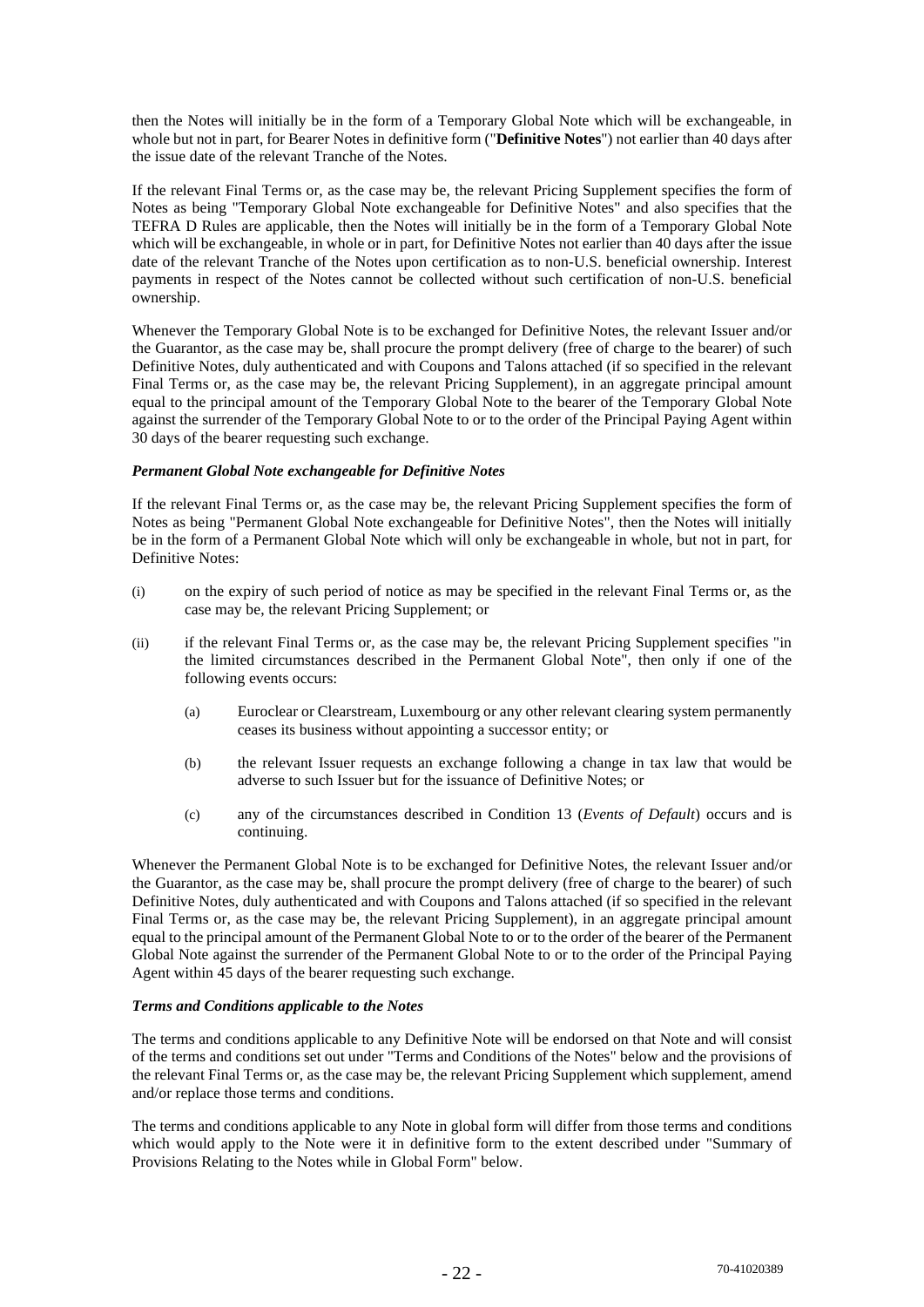then the Notes will initially be in the form of a Temporary Global Note which will be exchangeable, in whole but not in part, for Bearer Notes in definitive form ("**Definitive Notes**") not earlier than 40 days after the issue date of the relevant Tranche of the Notes.

If the relevant Final Terms or, as the case may be, the relevant Pricing Supplement specifies the form of Notes as being "Temporary Global Note exchangeable for Definitive Notes" and also specifies that the TEFRA D Rules are applicable, then the Notes will initially be in the form of a Temporary Global Note which will be exchangeable, in whole or in part, for Definitive Notes not earlier than 40 days after the issue date of the relevant Tranche of the Notes upon certification as to non-U.S. beneficial ownership. Interest payments in respect of the Notes cannot be collected without such certification of non-U.S. beneficial ownership.

Whenever the Temporary Global Note is to be exchanged for Definitive Notes, the relevant Issuer and/or the Guarantor, as the case may be, shall procure the prompt delivery (free of charge to the bearer) of such Definitive Notes, duly authenticated and with Coupons and Talons attached (if so specified in the relevant Final Terms or, as the case may be, the relevant Pricing Supplement), in an aggregate principal amount equal to the principal amount of the Temporary Global Note to the bearer of the Temporary Global Note against the surrender of the Temporary Global Note to or to the order of the Principal Paying Agent within 30 days of the bearer requesting such exchange.

## *Permanent Global Note exchangeable for Definitive Notes*

If the relevant Final Terms or, as the case may be, the relevant Pricing Supplement specifies the form of Notes as being "Permanent Global Note exchangeable for Definitive Notes", then the Notes will initially be in the form of a Permanent Global Note which will only be exchangeable in whole, but not in part, for Definitive Notes:

- (i) on the expiry of such period of notice as may be specified in the relevant Final Terms or, as the case may be, the relevant Pricing Supplement; or
- (ii) if the relevant Final Terms or, as the case may be, the relevant Pricing Supplement specifies "in the limited circumstances described in the Permanent Global Note", then only if one of the following events occurs:
	- (a) Euroclear or Clearstream, Luxembourg or any other relevant clearing system permanently ceases its business without appointing a successor entity; or
	- (b) the relevant Issuer requests an exchange following a change in tax law that would be adverse to such Issuer but for the issuance of Definitive Notes; or
	- (c) any of the circumstances described in Condition 13 (*Events of Default*) occurs and is continuing.

Whenever the Permanent Global Note is to be exchanged for Definitive Notes, the relevant Issuer and/or the Guarantor, as the case may be, shall procure the prompt delivery (free of charge to the bearer) of such Definitive Notes, duly authenticated and with Coupons and Talons attached (if so specified in the relevant Final Terms or, as the case may be, the relevant Pricing Supplement), in an aggregate principal amount equal to the principal amount of the Permanent Global Note to or to the order of the bearer of the Permanent Global Note against the surrender of the Permanent Global Note to or to the order of the Principal Paying Agent within 45 days of the bearer requesting such exchange.

## *Terms and Conditions applicable to the Notes*

The terms and conditions applicable to any Definitive Note will be endorsed on that Note and will consist of the terms and conditions set out under "Terms and Conditions of the Notes" below and the provisions of the relevant Final Terms or, as the case may be, the relevant Pricing Supplement which supplement, amend and/or replace those terms and conditions.

The terms and conditions applicable to any Note in global form will differ from those terms and conditions which would apply to the Note were it in definitive form to the extent described under "Summary of Provisions Relating to the Notes while in Global Form" below.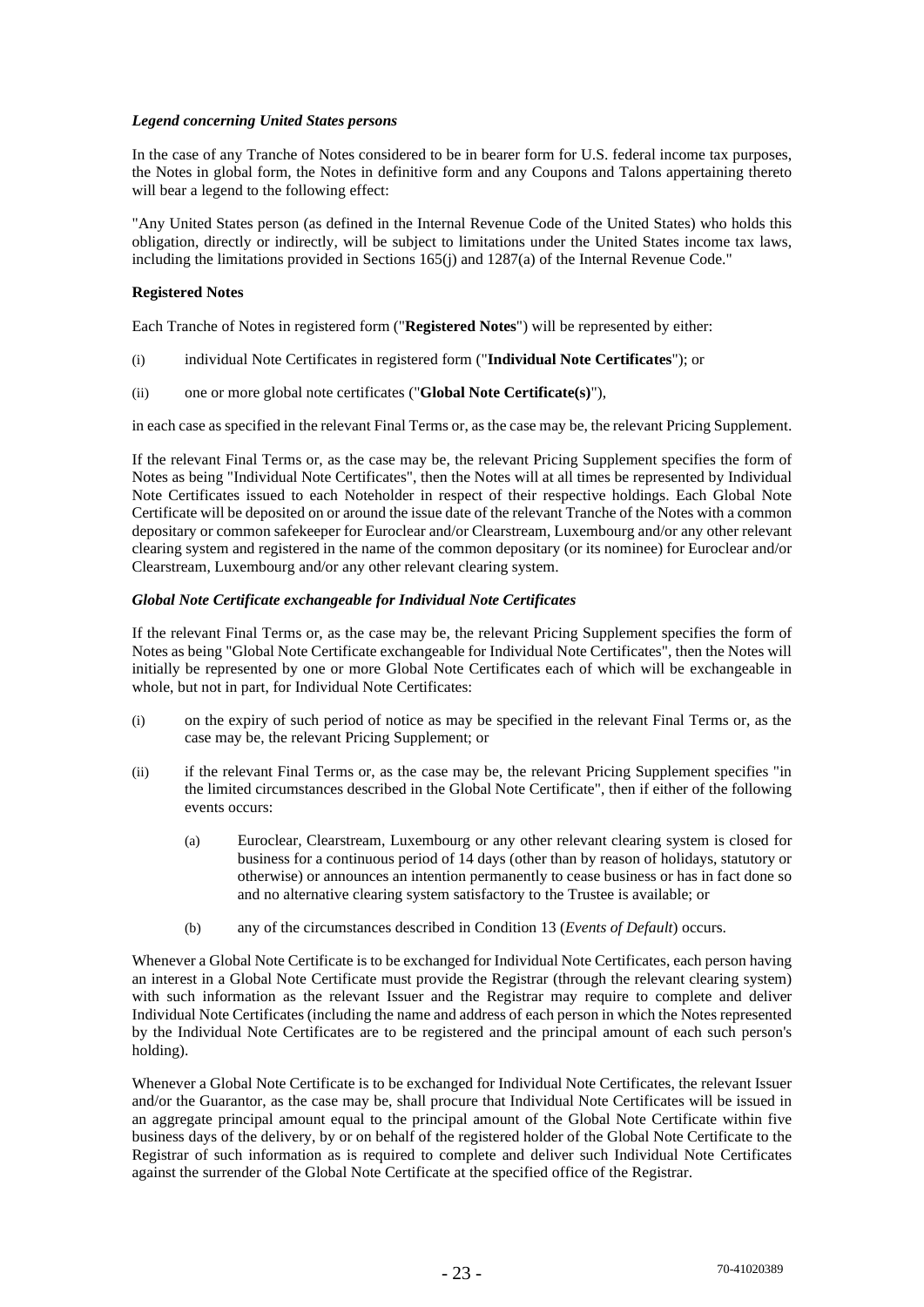## *Legend concerning United States persons*

In the case of any Tranche of Notes considered to be in bearer form for U.S. federal income tax purposes, the Notes in global form, the Notes in definitive form and any Coupons and Talons appertaining thereto will bear a legend to the following effect:

"Any United States person (as defined in the Internal Revenue Code of the United States) who holds this obligation, directly or indirectly, will be subject to limitations under the United States income tax laws, including the limitations provided in Sections 165(j) and 1287(a) of the Internal Revenue Code."

## **Registered Notes**

Each Tranche of Notes in registered form ("**Registered Notes**") will be represented by either:

- (i) individual Note Certificates in registered form ("**Individual Note Certificates**"); or
- (ii) one or more global note certificates ("**Global Note Certificate(s)**"),

in each case as specified in the relevant Final Terms or, as the case may be, the relevant Pricing Supplement.

If the relevant Final Terms or, as the case may be, the relevant Pricing Supplement specifies the form of Notes as being "Individual Note Certificates", then the Notes will at all times be represented by Individual Note Certificates issued to each Noteholder in respect of their respective holdings. Each Global Note Certificate will be deposited on or around the issue date of the relevant Tranche of the Notes with a common depositary or common safekeeper for Euroclear and/or Clearstream, Luxembourg and/or any other relevant clearing system and registered in the name of the common depositary (or its nominee) for Euroclear and/or Clearstream, Luxembourg and/or any other relevant clearing system.

## *Global Note Certificate exchangeable for Individual Note Certificates*

If the relevant Final Terms or, as the case may be, the relevant Pricing Supplement specifies the form of Notes as being "Global Note Certificate exchangeable for Individual Note Certificates", then the Notes will initially be represented by one or more Global Note Certificates each of which will be exchangeable in whole, but not in part, for Individual Note Certificates:

- (i) on the expiry of such period of notice as may be specified in the relevant Final Terms or, as the case may be, the relevant Pricing Supplement; or
- (ii) if the relevant Final Terms or, as the case may be, the relevant Pricing Supplement specifies "in the limited circumstances described in the Global Note Certificate", then if either of the following events occurs:
	- (a) Euroclear, Clearstream, Luxembourg or any other relevant clearing system is closed for business for a continuous period of 14 days (other than by reason of holidays, statutory or otherwise) or announces an intention permanently to cease business or has in fact done so and no alternative clearing system satisfactory to the Trustee is available; or
	- (b) any of the circumstances described in Condition 13 (*Events of Default*) occurs.

Whenever a Global Note Certificate is to be exchanged for Individual Note Certificates, each person having an interest in a Global Note Certificate must provide the Registrar (through the relevant clearing system) with such information as the relevant Issuer and the Registrar may require to complete and deliver Individual Note Certificates (including the name and address of each person in which the Notes represented by the Individual Note Certificates are to be registered and the principal amount of each such person's holding).

Whenever a Global Note Certificate is to be exchanged for Individual Note Certificates, the relevant Issuer and/or the Guarantor, as the case may be, shall procure that Individual Note Certificates will be issued in an aggregate principal amount equal to the principal amount of the Global Note Certificate within five business days of the delivery, by or on behalf of the registered holder of the Global Note Certificate to the Registrar of such information as is required to complete and deliver such Individual Note Certificates against the surrender of the Global Note Certificate at the specified office of the Registrar.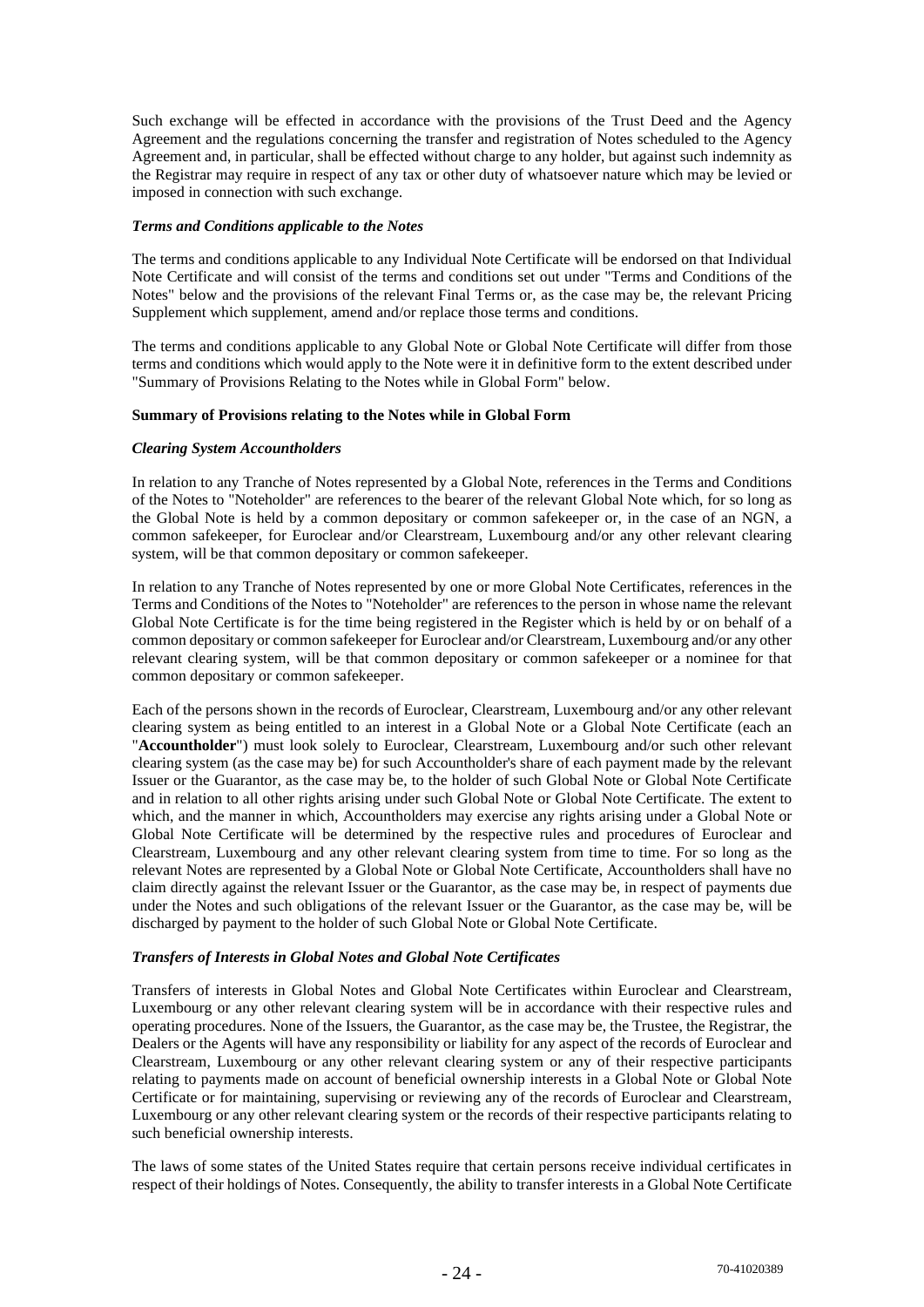Such exchange will be effected in accordance with the provisions of the Trust Deed and the Agency Agreement and the regulations concerning the transfer and registration of Notes scheduled to the Agency Agreement and, in particular, shall be effected without charge to any holder, but against such indemnity as the Registrar may require in respect of any tax or other duty of whatsoever nature which may be levied or imposed in connection with such exchange.

#### *Terms and Conditions applicable to the Notes*

The terms and conditions applicable to any Individual Note Certificate will be endorsed on that Individual Note Certificate and will consist of the terms and conditions set out under "Terms and Conditions of the Notes" below and the provisions of the relevant Final Terms or, as the case may be, the relevant Pricing Supplement which supplement, amend and/or replace those terms and conditions.

The terms and conditions applicable to any Global Note or Global Note Certificate will differ from those terms and conditions which would apply to the Note were it in definitive form to the extent described under "Summary of Provisions Relating to the Notes while in Global Form" below.

#### **Summary of Provisions relating to the Notes while in Global Form**

#### *Clearing System Accountholders*

In relation to any Tranche of Notes represented by a Global Note, references in the Terms and Conditions of the Notes to "Noteholder" are references to the bearer of the relevant Global Note which, for so long as the Global Note is held by a common depositary or common safekeeper or, in the case of an NGN, a common safekeeper, for Euroclear and/or Clearstream, Luxembourg and/or any other relevant clearing system, will be that common depositary or common safekeeper.

In relation to any Tranche of Notes represented by one or more Global Note Certificates, references in the Terms and Conditions of the Notes to "Noteholder" are references to the person in whose name the relevant Global Note Certificate is for the time being registered in the Register which is held by or on behalf of a common depositary or common safekeeper for Euroclear and/or Clearstream, Luxembourg and/or any other relevant clearing system, will be that common depositary or common safekeeper or a nominee for that common depositary or common safekeeper.

Each of the persons shown in the records of Euroclear, Clearstream, Luxembourg and/or any other relevant clearing system as being entitled to an interest in a Global Note or a Global Note Certificate (each an "**Accountholder**") must look solely to Euroclear, Clearstream, Luxembourg and/or such other relevant clearing system (as the case may be) for such Accountholder's share of each payment made by the relevant Issuer or the Guarantor, as the case may be, to the holder of such Global Note or Global Note Certificate and in relation to all other rights arising under such Global Note or Global Note Certificate. The extent to which, and the manner in which, Accountholders may exercise any rights arising under a Global Note or Global Note Certificate will be determined by the respective rules and procedures of Euroclear and Clearstream, Luxembourg and any other relevant clearing system from time to time. For so long as the relevant Notes are represented by a Global Note or Global Note Certificate, Accountholders shall have no claim directly against the relevant Issuer or the Guarantor, as the case may be, in respect of payments due under the Notes and such obligations of the relevant Issuer or the Guarantor, as the case may be, will be discharged by payment to the holder of such Global Note or Global Note Certificate.

## *Transfers of Interests in Global Notes and Global Note Certificates*

Transfers of interests in Global Notes and Global Note Certificates within Euroclear and Clearstream, Luxembourg or any other relevant clearing system will be in accordance with their respective rules and operating procedures. None of the Issuers, the Guarantor, as the case may be, the Trustee, the Registrar, the Dealers or the Agents will have any responsibility or liability for any aspect of the records of Euroclear and Clearstream, Luxembourg or any other relevant clearing system or any of their respective participants relating to payments made on account of beneficial ownership interests in a Global Note or Global Note Certificate or for maintaining, supervising or reviewing any of the records of Euroclear and Clearstream, Luxembourg or any other relevant clearing system or the records of their respective participants relating to such beneficial ownership interests.

The laws of some states of the United States require that certain persons receive individual certificates in respect of their holdings of Notes. Consequently, the ability to transfer interests in a Global Note Certificate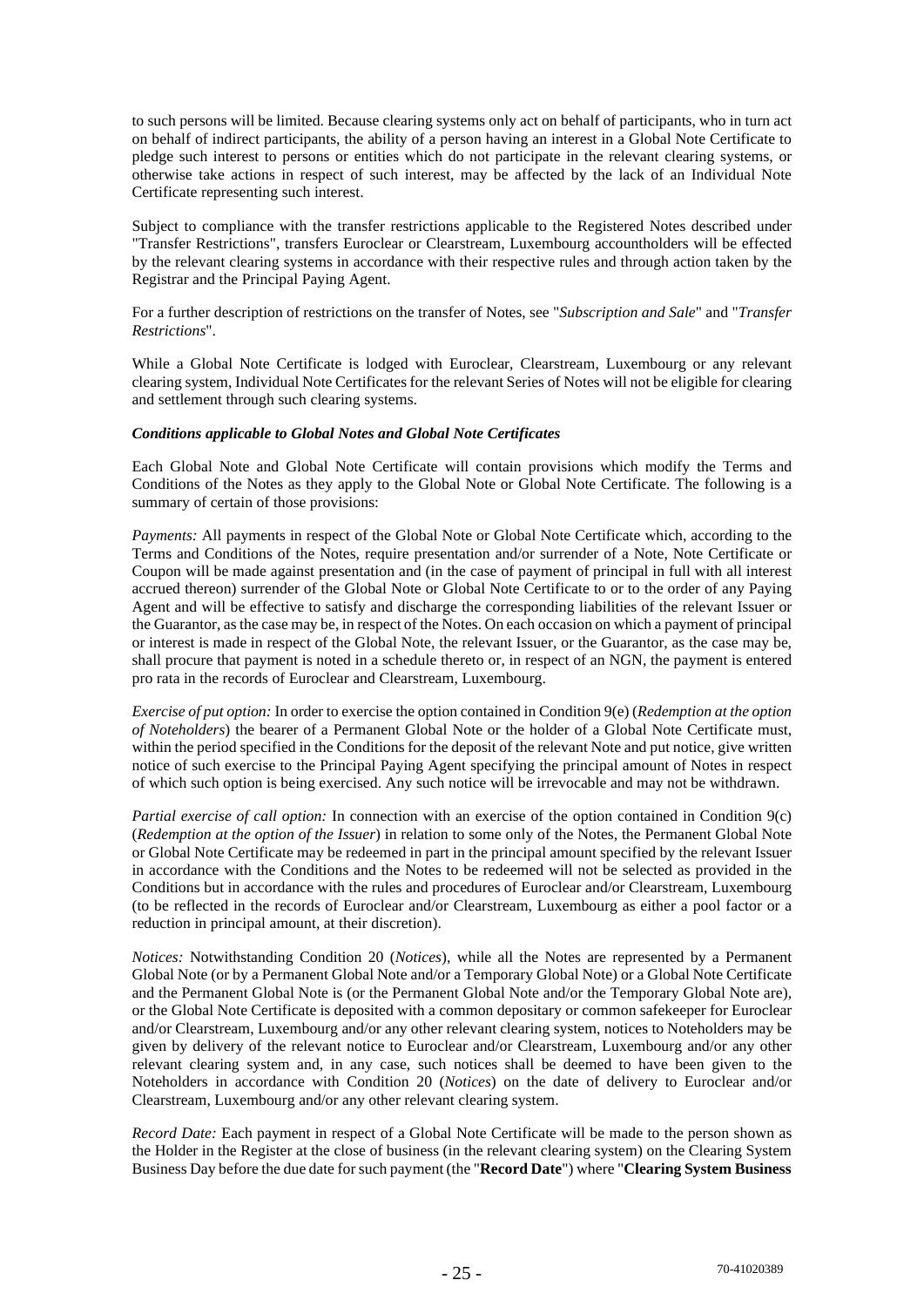to such persons will be limited. Because clearing systems only act on behalf of participants, who in turn act on behalf of indirect participants, the ability of a person having an interest in a Global Note Certificate to pledge such interest to persons or entities which do not participate in the relevant clearing systems, or otherwise take actions in respect of such interest, may be affected by the lack of an Individual Note Certificate representing such interest.

Subject to compliance with the transfer restrictions applicable to the Registered Notes described under "Transfer Restrictions", transfers Euroclear or Clearstream, Luxembourg accountholders will be effected by the relevant clearing systems in accordance with their respective rules and through action taken by the Registrar and the Principal Paying Agent.

For a further description of restrictions on the transfer of Notes, see "*Subscription and Sale*" and "*Transfer Restrictions*".

While a Global Note Certificate is lodged with Euroclear, Clearstream, Luxembourg or any relevant clearing system, Individual Note Certificates for the relevant Series of Notes will not be eligible for clearing and settlement through such clearing systems.

#### *Conditions applicable to Global Notes and Global Note Certificates*

Each Global Note and Global Note Certificate will contain provisions which modify the Terms and Conditions of the Notes as they apply to the Global Note or Global Note Certificate. The following is a summary of certain of those provisions:

*Payments:* All payments in respect of the Global Note or Global Note Certificate which, according to the Terms and Conditions of the Notes, require presentation and/or surrender of a Note, Note Certificate or Coupon will be made against presentation and (in the case of payment of principal in full with all interest accrued thereon) surrender of the Global Note or Global Note Certificate to or to the order of any Paying Agent and will be effective to satisfy and discharge the corresponding liabilities of the relevant Issuer or the Guarantor, as the case may be, in respect of the Notes. On each occasion on which a payment of principal or interest is made in respect of the Global Note, the relevant Issuer, or the Guarantor, as the case may be, shall procure that payment is noted in a schedule thereto or, in respect of an NGN, the payment is entered pro rata in the records of Euroclear and Clearstream, Luxembourg.

*Exercise of put option:* In order to exercise the option contained in Condition 9(e) (*Redemption at the option of Noteholders*) the bearer of a Permanent Global Note or the holder of a Global Note Certificate must, within the period specified in the Conditions for the deposit of the relevant Note and put notice, give written notice of such exercise to the Principal Paying Agent specifying the principal amount of Notes in respect of which such option is being exercised. Any such notice will be irrevocable and may not be withdrawn.

*Partial exercise of call option:* In connection with an exercise of the option contained in Condition 9(c) (*Redemption at the option of the Issuer*) in relation to some only of the Notes, the Permanent Global Note or Global Note Certificate may be redeemed in part in the principal amount specified by the relevant Issuer in accordance with the Conditions and the Notes to be redeemed will not be selected as provided in the Conditions but in accordance with the rules and procedures of Euroclear and/or Clearstream, Luxembourg (to be reflected in the records of Euroclear and/or Clearstream, Luxembourg as either a pool factor or a reduction in principal amount, at their discretion).

*Notices:* Notwithstanding Condition 20 (*Notices*), while all the Notes are represented by a Permanent Global Note (or by a Permanent Global Note and/or a Temporary Global Note) or a Global Note Certificate and the Permanent Global Note is (or the Permanent Global Note and/or the Temporary Global Note are), or the Global Note Certificate is deposited with a common depositary or common safekeeper for Euroclear and/or Clearstream, Luxembourg and/or any other relevant clearing system, notices to Noteholders may be given by delivery of the relevant notice to Euroclear and/or Clearstream, Luxembourg and/or any other relevant clearing system and, in any case, such notices shall be deemed to have been given to the Noteholders in accordance with Condition 20 (*Notices*) on the date of delivery to Euroclear and/or Clearstream, Luxembourg and/or any other relevant clearing system.

*Record Date:* Each payment in respect of a Global Note Certificate will be made to the person shown as the Holder in the Register at the close of business (in the relevant clearing system) on the Clearing System Business Day before the due date for such payment (the "**Record Date**") where "**Clearing System Business**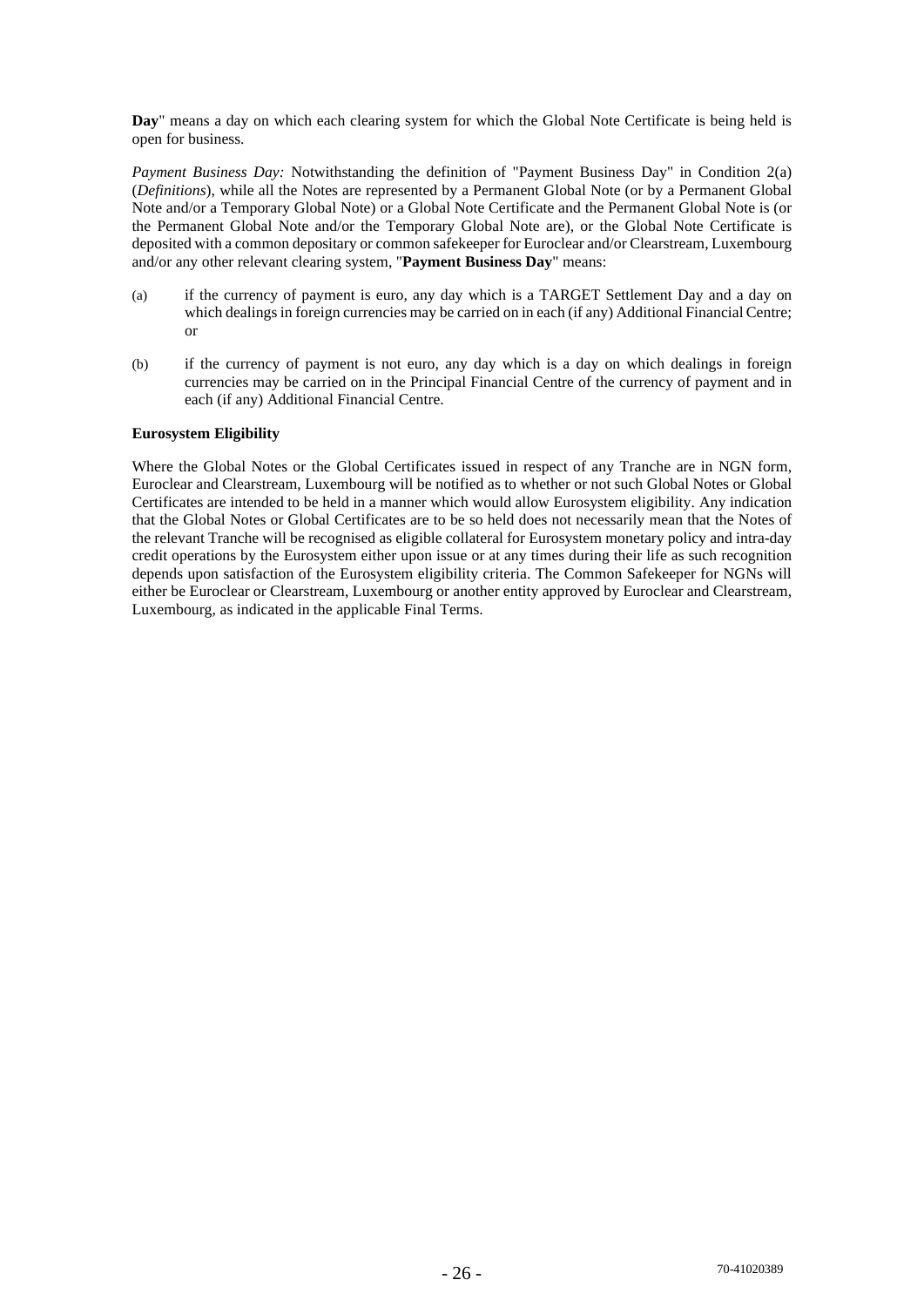**Day**" means a day on which each clearing system for which the Global Note Certificate is being held is open for business.

*Payment Business Day:* Notwithstanding the definition of "Payment Business Day" in Condition 2(a) (*Definitions*), while all the Notes are represented by a Permanent Global Note (or by a Permanent Global Note and/or a Temporary Global Note) or a Global Note Certificate and the Permanent Global Note is (or the Permanent Global Note and/or the Temporary Global Note are), or the Global Note Certificate is deposited with a common depositary or common safekeeper for Euroclear and/or Clearstream, Luxembourg and/or any other relevant clearing system, "**Payment Business Day**" means:

- (a) if the currency of payment is euro, any day which is a TARGET Settlement Day and a day on which dealings in foreign currencies may be carried on in each (if any) Additional Financial Centre; or
- (b) if the currency of payment is not euro, any day which is a day on which dealings in foreign currencies may be carried on in the Principal Financial Centre of the currency of payment and in each (if any) Additional Financial Centre.

## **Eurosystem Eligibility**

Where the Global Notes or the Global Certificates issued in respect of any Tranche are in NGN form, Euroclear and Clearstream, Luxembourg will be notified as to whether or not such Global Notes or Global Certificates are intended to be held in a manner which would allow Eurosystem eligibility. Any indication that the Global Notes or Global Certificates are to be so held does not necessarily mean that the Notes of the relevant Tranche will be recognised as eligible collateral for Eurosystem monetary policy and intra-day credit operations by the Eurosystem either upon issue or at any times during their life as such recognition depends upon satisfaction of the Eurosystem eligibility criteria. The Common Safekeeper for NGNs will either be Euroclear or Clearstream, Luxembourg or another entity approved by Euroclear and Clearstream, Luxembourg, as indicated in the applicable Final Terms.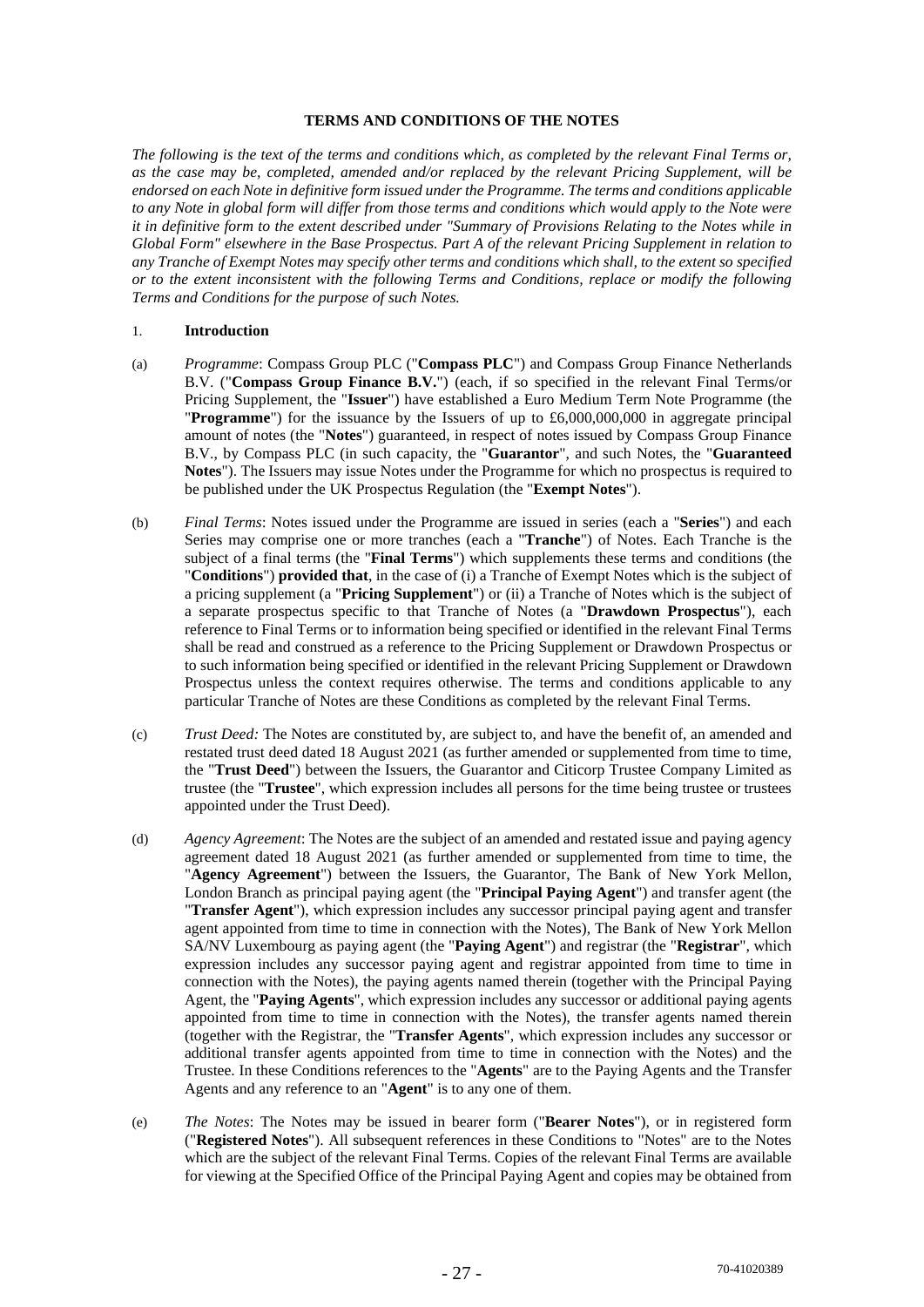## **TERMS AND CONDITIONS OF THE NOTES**

*The following is the text of the terms and conditions which, as completed by the relevant Final Terms or, as the case may be, completed, amended and/or replaced by the relevant Pricing Supplement, will be endorsed on each Note in definitive form issued under the Programme. The terms and conditions applicable to any Note in global form will differ from those terms and conditions which would apply to the Note were it in definitive form to the extent described under "Summary of Provisions Relating to the Notes while in Global Form" elsewhere in the Base Prospectus. Part A of the relevant Pricing Supplement in relation to any Tranche of Exempt Notes may specify other terms and conditions which shall, to the extent so specified or to the extent inconsistent with the following Terms and Conditions, replace or modify the following Terms and Conditions for the purpose of such Notes.* 

#### 1. **Introduction**

- (a) *Programme*: Compass Group PLC ("**Compass PLC**") and Compass Group Finance Netherlands B.V. ("**Compass Group Finance B.V.**") (each, if so specified in the relevant Final Terms/or Pricing Supplement, the "**Issuer**") have established a Euro Medium Term Note Programme (the "**Programme**") for the issuance by the Issuers of up to £6,000,000,000 in aggregate principal amount of notes (the "**Notes**") guaranteed, in respect of notes issued by Compass Group Finance B.V., by Compass PLC (in such capacity, the "**Guarantor**", and such Notes, the "**Guaranteed Notes**"). The Issuers may issue Notes under the Programme for which no prospectus is required to be published under the UK Prospectus Regulation (the "**Exempt Notes**").
- (b) *Final Terms*: Notes issued under the Programme are issued in series (each a "**Series**") and each Series may comprise one or more tranches (each a "**Tranche**") of Notes. Each Tranche is the subject of a final terms (the "**Final Terms**") which supplements these terms and conditions (the "**Conditions**") **provided that**, in the case of (i) a Tranche of Exempt Notes which is the subject of a pricing supplement (a "**Pricing Supplement**") or (ii) a Tranche of Notes which is the subject of a separate prospectus specific to that Tranche of Notes (a "**Drawdown Prospectus**"), each reference to Final Terms or to information being specified or identified in the relevant Final Terms shall be read and construed as a reference to the Pricing Supplement or Drawdown Prospectus or to such information being specified or identified in the relevant Pricing Supplement or Drawdown Prospectus unless the context requires otherwise. The terms and conditions applicable to any particular Tranche of Notes are these Conditions as completed by the relevant Final Terms.
- (c) *Trust Deed:* The Notes are constituted by, are subject to, and have the benefit of, an amended and restated trust deed dated 18 August 2021 (as further amended or supplemented from time to time, the "**Trust Deed**") between the Issuers, the Guarantor and Citicorp Trustee Company Limited as trustee (the "**Trustee**", which expression includes all persons for the time being trustee or trustees appointed under the Trust Deed).
- (d) *Agency Agreement*: The Notes are the subject of an amended and restated issue and paying agency agreement dated 18 August 2021 (as further amended or supplemented from time to time, the "**Agency Agreement**") between the Issuers, the Guarantor, The Bank of New York Mellon, London Branch as principal paying agent (the "**Principal Paying Agent**") and transfer agent (the "**Transfer Agent**"), which expression includes any successor principal paying agent and transfer agent appointed from time to time in connection with the Notes), The Bank of New York Mellon SA/NV Luxembourg as paying agent (the "**Paying Agent**") and registrar (the "**Registrar**", which expression includes any successor paying agent and registrar appointed from time to time in connection with the Notes), the paying agents named therein (together with the Principal Paying Agent, the "**Paying Agents**", which expression includes any successor or additional paying agents appointed from time to time in connection with the Notes), the transfer agents named therein (together with the Registrar, the "**Transfer Agents**", which expression includes any successor or additional transfer agents appointed from time to time in connection with the Notes) and the Trustee. In these Conditions references to the "**Agents**" are to the Paying Agents and the Transfer Agents and any reference to an "**Agent**" is to any one of them.
- (e) *The Notes*: The Notes may be issued in bearer form ("**Bearer Notes**"), or in registered form ("**Registered Notes**"). All subsequent references in these Conditions to "Notes" are to the Notes which are the subject of the relevant Final Terms. Copies of the relevant Final Terms are available for viewing at the Specified Office of the Principal Paying Agent and copies may be obtained from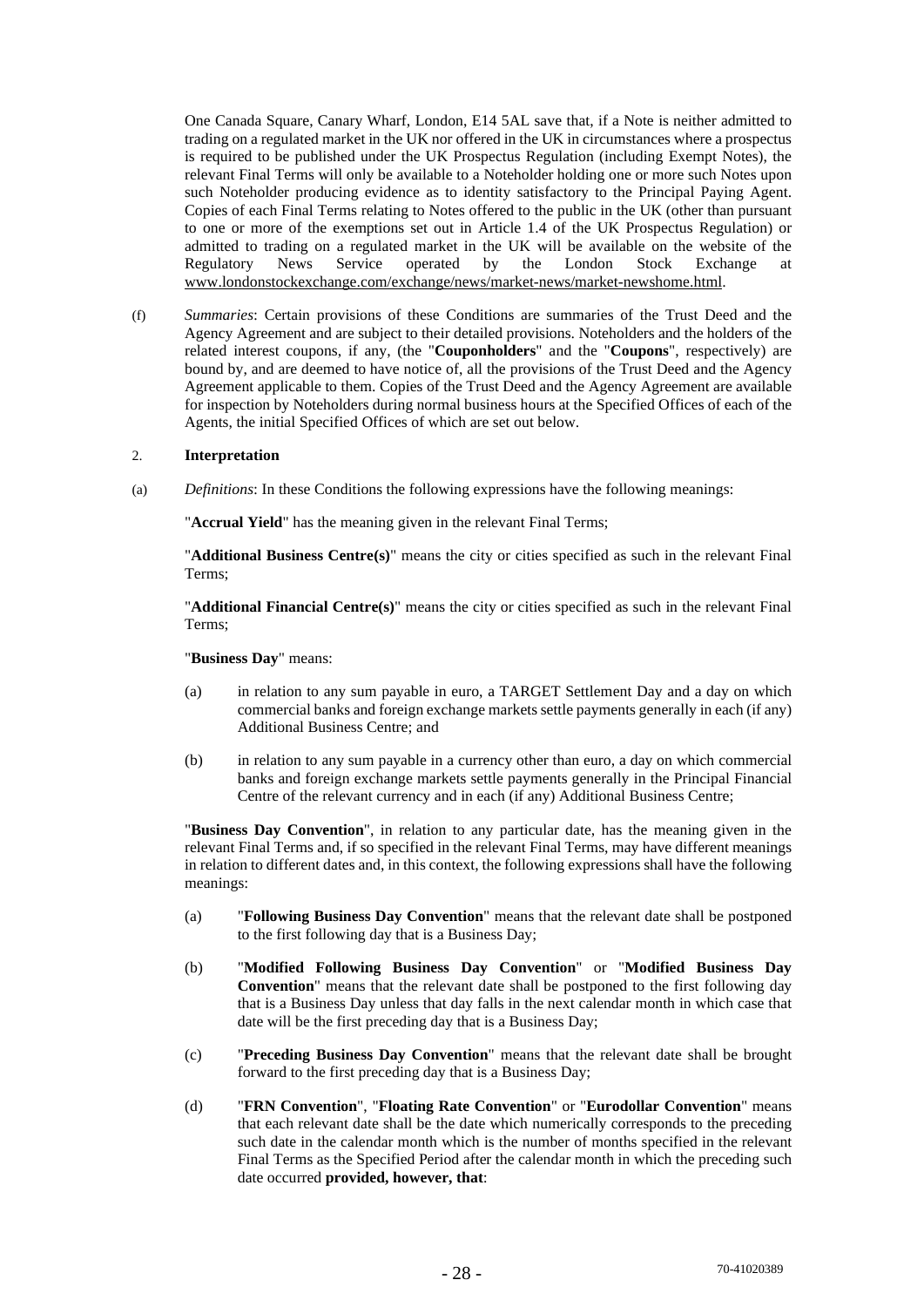One Canada Square, Canary Wharf, London, E14 5AL save that, if a Note is neither admitted to trading on a regulated market in the UK nor offered in the UK in circumstances where a prospectus is required to be published under the UK Prospectus Regulation (including Exempt Notes), the relevant Final Terms will only be available to a Noteholder holding one or more such Notes upon such Noteholder producing evidence as to identity satisfactory to the Principal Paying Agent. Copies of each Final Terms relating to Notes offered to the public in the UK (other than pursuant to one or more of the exemptions set out in Article 1.4 of the UK Prospectus Regulation) or admitted to trading on a regulated market in the UK will be available on the website of the Regulatory News Service operated by the London Stock Exchange at Regulatory News Service operated by the London Stock Exchange at www.londonstockexchange.com/exchange/news/market-news/market-newshome.html.

(f) *Summaries*: Certain provisions of these Conditions are summaries of the Trust Deed and the Agency Agreement and are subject to their detailed provisions. Noteholders and the holders of the related interest coupons, if any, (the "**Couponholders**" and the "**Coupons**", respectively) are bound by, and are deemed to have notice of, all the provisions of the Trust Deed and the Agency Agreement applicable to them. Copies of the Trust Deed and the Agency Agreement are available for inspection by Noteholders during normal business hours at the Specified Offices of each of the Agents, the initial Specified Offices of which are set out below.

## 2. **Interpretation**

(a) *Definitions*: In these Conditions the following expressions have the following meanings:

"**Accrual Yield**" has the meaning given in the relevant Final Terms;

"**Additional Business Centre(s)**" means the city or cities specified as such in the relevant Final Terms;

"**Additional Financial Centre(s)**" means the city or cities specified as such in the relevant Final Terms;

"**Business Day**" means:

- (a) in relation to any sum payable in euro, a TARGET Settlement Day and a day on which commercial banks and foreign exchange markets settle payments generally in each (if any) Additional Business Centre; and
- (b) in relation to any sum payable in a currency other than euro, a day on which commercial banks and foreign exchange markets settle payments generally in the Principal Financial Centre of the relevant currency and in each (if any) Additional Business Centre;

"**Business Day Convention**", in relation to any particular date, has the meaning given in the relevant Final Terms and, if so specified in the relevant Final Terms, may have different meanings in relation to different dates and, in this context, the following expressions shall have the following meanings:

- (a) "**Following Business Day Convention**" means that the relevant date shall be postponed to the first following day that is a Business Day;
- (b) "**Modified Following Business Day Convention**" or "**Modified Business Day Convention**" means that the relevant date shall be postponed to the first following day that is a Business Day unless that day falls in the next calendar month in which case that date will be the first preceding day that is a Business Day;
- (c) "**Preceding Business Day Convention**" means that the relevant date shall be brought forward to the first preceding day that is a Business Day;
- (d) "**FRN Convention**", "**Floating Rate Convention**" or "**Eurodollar Convention**" means that each relevant date shall be the date which numerically corresponds to the preceding such date in the calendar month which is the number of months specified in the relevant Final Terms as the Specified Period after the calendar month in which the preceding such date occurred **provided, however, that**: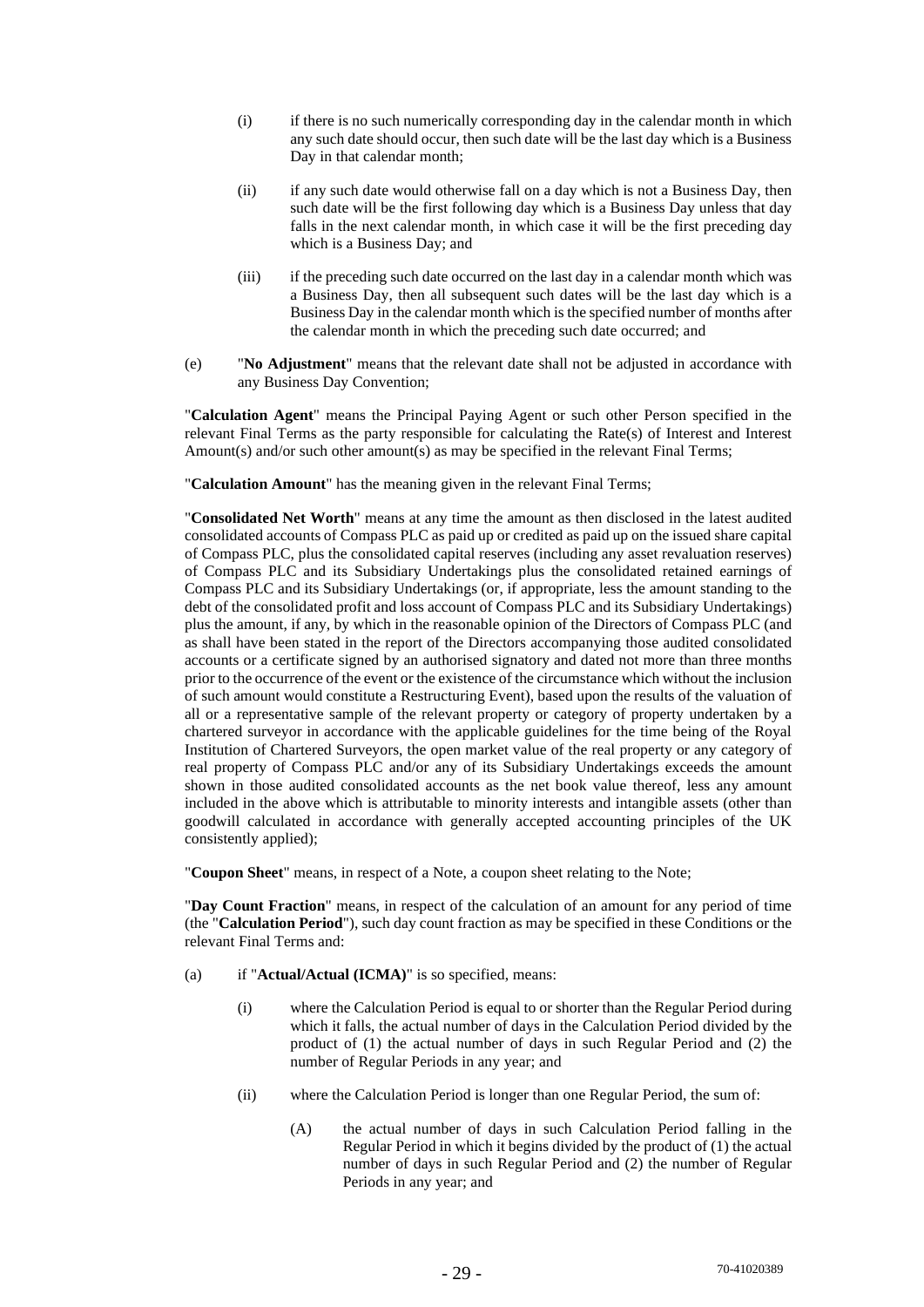- (i) if there is no such numerically corresponding day in the calendar month in which any such date should occur, then such date will be the last day which is a Business Day in that calendar month;
- (ii) if any such date would otherwise fall on a day which is not a Business Day, then such date will be the first following day which is a Business Day unless that day falls in the next calendar month, in which case it will be the first preceding day which is a Business Day; and
- (iii) if the preceding such date occurred on the last day in a calendar month which was a Business Day, then all subsequent such dates will be the last day which is a Business Day in the calendar month which is the specified number of months after the calendar month in which the preceding such date occurred; and
- (e) "**No Adjustment**" means that the relevant date shall not be adjusted in accordance with any Business Day Convention;

"**Calculation Agent**" means the Principal Paying Agent or such other Person specified in the relevant Final Terms as the party responsible for calculating the Rate(s) of Interest and Interest Amount(s) and/or such other amount(s) as may be specified in the relevant Final Terms;

"**Calculation Amount**" has the meaning given in the relevant Final Terms;

"**Consolidated Net Worth**" means at any time the amount as then disclosed in the latest audited consolidated accounts of Compass PLC as paid up or credited as paid up on the issued share capital of Compass PLC, plus the consolidated capital reserves (including any asset revaluation reserves) of Compass PLC and its Subsidiary Undertakings plus the consolidated retained earnings of Compass PLC and its Subsidiary Undertakings (or, if appropriate, less the amount standing to the debt of the consolidated profit and loss account of Compass PLC and its Subsidiary Undertakings) plus the amount, if any, by which in the reasonable opinion of the Directors of Compass PLC (and as shall have been stated in the report of the Directors accompanying those audited consolidated accounts or a certificate signed by an authorised signatory and dated not more than three months prior to the occurrence of the event or the existence of the circumstance which without the inclusion of such amount would constitute a Restructuring Event), based upon the results of the valuation of all or a representative sample of the relevant property or category of property undertaken by a chartered surveyor in accordance with the applicable guidelines for the time being of the Royal Institution of Chartered Surveyors, the open market value of the real property or any category of real property of Compass PLC and/or any of its Subsidiary Undertakings exceeds the amount shown in those audited consolidated accounts as the net book value thereof, less any amount included in the above which is attributable to minority interests and intangible assets (other than goodwill calculated in accordance with generally accepted accounting principles of the UK consistently applied);

"**Coupon Sheet**" means, in respect of a Note, a coupon sheet relating to the Note;

"**Day Count Fraction**" means, in respect of the calculation of an amount for any period of time (the "**Calculation Period**"), such day count fraction as may be specified in these Conditions or the relevant Final Terms and:

- (a) if "**Actual/Actual (ICMA)**" is so specified, means:
	- (i) where the Calculation Period is equal to or shorter than the Regular Period during which it falls, the actual number of days in the Calculation Period divided by the product of (1) the actual number of days in such Regular Period and (2) the number of Regular Periods in any year; and
	- (ii) where the Calculation Period is longer than one Regular Period, the sum of:
		- (A) the actual number of days in such Calculation Period falling in the Regular Period in which it begins divided by the product of (1) the actual number of days in such Regular Period and (2) the number of Regular Periods in any year; and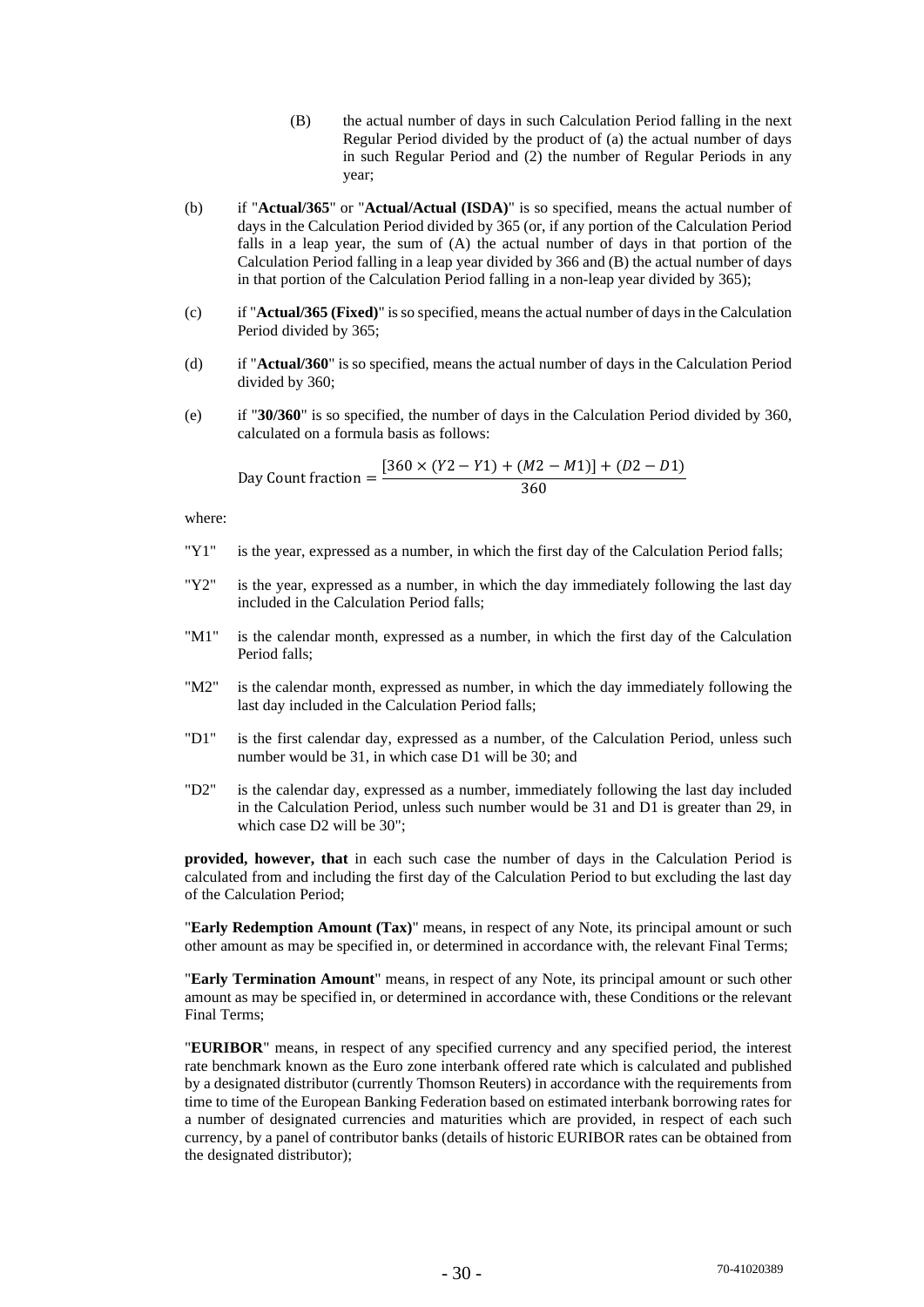- (B) the actual number of days in such Calculation Period falling in the next Regular Period divided by the product of (a) the actual number of days in such Regular Period and (2) the number of Regular Periods in any year;
- (b) if "**Actual/365**" or "**Actual/Actual (ISDA)**" is so specified, means the actual number of days in the Calculation Period divided by 365 (or, if any portion of the Calculation Period falls in a leap year, the sum of (A) the actual number of days in that portion of the Calculation Period falling in a leap year divided by 366 and (B) the actual number of days in that portion of the Calculation Period falling in a non-leap year divided by 365);
- (c) if "**Actual/365 (Fixed)**" is so specified, means the actual number of days in the Calculation Period divided by 365;
- (d) if "**Actual/360**" is so specified, means the actual number of days in the Calculation Period divided by 360;
- (e) if "**30/360**" is so specified, the number of days in the Calculation Period divided by 360, calculated on a formula basis as follows:

Day Count fraction = 
$$
\frac{[360 \times (Y2 - Y1) + (M2 - M1)] + (D2 - D1)}{360}
$$

where:

- "Y1" is the year, expressed as a number, in which the first day of the Calculation Period falls;
- "Y2" is the year, expressed as a number, in which the day immediately following the last day included in the Calculation Period falls;
- "M1" is the calendar month, expressed as a number, in which the first day of the Calculation Period falls;
- "M2" is the calendar month, expressed as number, in which the day immediately following the last day included in the Calculation Period falls;
- "D1" is the first calendar day, expressed as a number, of the Calculation Period, unless such number would be 31, in which case D1 will be 30; and
- "D2" is the calendar day, expressed as a number, immediately following the last day included in the Calculation Period, unless such number would be 31 and D1 is greater than 29, in which case D2 will be 30";

**provided, however, that** in each such case the number of days in the Calculation Period is calculated from and including the first day of the Calculation Period to but excluding the last day of the Calculation Period;

"**Early Redemption Amount (Tax)**" means, in respect of any Note, its principal amount or such other amount as may be specified in, or determined in accordance with, the relevant Final Terms;

"**Early Termination Amount**" means, in respect of any Note, its principal amount or such other amount as may be specified in, or determined in accordance with, these Conditions or the relevant Final Terms;

"**EURIBOR**" means, in respect of any specified currency and any specified period, the interest rate benchmark known as the Euro zone interbank offered rate which is calculated and published by a designated distributor (currently Thomson Reuters) in accordance with the requirements from time to time of the European Banking Federation based on estimated interbank borrowing rates for a number of designated currencies and maturities which are provided, in respect of each such currency, by a panel of contributor banks (details of historic EURIBOR rates can be obtained from the designated distributor);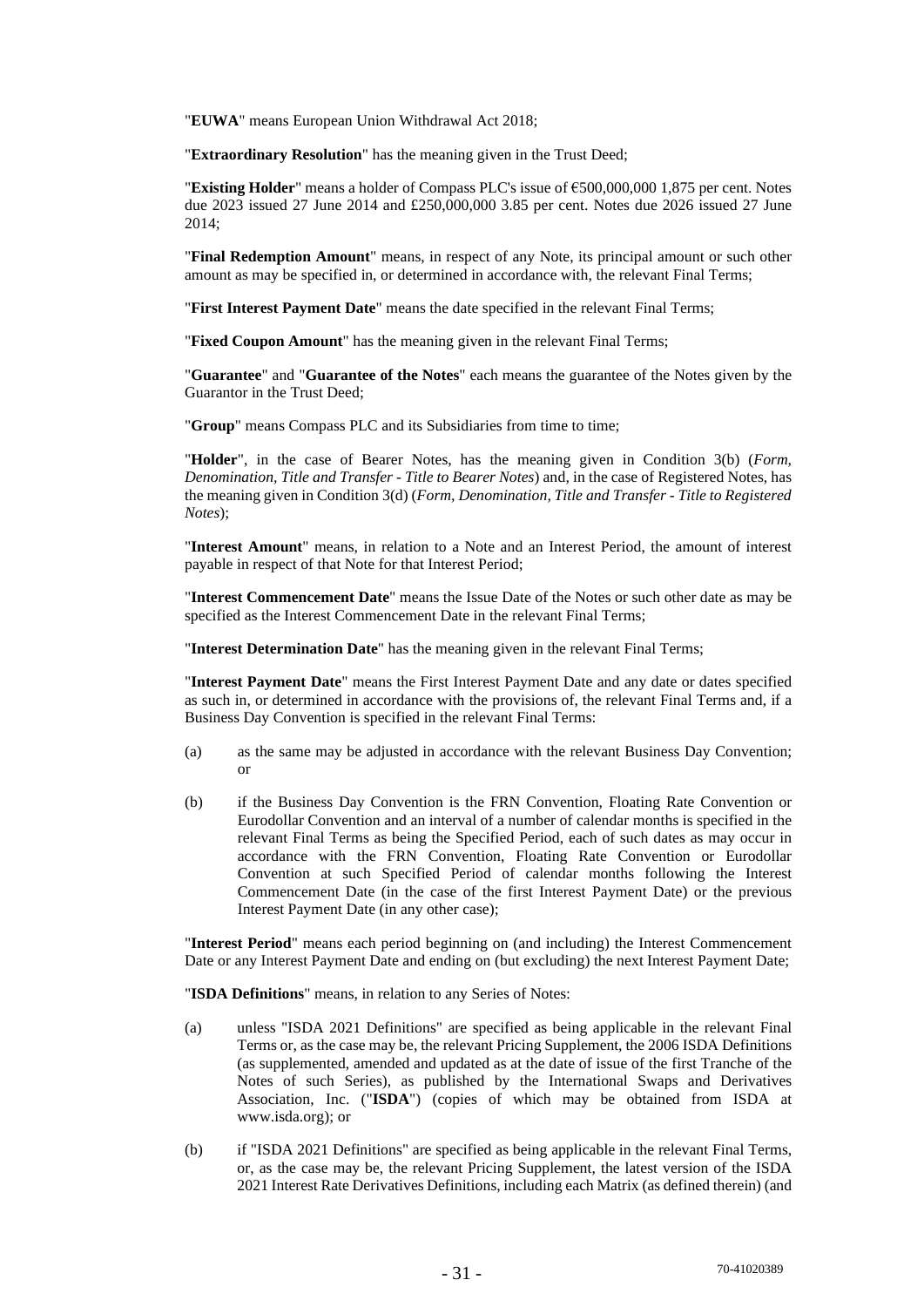"**EUWA**" means European Union Withdrawal Act 2018;

"**Extraordinary Resolution**" has the meaning given in the Trust Deed;

"**Existing Holder**" means a holder of Compass PLC's issue of €500,000,000 1,875 per cent. Notes due 2023 issued 27 June 2014 and £250,000,000 3.85 per cent. Notes due 2026 issued 27 June 2014;

"**Final Redemption Amount**" means, in respect of any Note, its principal amount or such other amount as may be specified in, or determined in accordance with, the relevant Final Terms;

"**First Interest Payment Date**" means the date specified in the relevant Final Terms;

"**Fixed Coupon Amount**" has the meaning given in the relevant Final Terms;

"**Guarantee**" and "**Guarantee of the Notes**" each means the guarantee of the Notes given by the Guarantor in the Trust Deed;

"**Group**" means Compass PLC and its Subsidiaries from time to time;

"**Holder**", in the case of Bearer Notes, has the meaning given in Condition 3(b) (*Form, Denomination, Title and Transfer - Title to Bearer Notes*) and, in the case of Registered Notes, has the meaning given in Condition 3(d) (*Form, Denomination, Title and Transfer - Title to Registered Notes*);

"**Interest Amount**" means, in relation to a Note and an Interest Period, the amount of interest payable in respect of that Note for that Interest Period;

"**Interest Commencement Date**" means the Issue Date of the Notes or such other date as may be specified as the Interest Commencement Date in the relevant Final Terms;

"**Interest Determination Date**" has the meaning given in the relevant Final Terms;

"**Interest Payment Date**" means the First Interest Payment Date and any date or dates specified as such in, or determined in accordance with the provisions of, the relevant Final Terms and, if a Business Day Convention is specified in the relevant Final Terms:

- (a) as the same may be adjusted in accordance with the relevant Business Day Convention; or
- (b) if the Business Day Convention is the FRN Convention, Floating Rate Convention or Eurodollar Convention and an interval of a number of calendar months is specified in the relevant Final Terms as being the Specified Period, each of such dates as may occur in accordance with the FRN Convention, Floating Rate Convention or Eurodollar Convention at such Specified Period of calendar months following the Interest Commencement Date (in the case of the first Interest Payment Date) or the previous Interest Payment Date (in any other case);

"**Interest Period**" means each period beginning on (and including) the Interest Commencement Date or any Interest Payment Date and ending on (but excluding) the next Interest Payment Date;

"**ISDA Definitions**" means, in relation to any Series of Notes:

- (a) unless "ISDA 2021 Definitions" are specified as being applicable in the relevant Final Terms or, as the case may be, the relevant Pricing Supplement, the 2006 ISDA Definitions (as supplemented, amended and updated as at the date of issue of the first Tranche of the Notes of such Series), as published by the International Swaps and Derivatives Association, Inc. ("**ISDA**") (copies of which may be obtained from ISDA at www.isda.org); or
- (b) if "ISDA 2021 Definitions" are specified as being applicable in the relevant Final Terms, or, as the case may be, the relevant Pricing Supplement, the latest version of the ISDA 2021 Interest Rate Derivatives Definitions, including each Matrix (as defined therein) (and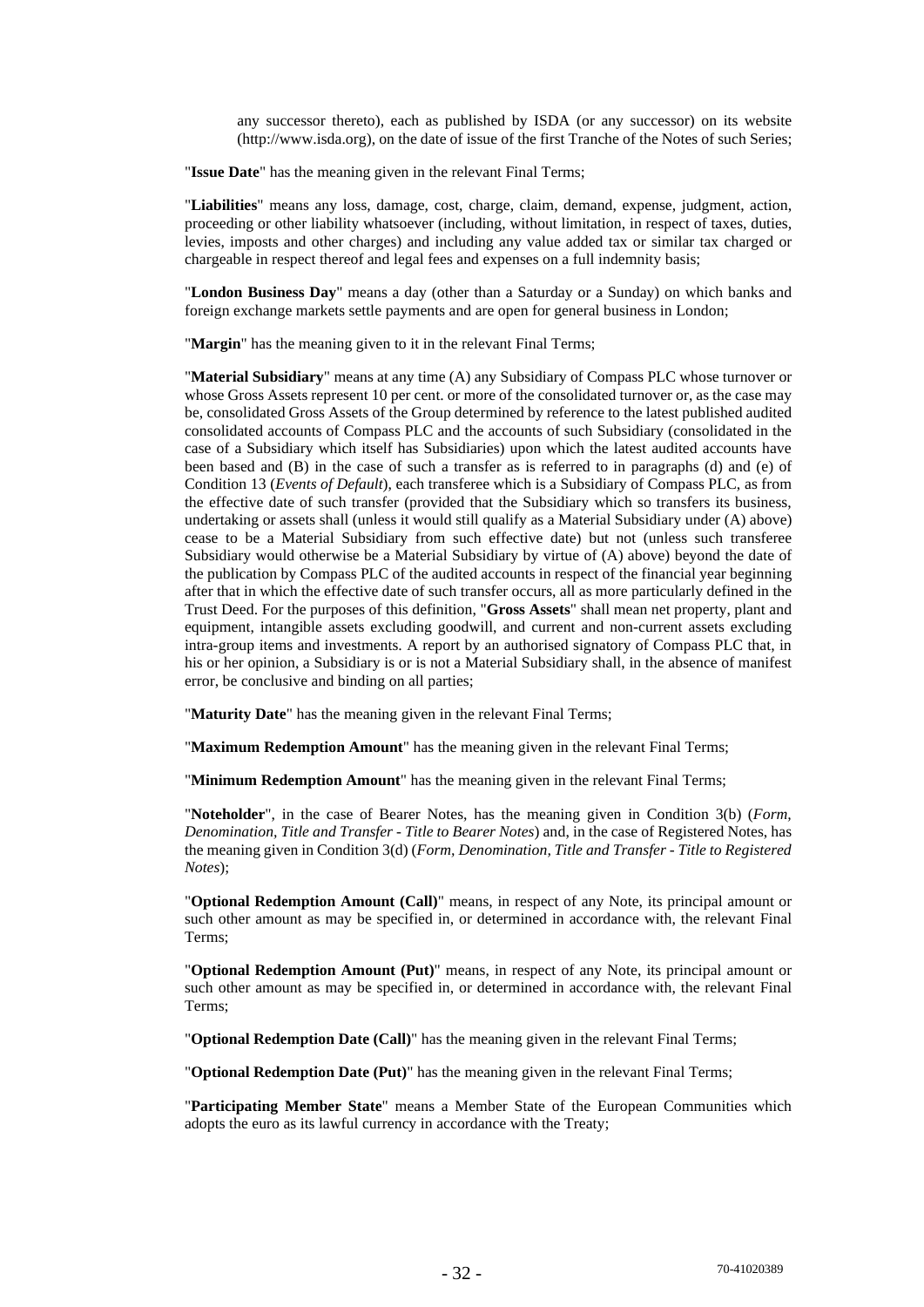any successor thereto), each as published by ISDA (or any successor) on its website (http://www.isda.org), on the date of issue of the first Tranche of the Notes of such Series;

"**Issue Date**" has the meaning given in the relevant Final Terms;

"**Liabilities**" means any loss, damage, cost, charge, claim, demand, expense, judgment, action, proceeding or other liability whatsoever (including, without limitation, in respect of taxes, duties, levies, imposts and other charges) and including any value added tax or similar tax charged or chargeable in respect thereof and legal fees and expenses on a full indemnity basis;

"**London Business Day**" means a day (other than a Saturday or a Sunday) on which banks and foreign exchange markets settle payments and are open for general business in London;

"**Margin**" has the meaning given to it in the relevant Final Terms;

"**Material Subsidiary**" means at any time (A) any Subsidiary of Compass PLC whose turnover or whose Gross Assets represent 10 per cent. or more of the consolidated turnover or, as the case may be, consolidated Gross Assets of the Group determined by reference to the latest published audited consolidated accounts of Compass PLC and the accounts of such Subsidiary (consolidated in the case of a Subsidiary which itself has Subsidiaries) upon which the latest audited accounts have been based and (B) in the case of such a transfer as is referred to in paragraphs (d) and (e) of Condition 13 (*Events of Default*), each transferee which is a Subsidiary of Compass PLC, as from the effective date of such transfer (provided that the Subsidiary which so transfers its business, undertaking or assets shall (unless it would still qualify as a Material Subsidiary under (A) above) cease to be a Material Subsidiary from such effective date) but not (unless such transferee Subsidiary would otherwise be a Material Subsidiary by virtue of (A) above) beyond the date of the publication by Compass PLC of the audited accounts in respect of the financial year beginning after that in which the effective date of such transfer occurs, all as more particularly defined in the Trust Deed. For the purposes of this definition, "**Gross Assets**" shall mean net property, plant and equipment, intangible assets excluding goodwill, and current and non-current assets excluding intra-group items and investments. A report by an authorised signatory of Compass PLC that, in his or her opinion, a Subsidiary is or is not a Material Subsidiary shall, in the absence of manifest error, be conclusive and binding on all parties;

"**Maturity Date**" has the meaning given in the relevant Final Terms;

"**Maximum Redemption Amount**" has the meaning given in the relevant Final Terms;

"**Minimum Redemption Amount**" has the meaning given in the relevant Final Terms;

"**Noteholder**", in the case of Bearer Notes, has the meaning given in Condition 3(b) (*Form, Denomination, Title and Transfer - Title to Bearer Notes*) and, in the case of Registered Notes, has the meaning given in Condition 3(d) (*Form, Denomination, Title and Transfer - Title to Registered Notes*);

"**Optional Redemption Amount (Call)**" means, in respect of any Note, its principal amount or such other amount as may be specified in, or determined in accordance with, the relevant Final Terms;

"**Optional Redemption Amount (Put)**" means, in respect of any Note, its principal amount or such other amount as may be specified in, or determined in accordance with, the relevant Final Terms;

"**Optional Redemption Date (Call)**" has the meaning given in the relevant Final Terms;

"**Optional Redemption Date (Put)**" has the meaning given in the relevant Final Terms;

"**Participating Member State**" means a Member State of the European Communities which adopts the euro as its lawful currency in accordance with the Treaty;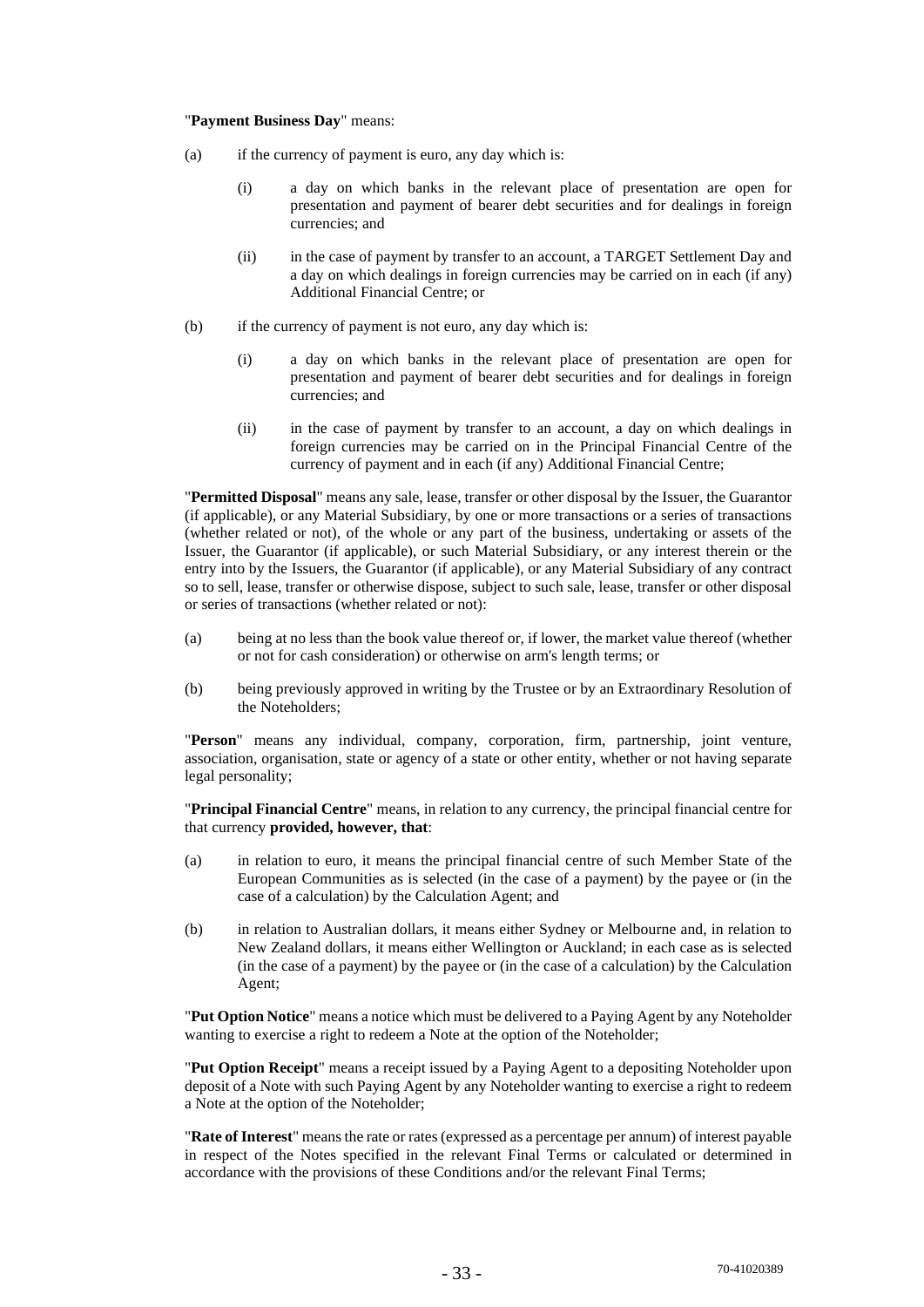#### "**Payment Business Day**" means:

- (a) if the currency of payment is euro, any day which is:
	- (i) a day on which banks in the relevant place of presentation are open for presentation and payment of bearer debt securities and for dealings in foreign currencies; and
	- (ii) in the case of payment by transfer to an account, a TARGET Settlement Day and a day on which dealings in foreign currencies may be carried on in each (if any) Additional Financial Centre; or
- (b) if the currency of payment is not euro, any day which is:
	- (i) a day on which banks in the relevant place of presentation are open for presentation and payment of bearer debt securities and for dealings in foreign currencies; and
	- (ii) in the case of payment by transfer to an account, a day on which dealings in foreign currencies may be carried on in the Principal Financial Centre of the currency of payment and in each (if any) Additional Financial Centre;

"**Permitted Disposal**" means any sale, lease, transfer or other disposal by the Issuer, the Guarantor (if applicable), or any Material Subsidiary, by one or more transactions or a series of transactions (whether related or not), of the whole or any part of the business, undertaking or assets of the Issuer, the Guarantor (if applicable), or such Material Subsidiary, or any interest therein or the entry into by the Issuers, the Guarantor (if applicable), or any Material Subsidiary of any contract so to sell, lease, transfer or otherwise dispose, subject to such sale, lease, transfer or other disposal or series of transactions (whether related or not):

- (a) being at no less than the book value thereof or, if lower, the market value thereof (whether or not for cash consideration) or otherwise on arm's length terms; or
- (b) being previously approved in writing by the Trustee or by an Extraordinary Resolution of the Noteholders;

"**Person**" means any individual, company, corporation, firm, partnership, joint venture, association, organisation, state or agency of a state or other entity, whether or not having separate legal personality;

"**Principal Financial Centre**" means, in relation to any currency, the principal financial centre for that currency **provided, however, that**:

- (a) in relation to euro, it means the principal financial centre of such Member State of the European Communities as is selected (in the case of a payment) by the payee or (in the case of a calculation) by the Calculation Agent; and
- (b) in relation to Australian dollars, it means either Sydney or Melbourne and, in relation to New Zealand dollars, it means either Wellington or Auckland; in each case as is selected (in the case of a payment) by the payee or (in the case of a calculation) by the Calculation Agent;

"**Put Option Notice**" means a notice which must be delivered to a Paying Agent by any Noteholder wanting to exercise a right to redeem a Note at the option of the Noteholder;

"**Put Option Receipt**" means a receipt issued by a Paying Agent to a depositing Noteholder upon deposit of a Note with such Paying Agent by any Noteholder wanting to exercise a right to redeem a Note at the option of the Noteholder;

"**Rate of Interest**" means the rate or rates (expressed as a percentage per annum) of interest payable in respect of the Notes specified in the relevant Final Terms or calculated or determined in accordance with the provisions of these Conditions and/or the relevant Final Terms;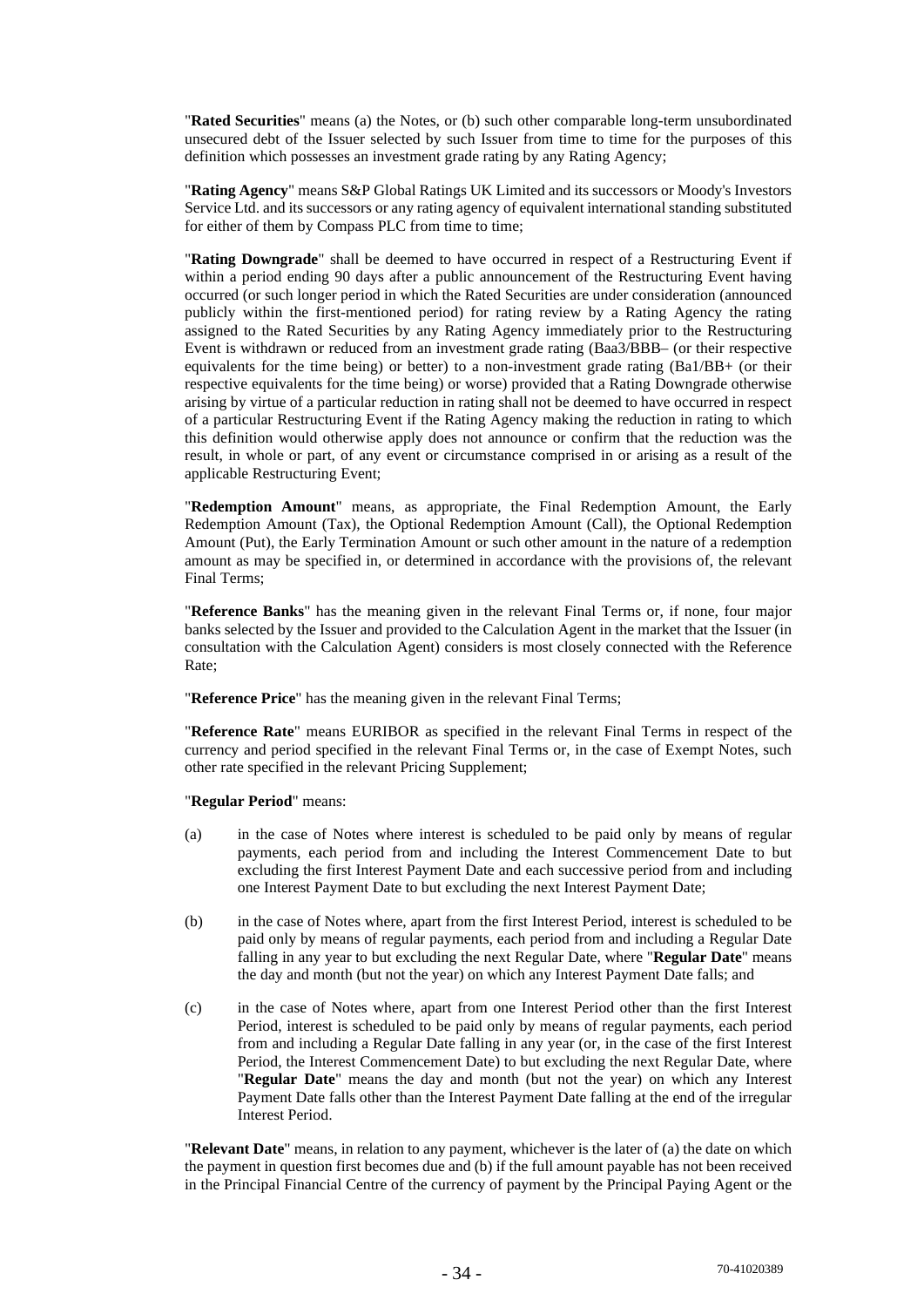"**Rated Securities**" means (a) the Notes, or (b) such other comparable long-term unsubordinated unsecured debt of the Issuer selected by such Issuer from time to time for the purposes of this definition which possesses an investment grade rating by any Rating Agency;

"**Rating Agency**" means S&P Global Ratings UK Limited and its successors or Moody's Investors Service Ltd. and its successors or any rating agency of equivalent international standing substituted for either of them by Compass PLC from time to time;

"**Rating Downgrade**" shall be deemed to have occurred in respect of a Restructuring Event if within a period ending 90 days after a public announcement of the Restructuring Event having occurred (or such longer period in which the Rated Securities are under consideration (announced publicly within the first-mentioned period) for rating review by a Rating Agency the rating assigned to the Rated Securities by any Rating Agency immediately prior to the Restructuring Event is withdrawn or reduced from an investment grade rating (Baa3/BBB– (or their respective equivalents for the time being) or better) to a non-investment grade rating (Ba1/BB+ (or their respective equivalents for the time being) or worse) provided that a Rating Downgrade otherwise arising by virtue of a particular reduction in rating shall not be deemed to have occurred in respect of a particular Restructuring Event if the Rating Agency making the reduction in rating to which this definition would otherwise apply does not announce or confirm that the reduction was the result, in whole or part, of any event or circumstance comprised in or arising as a result of the applicable Restructuring Event;

"**Redemption Amount**" means, as appropriate, the Final Redemption Amount, the Early Redemption Amount (Tax), the Optional Redemption Amount (Call), the Optional Redemption Amount (Put), the Early Termination Amount or such other amount in the nature of a redemption amount as may be specified in, or determined in accordance with the provisions of, the relevant Final Terms;

"**Reference Banks**" has the meaning given in the relevant Final Terms or, if none, four major banks selected by the Issuer and provided to the Calculation Agent in the market that the Issuer (in consultation with the Calculation Agent) considers is most closely connected with the Reference Rate;

"**Reference Price**" has the meaning given in the relevant Final Terms;

"**Reference Rate**" means EURIBOR as specified in the relevant Final Terms in respect of the currency and period specified in the relevant Final Terms or, in the case of Exempt Notes, such other rate specified in the relevant Pricing Supplement;

"**Regular Period**" means:

- (a) in the case of Notes where interest is scheduled to be paid only by means of regular payments, each period from and including the Interest Commencement Date to but excluding the first Interest Payment Date and each successive period from and including one Interest Payment Date to but excluding the next Interest Payment Date;
- (b) in the case of Notes where, apart from the first Interest Period, interest is scheduled to be paid only by means of regular payments, each period from and including a Regular Date falling in any year to but excluding the next Regular Date, where "**Regular Date**" means the day and month (but not the year) on which any Interest Payment Date falls; and
- (c) in the case of Notes where, apart from one Interest Period other than the first Interest Period, interest is scheduled to be paid only by means of regular payments, each period from and including a Regular Date falling in any year (or, in the case of the first Interest Period, the Interest Commencement Date) to but excluding the next Regular Date, where "**Regular Date**" means the day and month (but not the year) on which any Interest Payment Date falls other than the Interest Payment Date falling at the end of the irregular Interest Period.

"**Relevant Date**" means, in relation to any payment, whichever is the later of (a) the date on which the payment in question first becomes due and (b) if the full amount payable has not been received in the Principal Financial Centre of the currency of payment by the Principal Paying Agent or the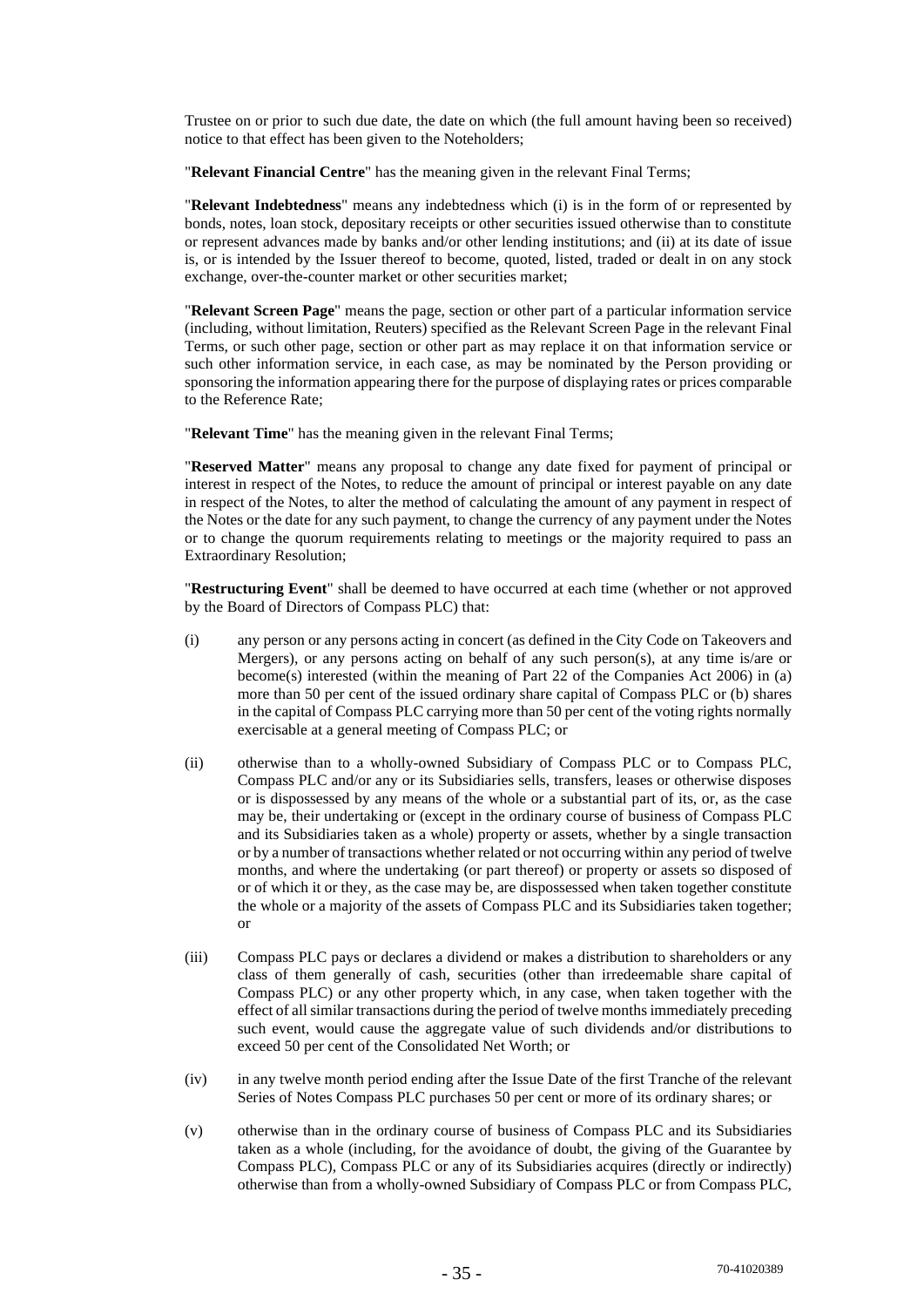Trustee on or prior to such due date, the date on which (the full amount having been so received) notice to that effect has been given to the Noteholders;

"**Relevant Financial Centre**" has the meaning given in the relevant Final Terms;

"**Relevant Indebtedness**" means any indebtedness which (i) is in the form of or represented by bonds, notes, loan stock, depositary receipts or other securities issued otherwise than to constitute or represent advances made by banks and/or other lending institutions; and (ii) at its date of issue is, or is intended by the Issuer thereof to become, quoted, listed, traded or dealt in on any stock exchange, over-the-counter market or other securities market;

"**Relevant Screen Page**" means the page, section or other part of a particular information service (including, without limitation, Reuters) specified as the Relevant Screen Page in the relevant Final Terms, or such other page, section or other part as may replace it on that information service or such other information service, in each case, as may be nominated by the Person providing or sponsoring the information appearing there for the purpose of displaying rates or prices comparable to the Reference Rate;

"**Relevant Time**" has the meaning given in the relevant Final Terms;

"**Reserved Matter**" means any proposal to change any date fixed for payment of principal or interest in respect of the Notes, to reduce the amount of principal or interest payable on any date in respect of the Notes, to alter the method of calculating the amount of any payment in respect of the Notes or the date for any such payment, to change the currency of any payment under the Notes or to change the quorum requirements relating to meetings or the majority required to pass an Extraordinary Resolution;

"**Restructuring Event**" shall be deemed to have occurred at each time (whether or not approved by the Board of Directors of Compass PLC) that:

- (i) any person or any persons acting in concert (as defined in the City Code on Takeovers and Mergers), or any persons acting on behalf of any such person(s), at any time is/are or become(s) interested (within the meaning of Part 22 of the Companies Act 2006) in (a) more than 50 per cent of the issued ordinary share capital of Compass PLC or (b) shares in the capital of Compass PLC carrying more than 50 per cent of the voting rights normally exercisable at a general meeting of Compass PLC; or
- (ii) otherwise than to a wholly-owned Subsidiary of Compass PLC or to Compass PLC, Compass PLC and/or any or its Subsidiaries sells, transfers, leases or otherwise disposes or is dispossessed by any means of the whole or a substantial part of its, or, as the case may be, their undertaking or (except in the ordinary course of business of Compass PLC and its Subsidiaries taken as a whole) property or assets, whether by a single transaction or by a number of transactions whether related or not occurring within any period of twelve months, and where the undertaking (or part thereof) or property or assets so disposed of or of which it or they, as the case may be, are dispossessed when taken together constitute the whole or a majority of the assets of Compass PLC and its Subsidiaries taken together; or
- (iii) Compass PLC pays or declares a dividend or makes a distribution to shareholders or any class of them generally of cash, securities (other than irredeemable share capital of Compass PLC) or any other property which, in any case, when taken together with the effect of all similar transactions during the period of twelve months immediately preceding such event, would cause the aggregate value of such dividends and/or distributions to exceed 50 per cent of the Consolidated Net Worth; or
- (iv) in any twelve month period ending after the Issue Date of the first Tranche of the relevant Series of Notes Compass PLC purchases 50 per cent or more of its ordinary shares; or
- (v) otherwise than in the ordinary course of business of Compass PLC and its Subsidiaries taken as a whole (including, for the avoidance of doubt, the giving of the Guarantee by Compass PLC), Compass PLC or any of its Subsidiaries acquires (directly or indirectly) otherwise than from a wholly-owned Subsidiary of Compass PLC or from Compass PLC,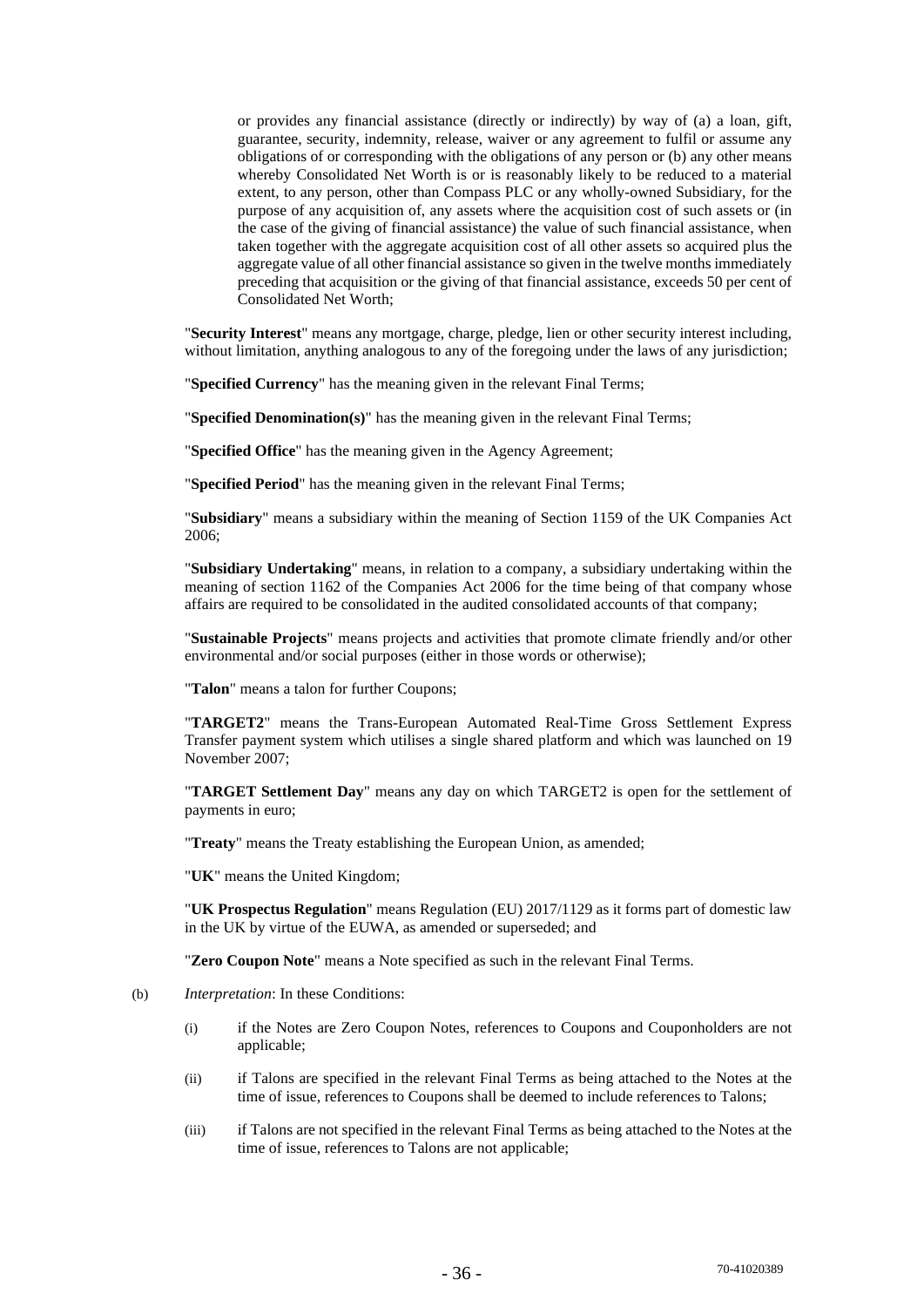or provides any financial assistance (directly or indirectly) by way of (a) a loan, gift, guarantee, security, indemnity, release, waiver or any agreement to fulfil or assume any obligations of or corresponding with the obligations of any person or (b) any other means whereby Consolidated Net Worth is or is reasonably likely to be reduced to a material extent, to any person, other than Compass PLC or any wholly-owned Subsidiary, for the purpose of any acquisition of, any assets where the acquisition cost of such assets or (in the case of the giving of financial assistance) the value of such financial assistance, when taken together with the aggregate acquisition cost of all other assets so acquired plus the aggregate value of all other financial assistance so given in the twelve months immediately preceding that acquisition or the giving of that financial assistance, exceeds 50 per cent of Consolidated Net Worth;

"**Security Interest**" means any mortgage, charge, pledge, lien or other security interest including, without limitation, anything analogous to any of the foregoing under the laws of any jurisdiction;

"**Specified Currency**" has the meaning given in the relevant Final Terms;

"**Specified Denomination(s)**" has the meaning given in the relevant Final Terms;

"**Specified Office**" has the meaning given in the Agency Agreement;

"**Specified Period**" has the meaning given in the relevant Final Terms;

"**Subsidiary**" means a subsidiary within the meaning of Section 1159 of the UK Companies Act 2006;

"**Subsidiary Undertaking**" means, in relation to a company, a subsidiary undertaking within the meaning of section 1162 of the Companies Act 2006 for the time being of that company whose affairs are required to be consolidated in the audited consolidated accounts of that company;

"**Sustainable Projects**" means projects and activities that promote climate friendly and/or other environmental and/or social purposes (either in those words or otherwise);

"**Talon**" means a talon for further Coupons;

"**TARGET2**" means the Trans-European Automated Real-Time Gross Settlement Express Transfer payment system which utilises a single shared platform and which was launched on 19 November 2007;

"**TARGET Settlement Day**" means any day on which TARGET2 is open for the settlement of payments in euro;

"**Treaty**" means the Treaty establishing the European Union, as amended;

"**UK**" means the United Kingdom;

"**UK Prospectus Regulation**" means Regulation (EU) 2017/1129 as it forms part of domestic law in the UK by virtue of the EUWA, as amended or superseded; and

"**Zero Coupon Note**" means a Note specified as such in the relevant Final Terms.

- (b) *Interpretation*: In these Conditions:
	- (i) if the Notes are Zero Coupon Notes, references to Coupons and Couponholders are not applicable;
	- (ii) if Talons are specified in the relevant Final Terms as being attached to the Notes at the time of issue, references to Coupons shall be deemed to include references to Talons;
	- (iii) if Talons are not specified in the relevant Final Terms as being attached to the Notes at the time of issue, references to Talons are not applicable;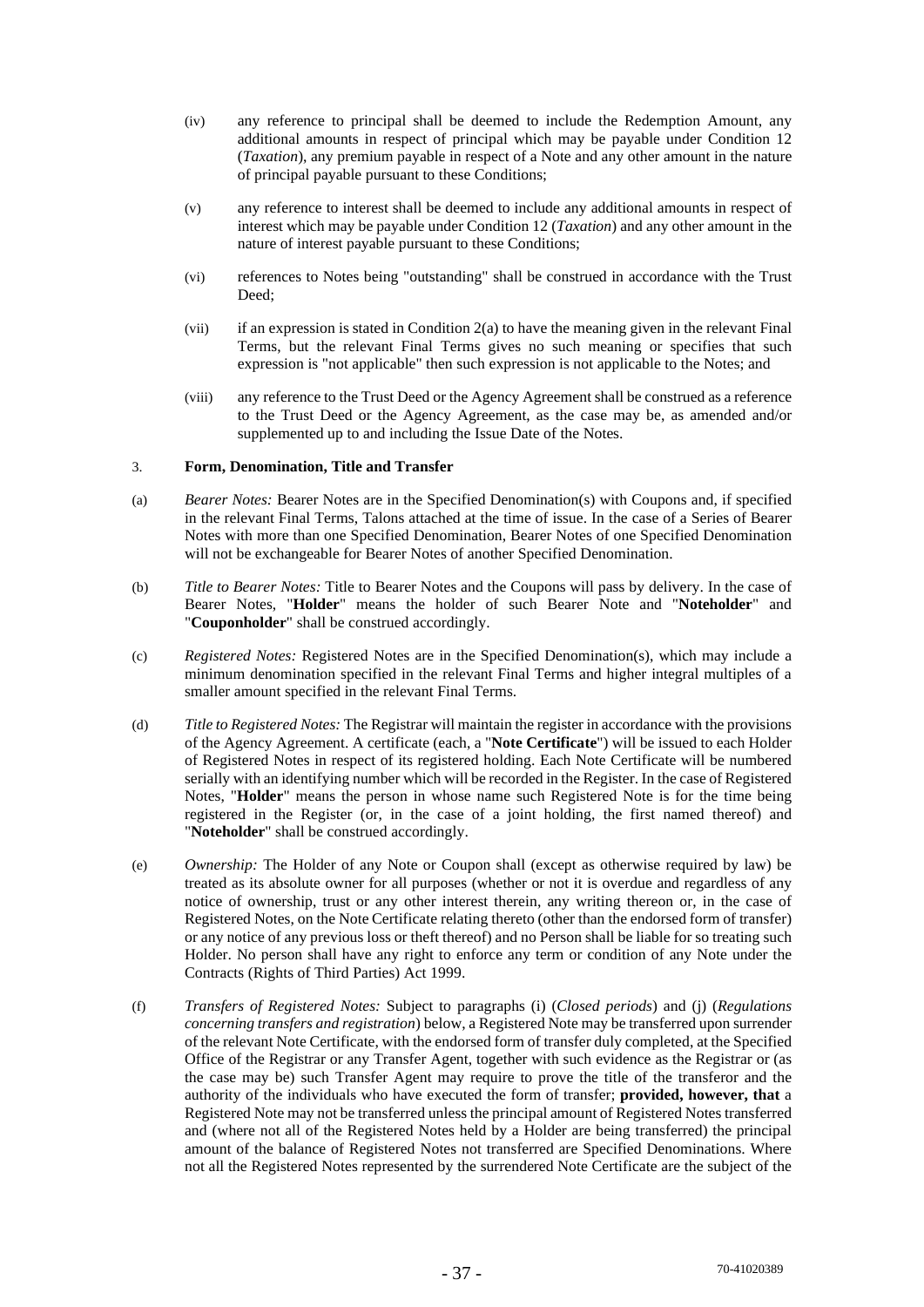- (iv) any reference to principal shall be deemed to include the Redemption Amount, any additional amounts in respect of principal which may be payable under Condition 12 (*Taxation*), any premium payable in respect of a Note and any other amount in the nature of principal payable pursuant to these Conditions;
- (v) any reference to interest shall be deemed to include any additional amounts in respect of interest which may be payable under Condition 12 (*Taxation*) and any other amount in the nature of interest payable pursuant to these Conditions;
- (vi) references to Notes being "outstanding" shall be construed in accordance with the Trust Deed;
- $(vii)$  if an expression is stated in Condition 2(a) to have the meaning given in the relevant Final Terms, but the relevant Final Terms gives no such meaning or specifies that such expression is "not applicable" then such expression is not applicable to the Notes; and
- (viii) any reference to the Trust Deed or the Agency Agreement shall be construed as a reference to the Trust Deed or the Agency Agreement, as the case may be, as amended and/or supplemented up to and including the Issue Date of the Notes.

## 3. **Form, Denomination, Title and Transfer**

- (a) *Bearer Notes:* Bearer Notes are in the Specified Denomination(s) with Coupons and, if specified in the relevant Final Terms, Talons attached at the time of issue. In the case of a Series of Bearer Notes with more than one Specified Denomination, Bearer Notes of one Specified Denomination will not be exchangeable for Bearer Notes of another Specified Denomination.
- (b) *Title to Bearer Notes:* Title to Bearer Notes and the Coupons will pass by delivery. In the case of Bearer Notes, "**Holder**" means the holder of such Bearer Note and "**Noteholder**" and "**Couponholder**" shall be construed accordingly.
- (c) *Registered Notes:* Registered Notes are in the Specified Denomination(s), which may include a minimum denomination specified in the relevant Final Terms and higher integral multiples of a smaller amount specified in the relevant Final Terms.
- (d) *Title to Registered Notes:* The Registrar will maintain the register in accordance with the provisions of the Agency Agreement. A certificate (each, a "**Note Certificate**") will be issued to each Holder of Registered Notes in respect of its registered holding. Each Note Certificate will be numbered serially with an identifying number which will be recorded in the Register. In the case of Registered Notes, "**Holder**" means the person in whose name such Registered Note is for the time being registered in the Register (or, in the case of a joint holding, the first named thereof) and "**Noteholder**" shall be construed accordingly.
- (e) *Ownership:* The Holder of any Note or Coupon shall (except as otherwise required by law) be treated as its absolute owner for all purposes (whether or not it is overdue and regardless of any notice of ownership, trust or any other interest therein, any writing thereon or, in the case of Registered Notes, on the Note Certificate relating thereto (other than the endorsed form of transfer) or any notice of any previous loss or theft thereof) and no Person shall be liable for so treating such Holder. No person shall have any right to enforce any term or condition of any Note under the Contracts (Rights of Third Parties) Act 1999.
- (f) *Transfers of Registered Notes:* Subject to paragraphs (i) (*Closed periods*) and (j) (*Regulations concerning transfers and registration*) below, a Registered Note may be transferred upon surrender of the relevant Note Certificate, with the endorsed form of transfer duly completed, at the Specified Office of the Registrar or any Transfer Agent, together with such evidence as the Registrar or (as the case may be) such Transfer Agent may require to prove the title of the transferor and the authority of the individuals who have executed the form of transfer; **provided, however, that** a Registered Note may not be transferred unless the principal amount of Registered Notes transferred and (where not all of the Registered Notes held by a Holder are being transferred) the principal amount of the balance of Registered Notes not transferred are Specified Denominations. Where not all the Registered Notes represented by the surrendered Note Certificate are the subject of the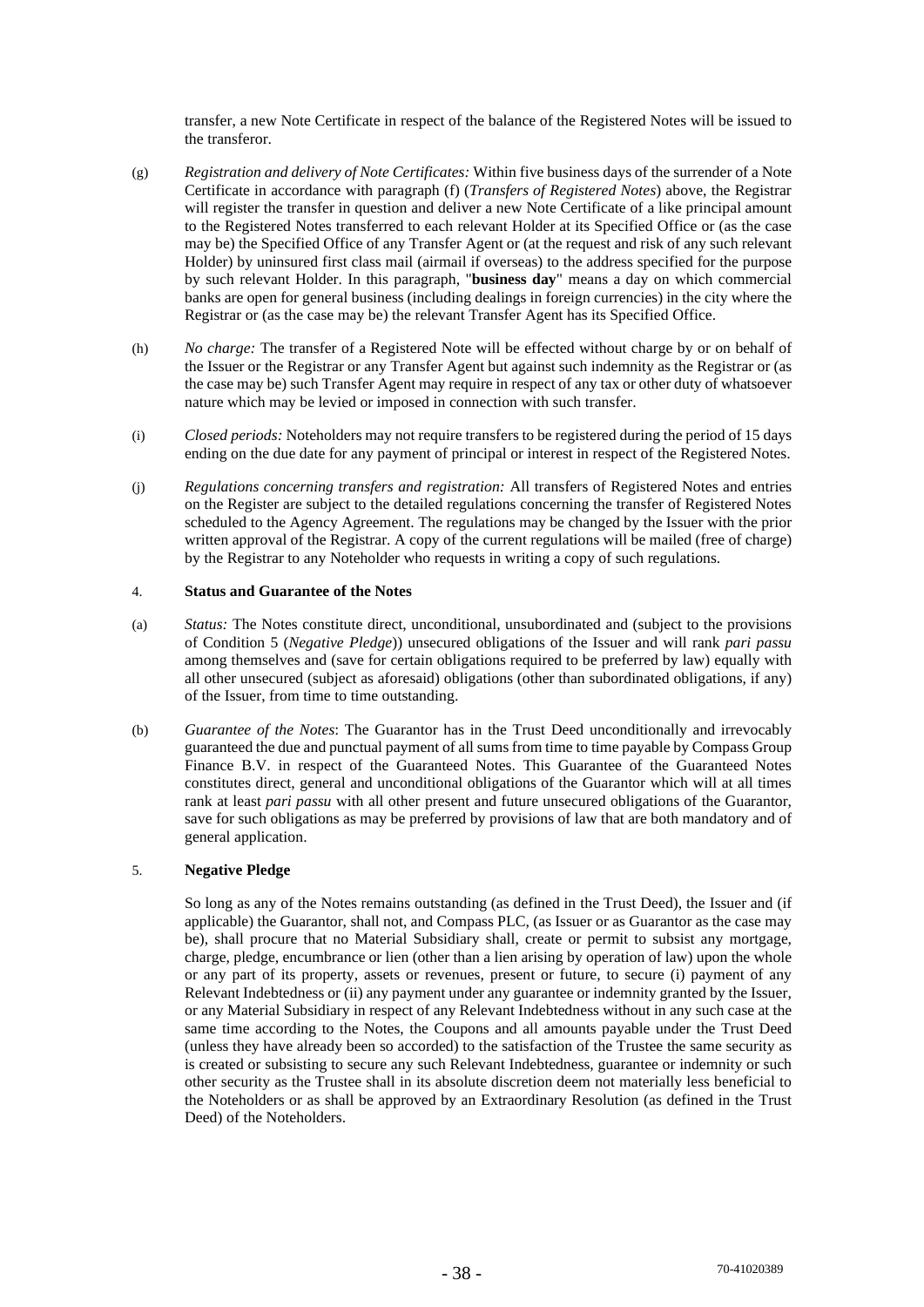transfer, a new Note Certificate in respect of the balance of the Registered Notes will be issued to the transferor.

- (g) *Registration and delivery of Note Certificates:* Within five business days of the surrender of a Note Certificate in accordance with paragraph (f) (*Transfers of Registered Notes*) above, the Registrar will register the transfer in question and deliver a new Note Certificate of a like principal amount to the Registered Notes transferred to each relevant Holder at its Specified Office or (as the case may be) the Specified Office of any Transfer Agent or (at the request and risk of any such relevant Holder) by uninsured first class mail (airmail if overseas) to the address specified for the purpose by such relevant Holder. In this paragraph, "**business day**" means a day on which commercial banks are open for general business (including dealings in foreign currencies) in the city where the Registrar or (as the case may be) the relevant Transfer Agent has its Specified Office.
- (h) *No charge:* The transfer of a Registered Note will be effected without charge by or on behalf of the Issuer or the Registrar or any Transfer Agent but against such indemnity as the Registrar or (as the case may be) such Transfer Agent may require in respect of any tax or other duty of whatsoever nature which may be levied or imposed in connection with such transfer.
- (i) *Closed periods:* Noteholders may not require transfers to be registered during the period of 15 days ending on the due date for any payment of principal or interest in respect of the Registered Notes.
- (j) *Regulations concerning transfers and registration:* All transfers of Registered Notes and entries on the Register are subject to the detailed regulations concerning the transfer of Registered Notes scheduled to the Agency Agreement. The regulations may be changed by the Issuer with the prior written approval of the Registrar. A copy of the current regulations will be mailed (free of charge) by the Registrar to any Noteholder who requests in writing a copy of such regulations.

#### 4. **Status and Guarantee of the Notes**

- (a) *Status:* The Notes constitute direct, unconditional, unsubordinated and (subject to the provisions of Condition 5 (*Negative Pledge*)) unsecured obligations of the Issuer and will rank *pari passu*  among themselves and (save for certain obligations required to be preferred by law) equally with all other unsecured (subject as aforesaid) obligations (other than subordinated obligations, if any) of the Issuer, from time to time outstanding.
- (b) *Guarantee of the Notes*: The Guarantor has in the Trust Deed unconditionally and irrevocably guaranteed the due and punctual payment of all sums from time to time payable by Compass Group Finance B.V. in respect of the Guaranteed Notes. This Guarantee of the Guaranteed Notes constitutes direct, general and unconditional obligations of the Guarantor which will at all times rank at least *pari passu* with all other present and future unsecured obligations of the Guarantor, save for such obligations as may be preferred by provisions of law that are both mandatory and of general application.

## 5. **Negative Pledge**

So long as any of the Notes remains outstanding (as defined in the Trust Deed), the Issuer and (if applicable) the Guarantor, shall not, and Compass PLC, (as Issuer or as Guarantor as the case may be), shall procure that no Material Subsidiary shall, create or permit to subsist any mortgage, charge, pledge, encumbrance or lien (other than a lien arising by operation of law) upon the whole or any part of its property, assets or revenues, present or future, to secure (i) payment of any Relevant Indebtedness or (ii) any payment under any guarantee or indemnity granted by the Issuer, or any Material Subsidiary in respect of any Relevant Indebtedness without in any such case at the same time according to the Notes, the Coupons and all amounts payable under the Trust Deed (unless they have already been so accorded) to the satisfaction of the Trustee the same security as is created or subsisting to secure any such Relevant Indebtedness, guarantee or indemnity or such other security as the Trustee shall in its absolute discretion deem not materially less beneficial to the Noteholders or as shall be approved by an Extraordinary Resolution (as defined in the Trust Deed) of the Noteholders.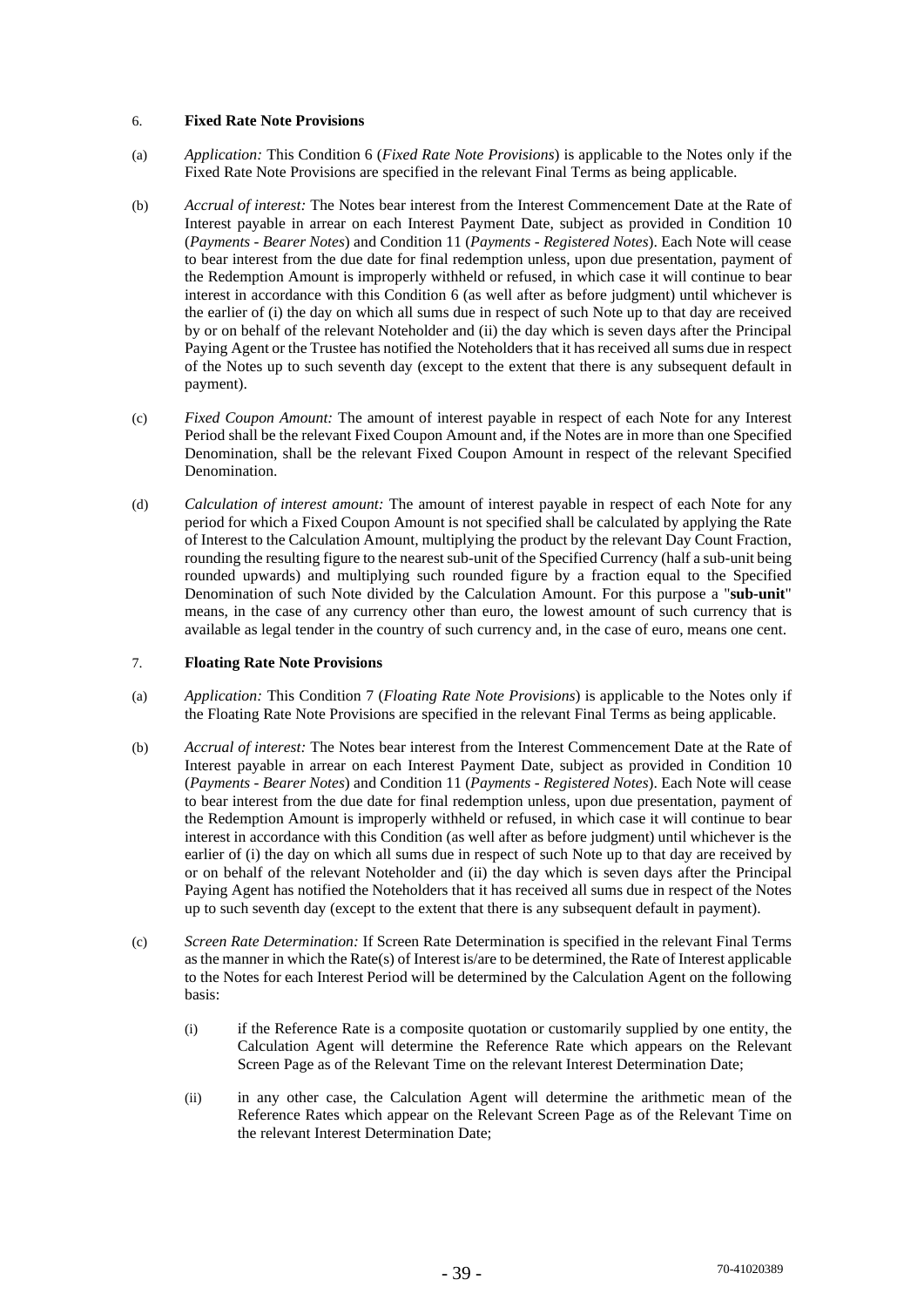## 6. **Fixed Rate Note Provisions**

- (a) *Application:* This Condition 6 (*Fixed Rate Note Provisions*) is applicable to the Notes only if the Fixed Rate Note Provisions are specified in the relevant Final Terms as being applicable.
- (b) *Accrual of interest:* The Notes bear interest from the Interest Commencement Date at the Rate of Interest payable in arrear on each Interest Payment Date, subject as provided in Condition 10 (*Payments - Bearer Notes*) and Condition 11 (*Payments - Registered Notes*). Each Note will cease to bear interest from the due date for final redemption unless, upon due presentation, payment of the Redemption Amount is improperly withheld or refused, in which case it will continue to bear interest in accordance with this Condition 6 (as well after as before judgment) until whichever is the earlier of (i) the day on which all sums due in respect of such Note up to that day are received by or on behalf of the relevant Noteholder and (ii) the day which is seven days after the Principal Paying Agent or the Trustee has notified the Noteholders that it has received all sums due in respect of the Notes up to such seventh day (except to the extent that there is any subsequent default in payment).
- (c) *Fixed Coupon Amount:* The amount of interest payable in respect of each Note for any Interest Period shall be the relevant Fixed Coupon Amount and, if the Notes are in more than one Specified Denomination, shall be the relevant Fixed Coupon Amount in respect of the relevant Specified Denomination.
- (d) *Calculation of interest amount:* The amount of interest payable in respect of each Note for any period for which a Fixed Coupon Amount is not specified shall be calculated by applying the Rate of Interest to the Calculation Amount, multiplying the product by the relevant Day Count Fraction, rounding the resulting figure to the nearest sub-unit of the Specified Currency (half a sub-unit being rounded upwards) and multiplying such rounded figure by a fraction equal to the Specified Denomination of such Note divided by the Calculation Amount. For this purpose a "**sub-unit**" means, in the case of any currency other than euro, the lowest amount of such currency that is available as legal tender in the country of such currency and, in the case of euro, means one cent.

## 7. **Floating Rate Note Provisions**

- (a) *Application:* This Condition 7 (*Floating Rate Note Provisions*) is applicable to the Notes only if the Floating Rate Note Provisions are specified in the relevant Final Terms as being applicable.
- (b) *Accrual of interest:* The Notes bear interest from the Interest Commencement Date at the Rate of Interest payable in arrear on each Interest Payment Date, subject as provided in Condition 10 (*Payments - Bearer Notes*) and Condition 11 (*Payments - Registered Notes*). Each Note will cease to bear interest from the due date for final redemption unless, upon due presentation, payment of the Redemption Amount is improperly withheld or refused, in which case it will continue to bear interest in accordance with this Condition (as well after as before judgment) until whichever is the earlier of (i) the day on which all sums due in respect of such Note up to that day are received by or on behalf of the relevant Noteholder and (ii) the day which is seven days after the Principal Paying Agent has notified the Noteholders that it has received all sums due in respect of the Notes up to such seventh day (except to the extent that there is any subsequent default in payment).
- (c) *Screen Rate Determination:* If Screen Rate Determination is specified in the relevant Final Terms as the manner in which the Rate(s) of Interest is/are to be determined, the Rate of Interest applicable to the Notes for each Interest Period will be determined by the Calculation Agent on the following basis:
	- (i) if the Reference Rate is a composite quotation or customarily supplied by one entity, the Calculation Agent will determine the Reference Rate which appears on the Relevant Screen Page as of the Relevant Time on the relevant Interest Determination Date:
	- (ii) in any other case, the Calculation Agent will determine the arithmetic mean of the Reference Rates which appear on the Relevant Screen Page as of the Relevant Time on the relevant Interest Determination Date;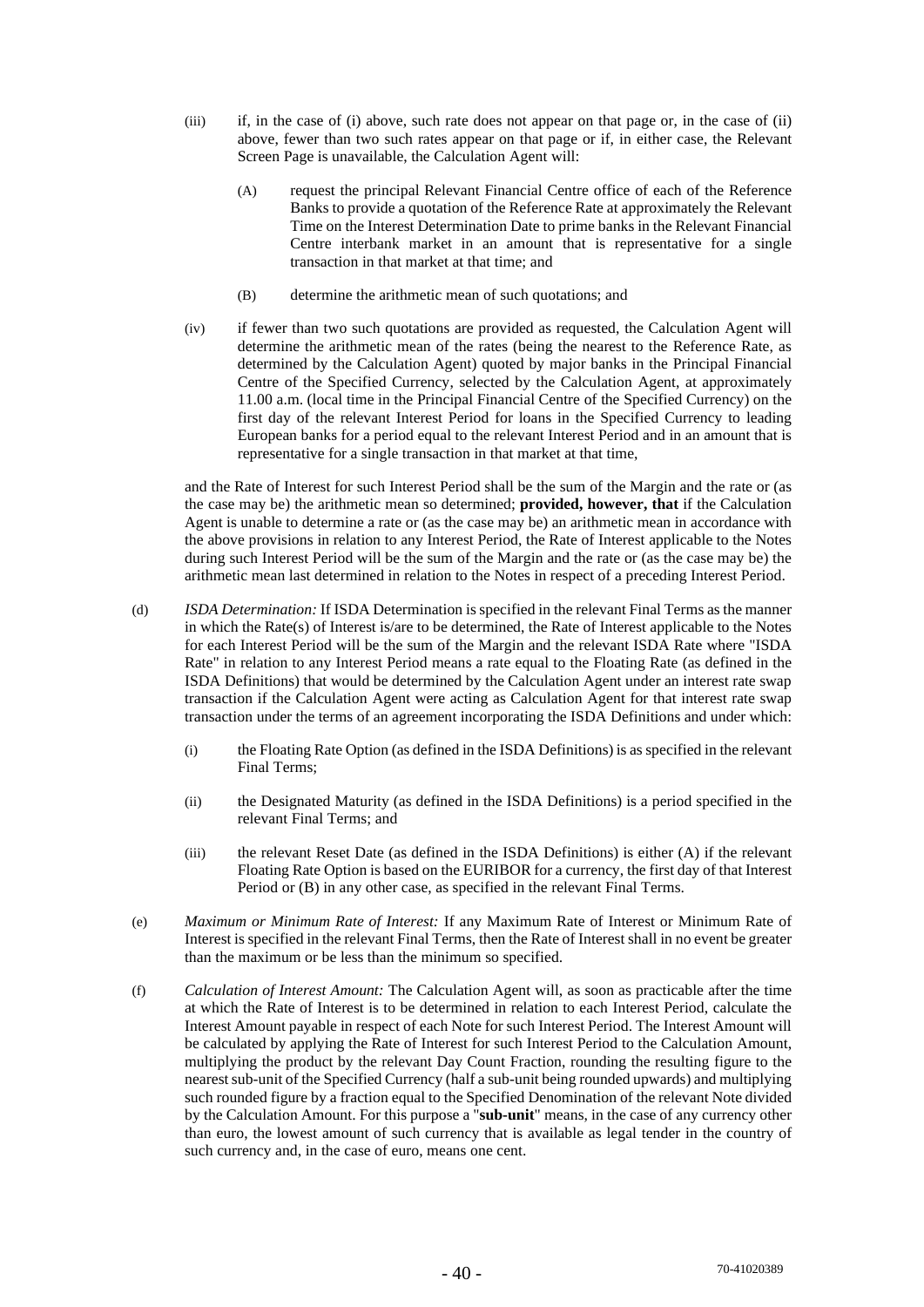- (iii) if, in the case of (i) above, such rate does not appear on that page or, in the case of (ii) above, fewer than two such rates appear on that page or if, in either case, the Relevant Screen Page is unavailable, the Calculation Agent will:
	- (A) request the principal Relevant Financial Centre office of each of the Reference Banks to provide a quotation of the Reference Rate at approximately the Relevant Time on the Interest Determination Date to prime banks in the Relevant Financial Centre interbank market in an amount that is representative for a single transaction in that market at that time; and
	- (B) determine the arithmetic mean of such quotations; and
- (iv) if fewer than two such quotations are provided as requested, the Calculation Agent will determine the arithmetic mean of the rates (being the nearest to the Reference Rate, as determined by the Calculation Agent) quoted by major banks in the Principal Financial Centre of the Specified Currency, selected by the Calculation Agent, at approximately 11.00 a.m. (local time in the Principal Financial Centre of the Specified Currency) on the first day of the relevant Interest Period for loans in the Specified Currency to leading European banks for a period equal to the relevant Interest Period and in an amount that is representative for a single transaction in that market at that time,

and the Rate of Interest for such Interest Period shall be the sum of the Margin and the rate or (as the case may be) the arithmetic mean so determined; **provided, however, that** if the Calculation Agent is unable to determine a rate or (as the case may be) an arithmetic mean in accordance with the above provisions in relation to any Interest Period, the Rate of Interest applicable to the Notes during such Interest Period will be the sum of the Margin and the rate or (as the case may be) the arithmetic mean last determined in relation to the Notes in respect of a preceding Interest Period.

- (d) *ISDA Determination:* If ISDA Determination is specified in the relevant Final Terms as the manner in which the Rate(s) of Interest is/are to be determined, the Rate of Interest applicable to the Notes for each Interest Period will be the sum of the Margin and the relevant ISDA Rate where "ISDA Rate" in relation to any Interest Period means a rate equal to the Floating Rate (as defined in the ISDA Definitions) that would be determined by the Calculation Agent under an interest rate swap transaction if the Calculation Agent were acting as Calculation Agent for that interest rate swap transaction under the terms of an agreement incorporating the ISDA Definitions and under which:
	- (i) the Floating Rate Option (as defined in the ISDA Definitions) is as specified in the relevant Final Terms;
	- (ii) the Designated Maturity (as defined in the ISDA Definitions) is a period specified in the relevant Final Terms; and
	- (iii) the relevant Reset Date (as defined in the ISDA Definitions) is either (A) if the relevant Floating Rate Option is based on the EURIBOR for a currency, the first day of that Interest Period or (B) in any other case, as specified in the relevant Final Terms.
- (e) *Maximum or Minimum Rate of Interest:* If any Maximum Rate of Interest or Minimum Rate of Interest is specified in the relevant Final Terms, then the Rate of Interest shall in no event be greater than the maximum or be less than the minimum so specified.
- (f) *Calculation of Interest Amount:* The Calculation Agent will, as soon as practicable after the time at which the Rate of Interest is to be determined in relation to each Interest Period, calculate the Interest Amount payable in respect of each Note for such Interest Period. The Interest Amount will be calculated by applying the Rate of Interest for such Interest Period to the Calculation Amount, multiplying the product by the relevant Day Count Fraction, rounding the resulting figure to the nearest sub-unit of the Specified Currency (half a sub-unit being rounded upwards) and multiplying such rounded figure by a fraction equal to the Specified Denomination of the relevant Note divided by the Calculation Amount. For this purpose a "**sub-unit**" means, in the case of any currency other than euro, the lowest amount of such currency that is available as legal tender in the country of such currency and, in the case of euro, means one cent.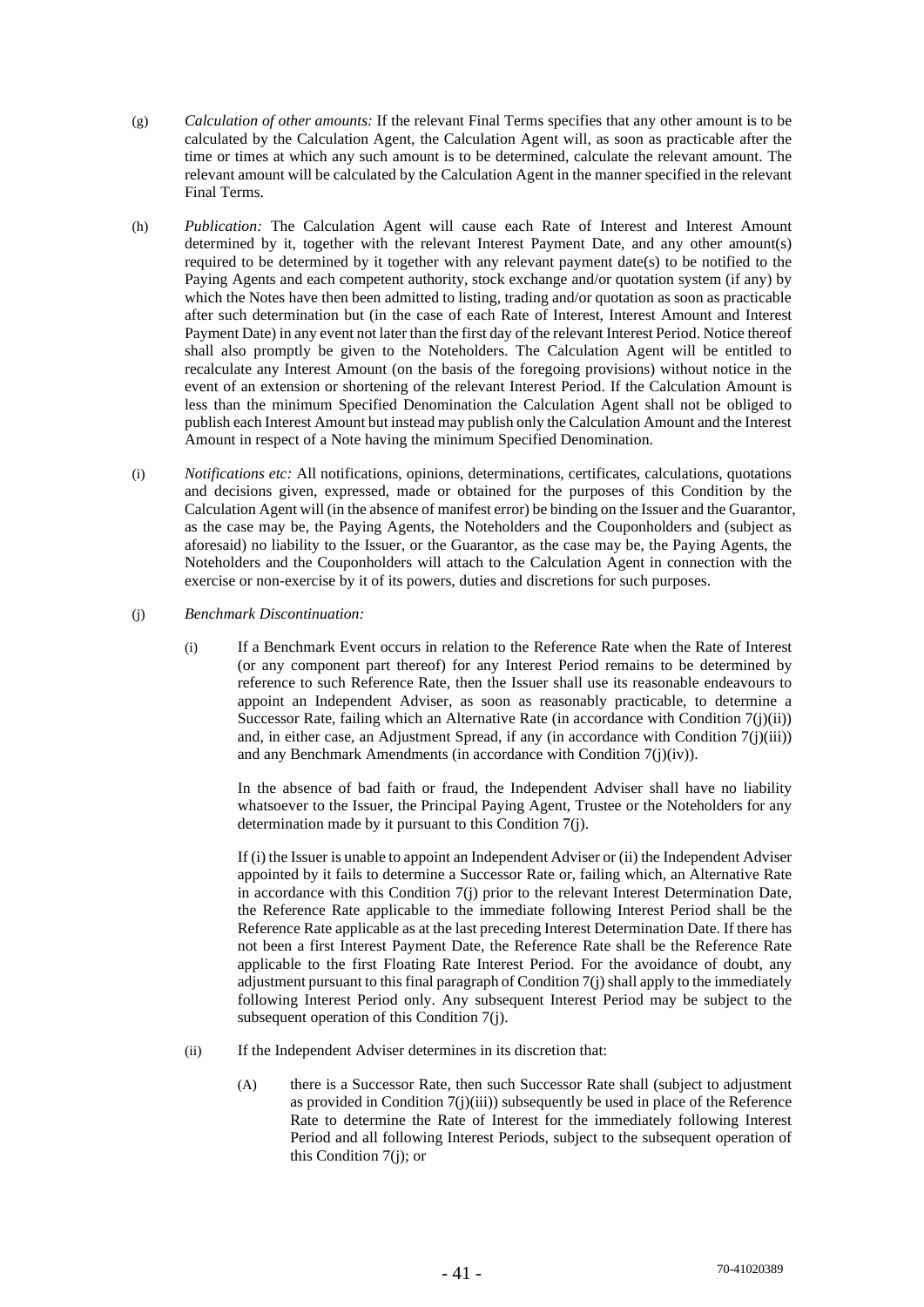- (g) *Calculation of other amounts:* If the relevant Final Terms specifies that any other amount is to be calculated by the Calculation Agent, the Calculation Agent will, as soon as practicable after the time or times at which any such amount is to be determined, calculate the relevant amount. The relevant amount will be calculated by the Calculation Agent in the manner specified in the relevant Final Terms.
- (h) *Publication:* The Calculation Agent will cause each Rate of Interest and Interest Amount determined by it, together with the relevant Interest Payment Date, and any other amount(s) required to be determined by it together with any relevant payment date(s) to be notified to the Paying Agents and each competent authority, stock exchange and/or quotation system (if any) by which the Notes have then been admitted to listing, trading and/or quotation as soon as practicable after such determination but (in the case of each Rate of Interest, Interest Amount and Interest Payment Date) in any event not later than the first day of the relevant Interest Period. Notice thereof shall also promptly be given to the Noteholders. The Calculation Agent will be entitled to recalculate any Interest Amount (on the basis of the foregoing provisions) without notice in the event of an extension or shortening of the relevant Interest Period. If the Calculation Amount is less than the minimum Specified Denomination the Calculation Agent shall not be obliged to publish each Interest Amount but instead may publish only the Calculation Amount and the Interest Amount in respect of a Note having the minimum Specified Denomination.
- (i) *Notifications etc:* All notifications, opinions, determinations, certificates, calculations, quotations and decisions given, expressed, made or obtained for the purposes of this Condition by the Calculation Agent will (in the absence of manifest error) be binding on the Issuer and the Guarantor, as the case may be, the Paying Agents, the Noteholders and the Couponholders and (subject as aforesaid) no liability to the Issuer, or the Guarantor, as the case may be, the Paying Agents, the Noteholders and the Couponholders will attach to the Calculation Agent in connection with the exercise or non-exercise by it of its powers, duties and discretions for such purposes.
- (j) *Benchmark Discontinuation:* 
	- (i) If a Benchmark Event occurs in relation to the Reference Rate when the Rate of Interest (or any component part thereof) for any Interest Period remains to be determined by reference to such Reference Rate, then the Issuer shall use its reasonable endeavours to appoint an Independent Adviser, as soon as reasonably practicable, to determine a Successor Rate, failing which an Alternative Rate (in accordance with Condition 7(j)(ii)) and, in either case, an Adjustment Spread, if any (in accordance with Condition  $7(j(iii))$ ) and any Benchmark Amendments (in accordance with Condition 7(j)(iv)).

In the absence of bad faith or fraud, the Independent Adviser shall have no liability whatsoever to the Issuer, the Principal Paying Agent, Trustee or the Noteholders for any determination made by it pursuant to this Condition 7(j).

If (i) the Issuer is unable to appoint an Independent Adviser or (ii) the Independent Adviser appointed by it fails to determine a Successor Rate or, failing which, an Alternative Rate in accordance with this Condition 7(j) prior to the relevant Interest Determination Date, the Reference Rate applicable to the immediate following Interest Period shall be the Reference Rate applicable as at the last preceding Interest Determination Date. If there has not been a first Interest Payment Date, the Reference Rate shall be the Reference Rate applicable to the first Floating Rate Interest Period. For the avoidance of doubt, any adjustment pursuant to this final paragraph of Condition 7(j) shall apply to the immediately following Interest Period only. Any subsequent Interest Period may be subject to the subsequent operation of this Condition 7(j).

- (ii) If the Independent Adviser determines in its discretion that:
	- (A) there is a Successor Rate, then such Successor Rate shall (subject to adjustment as provided in Condition  $7(i)(iii)$ ) subsequently be used in place of the Reference Rate to determine the Rate of Interest for the immediately following Interest Period and all following Interest Periods, subject to the subsequent operation of this Condition 7(j); or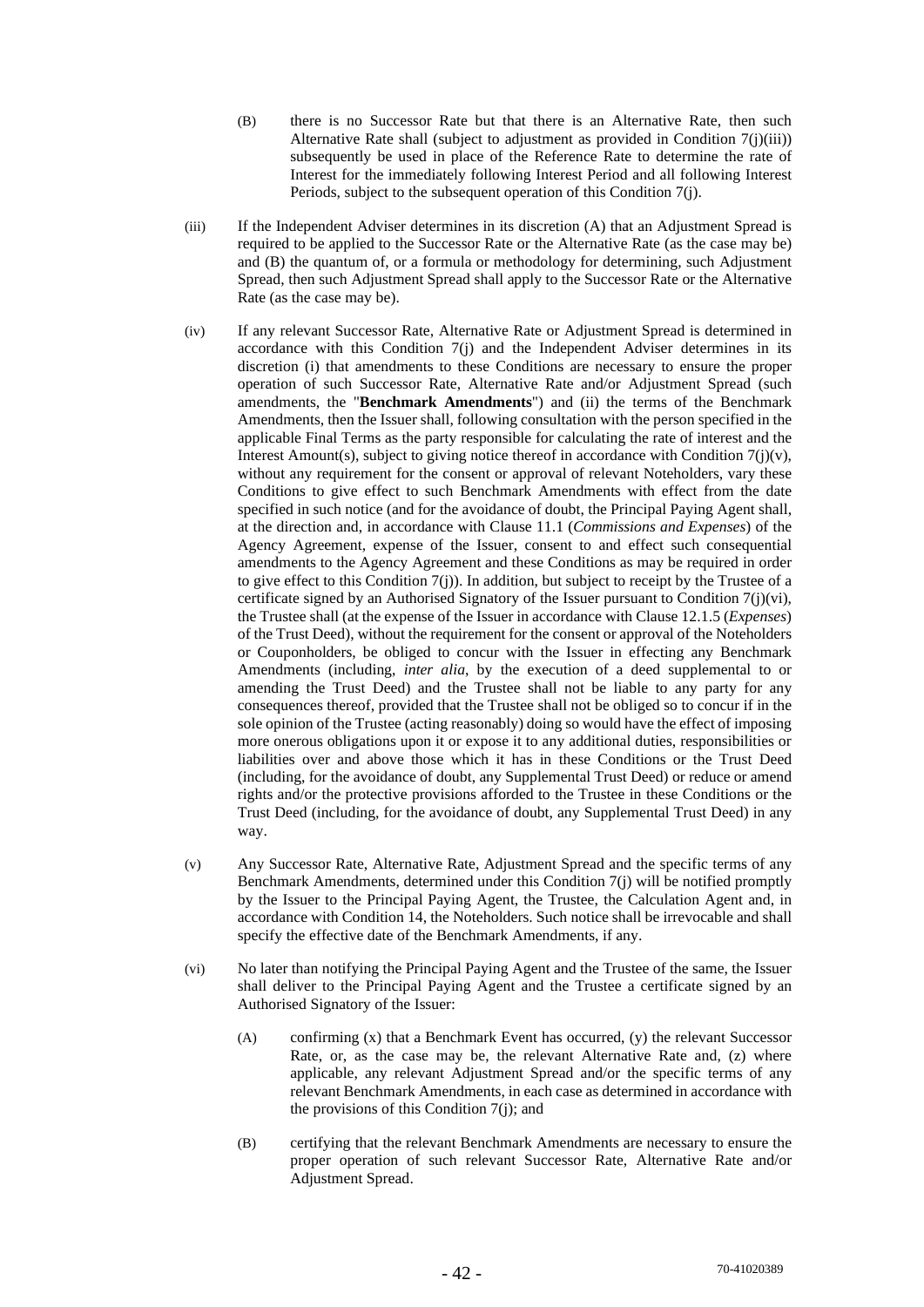- (B) there is no Successor Rate but that there is an Alternative Rate, then such Alternative Rate shall (subject to adjustment as provided in Condition 7(j)(iii)) subsequently be used in place of the Reference Rate to determine the rate of Interest for the immediately following Interest Period and all following Interest Periods, subject to the subsequent operation of this Condition 7(j).
- (iii) If the Independent Adviser determines in its discretion (A) that an Adjustment Spread is required to be applied to the Successor Rate or the Alternative Rate (as the case may be) and (B) the quantum of, or a formula or methodology for determining, such Adjustment Spread, then such Adjustment Spread shall apply to the Successor Rate or the Alternative Rate (as the case may be).
- (iv) If any relevant Successor Rate, Alternative Rate or Adjustment Spread is determined in accordance with this Condition 7(j) and the Independent Adviser determines in its discretion (i) that amendments to these Conditions are necessary to ensure the proper operation of such Successor Rate, Alternative Rate and/or Adjustment Spread (such amendments, the "**Benchmark Amendments**") and (ii) the terms of the Benchmark Amendments, then the Issuer shall, following consultation with the person specified in the applicable Final Terms as the party responsible for calculating the rate of interest and the Interest Amount(s), subject to giving notice thereof in accordance with Condition  $7(i)(v)$ , without any requirement for the consent or approval of relevant Noteholders, vary these Conditions to give effect to such Benchmark Amendments with effect from the date specified in such notice (and for the avoidance of doubt, the Principal Paying Agent shall, at the direction and, in accordance with Clause 11.1 (*Commissions and Expenses*) of the Agency Agreement, expense of the Issuer, consent to and effect such consequential amendments to the Agency Agreement and these Conditions as may be required in order to give effect to this Condition  $7(j)$ ). In addition, but subject to receipt by the Trustee of a certificate signed by an Authorised Signatory of the Issuer pursuant to Condition 7(j)(vi), the Trustee shall (at the expense of the Issuer in accordance with Clause 12.1.5 (*Expenses*) of the Trust Deed), without the requirement for the consent or approval of the Noteholders or Couponholders, be obliged to concur with the Issuer in effecting any Benchmark Amendments (including, *inter alia*, by the execution of a deed supplemental to or amending the Trust Deed) and the Trustee shall not be liable to any party for any consequences thereof, provided that the Trustee shall not be obliged so to concur if in the sole opinion of the Trustee (acting reasonably) doing so would have the effect of imposing more onerous obligations upon it or expose it to any additional duties, responsibilities or liabilities over and above those which it has in these Conditions or the Trust Deed (including, for the avoidance of doubt, any Supplemental Trust Deed) or reduce or amend rights and/or the protective provisions afforded to the Trustee in these Conditions or the Trust Deed (including, for the avoidance of doubt, any Supplemental Trust Deed) in any way.
- (v) Any Successor Rate, Alternative Rate, Adjustment Spread and the specific terms of any Benchmark Amendments, determined under this Condition 7(j) will be notified promptly by the Issuer to the Principal Paying Agent, the Trustee, the Calculation Agent and, in accordance with Condition 14, the Noteholders. Such notice shall be irrevocable and shall specify the effective date of the Benchmark Amendments, if any.
- (vi) No later than notifying the Principal Paying Agent and the Trustee of the same, the Issuer shall deliver to the Principal Paying Agent and the Trustee a certificate signed by an Authorised Signatory of the Issuer:
	- (A) confirming (x) that a Benchmark Event has occurred, (y) the relevant Successor Rate, or, as the case may be, the relevant Alternative Rate and, (z) where applicable, any relevant Adjustment Spread and/or the specific terms of any relevant Benchmark Amendments, in each case as determined in accordance with the provisions of this Condition 7(j); and
	- (B) certifying that the relevant Benchmark Amendments are necessary to ensure the proper operation of such relevant Successor Rate, Alternative Rate and/or Adjustment Spread.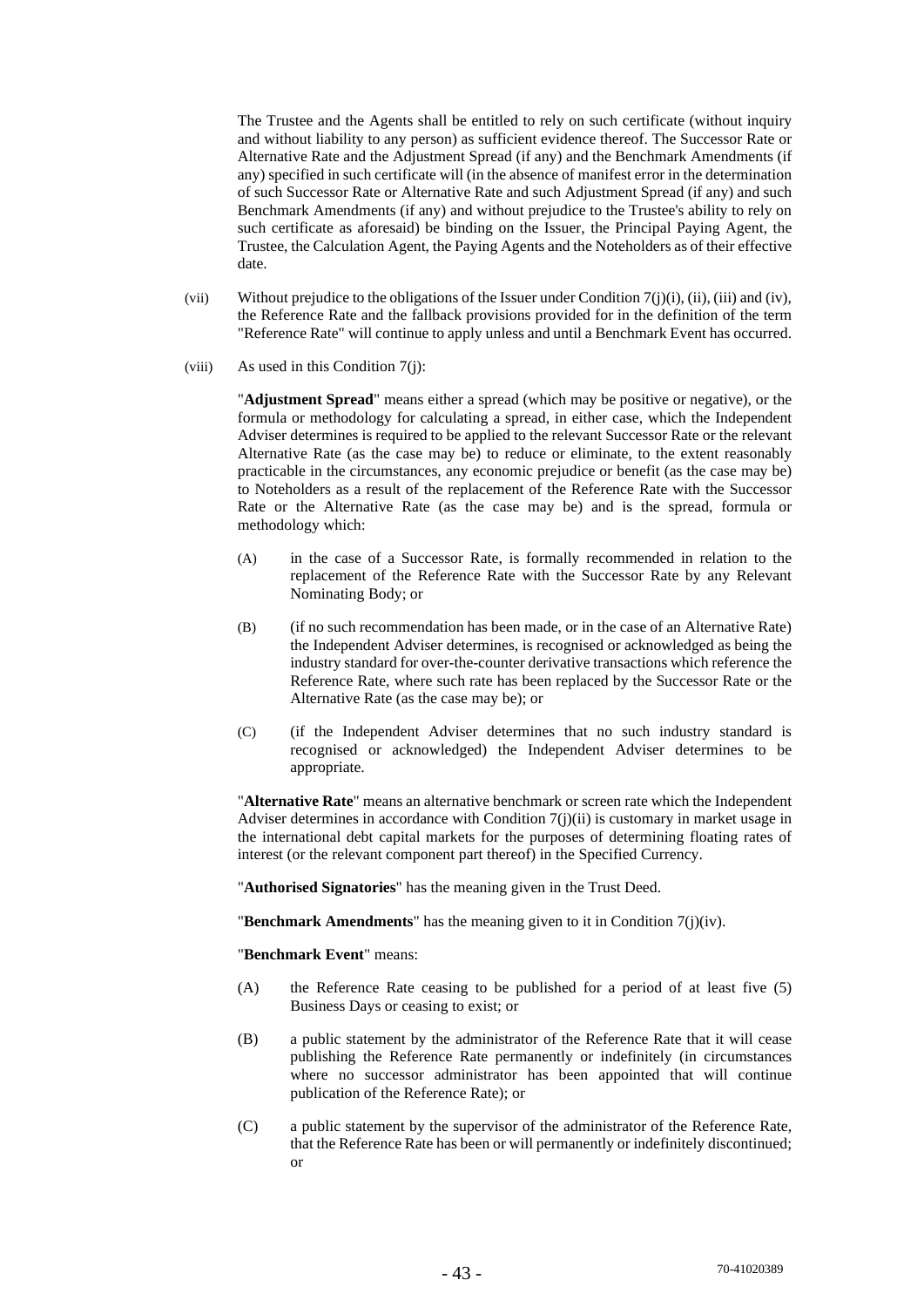The Trustee and the Agents shall be entitled to rely on such certificate (without inquiry and without liability to any person) as sufficient evidence thereof. The Successor Rate or Alternative Rate and the Adjustment Spread (if any) and the Benchmark Amendments (if any) specified in such certificate will (in the absence of manifest error in the determination of such Successor Rate or Alternative Rate and such Adjustment Spread (if any) and such Benchmark Amendments (if any) and without prejudice to the Trustee's ability to rely on such certificate as aforesaid) be binding on the Issuer, the Principal Paying Agent, the Trustee, the Calculation Agent, the Paying Agents and the Noteholders as of their effective date.

- (vii) Without prejudice to the obligations of the Issuer under Condition 7(j)(i), (ii), (iii) and (iv), the Reference Rate and the fallback provisions provided for in the definition of the term "Reference Rate" will continue to apply unless and until a Benchmark Event has occurred.
- $(viii)$  As used in this Condition  $7(i)$ :

"**Adjustment Spread**" means either a spread (which may be positive or negative), or the formula or methodology for calculating a spread, in either case, which the Independent Adviser determines is required to be applied to the relevant Successor Rate or the relevant Alternative Rate (as the case may be) to reduce or eliminate, to the extent reasonably practicable in the circumstances, any economic prejudice or benefit (as the case may be) to Noteholders as a result of the replacement of the Reference Rate with the Successor Rate or the Alternative Rate (as the case may be) and is the spread, formula or methodology which:

- (A) in the case of a Successor Rate, is formally recommended in relation to the replacement of the Reference Rate with the Successor Rate by any Relevant Nominating Body; or
- (B) (if no such recommendation has been made, or in the case of an Alternative Rate) the Independent Adviser determines, is recognised or acknowledged as being the industry standard for over-the-counter derivative transactions which reference the Reference Rate, where such rate has been replaced by the Successor Rate or the Alternative Rate (as the case may be); or
- (C) (if the Independent Adviser determines that no such industry standard is recognised or acknowledged) the Independent Adviser determines to be appropriate.

"**Alternative Rate**" means an alternative benchmark or screen rate which the Independent Adviser determines in accordance with Condition  $7(i)(ii)$  is customary in market usage in the international debt capital markets for the purposes of determining floating rates of interest (or the relevant component part thereof) in the Specified Currency.

"**Authorised Signatories**" has the meaning given in the Trust Deed.

"**Benchmark Amendments**" has the meaning given to it in Condition 7(j)(iv).

"**Benchmark Event**" means:

- (A) the Reference Rate ceasing to be published for a period of at least five (5) Business Days or ceasing to exist; or
- (B) a public statement by the administrator of the Reference Rate that it will cease publishing the Reference Rate permanently or indefinitely (in circumstances where no successor administrator has been appointed that will continue publication of the Reference Rate); or
- (C) a public statement by the supervisor of the administrator of the Reference Rate, that the Reference Rate has been or will permanently or indefinitely discontinued; or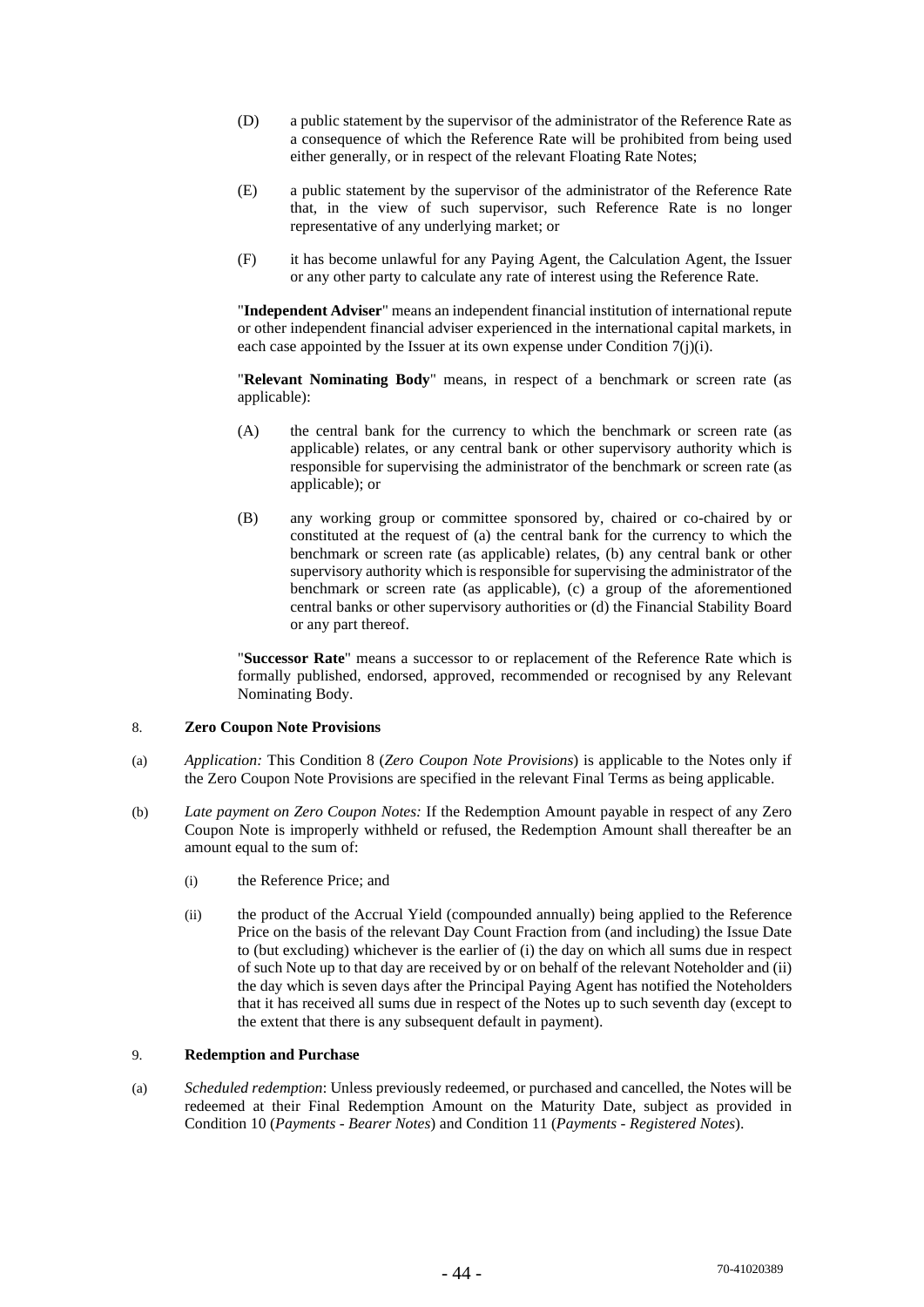- (D) a public statement by the supervisor of the administrator of the Reference Rate as a consequence of which the Reference Rate will be prohibited from being used either generally, or in respect of the relevant Floating Rate Notes;
- (E) a public statement by the supervisor of the administrator of the Reference Rate that, in the view of such supervisor, such Reference Rate is no longer representative of any underlying market; or
- (F) it has become unlawful for any Paying Agent, the Calculation Agent, the Issuer or any other party to calculate any rate of interest using the Reference Rate.

"**Independent Adviser**" means an independent financial institution of international repute or other independent financial adviser experienced in the international capital markets, in each case appointed by the Issuer at its own expense under Condition 7(j)(i).

"**Relevant Nominating Body**" means, in respect of a benchmark or screen rate (as applicable):

- (A) the central bank for the currency to which the benchmark or screen rate (as applicable) relates, or any central bank or other supervisory authority which is responsible for supervising the administrator of the benchmark or screen rate (as applicable); or
- (B) any working group or committee sponsored by, chaired or co-chaired by or constituted at the request of (a) the central bank for the currency to which the benchmark or screen rate (as applicable) relates, (b) any central bank or other supervisory authority which is responsible for supervising the administrator of the benchmark or screen rate (as applicable), (c) a group of the aforementioned central banks or other supervisory authorities or (d) the Financial Stability Board or any part thereof.

"**Successor Rate**" means a successor to or replacement of the Reference Rate which is formally published, endorsed, approved, recommended or recognised by any Relevant Nominating Body.

## 8. **Zero Coupon Note Provisions**

- (a) *Application:* This Condition 8 (*Zero Coupon Note Provisions*) is applicable to the Notes only if the Zero Coupon Note Provisions are specified in the relevant Final Terms as being applicable.
- (b) *Late payment on Zero Coupon Notes:* If the Redemption Amount payable in respect of any Zero Coupon Note is improperly withheld or refused, the Redemption Amount shall thereafter be an amount equal to the sum of:
	- (i) the Reference Price; and
	- (ii) the product of the Accrual Yield (compounded annually) being applied to the Reference Price on the basis of the relevant Day Count Fraction from (and including) the Issue Date to (but excluding) whichever is the earlier of (i) the day on which all sums due in respect of such Note up to that day are received by or on behalf of the relevant Noteholder and (ii) the day which is seven days after the Principal Paying Agent has notified the Noteholders that it has received all sums due in respect of the Notes up to such seventh day (except to the extent that there is any subsequent default in payment).

## 9. **Redemption and Purchase**

(a) *Scheduled redemption*: Unless previously redeemed, or purchased and cancelled, the Notes will be redeemed at their Final Redemption Amount on the Maturity Date, subject as provided in Condition 10 (*Payments - Bearer Notes*) and Condition 11 (*Payments - Registered Notes*).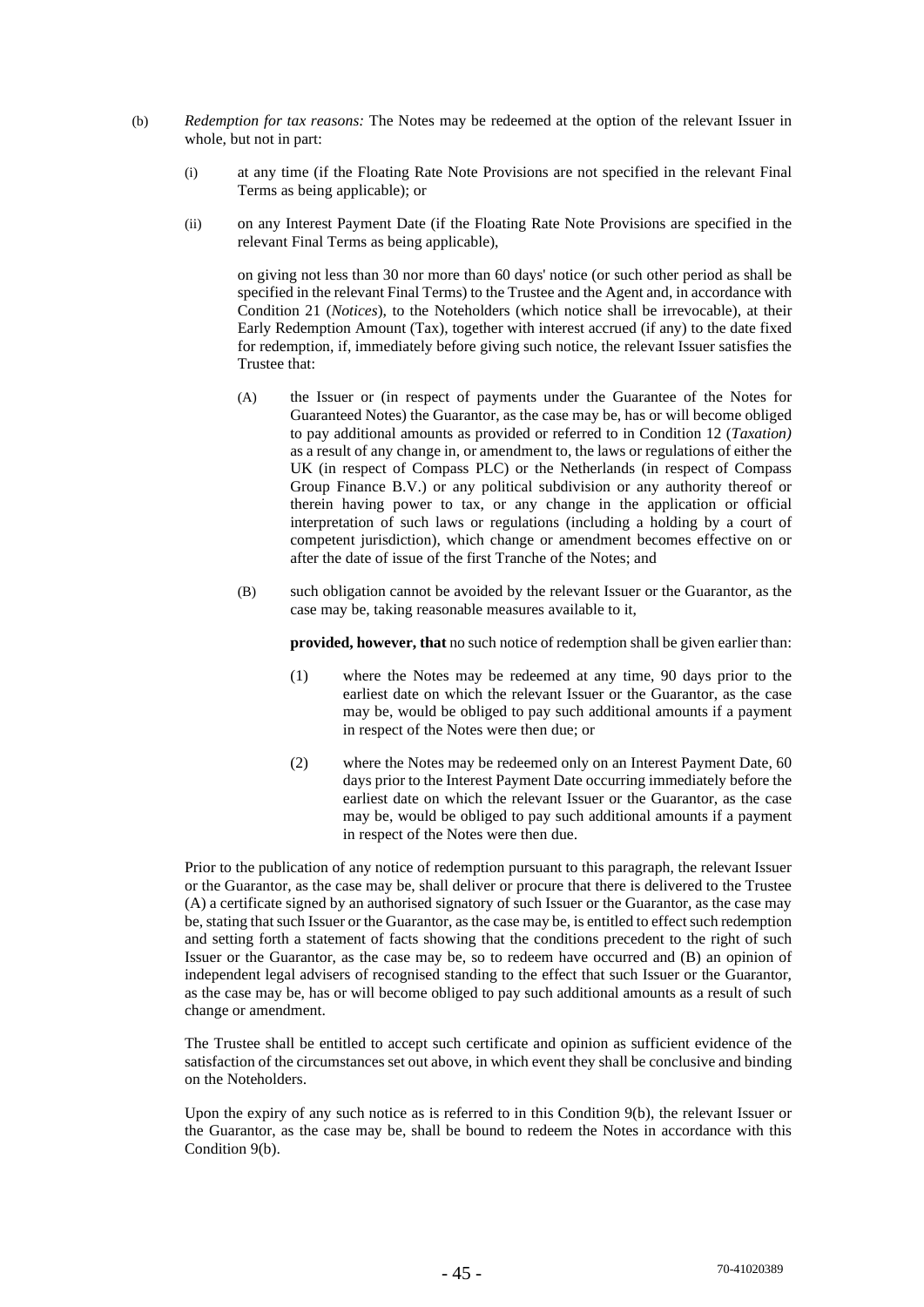- (b) *Redemption for tax reasons:* The Notes may be redeemed at the option of the relevant Issuer in whole, but not in part:
	- (i) at any time (if the Floating Rate Note Provisions are not specified in the relevant Final Terms as being applicable); or
	- (ii) on any Interest Payment Date (if the Floating Rate Note Provisions are specified in the relevant Final Terms as being applicable),

on giving not less than 30 nor more than 60 days' notice (or such other period as shall be specified in the relevant Final Terms) to the Trustee and the Agent and, in accordance with Condition 21 (*Notices*), to the Noteholders (which notice shall be irrevocable), at their Early Redemption Amount (Tax), together with interest accrued (if any) to the date fixed for redemption, if, immediately before giving such notice, the relevant Issuer satisfies the Trustee that:

- (A) the Issuer or (in respect of payments under the Guarantee of the Notes for Guaranteed Notes) the Guarantor, as the case may be, has or will become obliged to pay additional amounts as provided or referred to in Condition 12 (*Taxation)*  as a result of any change in, or amendment to, the laws or regulations of either the UK (in respect of Compass PLC) or the Netherlands (in respect of Compass Group Finance B.V.) or any political subdivision or any authority thereof or therein having power to tax, or any change in the application or official interpretation of such laws or regulations (including a holding by a court of competent jurisdiction), which change or amendment becomes effective on or after the date of issue of the first Tranche of the Notes; and
- (B) such obligation cannot be avoided by the relevant Issuer or the Guarantor, as the case may be, taking reasonable measures available to it,

**provided, however, that** no such notice of redemption shall be given earlier than:

- (1) where the Notes may be redeemed at any time, 90 days prior to the earliest date on which the relevant Issuer or the Guarantor, as the case may be, would be obliged to pay such additional amounts if a payment in respect of the Notes were then due; or
- (2) where the Notes may be redeemed only on an Interest Payment Date, 60 days prior to the Interest Payment Date occurring immediately before the earliest date on which the relevant Issuer or the Guarantor, as the case may be, would be obliged to pay such additional amounts if a payment in respect of the Notes were then due.

Prior to the publication of any notice of redemption pursuant to this paragraph, the relevant Issuer or the Guarantor, as the case may be, shall deliver or procure that there is delivered to the Trustee (A) a certificate signed by an authorised signatory of such Issuer or the Guarantor, as the case may be, stating that such Issuer or the Guarantor, as the case may be, is entitled to effect such redemption and setting forth a statement of facts showing that the conditions precedent to the right of such Issuer or the Guarantor, as the case may be, so to redeem have occurred and (B) an opinion of independent legal advisers of recognised standing to the effect that such Issuer or the Guarantor, as the case may be, has or will become obliged to pay such additional amounts as a result of such change or amendment.

The Trustee shall be entitled to accept such certificate and opinion as sufficient evidence of the satisfaction of the circumstances set out above, in which event they shall be conclusive and binding on the Noteholders.

Upon the expiry of any such notice as is referred to in this Condition 9(b), the relevant Issuer or the Guarantor, as the case may be, shall be bound to redeem the Notes in accordance with this Condition 9(b).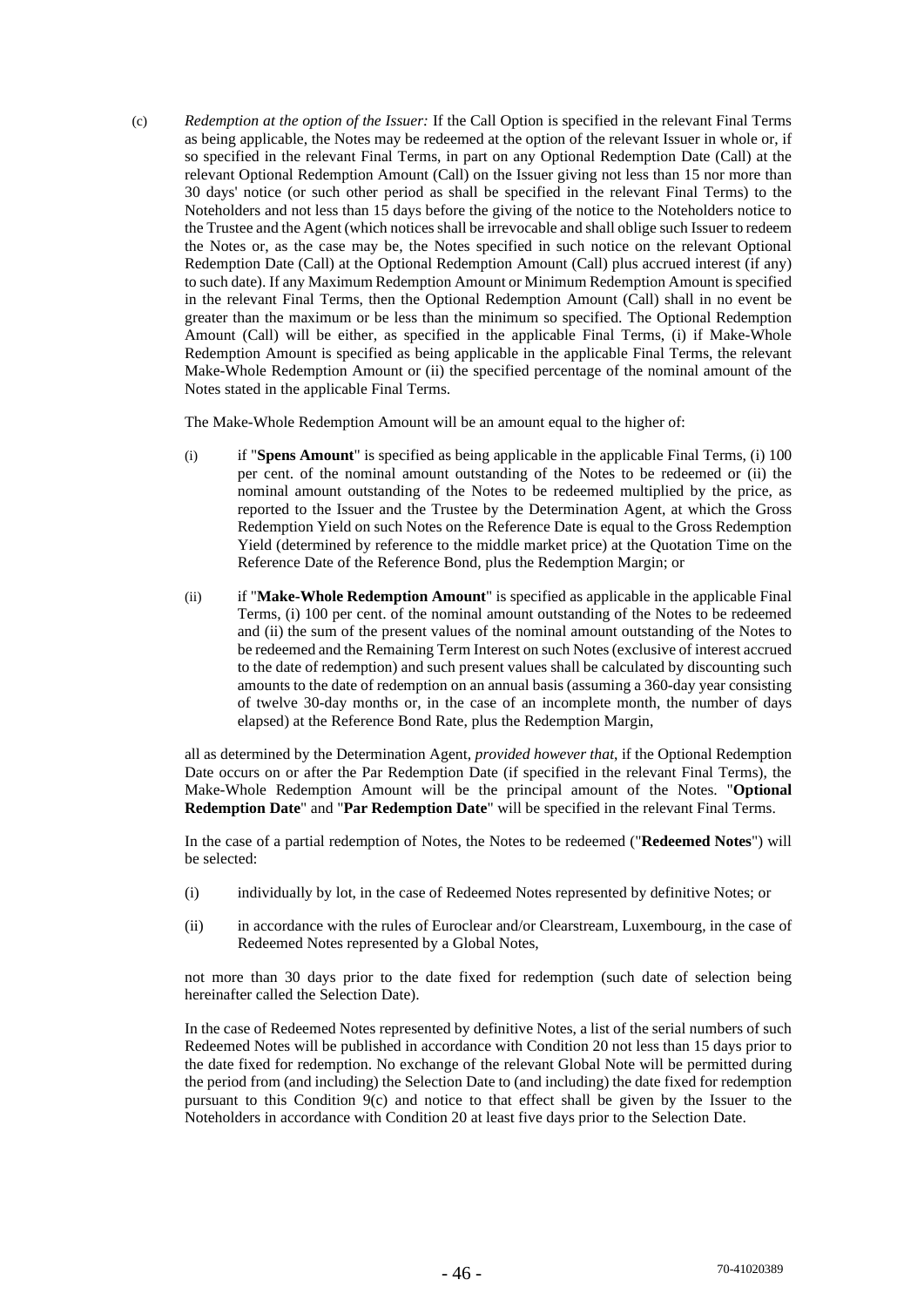(c) *Redemption at the option of the Issuer:* If the Call Option is specified in the relevant Final Terms as being applicable, the Notes may be redeemed at the option of the relevant Issuer in whole or, if so specified in the relevant Final Terms, in part on any Optional Redemption Date (Call) at the relevant Optional Redemption Amount (Call) on the Issuer giving not less than 15 nor more than 30 days' notice (or such other period as shall be specified in the relevant Final Terms) to the Noteholders and not less than 15 days before the giving of the notice to the Noteholders notice to the Trustee and the Agent (which notices shall be irrevocable and shall oblige such Issuer to redeem the Notes or, as the case may be, the Notes specified in such notice on the relevant Optional Redemption Date (Call) at the Optional Redemption Amount (Call) plus accrued interest (if any) to such date). If any Maximum Redemption Amount or Minimum Redemption Amount is specified in the relevant Final Terms, then the Optional Redemption Amount (Call) shall in no event be greater than the maximum or be less than the minimum so specified. The Optional Redemption Amount (Call) will be either, as specified in the applicable Final Terms, (i) if Make-Whole Redemption Amount is specified as being applicable in the applicable Final Terms, the relevant Make-Whole Redemption Amount or (ii) the specified percentage of the nominal amount of the Notes stated in the applicable Final Terms.

The Make-Whole Redemption Amount will be an amount equal to the higher of:

- (i) if "**Spens Amount**" is specified as being applicable in the applicable Final Terms, (i) 100 per cent. of the nominal amount outstanding of the Notes to be redeemed or (ii) the nominal amount outstanding of the Notes to be redeemed multiplied by the price, as reported to the Issuer and the Trustee by the Determination Agent, at which the Gross Redemption Yield on such Notes on the Reference Date is equal to the Gross Redemption Yield (determined by reference to the middle market price) at the Quotation Time on the Reference Date of the Reference Bond, plus the Redemption Margin; or
- (ii) if "**Make-Whole Redemption Amount**" is specified as applicable in the applicable Final Terms, (i) 100 per cent. of the nominal amount outstanding of the Notes to be redeemed and (ii) the sum of the present values of the nominal amount outstanding of the Notes to be redeemed and the Remaining Term Interest on such Notes (exclusive of interest accrued to the date of redemption) and such present values shall be calculated by discounting such amounts to the date of redemption on an annual basis (assuming a 360-day year consisting of twelve 30-day months or, in the case of an incomplete month, the number of days elapsed) at the Reference Bond Rate, plus the Redemption Margin,

all as determined by the Determination Agent, *provided however that*, if the Optional Redemption Date occurs on or after the Par Redemption Date (if specified in the relevant Final Terms), the Make-Whole Redemption Amount will be the principal amount of the Notes. "**Optional Redemption Date**" and "**Par Redemption Date**" will be specified in the relevant Final Terms.

In the case of a partial redemption of Notes, the Notes to be redeemed ("**Redeemed Notes**") will be selected:

- (i) individually by lot, in the case of Redeemed Notes represented by definitive Notes; or
- (ii) in accordance with the rules of Euroclear and/or Clearstream, Luxembourg, in the case of Redeemed Notes represented by a Global Notes,

not more than 30 days prior to the date fixed for redemption (such date of selection being hereinafter called the Selection Date).

In the case of Redeemed Notes represented by definitive Notes, a list of the serial numbers of such Redeemed Notes will be published in accordance with Condition 20 not less than 15 days prior to the date fixed for redemption. No exchange of the relevant Global Note will be permitted during the period from (and including) the Selection Date to (and including) the date fixed for redemption pursuant to this Condition  $9(c)$  and notice to that effect shall be given by the Issuer to the Noteholders in accordance with Condition 20 at least five days prior to the Selection Date.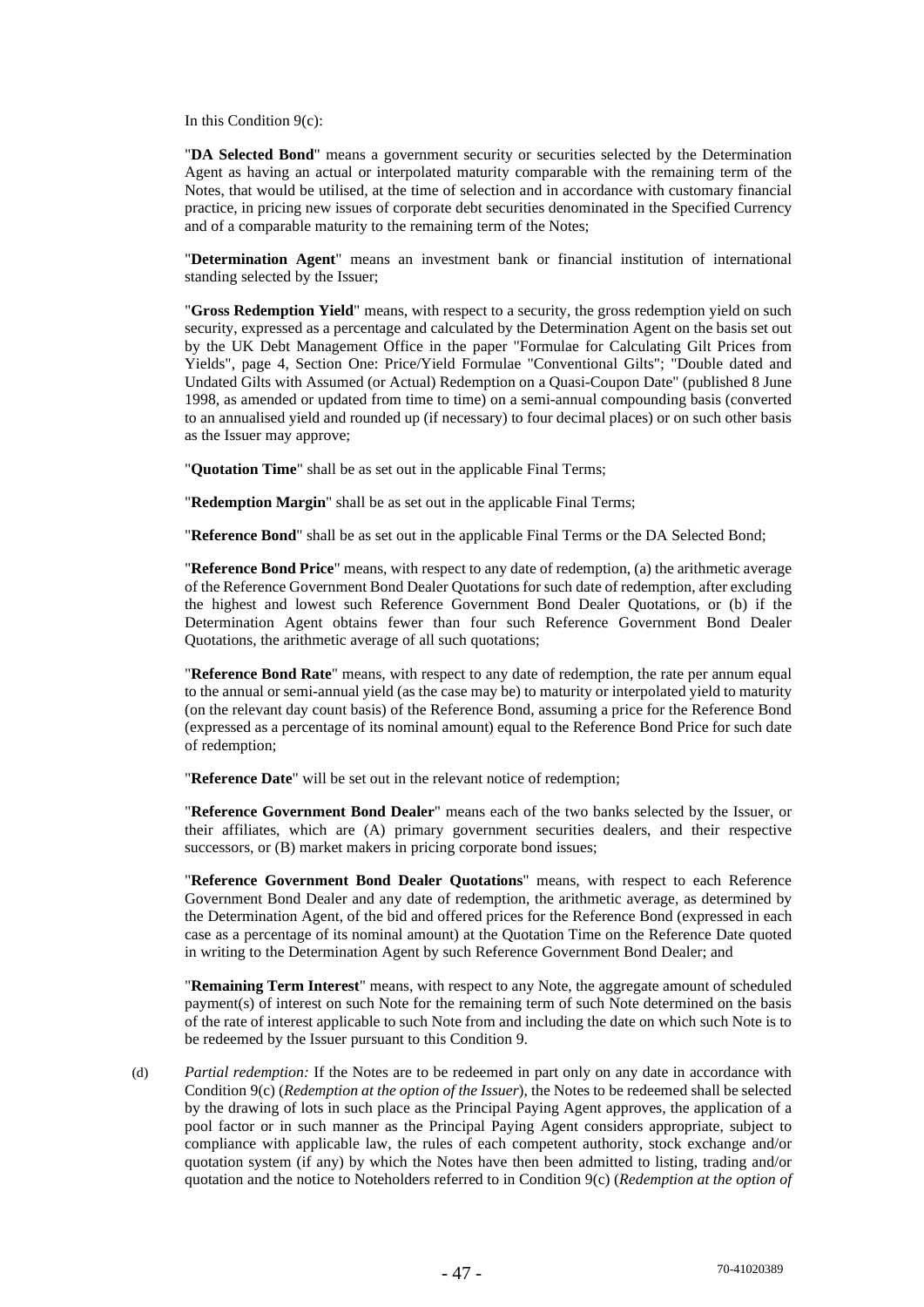In this Condition 9(c):

"**DA Selected Bond**" means a government security or securities selected by the Determination Agent as having an actual or interpolated maturity comparable with the remaining term of the Notes, that would be utilised, at the time of selection and in accordance with customary financial practice, in pricing new issues of corporate debt securities denominated in the Specified Currency and of a comparable maturity to the remaining term of the Notes;

"**Determination Agent**" means an investment bank or financial institution of international standing selected by the Issuer;

"**Gross Redemption Yield**" means, with respect to a security, the gross redemption yield on such security, expressed as a percentage and calculated by the Determination Agent on the basis set out by the UK Debt Management Office in the paper "Formulae for Calculating Gilt Prices from Yields", page 4, Section One: Price/Yield Formulae "Conventional Gilts"; "Double dated and Undated Gilts with Assumed (or Actual) Redemption on a Quasi-Coupon Date" (published 8 June 1998, as amended or updated from time to time) on a semi-annual compounding basis (converted to an annualised yield and rounded up (if necessary) to four decimal places) or on such other basis as the Issuer may approve;

"**Quotation Time**" shall be as set out in the applicable Final Terms;

"**Redemption Margin**" shall be as set out in the applicable Final Terms;

"**Reference Bond**" shall be as set out in the applicable Final Terms or the DA Selected Bond;

"**Reference Bond Price**" means, with respect to any date of redemption, (a) the arithmetic average of the Reference Government Bond Dealer Quotations for such date of redemption, after excluding the highest and lowest such Reference Government Bond Dealer Quotations, or (b) if the Determination Agent obtains fewer than four such Reference Government Bond Dealer Quotations, the arithmetic average of all such quotations;

"**Reference Bond Rate**" means, with respect to any date of redemption, the rate per annum equal to the annual or semi-annual yield (as the case may be) to maturity or interpolated yield to maturity (on the relevant day count basis) of the Reference Bond, assuming a price for the Reference Bond (expressed as a percentage of its nominal amount) equal to the Reference Bond Price for such date of redemption;

"**Reference Date**" will be set out in the relevant notice of redemption;

"**Reference Government Bond Dealer**" means each of the two banks selected by the Issuer, or their affiliates, which are (A) primary government securities dealers, and their respective successors, or  $(B)$  market makers in pricing corporate bond issues;

"**Reference Government Bond Dealer Quotations**" means, with respect to each Reference Government Bond Dealer and any date of redemption, the arithmetic average, as determined by the Determination Agent, of the bid and offered prices for the Reference Bond (expressed in each case as a percentage of its nominal amount) at the Quotation Time on the Reference Date quoted in writing to the Determination Agent by such Reference Government Bond Dealer; and

"**Remaining Term Interest**" means, with respect to any Note, the aggregate amount of scheduled payment(s) of interest on such Note for the remaining term of such Note determined on the basis of the rate of interest applicable to such Note from and including the date on which such Note is to be redeemed by the Issuer pursuant to this Condition 9.

(d) *Partial redemption:* If the Notes are to be redeemed in part only on any date in accordance with Condition 9(c) (*Redemption at the option of the Issuer*), the Notes to be redeemed shall be selected by the drawing of lots in such place as the Principal Paying Agent approves, the application of a pool factor or in such manner as the Principal Paying Agent considers appropriate, subject to compliance with applicable law, the rules of each competent authority, stock exchange and/or quotation system (if any) by which the Notes have then been admitted to listing, trading and/or quotation and the notice to Noteholders referred to in Condition 9(c) (*Redemption at the option of*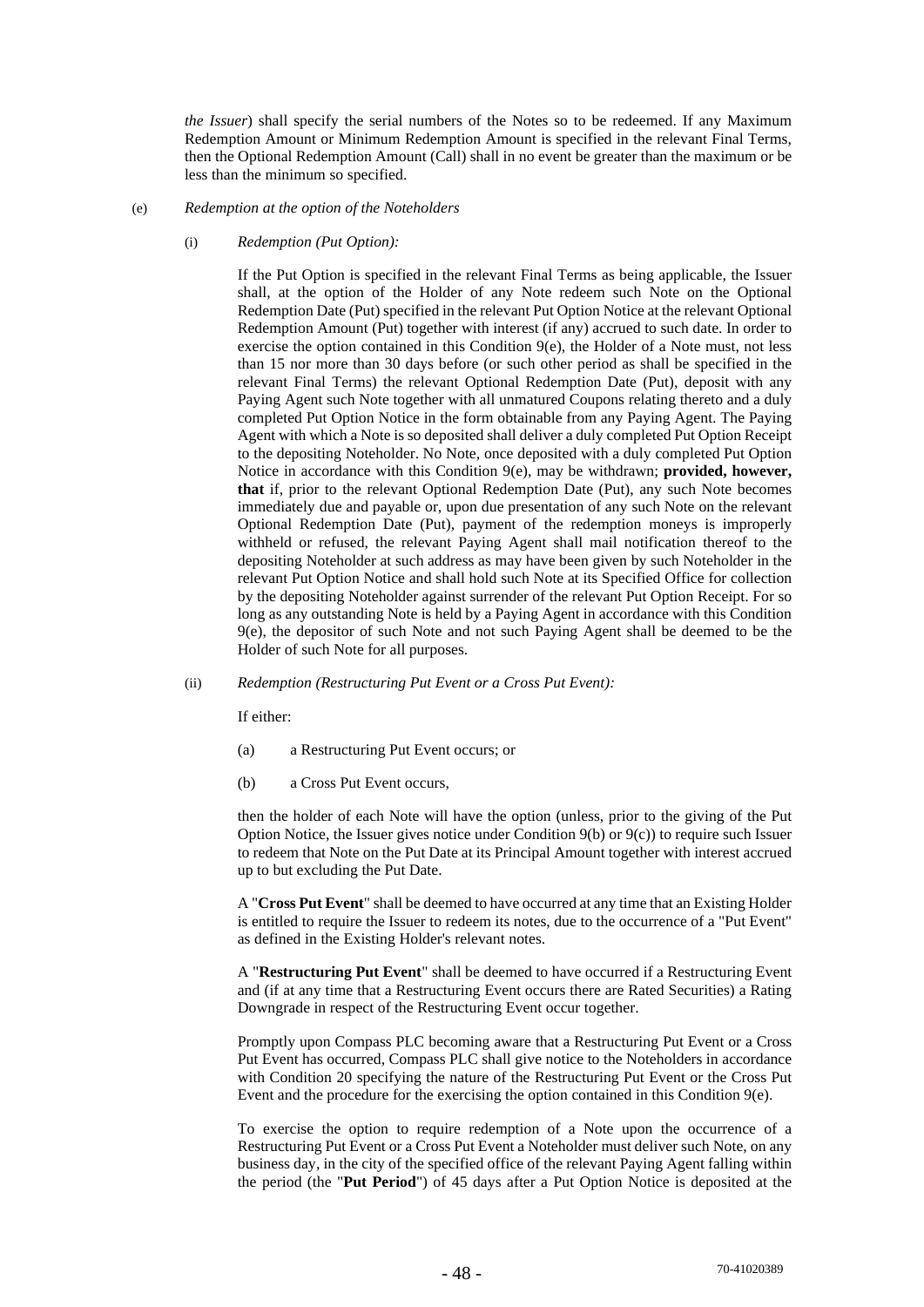*the Issuer*) shall specify the serial numbers of the Notes so to be redeemed. If any Maximum Redemption Amount or Minimum Redemption Amount is specified in the relevant Final Terms, then the Optional Redemption Amount (Call) shall in no event be greater than the maximum or be less than the minimum so specified.

#### (e) *Redemption at the option of the Noteholders*

(i) *Redemption (Put Option):* 

If the Put Option is specified in the relevant Final Terms as being applicable, the Issuer shall, at the option of the Holder of any Note redeem such Note on the Optional Redemption Date (Put) specified in the relevant Put Option Notice at the relevant Optional Redemption Amount (Put) together with interest (if any) accrued to such date. In order to exercise the option contained in this Condition 9(e), the Holder of a Note must, not less than 15 nor more than 30 days before (or such other period as shall be specified in the relevant Final Terms) the relevant Optional Redemption Date (Put), deposit with any Paying Agent such Note together with all unmatured Coupons relating thereto and a duly completed Put Option Notice in the form obtainable from any Paying Agent. The Paying Agent with which a Note is so deposited shall deliver a duly completed Put Option Receipt to the depositing Noteholder. No Note, once deposited with a duly completed Put Option Notice in accordance with this Condition 9(e), may be withdrawn; **provided, however, that** if, prior to the relevant Optional Redemption Date (Put), any such Note becomes immediately due and payable or, upon due presentation of any such Note on the relevant Optional Redemption Date (Put), payment of the redemption moneys is improperly withheld or refused, the relevant Paying Agent shall mail notification thereof to the depositing Noteholder at such address as may have been given by such Noteholder in the relevant Put Option Notice and shall hold such Note at its Specified Office for collection by the depositing Noteholder against surrender of the relevant Put Option Receipt. For so long as any outstanding Note is held by a Paying Agent in accordance with this Condition 9(e), the depositor of such Note and not such Paying Agent shall be deemed to be the Holder of such Note for all purposes.

(ii) *Redemption (Restructuring Put Event or a Cross Put Event):* 

If either:

- (a) a Restructuring Put Event occurs; or
- (b) a Cross Put Event occurs,

then the holder of each Note will have the option (unless, prior to the giving of the Put Option Notice, the Issuer gives notice under Condition 9(b) or 9(c)) to require such Issuer to redeem that Note on the Put Date at its Principal Amount together with interest accrued up to but excluding the Put Date.

A "**Cross Put Event**" shall be deemed to have occurred at any time that an Existing Holder is entitled to require the Issuer to redeem its notes, due to the occurrence of a "Put Event" as defined in the Existing Holder's relevant notes.

A "**Restructuring Put Event**" shall be deemed to have occurred if a Restructuring Event and (if at any time that a Restructuring Event occurs there are Rated Securities) a Rating Downgrade in respect of the Restructuring Event occur together.

Promptly upon Compass PLC becoming aware that a Restructuring Put Event or a Cross Put Event has occurred, Compass PLC shall give notice to the Noteholders in accordance with Condition 20 specifying the nature of the Restructuring Put Event or the Cross Put Event and the procedure for the exercising the option contained in this Condition 9(e).

To exercise the option to require redemption of a Note upon the occurrence of a Restructuring Put Event or a Cross Put Event a Noteholder must deliver such Note, on any business day, in the city of the specified office of the relevant Paying Agent falling within the period (the "**Put Period**") of 45 days after a Put Option Notice is deposited at the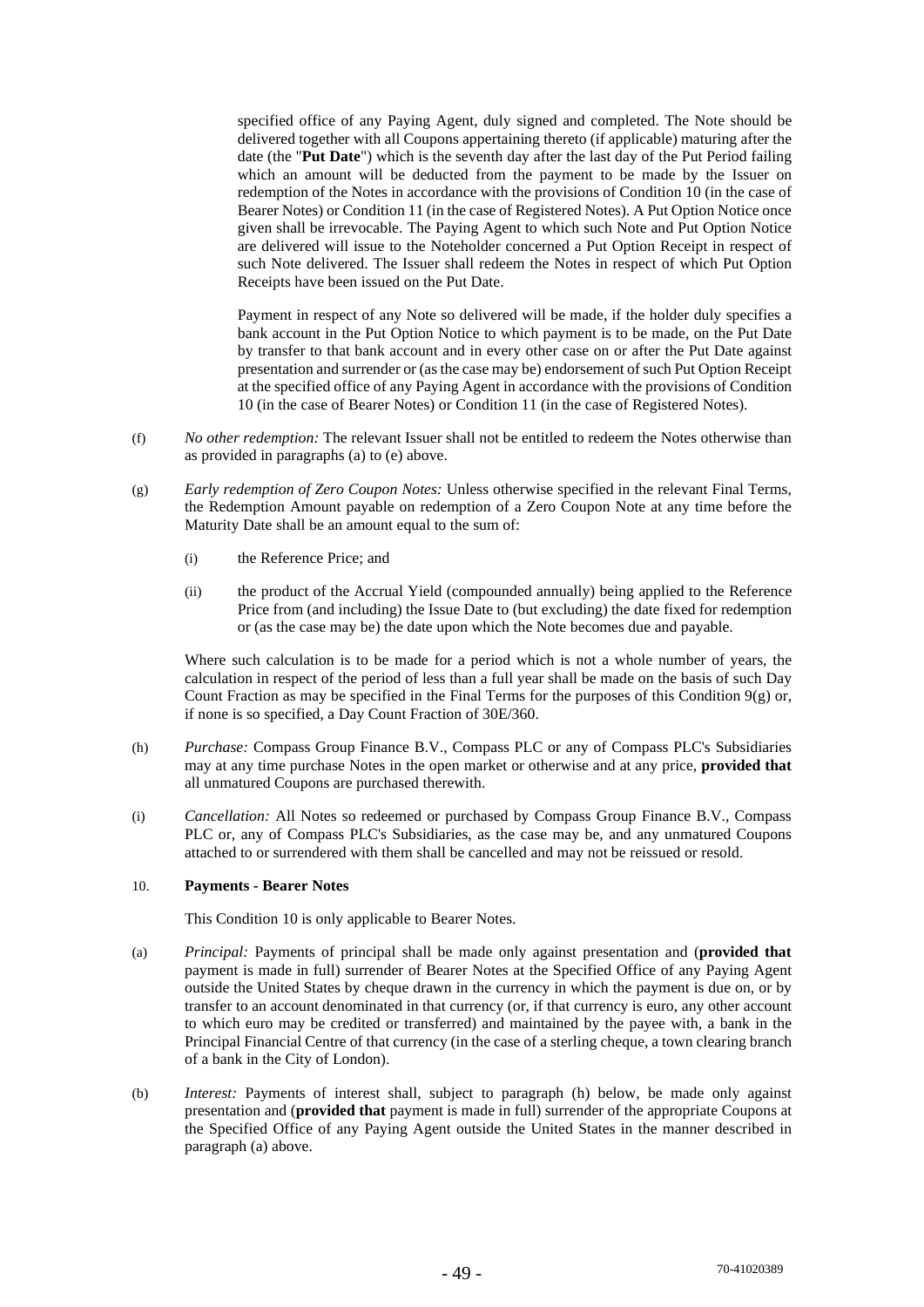specified office of any Paying Agent, duly signed and completed. The Note should be delivered together with all Coupons appertaining thereto (if applicable) maturing after the date (the "**Put Date**") which is the seventh day after the last day of the Put Period failing which an amount will be deducted from the payment to be made by the Issuer on redemption of the Notes in accordance with the provisions of Condition 10 (in the case of Bearer Notes) or Condition 11 (in the case of Registered Notes). A Put Option Notice once given shall be irrevocable. The Paying Agent to which such Note and Put Option Notice are delivered will issue to the Noteholder concerned a Put Option Receipt in respect of such Note delivered. The Issuer shall redeem the Notes in respect of which Put Option Receipts have been issued on the Put Date.

Payment in respect of any Note so delivered will be made, if the holder duly specifies a bank account in the Put Option Notice to which payment is to be made, on the Put Date by transfer to that bank account and in every other case on or after the Put Date against presentation and surrender or (as the case may be) endorsement of such Put Option Receipt at the specified office of any Paying Agent in accordance with the provisions of Condition 10 (in the case of Bearer Notes) or Condition 11 (in the case of Registered Notes).

- (f) *No other redemption:* The relevant Issuer shall not be entitled to redeem the Notes otherwise than as provided in paragraphs (a) to (e) above.
- (g) *Early redemption of Zero Coupon Notes:* Unless otherwise specified in the relevant Final Terms, the Redemption Amount payable on redemption of a Zero Coupon Note at any time before the Maturity Date shall be an amount equal to the sum of:
	- (i) the Reference Price; and
	- (ii) the product of the Accrual Yield (compounded annually) being applied to the Reference Price from (and including) the Issue Date to (but excluding) the date fixed for redemption or (as the case may be) the date upon which the Note becomes due and payable.

Where such calculation is to be made for a period which is not a whole number of years, the calculation in respect of the period of less than a full year shall be made on the basis of such Day Count Fraction as may be specified in the Final Terms for the purposes of this Condition  $9(g)$  or, if none is so specified, a Day Count Fraction of 30E/360.

- (h) *Purchase:* Compass Group Finance B.V., Compass PLC or any of Compass PLC's Subsidiaries may at any time purchase Notes in the open market or otherwise and at any price, **provided that**  all unmatured Coupons are purchased therewith.
- (i) *Cancellation:* All Notes so redeemed or purchased by Compass Group Finance B.V., Compass PLC or, any of Compass PLC's Subsidiaries, as the case may be, and any unmatured Coupons attached to or surrendered with them shall be cancelled and may not be reissued or resold.

## 10. **Payments - Bearer Notes**

This Condition 10 is only applicable to Bearer Notes.

- (a) *Principal:* Payments of principal shall be made only against presentation and (**provided that**  payment is made in full) surrender of Bearer Notes at the Specified Office of any Paying Agent outside the United States by cheque drawn in the currency in which the payment is due on, or by transfer to an account denominated in that currency (or, if that currency is euro, any other account to which euro may be credited or transferred) and maintained by the payee with, a bank in the Principal Financial Centre of that currency (in the case of a sterling cheque, a town clearing branch of a bank in the City of London).
- (b) *Interest:* Payments of interest shall, subject to paragraph (h) below, be made only against presentation and (**provided that** payment is made in full) surrender of the appropriate Coupons at the Specified Office of any Paying Agent outside the United States in the manner described in paragraph (a) above.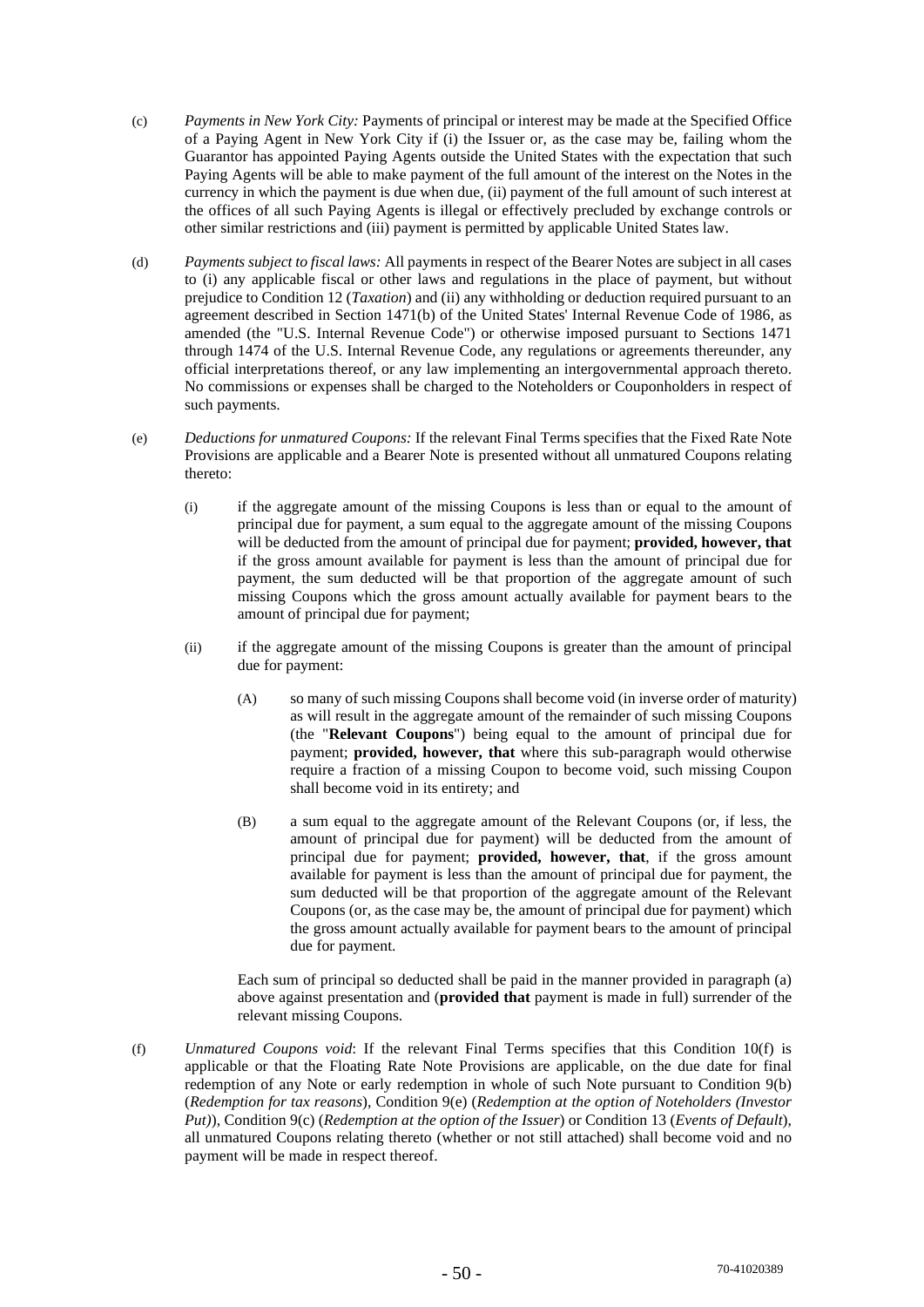- (c) *Payments in New York City:* Payments of principal or interest may be made at the Specified Office of a Paying Agent in New York City if (i) the Issuer or, as the case may be, failing whom the Guarantor has appointed Paying Agents outside the United States with the expectation that such Paying Agents will be able to make payment of the full amount of the interest on the Notes in the currency in which the payment is due when due, (ii) payment of the full amount of such interest at the offices of all such Paying Agents is illegal or effectively precluded by exchange controls or other similar restrictions and (iii) payment is permitted by applicable United States law.
- (d) *Payments subject to fiscal laws:* All payments in respect of the Bearer Notes are subject in all cases to (i) any applicable fiscal or other laws and regulations in the place of payment, but without prejudice to Condition 12 (*Taxation*) and (ii) any withholding or deduction required pursuant to an agreement described in Section 1471(b) of the United States' Internal Revenue Code of 1986, as amended (the "U.S. Internal Revenue Code") or otherwise imposed pursuant to Sections 1471 through 1474 of the U.S. Internal Revenue Code, any regulations or agreements thereunder, any official interpretations thereof, or any law implementing an intergovernmental approach thereto. No commissions or expenses shall be charged to the Noteholders or Couponholders in respect of such payments.
- (e) *Deductions for unmatured Coupons:* If the relevant Final Terms specifies that the Fixed Rate Note Provisions are applicable and a Bearer Note is presented without all unmatured Coupons relating thereto:
	- (i) if the aggregate amount of the missing Coupons is less than or equal to the amount of principal due for payment, a sum equal to the aggregate amount of the missing Coupons will be deducted from the amount of principal due for payment; **provided, however, that**  if the gross amount available for payment is less than the amount of principal due for payment, the sum deducted will be that proportion of the aggregate amount of such missing Coupons which the gross amount actually available for payment bears to the amount of principal due for payment;
	- (ii) if the aggregate amount of the missing Coupons is greater than the amount of principal due for payment:
		- (A) so many of such missing Coupons shall become void (in inverse order of maturity) as will result in the aggregate amount of the remainder of such missing Coupons (the "**Relevant Coupons**") being equal to the amount of principal due for payment; **provided, however, that** where this sub-paragraph would otherwise require a fraction of a missing Coupon to become void, such missing Coupon shall become void in its entirety; and
		- (B) a sum equal to the aggregate amount of the Relevant Coupons (or, if less, the amount of principal due for payment) will be deducted from the amount of principal due for payment; **provided, however, that**, if the gross amount available for payment is less than the amount of principal due for payment, the sum deducted will be that proportion of the aggregate amount of the Relevant Coupons (or, as the case may be, the amount of principal due for payment) which the gross amount actually available for payment bears to the amount of principal due for payment.

Each sum of principal so deducted shall be paid in the manner provided in paragraph (a) above against presentation and (**provided that** payment is made in full) surrender of the relevant missing Coupons.

(f) *Unmatured Coupons void*: If the relevant Final Terms specifies that this Condition 10(f) is applicable or that the Floating Rate Note Provisions are applicable, on the due date for final redemption of any Note or early redemption in whole of such Note pursuant to Condition 9(b) (*Redemption for tax reasons*), Condition 9(e) (*Redemption at the option of Noteholders (Investor Put)*), Condition 9(c) (*Redemption at the option of the Issuer*) or Condition 13 (*Events of Default*), all unmatured Coupons relating thereto (whether or not still attached) shall become void and no payment will be made in respect thereof.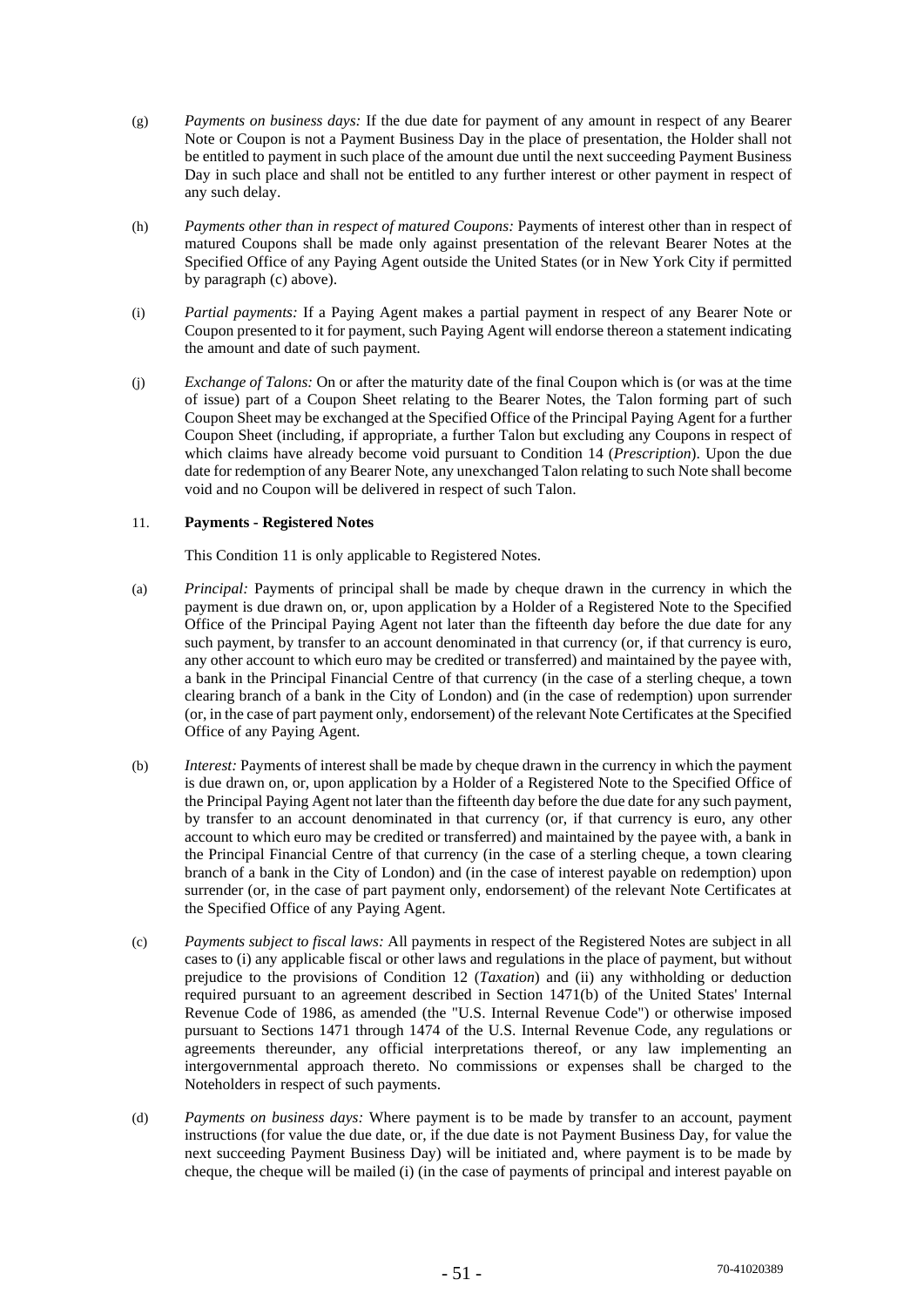- (g) *Payments on business days:* If the due date for payment of any amount in respect of any Bearer Note or Coupon is not a Payment Business Day in the place of presentation, the Holder shall not be entitled to payment in such place of the amount due until the next succeeding Payment Business Day in such place and shall not be entitled to any further interest or other payment in respect of any such delay.
- (h) *Payments other than in respect of matured Coupons:* Payments of interest other than in respect of matured Coupons shall be made only against presentation of the relevant Bearer Notes at the Specified Office of any Paying Agent outside the United States (or in New York City if permitted by paragraph (c) above).
- (i) *Partial payments:* If a Paying Agent makes a partial payment in respect of any Bearer Note or Coupon presented to it for payment, such Paying Agent will endorse thereon a statement indicating the amount and date of such payment.
- (j) *Exchange of Talons:* On or after the maturity date of the final Coupon which is (or was at the time of issue) part of a Coupon Sheet relating to the Bearer Notes, the Talon forming part of such Coupon Sheet may be exchanged at the Specified Office of the Principal Paying Agent for a further Coupon Sheet (including, if appropriate, a further Talon but excluding any Coupons in respect of which claims have already become void pursuant to Condition 14 (*Prescription*). Upon the due date for redemption of any Bearer Note, any unexchanged Talon relating to such Note shall become void and no Coupon will be delivered in respect of such Talon.

## 11. **Payments - Registered Notes**

This Condition 11 is only applicable to Registered Notes.

- (a) *Principal:* Payments of principal shall be made by cheque drawn in the currency in which the payment is due drawn on, or, upon application by a Holder of a Registered Note to the Specified Office of the Principal Paying Agent not later than the fifteenth day before the due date for any such payment, by transfer to an account denominated in that currency (or, if that currency is euro, any other account to which euro may be credited or transferred) and maintained by the payee with, a bank in the Principal Financial Centre of that currency (in the case of a sterling cheque, a town clearing branch of a bank in the City of London) and (in the case of redemption) upon surrender (or, in the case of part payment only, endorsement) of the relevant Note Certificates at the Specified Office of any Paying Agent.
- (b) *Interest:* Payments of interest shall be made by cheque drawn in the currency in which the payment is due drawn on, or, upon application by a Holder of a Registered Note to the Specified Office of the Principal Paying Agent not later than the fifteenth day before the due date for any such payment, by transfer to an account denominated in that currency (or, if that currency is euro, any other account to which euro may be credited or transferred) and maintained by the payee with, a bank in the Principal Financial Centre of that currency (in the case of a sterling cheque, a town clearing branch of a bank in the City of London) and (in the case of interest payable on redemption) upon surrender (or, in the case of part payment only, endorsement) of the relevant Note Certificates at the Specified Office of any Paying Agent.
- (c) *Payments subject to fiscal laws:* All payments in respect of the Registered Notes are subject in all cases to (i) any applicable fiscal or other laws and regulations in the place of payment, but without prejudice to the provisions of Condition 12 (*Taxation*) and (ii) any withholding or deduction required pursuant to an agreement described in Section 1471(b) of the United States' Internal Revenue Code of 1986, as amended (the "U.S. Internal Revenue Code") or otherwise imposed pursuant to Sections 1471 through 1474 of the U.S. Internal Revenue Code, any regulations or agreements thereunder, any official interpretations thereof, or any law implementing an intergovernmental approach thereto. No commissions or expenses shall be charged to the Noteholders in respect of such payments.
- (d) *Payments on business days:* Where payment is to be made by transfer to an account, payment instructions (for value the due date, or, if the due date is not Payment Business Day, for value the next succeeding Payment Business Day) will be initiated and, where payment is to be made by cheque, the cheque will be mailed (i) (in the case of payments of principal and interest payable on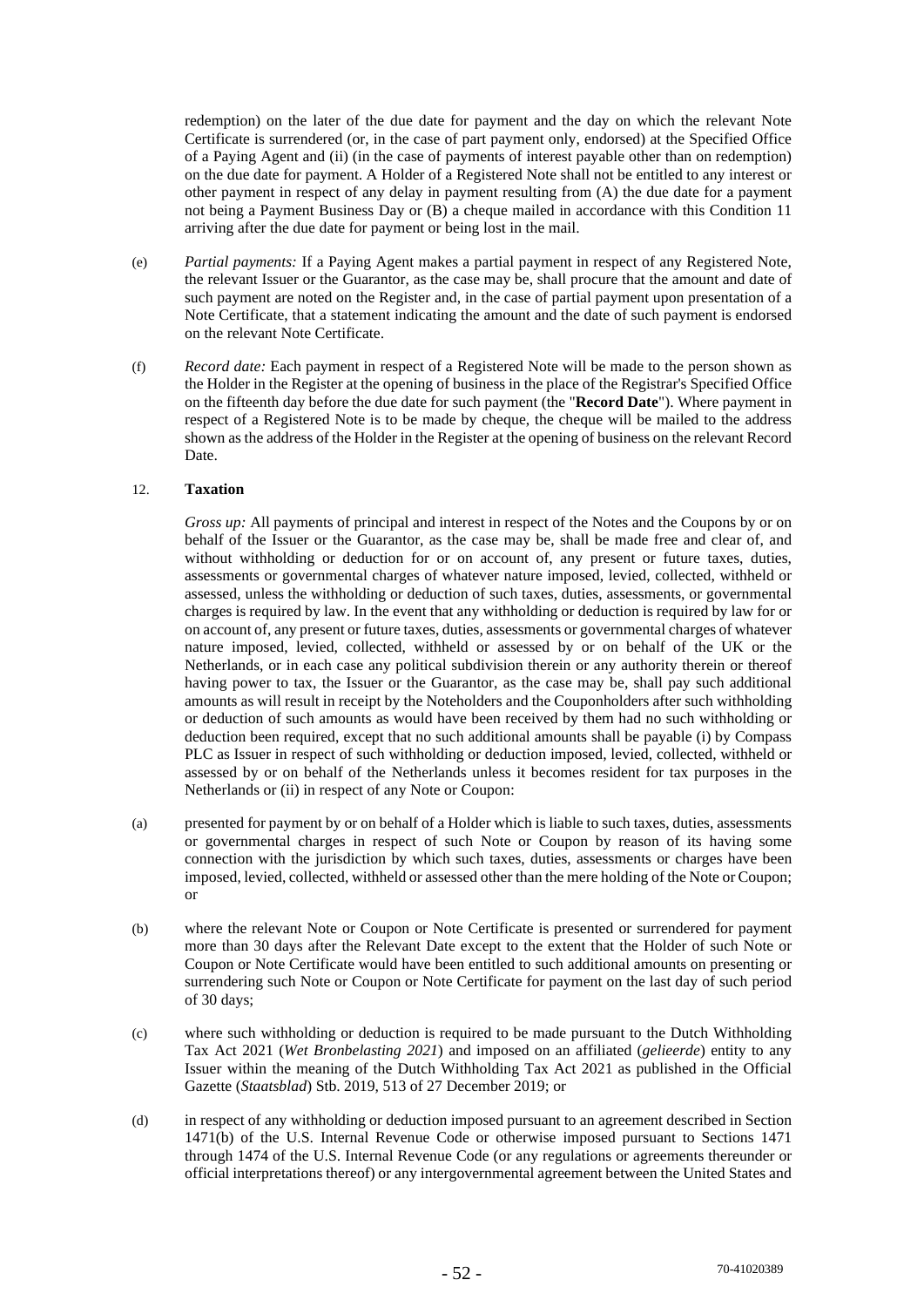redemption) on the later of the due date for payment and the day on which the relevant Note Certificate is surrendered (or, in the case of part payment only, endorsed) at the Specified Office of a Paying Agent and (ii) (in the case of payments of interest payable other than on redemption) on the due date for payment. A Holder of a Registered Note shall not be entitled to any interest or other payment in respect of any delay in payment resulting from (A) the due date for a payment not being a Payment Business Day or (B) a cheque mailed in accordance with this Condition 11 arriving after the due date for payment or being lost in the mail.

- (e) *Partial payments:* If a Paying Agent makes a partial payment in respect of any Registered Note, the relevant Issuer or the Guarantor, as the case may be, shall procure that the amount and date of such payment are noted on the Register and, in the case of partial payment upon presentation of a Note Certificate, that a statement indicating the amount and the date of such payment is endorsed on the relevant Note Certificate.
- (f) *Record date:* Each payment in respect of a Registered Note will be made to the person shown as the Holder in the Register at the opening of business in the place of the Registrar's Specified Office on the fifteenth day before the due date for such payment (the "**Record Date**"). Where payment in respect of a Registered Note is to be made by cheque, the cheque will be mailed to the address shown as the address of the Holder in the Register at the opening of business on the relevant Record Date.

## 12. **Taxation**

*Gross up:* All payments of principal and interest in respect of the Notes and the Coupons by or on behalf of the Issuer or the Guarantor, as the case may be, shall be made free and clear of, and without withholding or deduction for or on account of, any present or future taxes, duties, assessments or governmental charges of whatever nature imposed, levied, collected, withheld or assessed, unless the withholding or deduction of such taxes, duties, assessments, or governmental charges is required by law. In the event that any withholding or deduction is required by law for or on account of, any present or future taxes, duties, assessments or governmental charges of whatever nature imposed, levied, collected, withheld or assessed by or on behalf of the UK or the Netherlands, or in each case any political subdivision therein or any authority therein or thereof having power to tax, the Issuer or the Guarantor, as the case may be, shall pay such additional amounts as will result in receipt by the Noteholders and the Couponholders after such withholding or deduction of such amounts as would have been received by them had no such withholding or deduction been required, except that no such additional amounts shall be payable (i) by Compass PLC as Issuer in respect of such withholding or deduction imposed, levied, collected, withheld or assessed by or on behalf of the Netherlands unless it becomes resident for tax purposes in the Netherlands or (ii) in respect of any Note or Coupon:

- (a) presented for payment by or on behalf of a Holder which is liable to such taxes, duties, assessments or governmental charges in respect of such Note or Coupon by reason of its having some connection with the jurisdiction by which such taxes, duties, assessments or charges have been imposed, levied, collected, withheld or assessed other than the mere holding of the Note or Coupon; or
- (b) where the relevant Note or Coupon or Note Certificate is presented or surrendered for payment more than 30 days after the Relevant Date except to the extent that the Holder of such Note or Coupon or Note Certificate would have been entitled to such additional amounts on presenting or surrendering such Note or Coupon or Note Certificate for payment on the last day of such period of 30 days;
- (c) where such withholding or deduction is required to be made pursuant to the Dutch Withholding Tax Act 2021 (*Wet Bronbelasting 2021*) and imposed on an affiliated (*gelieerde*) entity to any Issuer within the meaning of the Dutch Withholding Tax Act 2021 as published in the Official Gazette (*Staatsblad*) Stb. 2019, 513 of 27 December 2019; or
- (d) in respect of any withholding or deduction imposed pursuant to an agreement described in Section 1471(b) of the U.S. Internal Revenue Code or otherwise imposed pursuant to Sections 1471 through 1474 of the U.S. Internal Revenue Code (or any regulations or agreements thereunder or official interpretations thereof) or any intergovernmental agreement between the United States and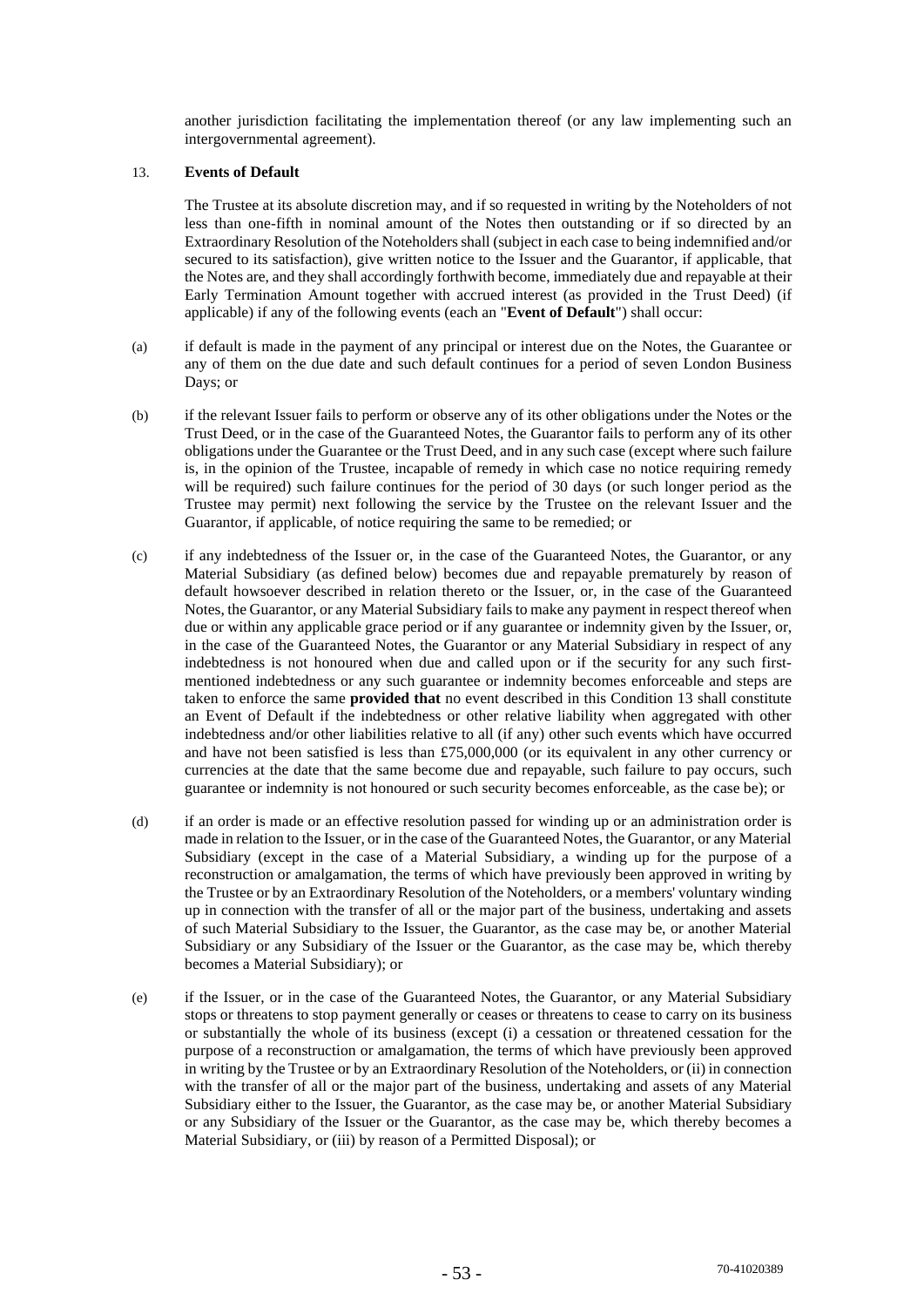another jurisdiction facilitating the implementation thereof (or any law implementing such an intergovernmental agreement).

## 13. **Events of Default**

The Trustee at its absolute discretion may, and if so requested in writing by the Noteholders of not less than one-fifth in nominal amount of the Notes then outstanding or if so directed by an Extraordinary Resolution of the Noteholders shall (subject in each case to being indemnified and/or secured to its satisfaction), give written notice to the Issuer and the Guarantor, if applicable, that the Notes are, and they shall accordingly forthwith become, immediately due and repayable at their Early Termination Amount together with accrued interest (as provided in the Trust Deed) (if applicable) if any of the following events (each an "**Event of Default**") shall occur:

- (a) if default is made in the payment of any principal or interest due on the Notes, the Guarantee or any of them on the due date and such default continues for a period of seven London Business Days; or
- (b) if the relevant Issuer fails to perform or observe any of its other obligations under the Notes or the Trust Deed, or in the case of the Guaranteed Notes, the Guarantor fails to perform any of its other obligations under the Guarantee or the Trust Deed, and in any such case (except where such failure is, in the opinion of the Trustee, incapable of remedy in which case no notice requiring remedy will be required) such failure continues for the period of 30 days (or such longer period as the Trustee may permit) next following the service by the Trustee on the relevant Issuer and the Guarantor, if applicable, of notice requiring the same to be remedied; or
- (c) if any indebtedness of the Issuer or, in the case of the Guaranteed Notes, the Guarantor, or any Material Subsidiary (as defined below) becomes due and repayable prematurely by reason of default howsoever described in relation thereto or the Issuer, or, in the case of the Guaranteed Notes, the Guarantor, or any Material Subsidiary fails to make any payment in respect thereof when due or within any applicable grace period or if any guarantee or indemnity given by the Issuer, or, in the case of the Guaranteed Notes, the Guarantor or any Material Subsidiary in respect of any indebtedness is not honoured when due and called upon or if the security for any such firstmentioned indebtedness or any such guarantee or indemnity becomes enforceable and steps are taken to enforce the same **provided that** no event described in this Condition 13 shall constitute an Event of Default if the indebtedness or other relative liability when aggregated with other indebtedness and/or other liabilities relative to all (if any) other such events which have occurred and have not been satisfied is less than £75,000,000 (or its equivalent in any other currency or currencies at the date that the same become due and repayable, such failure to pay occurs, such guarantee or indemnity is not honoured or such security becomes enforceable, as the case be); or
- (d) if an order is made or an effective resolution passed for winding up or an administration order is made in relation to the Issuer, or in the case of the Guaranteed Notes, the Guarantor, or any Material Subsidiary (except in the case of a Material Subsidiary, a winding up for the purpose of a reconstruction or amalgamation, the terms of which have previously been approved in writing by the Trustee or by an Extraordinary Resolution of the Noteholders, or a members' voluntary winding up in connection with the transfer of all or the major part of the business, undertaking and assets of such Material Subsidiary to the Issuer, the Guarantor, as the case may be, or another Material Subsidiary or any Subsidiary of the Issuer or the Guarantor, as the case may be, which thereby becomes a Material Subsidiary); or
- (e) if the Issuer, or in the case of the Guaranteed Notes, the Guarantor, or any Material Subsidiary stops or threatens to stop payment generally or ceases or threatens to cease to carry on its business or substantially the whole of its business (except (i) a cessation or threatened cessation for the purpose of a reconstruction or amalgamation, the terms of which have previously been approved in writing by the Trustee or by an Extraordinary Resolution of the Noteholders, or (ii) in connection with the transfer of all or the major part of the business, undertaking and assets of any Material Subsidiary either to the Issuer, the Guarantor, as the case may be, or another Material Subsidiary or any Subsidiary of the Issuer or the Guarantor, as the case may be, which thereby becomes a Material Subsidiary, or (iii) by reason of a Permitted Disposal); or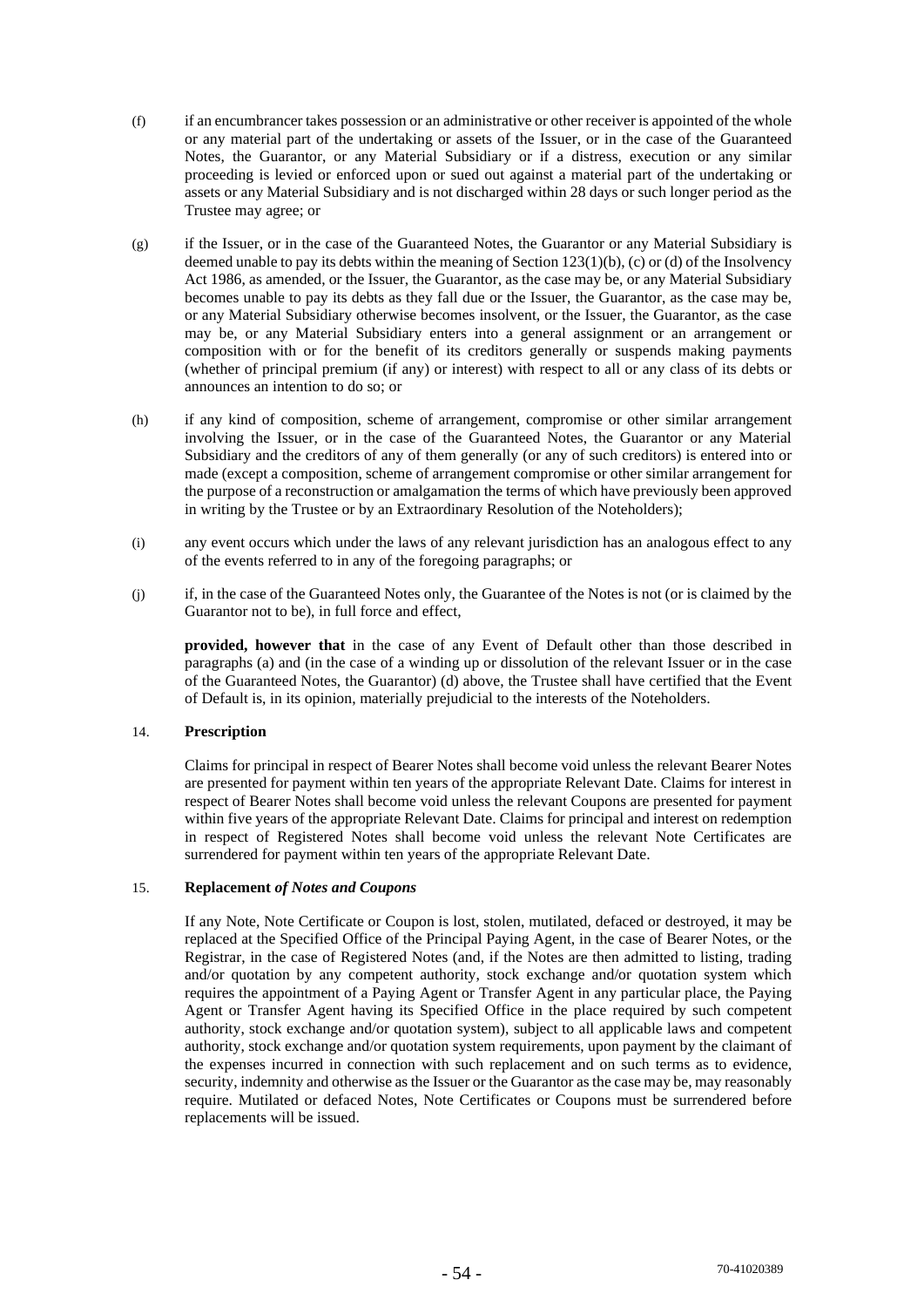- (f) if an encumbrancer takes possession or an administrative or other receiver is appointed of the whole or any material part of the undertaking or assets of the Issuer, or in the case of the Guaranteed Notes, the Guarantor, or any Material Subsidiary or if a distress, execution or any similar proceeding is levied or enforced upon or sued out against a material part of the undertaking or assets or any Material Subsidiary and is not discharged within 28 days or such longer period as the Trustee may agree; or
- (g) if the Issuer, or in the case of the Guaranteed Notes, the Guarantor or any Material Subsidiary is deemed unable to pay its debts within the meaning of Section  $123(1)(b)$ , (c) or (d) of the Insolvency Act 1986, as amended, or the Issuer, the Guarantor, as the case may be, or any Material Subsidiary becomes unable to pay its debts as they fall due or the Issuer, the Guarantor, as the case may be, or any Material Subsidiary otherwise becomes insolvent, or the Issuer, the Guarantor, as the case may be, or any Material Subsidiary enters into a general assignment or an arrangement or composition with or for the benefit of its creditors generally or suspends making payments (whether of principal premium (if any) or interest) with respect to all or any class of its debts or announces an intention to do so; or
- (h) if any kind of composition, scheme of arrangement, compromise or other similar arrangement involving the Issuer, or in the case of the Guaranteed Notes, the Guarantor or any Material Subsidiary and the creditors of any of them generally (or any of such creditors) is entered into or made (except a composition, scheme of arrangement compromise or other similar arrangement for the purpose of a reconstruction or amalgamation the terms of which have previously been approved in writing by the Trustee or by an Extraordinary Resolution of the Noteholders);
- (i) any event occurs which under the laws of any relevant jurisdiction has an analogous effect to any of the events referred to in any of the foregoing paragraphs; or
- (j) if, in the case of the Guaranteed Notes only, the Guarantee of the Notes is not (or is claimed by the Guarantor not to be), in full force and effect,

**provided, however that** in the case of any Event of Default other than those described in paragraphs (a) and (in the case of a winding up or dissolution of the relevant Issuer or in the case of the Guaranteed Notes, the Guarantor) (d) above, the Trustee shall have certified that the Event of Default is, in its opinion, materially prejudicial to the interests of the Noteholders.

## 14. **Prescription**

Claims for principal in respect of Bearer Notes shall become void unless the relevant Bearer Notes are presented for payment within ten years of the appropriate Relevant Date. Claims for interest in respect of Bearer Notes shall become void unless the relevant Coupons are presented for payment within five years of the appropriate Relevant Date. Claims for principal and interest on redemption in respect of Registered Notes shall become void unless the relevant Note Certificates are surrendered for payment within ten years of the appropriate Relevant Date.

## 15. **Replacement** *of Notes and Coupons*

If any Note, Note Certificate or Coupon is lost, stolen, mutilated, defaced or destroyed, it may be replaced at the Specified Office of the Principal Paying Agent, in the case of Bearer Notes, or the Registrar, in the case of Registered Notes (and, if the Notes are then admitted to listing, trading and/or quotation by any competent authority, stock exchange and/or quotation system which requires the appointment of a Paying Agent or Transfer Agent in any particular place, the Paying Agent or Transfer Agent having its Specified Office in the place required by such competent authority, stock exchange and/or quotation system), subject to all applicable laws and competent authority, stock exchange and/or quotation system requirements, upon payment by the claimant of the expenses incurred in connection with such replacement and on such terms as to evidence, security, indemnity and otherwise as the Issuer or the Guarantor as the case may be, may reasonably require. Mutilated or defaced Notes, Note Certificates or Coupons must be surrendered before replacements will be issued.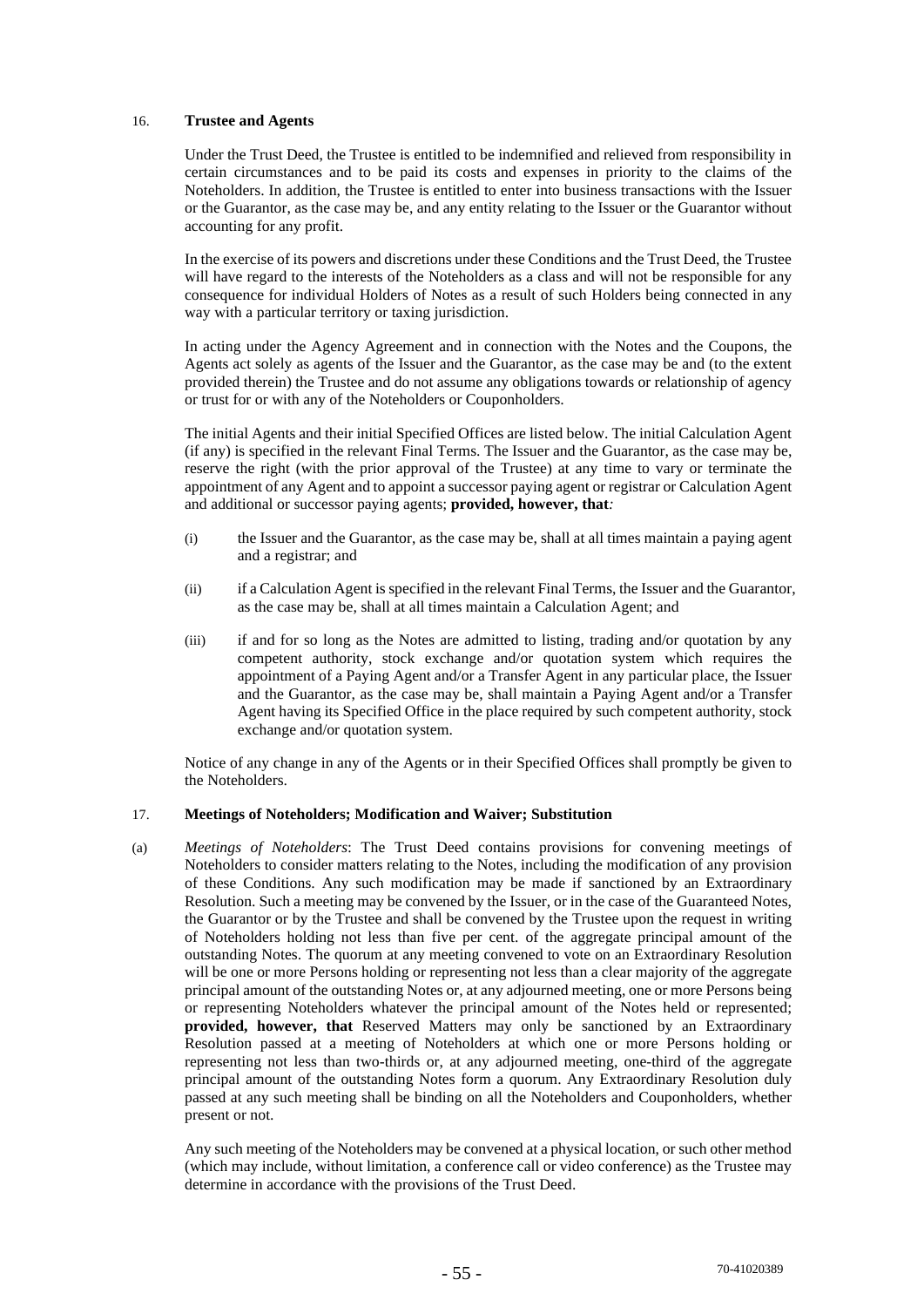## 16. **Trustee and Agents**

Under the Trust Deed, the Trustee is entitled to be indemnified and relieved from responsibility in certain circumstances and to be paid its costs and expenses in priority to the claims of the Noteholders. In addition, the Trustee is entitled to enter into business transactions with the Issuer or the Guarantor, as the case may be, and any entity relating to the Issuer or the Guarantor without accounting for any profit.

In the exercise of its powers and discretions under these Conditions and the Trust Deed, the Trustee will have regard to the interests of the Noteholders as a class and will not be responsible for any consequence for individual Holders of Notes as a result of such Holders being connected in any way with a particular territory or taxing jurisdiction.

In acting under the Agency Agreement and in connection with the Notes and the Coupons, the Agents act solely as agents of the Issuer and the Guarantor, as the case may be and (to the extent provided therein) the Trustee and do not assume any obligations towards or relationship of agency or trust for or with any of the Noteholders or Couponholders.

The initial Agents and their initial Specified Offices are listed below. The initial Calculation Agent (if any) is specified in the relevant Final Terms. The Issuer and the Guarantor, as the case may be, reserve the right (with the prior approval of the Trustee) at any time to vary or terminate the appointment of any Agent and to appoint a successor paying agent or registrar or Calculation Agent and additional or successor paying agents; **provided, however, that***:*

- (i) the Issuer and the Guarantor, as the case may be, shall at all times maintain a paying agent and a registrar; and
- (ii) if a Calculation Agent is specified in the relevant Final Terms, the Issuer and the Guarantor, as the case may be, shall at all times maintain a Calculation Agent; and
- (iii) if and for so long as the Notes are admitted to listing, trading and/or quotation by any competent authority, stock exchange and/or quotation system which requires the appointment of a Paying Agent and/or a Transfer Agent in any particular place, the Issuer and the Guarantor, as the case may be, shall maintain a Paying Agent and/or a Transfer Agent having its Specified Office in the place required by such competent authority, stock exchange and/or quotation system.

Notice of any change in any of the Agents or in their Specified Offices shall promptly be given to the Noteholders.

#### 17. **Meetings of Noteholders; Modification and Waiver; Substitution**

(a) *Meetings of Noteholders*: The Trust Deed contains provisions for convening meetings of Noteholders to consider matters relating to the Notes, including the modification of any provision of these Conditions. Any such modification may be made if sanctioned by an Extraordinary Resolution. Such a meeting may be convened by the Issuer, or in the case of the Guaranteed Notes, the Guarantor or by the Trustee and shall be convened by the Trustee upon the request in writing of Noteholders holding not less than five per cent. of the aggregate principal amount of the outstanding Notes. The quorum at any meeting convened to vote on an Extraordinary Resolution will be one or more Persons holding or representing not less than a clear majority of the aggregate principal amount of the outstanding Notes or, at any adjourned meeting, one or more Persons being or representing Noteholders whatever the principal amount of the Notes held or represented; **provided, however, that** Reserved Matters may only be sanctioned by an Extraordinary Resolution passed at a meeting of Noteholders at which one or more Persons holding or representing not less than two-thirds or, at any adjourned meeting, one-third of the aggregate principal amount of the outstanding Notes form a quorum. Any Extraordinary Resolution duly passed at any such meeting shall be binding on all the Noteholders and Couponholders, whether present or not.

Any such meeting of the Noteholders may be convened at a physical location, or such other method (which may include, without limitation, a conference call or video conference) as the Trustee may determine in accordance with the provisions of the Trust Deed.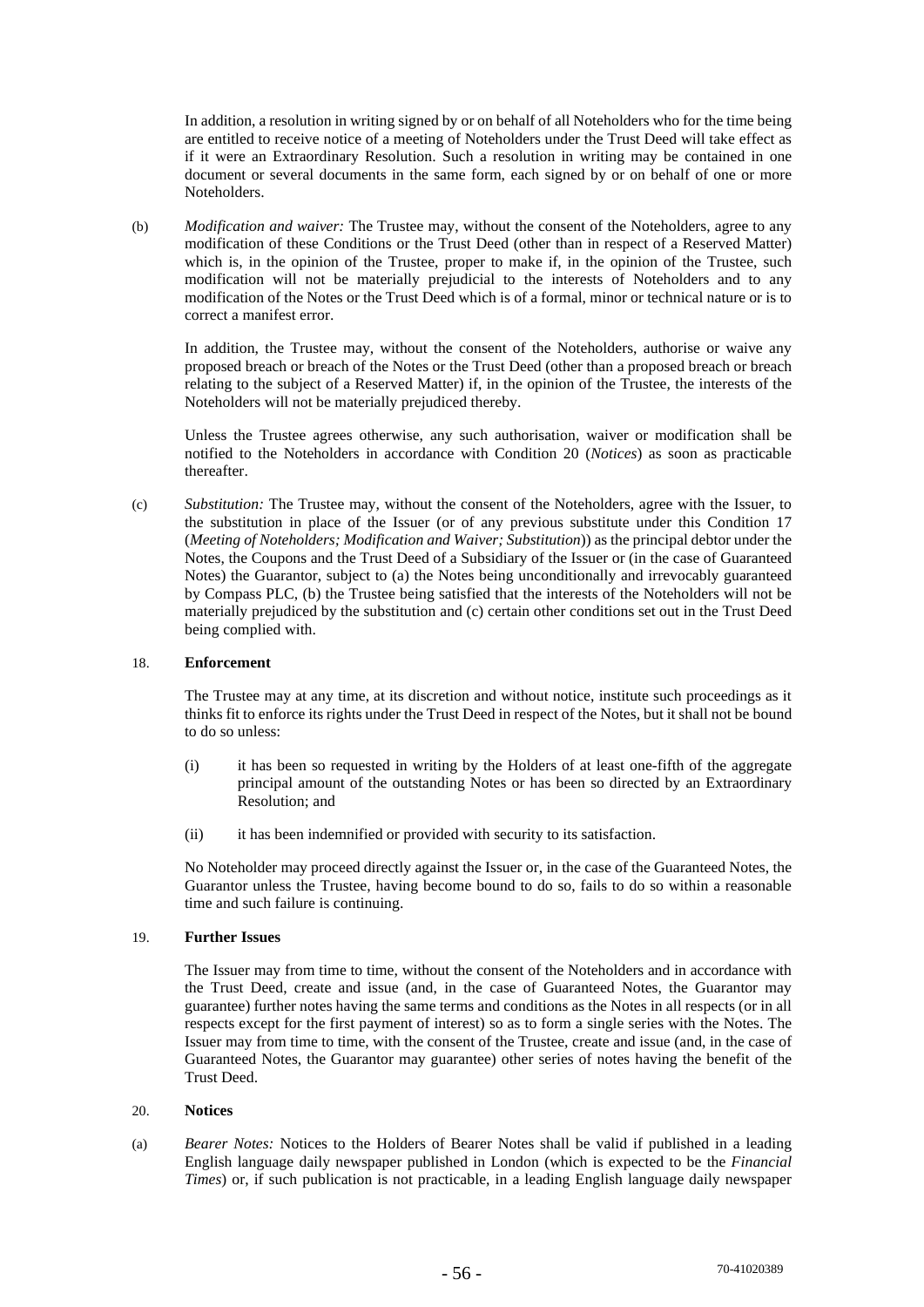In addition, a resolution in writing signed by or on behalf of all Noteholders who for the time being are entitled to receive notice of a meeting of Noteholders under the Trust Deed will take effect as if it were an Extraordinary Resolution. Such a resolution in writing may be contained in one document or several documents in the same form, each signed by or on behalf of one or more Noteholders.

(b) *Modification and waiver:* The Trustee may, without the consent of the Noteholders, agree to any modification of these Conditions or the Trust Deed (other than in respect of a Reserved Matter) which is, in the opinion of the Trustee, proper to make if, in the opinion of the Trustee, such modification will not be materially prejudicial to the interests of Noteholders and to any modification of the Notes or the Trust Deed which is of a formal, minor or technical nature or is to correct a manifest error.

In addition, the Trustee may, without the consent of the Noteholders, authorise or waive any proposed breach or breach of the Notes or the Trust Deed (other than a proposed breach or breach relating to the subject of a Reserved Matter) if, in the opinion of the Trustee, the interests of the Noteholders will not be materially prejudiced thereby.

Unless the Trustee agrees otherwise, any such authorisation, waiver or modification shall be notified to the Noteholders in accordance with Condition 20 (*Notices*) as soon as practicable thereafter.

(c) *Substitution:* The Trustee may, without the consent of the Noteholders, agree with the Issuer, to the substitution in place of the Issuer (or of any previous substitute under this Condition 17 (*Meeting of Noteholders; Modification and Waiver; Substitution*)) as the principal debtor under the Notes, the Coupons and the Trust Deed of a Subsidiary of the Issuer or (in the case of Guaranteed Notes) the Guarantor, subject to (a) the Notes being unconditionally and irrevocably guaranteed by Compass PLC, (b) the Trustee being satisfied that the interests of the Noteholders will not be materially prejudiced by the substitution and (c) certain other conditions set out in the Trust Deed being complied with.

## 18. **Enforcement**

The Trustee may at any time, at its discretion and without notice, institute such proceedings as it thinks fit to enforce its rights under the Trust Deed in respect of the Notes, but it shall not be bound to do so unless:

- (i) it has been so requested in writing by the Holders of at least one-fifth of the aggregate principal amount of the outstanding Notes or has been so directed by an Extraordinary Resolution; and
- (ii) it has been indemnified or provided with security to its satisfaction.

No Noteholder may proceed directly against the Issuer or, in the case of the Guaranteed Notes, the Guarantor unless the Trustee, having become bound to do so, fails to do so within a reasonable time and such failure is continuing.

## 19. **Further Issues**

The Issuer may from time to time, without the consent of the Noteholders and in accordance with the Trust Deed, create and issue (and, in the case of Guaranteed Notes, the Guarantor may guarantee) further notes having the same terms and conditions as the Notes in all respects (or in all respects except for the first payment of interest) so as to form a single series with the Notes. The Issuer may from time to time, with the consent of the Trustee, create and issue (and, in the case of Guaranteed Notes, the Guarantor may guarantee) other series of notes having the benefit of the Trust Deed.

## 20. **Notices**

(a) *Bearer Notes:* Notices to the Holders of Bearer Notes shall be valid if published in a leading English language daily newspaper published in London (which is expected to be the *Financial Times*) or, if such publication is not practicable, in a leading English language daily newspaper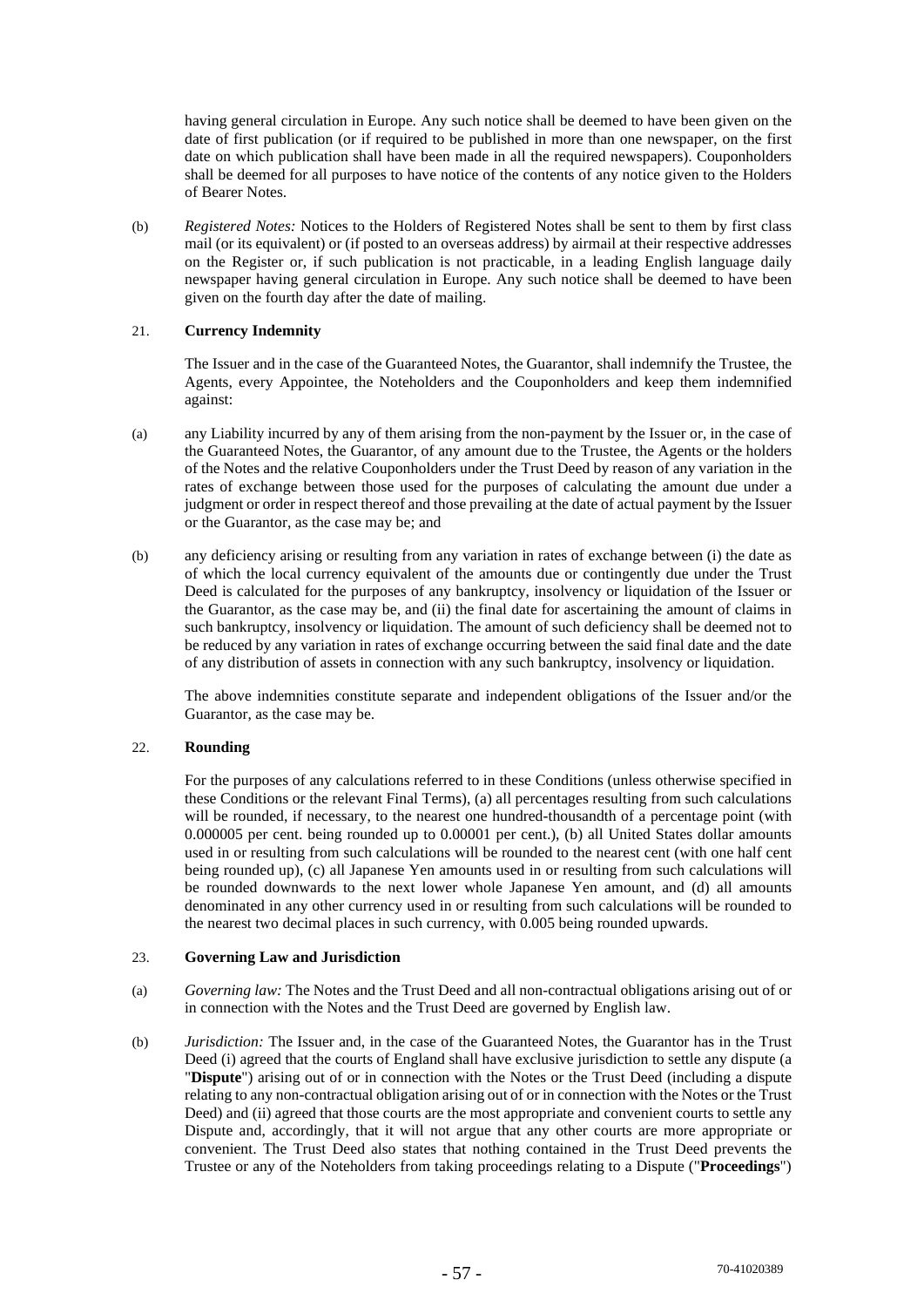having general circulation in Europe. Any such notice shall be deemed to have been given on the date of first publication (or if required to be published in more than one newspaper, on the first date on which publication shall have been made in all the required newspapers). Couponholders shall be deemed for all purposes to have notice of the contents of any notice given to the Holders of Bearer Notes.

(b) *Registered Notes:* Notices to the Holders of Registered Notes shall be sent to them by first class mail (or its equivalent) or (if posted to an overseas address) by airmail at their respective addresses on the Register or, if such publication is not practicable, in a leading English language daily newspaper having general circulation in Europe. Any such notice shall be deemed to have been given on the fourth day after the date of mailing.

## 21. **Currency Indemnity**

The Issuer and in the case of the Guaranteed Notes, the Guarantor, shall indemnify the Trustee, the Agents, every Appointee, the Noteholders and the Couponholders and keep them indemnified against:

- (a) any Liability incurred by any of them arising from the non-payment by the Issuer or, in the case of the Guaranteed Notes, the Guarantor, of any amount due to the Trustee, the Agents or the holders of the Notes and the relative Couponholders under the Trust Deed by reason of any variation in the rates of exchange between those used for the purposes of calculating the amount due under a judgment or order in respect thereof and those prevailing at the date of actual payment by the Issuer or the Guarantor, as the case may be; and
- (b) any deficiency arising or resulting from any variation in rates of exchange between (i) the date as of which the local currency equivalent of the amounts due or contingently due under the Trust Deed is calculated for the purposes of any bankruptcy, insolvency or liquidation of the Issuer or the Guarantor, as the case may be, and (ii) the final date for ascertaining the amount of claims in such bankruptcy, insolvency or liquidation. The amount of such deficiency shall be deemed not to be reduced by any variation in rates of exchange occurring between the said final date and the date of any distribution of assets in connection with any such bankruptcy, insolvency or liquidation.

The above indemnities constitute separate and independent obligations of the Issuer and/or the Guarantor, as the case may be.

#### 22. **Rounding**

For the purposes of any calculations referred to in these Conditions (unless otherwise specified in these Conditions or the relevant Final Terms), (a) all percentages resulting from such calculations will be rounded, if necessary, to the nearest one hundred-thousandth of a percentage point (with 0.000005 per cent. being rounded up to 0.00001 per cent.), (b) all United States dollar amounts used in or resulting from such calculations will be rounded to the nearest cent (with one half cent being rounded up), (c) all Japanese Yen amounts used in or resulting from such calculations will be rounded downwards to the next lower whole Japanese Yen amount, and (d) all amounts denominated in any other currency used in or resulting from such calculations will be rounded to the nearest two decimal places in such currency, with 0.005 being rounded upwards.

#### 23. **Governing Law and Jurisdiction**

- (a) *Governing law:* The Notes and the Trust Deed and all non-contractual obligations arising out of or in connection with the Notes and the Trust Deed are governed by English law.
- (b) *Jurisdiction:* The Issuer and, in the case of the Guaranteed Notes, the Guarantor has in the Trust Deed (i) agreed that the courts of England shall have exclusive jurisdiction to settle any dispute (a "**Dispute**") arising out of or in connection with the Notes or the Trust Deed (including a dispute relating to any non-contractual obligation arising out of or in connection with the Notes or the Trust Deed) and (ii) agreed that those courts are the most appropriate and convenient courts to settle any Dispute and, accordingly, that it will not argue that any other courts are more appropriate or convenient. The Trust Deed also states that nothing contained in the Trust Deed prevents the Trustee or any of the Noteholders from taking proceedings relating to a Dispute ("**Proceedings**")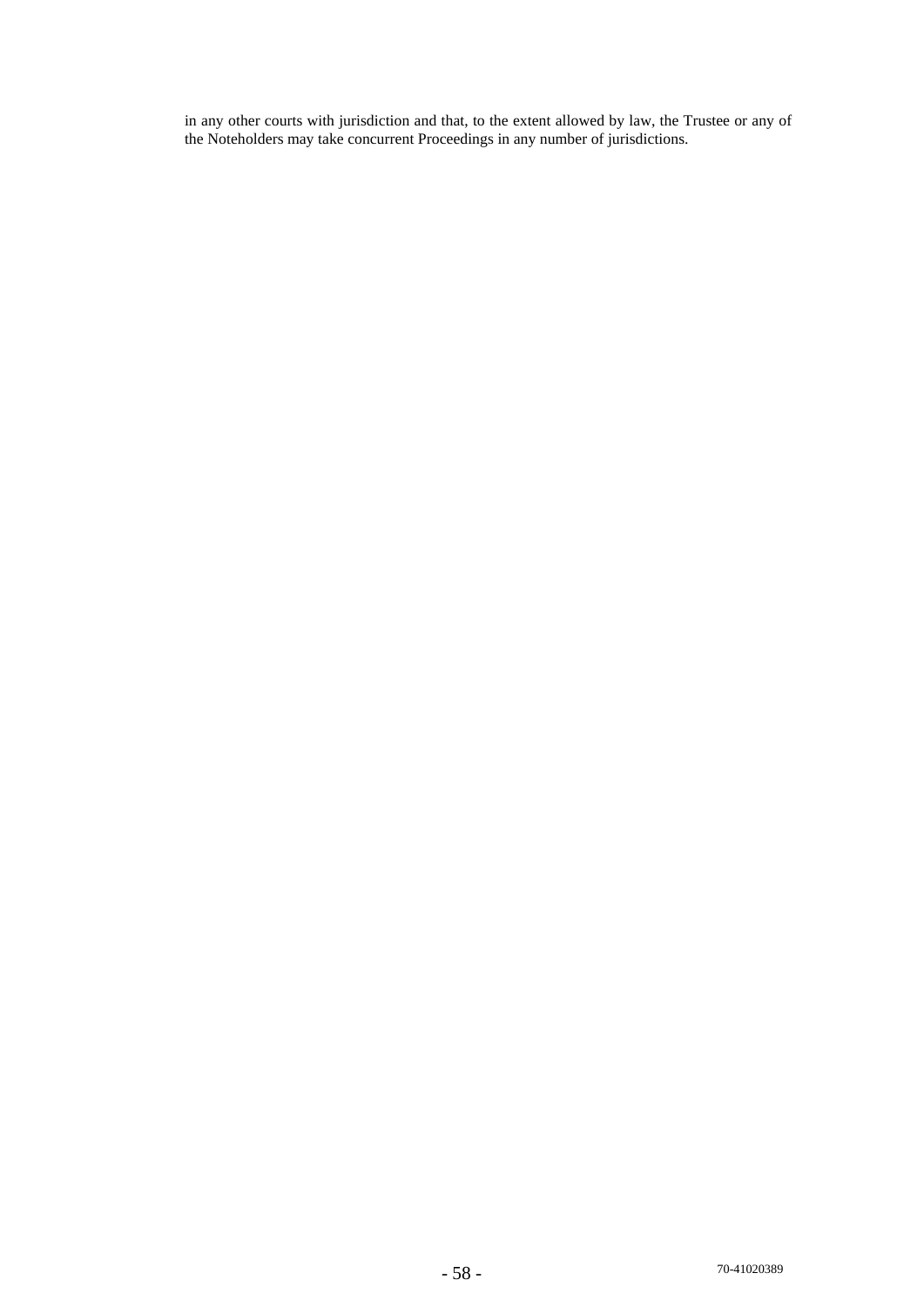in any other courts with jurisdiction and that, to the extent allowed by law, the Trustee or any of the Noteholders may take concurrent Proceedings in any number of jurisdictions.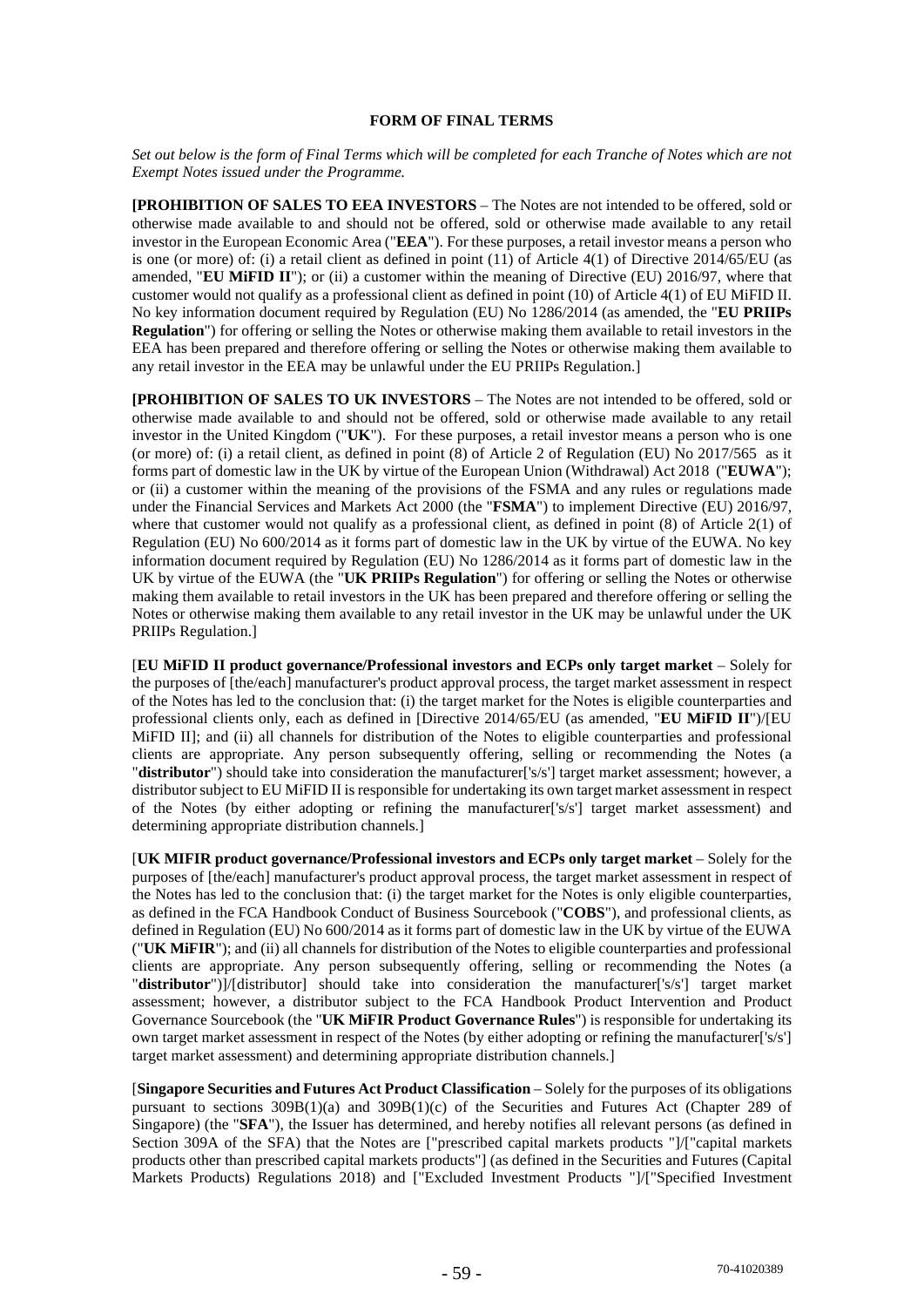## **FORM OF FINAL TERMS**

*Set out below is the form of Final Terms which will be completed for each Tranche of Notes which are not Exempt Notes issued under the Programme.* 

**[PROHIBITION OF SALES TO EEA INVESTORS** – The Notes are not intended to be offered, sold or otherwise made available to and should not be offered, sold or otherwise made available to any retail investor in the European Economic Area ("**EEA**"). For these purposes, a retail investor means a person who is one (or more) of: (i) a retail client as defined in point (11) of Article 4(1) of Directive 2014/65/EU (as amended, "**EU MiFID II**"); or (ii) a customer within the meaning of Directive (EU) 2016/97, where that customer would not qualify as a professional client as defined in point (10) of Article 4(1) of EU MiFID II. No key information document required by Regulation (EU) No 1286/2014 (as amended, the "**EU PRIIPs Regulation**") for offering or selling the Notes or otherwise making them available to retail investors in the EEA has been prepared and therefore offering or selling the Notes or otherwise making them available to any retail investor in the EEA may be unlawful under the EU PRIIPs Regulation.]

**[PROHIBITION OF SALES TO UK INVESTORS** – The Notes are not intended to be offered, sold or otherwise made available to and should not be offered, sold or otherwise made available to any retail investor in the United Kingdom ("**UK**"). For these purposes, a retail investor means a person who is one (or more) of: (i) a retail client, as defined in point  $(8)$  of Article 2 of Regulation (EU) No 2017/565 as it forms part of domestic law in the UK by virtue of the European Union (Withdrawal) Act 2018 ("**EUWA**"); or (ii) a customer within the meaning of the provisions of the FSMA and any rules or regulations made under the Financial Services and Markets Act 2000 (the "**FSMA**") to implement Directive (EU) 2016/97, where that customer would not qualify as a professional client, as defined in point (8) of Article 2(1) of Regulation (EU) No 600/2014 as it forms part of domestic law in the UK by virtue of the EUWA. No key information document required by Regulation (EU) No 1286/2014 as it forms part of domestic law in the UK by virtue of the EUWA (the "**UK PRIIPs Regulation**") for offering or selling the Notes or otherwise making them available to retail investors in the UK has been prepared and therefore offering or selling the Notes or otherwise making them available to any retail investor in the UK may be unlawful under the UK PRIIPs Regulation.]

[**EU MiFID II product governance/Professional investors and ECPs only target market** – Solely for the purposes of [the/each] manufacturer's product approval process, the target market assessment in respect of the Notes has led to the conclusion that: (i) the target market for the Notes is eligible counterparties and professional clients only, each as defined in [Directive 2014/65/EU (as amended, "**EU MiFID II**")/[EU MiFID III; and (ii) all channels for distribution of the Notes to eligible counterparties and professional clients are appropriate. Any person subsequently offering, selling or recommending the Notes (a "**distributor**") should take into consideration the manufacturer['s/s'] target market assessment; however, a distributor subject to EU MiFID II is responsible for undertaking its own target market assessment in respect of the Notes (by either adopting or refining the manufacturer['s/s'] target market assessment) and determining appropriate distribution channels.]

[UK MIFIR product governance/Professional investors and ECPs only target market – Solely for the purposes of [the/each] manufacturer's product approval process, the target market assessment in respect of the Notes has led to the conclusion that: (i) the target market for the Notes is only eligible counterparties, as defined in the FCA Handbook Conduct of Business Sourcebook ("**COBS**"), and professional clients, as defined in Regulation (EU) No 600/2014 as it forms part of domestic law in the UK by virtue of the EUWA ("**UK MiFIR**"); and (ii) all channels for distribution of the Notes to eligible counterparties and professional clients are appropriate. Any person subsequently offering, selling or recommending the Notes (a "**distributor**")]/[distributor] should take into consideration the manufacturer['s/s'] target market assessment; however, a distributor subject to the FCA Handbook Product Intervention and Product Governance Sourcebook (the "**UK MiFIR Product Governance Rules**") is responsible for undertaking its own target market assessment in respect of the Notes (by either adopting or refining the manufacturer['s/s'] target market assessment) and determining appropriate distribution channels.]

[**Singapore Securities and Futures Act Product Classification** – Solely for the purposes of its obligations pursuant to sections 309B(1)(a) and 309B(1)(c) of the Securities and Futures Act (Chapter 289 of Singapore) (the "**SFA**"), the Issuer has determined, and hereby notifies all relevant persons (as defined in Section 309A of the SFA) that the Notes are ["prescribed capital markets products "]/["capital markets products other than prescribed capital markets products"] (as defined in the Securities and Futures (Capital Markets Products) Regulations 2018) and ["Excluded Investment Products "]/["Specified Investment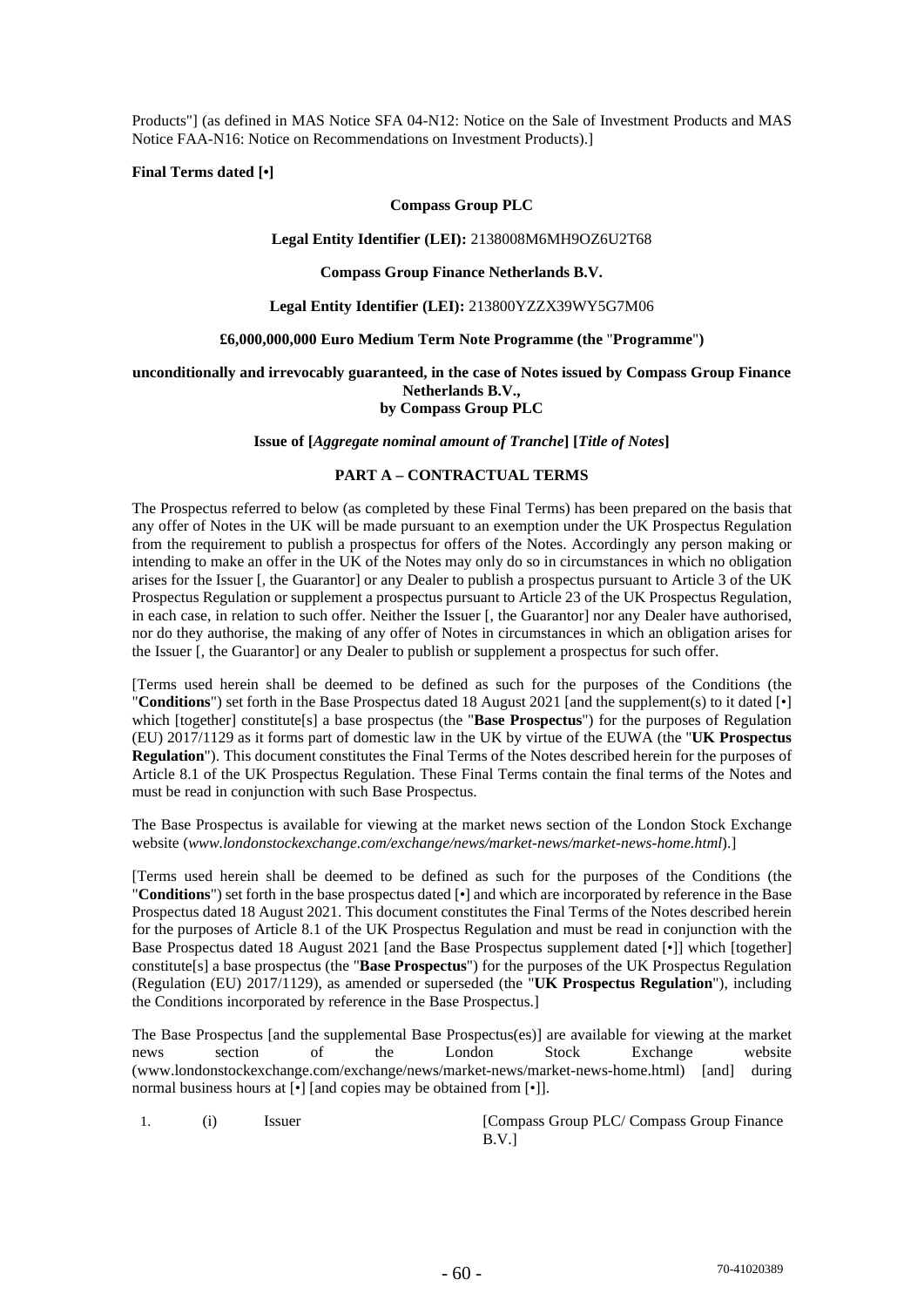Products"] (as defined in MAS Notice SFA 04-N12: Notice on the Sale of Investment Products and MAS Notice FAA-N16: Notice on Recommendations on Investment Products).]

**Final Terms dated [•]** 

## **Compass Group PLC**

#### **Legal Entity Identifier (LEI):** 2138008M6MH9OZ6U2T68

#### **Compass Group Finance Netherlands B.V.**

## **Legal Entity Identifier (LEI):** 213800YZZX39WY5G7M06

#### **£6,000,000,000 Euro Medium Term Note Programme (the** "**Programme**"**)**

## **unconditionally and irrevocably guaranteed, in the case of Notes issued by Compass Group Finance Netherlands B.V., by Compass Group PLC**

#### **Issue of [***Aggregate nominal amount of Tranche***] [***Title of Notes***]**

## **PART A – CONTRACTUAL TERMS**

The Prospectus referred to below (as completed by these Final Terms) has been prepared on the basis that any offer of Notes in the UK will be made pursuant to an exemption under the UK Prospectus Regulation from the requirement to publish a prospectus for offers of the Notes. Accordingly any person making or intending to make an offer in the UK of the Notes may only do so in circumstances in which no obligation arises for the Issuer [, the Guarantor] or any Dealer to publish a prospectus pursuant to Article 3 of the UK Prospectus Regulation or supplement a prospectus pursuant to Article 23 of the UK Prospectus Regulation, in each case, in relation to such offer. Neither the Issuer [, the Guarantor] nor any Dealer have authorised, nor do they authorise, the making of any offer of Notes in circumstances in which an obligation arises for the Issuer [, the Guarantor] or any Dealer to publish or supplement a prospectus for such offer.

[Terms used herein shall be deemed to be defined as such for the purposes of the Conditions (the "**Conditions**") set forth in the Base Prospectus dated 18 August 2021 [and the supplement(s) to it dated [•] which [together] constitute[s] a base prospectus (the "**Base Prospectus**") for the purposes of Regulation (EU) 2017/1129 as it forms part of domestic law in the UK by virtue of the EUWA (the "**UK Prospectus Regulation**"). This document constitutes the Final Terms of the Notes described herein for the purposes of Article 8.1 of the UK Prospectus Regulation. These Final Terms contain the final terms of the Notes and must be read in conjunction with such Base Prospectus.

The Base Prospectus is available for viewing at the market news section of the London Stock Exchange website (*www.londonstockexchange.com/exchange/news/market-news/market-news-home.html*).]

[Terms used herein shall be deemed to be defined as such for the purposes of the Conditions (the "**Conditions**") set forth in the base prospectus dated [•] and which are incorporated by reference in the Base Prospectus dated 18 August 2021. This document constitutes the Final Terms of the Notes described herein for the purposes of Article 8.1 of the UK Prospectus Regulation and must be read in conjunction with the Base Prospectus dated 18 August 2021 [and the Base Prospectus supplement dated [•]] which [together] constitute[s] a base prospectus (the "**Base Prospectus**") for the purposes of the UK Prospectus Regulation (Regulation (EU) 2017/1129), as amended or superseded (the "**UK Prospectus Regulation**"), including the Conditions incorporated by reference in the Base Prospectus.]

The Base Prospectus [and the supplemental Base Prospectus(es)] are available for viewing at the market news section of the London Stock Exchange website (www.londonstockexchange.com/exchange/news/market-news/market-news-home.html) [and] during normal business hours at [•] [and copies may be obtained from [•]].

1. (i) Issuer [Compass Group PLC/ Compass Group Finance B.V.]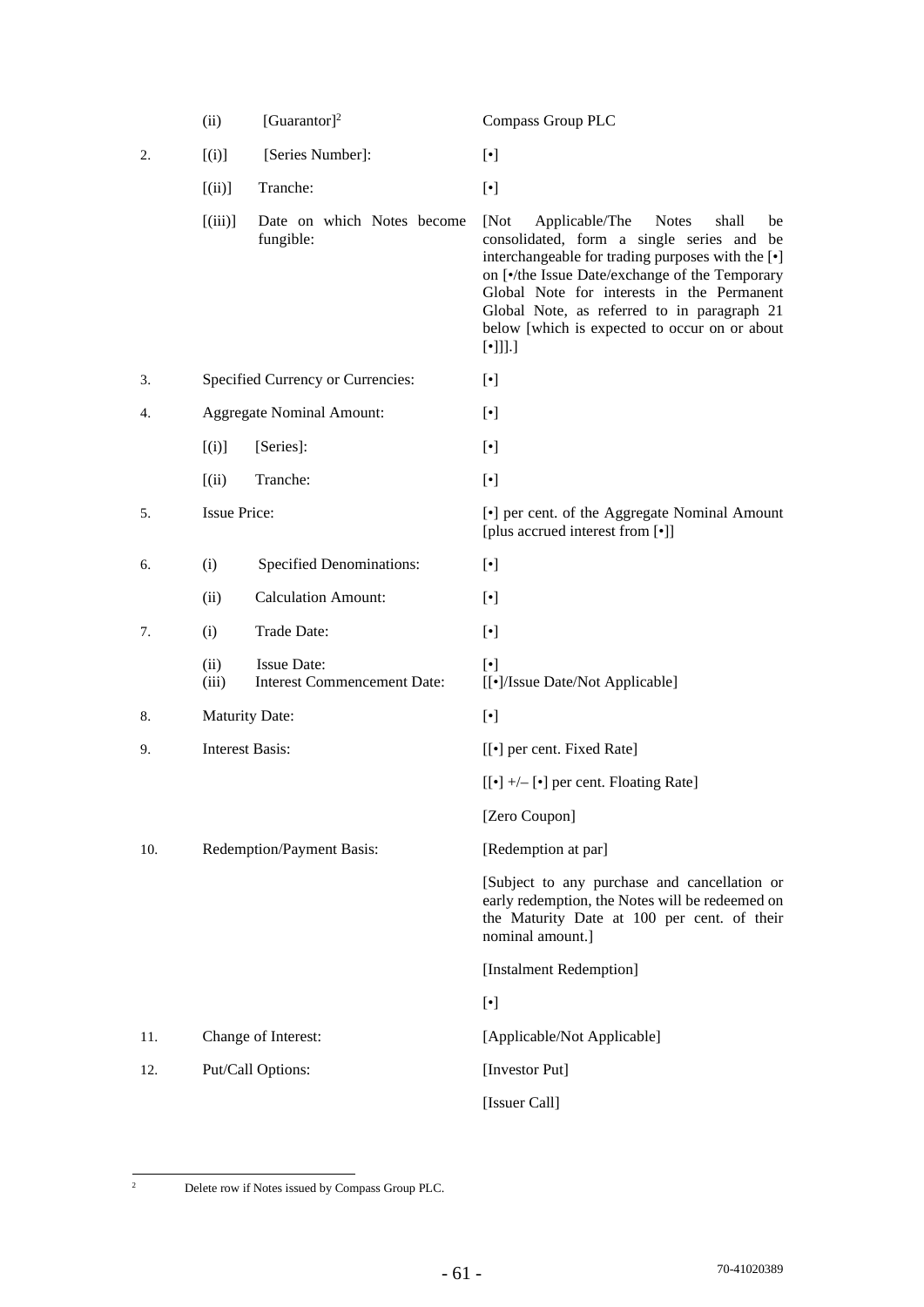|     | (ii)                   | [Guarantor] <sup>2</sup>                                 | <b>Compass Group PLC</b>                                                                                                                                                                                                                                                                                                                                                                     |
|-----|------------------------|----------------------------------------------------------|----------------------------------------------------------------------------------------------------------------------------------------------------------------------------------------------------------------------------------------------------------------------------------------------------------------------------------------------------------------------------------------------|
| 2.  | [(i)]                  | [Series Number]:                                         | $[\cdot]$                                                                                                                                                                                                                                                                                                                                                                                    |
|     | [(ii)]                 | Tranche:                                                 | $[\cdot]$                                                                                                                                                                                                                                                                                                                                                                                    |
|     | [(iii)]                | Date on which Notes become<br>fungible:                  | [Not<br>Applicable/The<br><b>Notes</b><br>shall<br>be<br>consolidated, form a single series and be<br>interchangeable for trading purposes with the [ $\bullet$ ]<br>on [ $\bullet$ /the Issue Date/exchange of the Temporary<br>Global Note for interests in the Permanent<br>Global Note, as referred to in paragraph 21<br>below [which is expected to occur on or about<br>$[\cdot]]].]$ |
| 3.  |                        | Specified Currency or Currencies:                        | $[\cdot]$                                                                                                                                                                                                                                                                                                                                                                                    |
| 4.  |                        | <b>Aggregate Nominal Amount:</b>                         | $[\cdot]$                                                                                                                                                                                                                                                                                                                                                                                    |
|     | [(i)]                  | [Series]:                                                | $[\cdot]$                                                                                                                                                                                                                                                                                                                                                                                    |
|     | (iii)                  | Tranche:                                                 | $[\cdot]$                                                                                                                                                                                                                                                                                                                                                                                    |
| 5.  | <b>Issue Price:</b>    |                                                          | [•] per cent. of the Aggregate Nominal Amount<br>[plus accrued interest from [•]]                                                                                                                                                                                                                                                                                                            |
| 6.  | (i)                    | <b>Specified Denominations:</b>                          | $[\cdot]$                                                                                                                                                                                                                                                                                                                                                                                    |
|     | (ii)                   | <b>Calculation Amount:</b>                               | $[\cdot]$                                                                                                                                                                                                                                                                                                                                                                                    |
| 7.  | (i)                    | Trade Date:                                              | $[\cdot]$                                                                                                                                                                                                                                                                                                                                                                                    |
|     | (ii)<br>(iii)          | <b>Issue Date:</b><br><b>Interest Commencement Date:</b> | $[\cdot]$<br>[[•]/Issue Date/Not Applicable]                                                                                                                                                                                                                                                                                                                                                 |
| 8.  | <b>Maturity Date:</b>  |                                                          | $[\cdot]$                                                                                                                                                                                                                                                                                                                                                                                    |
| 9.  | <b>Interest Basis:</b> |                                                          | [[ $\bullet$ ] per cent. Fixed Rate]                                                                                                                                                                                                                                                                                                                                                         |
|     |                        |                                                          | $[[\bullet] +/- [\bullet]$ per cent. Floating Rate]                                                                                                                                                                                                                                                                                                                                          |
|     |                        |                                                          | [Zero Coupon]                                                                                                                                                                                                                                                                                                                                                                                |
| 10. |                        | Redemption/Payment Basis:                                | [Redemption at par]                                                                                                                                                                                                                                                                                                                                                                          |
|     |                        |                                                          | [Subject to any purchase and cancellation or<br>early redemption, the Notes will be redeemed on<br>the Maturity Date at 100 per cent. of their<br>nominal amount.]                                                                                                                                                                                                                           |
|     |                        |                                                          | [Instalment Redemption]                                                                                                                                                                                                                                                                                                                                                                      |
|     |                        |                                                          | $[\cdot]$                                                                                                                                                                                                                                                                                                                                                                                    |
| 11. |                        | Change of Interest:                                      | [Applicable/Not Applicable]                                                                                                                                                                                                                                                                                                                                                                  |
| 12. |                        | Put/Call Options:                                        | [Investor Put]                                                                                                                                                                                                                                                                                                                                                                               |
|     |                        |                                                          | [Issuer Call]                                                                                                                                                                                                                                                                                                                                                                                |

<sup>&</sup>lt;sup>2</sup> Delete row if Notes issued by Compass Group PLC.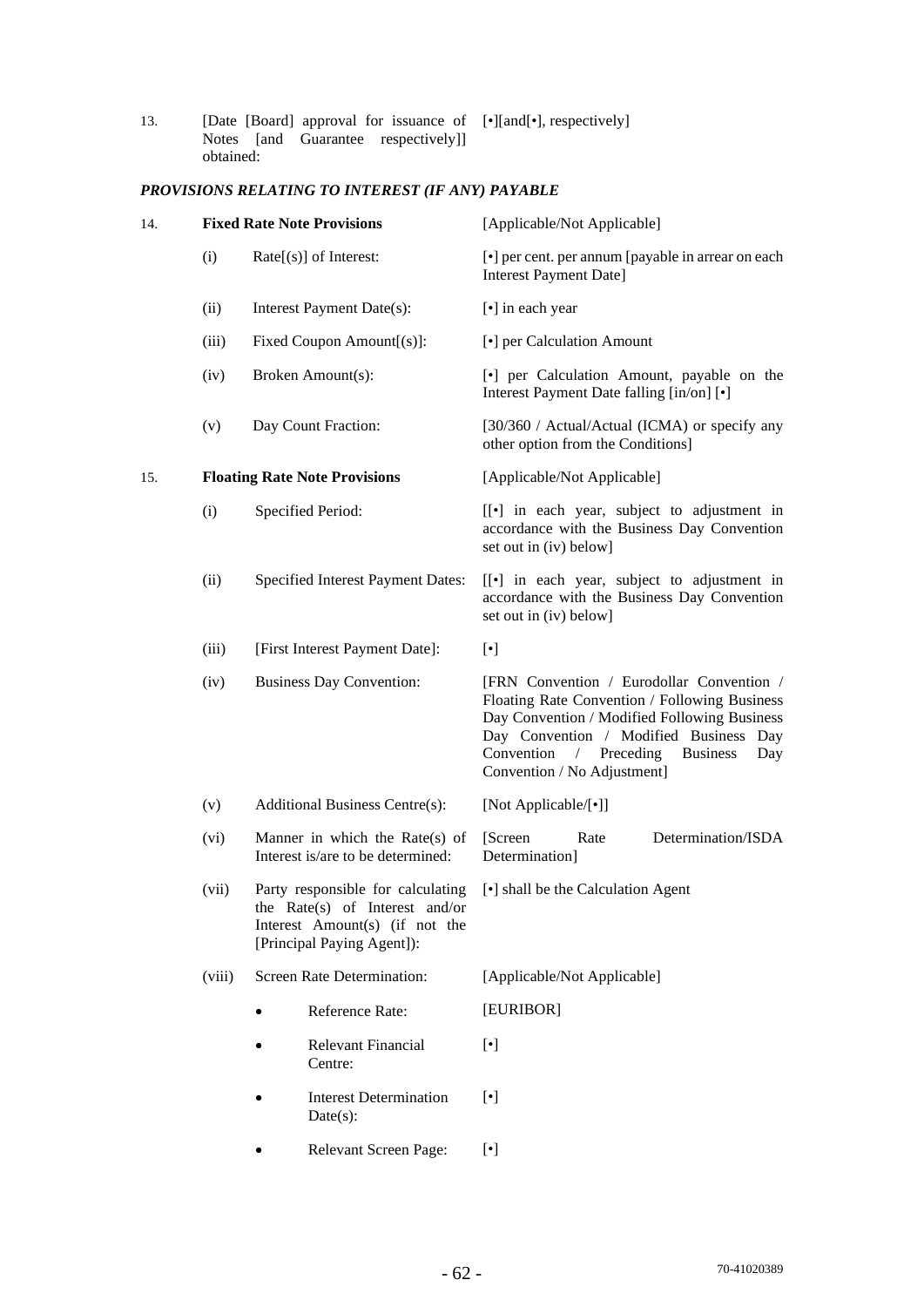13. [Date [Board] approval for issuance of Notes [and Guarantee respectively]] obtained: [•][and[•], respectively]

# *PROVISIONS RELATING TO INTEREST (IF ANY) PAYABLE*

| 14. |                                                                                                                                              | <b>Fixed Rate Note Provisions</b>                                      | [Applicable/Not Applicable]                                                                                                                                                                                                                                                |
|-----|----------------------------------------------------------------------------------------------------------------------------------------------|------------------------------------------------------------------------|----------------------------------------------------------------------------------------------------------------------------------------------------------------------------------------------------------------------------------------------------------------------------|
|     | (i)                                                                                                                                          | $Rate[s]$ of Interest:                                                 | [•] per cent. per annum [payable in arrear on each<br><b>Interest Payment Date]</b>                                                                                                                                                                                        |
|     | (ii)                                                                                                                                         | Interest Payment Date(s):                                              | [•] in each year                                                                                                                                                                                                                                                           |
|     | (iii)                                                                                                                                        | Fixed Coupon Amount[(s)]:                                              | [•] per Calculation Amount                                                                                                                                                                                                                                                 |
|     | (iv)                                                                                                                                         | Broken Amount(s):                                                      | [•] per Calculation Amount, payable on the<br>Interest Payment Date falling [in/on] [ $\bullet$ ]                                                                                                                                                                          |
|     | (v)                                                                                                                                          | Day Count Fraction:                                                    | [30/360 / Actual/Actual (ICMA) or specify any<br>other option from the Conditions]                                                                                                                                                                                         |
| 15. |                                                                                                                                              | <b>Floating Rate Note Provisions</b>                                   | [Applicable/Not Applicable]                                                                                                                                                                                                                                                |
|     | (i)                                                                                                                                          | Specified Period:                                                      | [[•] in each year, subject to adjustment in<br>accordance with the Business Day Convention<br>set out in (iv) below]                                                                                                                                                       |
|     | (ii)                                                                                                                                         | Specified Interest Payment Dates:                                      | [[•] in each year, subject to adjustment in<br>accordance with the Business Day Convention<br>set out in (iv) below]                                                                                                                                                       |
|     | (iii)                                                                                                                                        | [First Interest Payment Date]:                                         | $[\cdot]$                                                                                                                                                                                                                                                                  |
|     | (iv)                                                                                                                                         | <b>Business Day Convention:</b>                                        | [FRN Convention / Eurodollar Convention /<br>Floating Rate Convention / Following Business<br>Day Convention / Modified Following Business<br>Day Convention / Modified Business Day<br>/ Preceding<br>Convention<br><b>Business</b><br>Day<br>Convention / No Adjustment] |
|     | (v)                                                                                                                                          | <b>Additional Business Centre(s):</b>                                  | [Not Applicable/[•]]                                                                                                                                                                                                                                                       |
|     | (vi)                                                                                                                                         | Manner in which the Rate $(s)$ of<br>Interest is/are to be determined: | Determination/ISDA<br>[Screen]<br>Rate<br>Determination]                                                                                                                                                                                                                   |
|     | Party responsible for calculating<br>(vii)<br>the Rate(s) of Interest and/or<br>Interest Amount(s) (if not the<br>[Principal Paying Agent]): |                                                                        | [•] shall be the Calculation Agent                                                                                                                                                                                                                                         |
|     | (viii)                                                                                                                                       | Screen Rate Determination:                                             | [Applicable/Not Applicable]                                                                                                                                                                                                                                                |
|     |                                                                                                                                              | Reference Rate:<br>$\bullet$                                           | [EURIBOR]                                                                                                                                                                                                                                                                  |
|     |                                                                                                                                              | Relevant Financial<br>Centre:                                          | $[\cdot]$                                                                                                                                                                                                                                                                  |
|     |                                                                                                                                              | <b>Interest Determination</b><br>$Date(s)$ :                           | $[\cdot]$                                                                                                                                                                                                                                                                  |
|     | Relevant Screen Page:                                                                                                                        |                                                                        | $[\cdot]$                                                                                                                                                                                                                                                                  |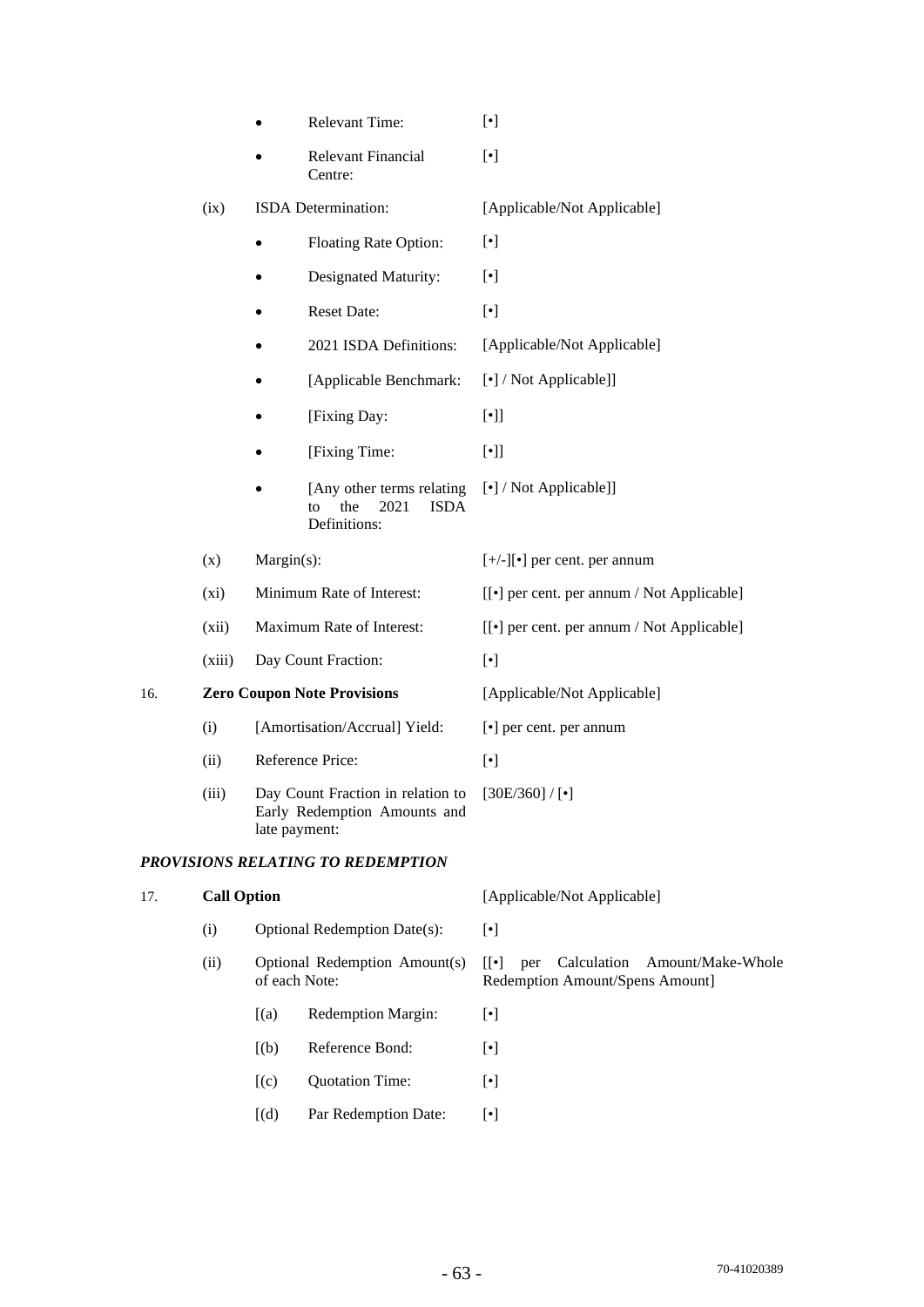|  | <b>Relevant Time:</b> |  |
|--|-----------------------|--|
|--|-----------------------|--|

 Relevant Financial Centre: [•]

#### (ix) ISDA Determination: [Applicable/Not Applicable]

- Floating Rate Option: [ $\bullet$ ]
- Designated Maturity:  $[\cdot]$
- Reset Date:  $\lceil \cdot \rceil$
- 2021 ISDA Definitions: [Applicable/Not Applicable]
- [Applicable Benchmark: [•] / Not Applicable]]
- [Fixing Day: [•]]
- [Fixing Time: [•]]
- [Any other terms relating] to the 2021 ISDA Definitions: [•] / Not Applicable]]
- (x) Margin(s):  $[+/]-][\bullet]$  per cent. per annum (xi) Minimum Rate of Interest: [[•] per cent. per annum / Not Applicable]
	-
- (xii) Maximum Rate of Interest: [[•] per cent. per annum / Not Applicable]
- (xiii) Day Count Fraction: [•]

# 16. **Zero Coupon Note Provisions** [Applicable/Not Applicable]

- (i) [Amortisation/Accrual] Yield: [•] per cent. per annum
- (ii) Reference Price: [•]
- (iii) Day Count Fraction in relation to Early Redemption Amounts and late payment: [30E/360] / [•]

## *PROVISIONS RELATING TO REDEMPTION*

# 17. **Call Option** [Applicable/Not Applicable] (i) Optional Redemption Date(s): [•] (ii) Optional Redemption Amount(s) of each Note: [[•] per Calculation Amount/Make-Whole Redemption Amount/Spens Amount] [(a) Redemption Margin: [•]  $[(b) \qquad$  Reference Bond:  $[•]$  $[(c)$  Ouotation Time:  $[\bullet]$ [(d) Par Redemption Date:  $\lceil \cdot \rceil$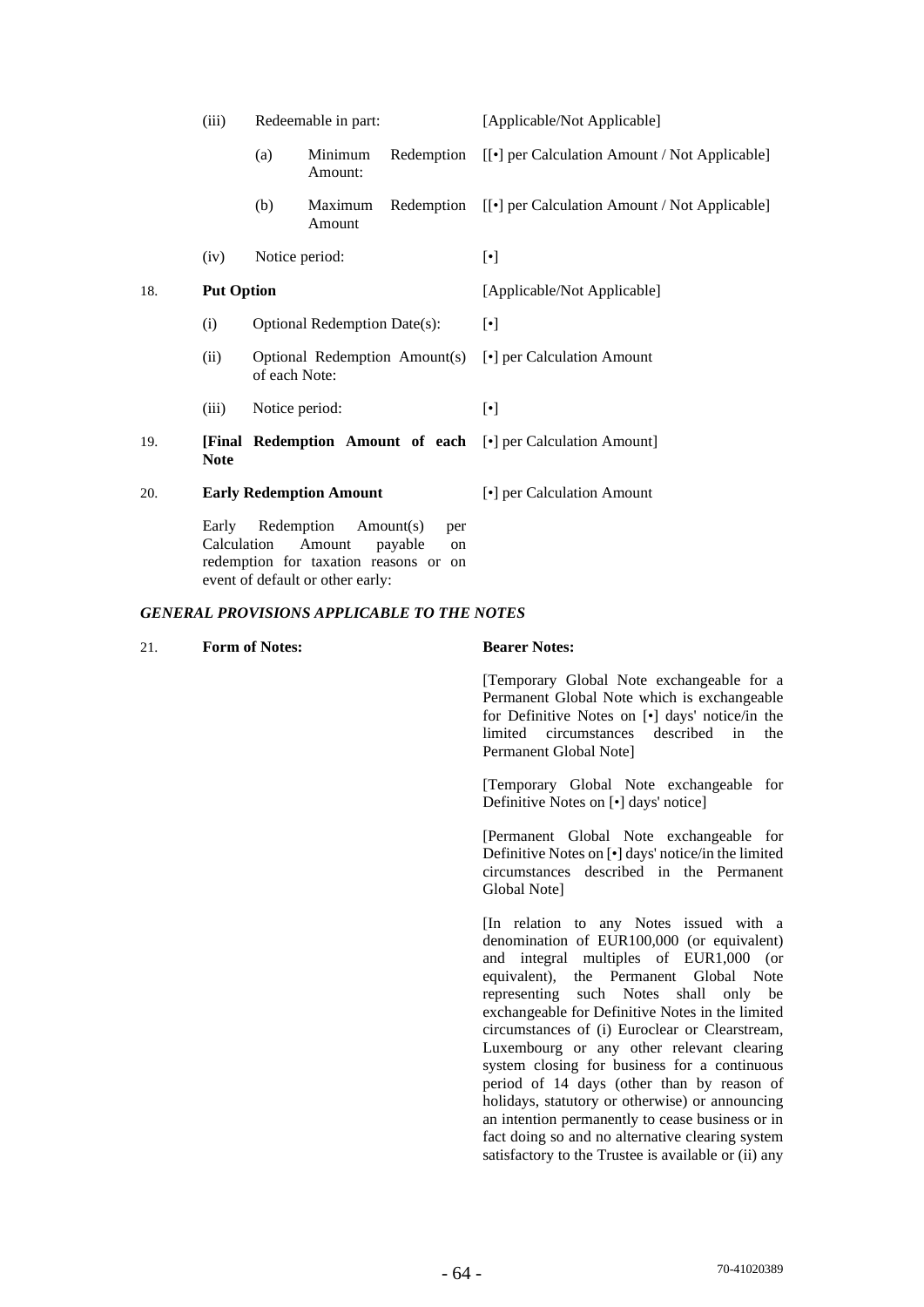|     | (iii)                                                                                                                                                          | Redeemable in part:          |                    |                               | [Applicable/Not Applicable]                                         |  |
|-----|----------------------------------------------------------------------------------------------------------------------------------------------------------------|------------------------------|--------------------|-------------------------------|---------------------------------------------------------------------|--|
|     |                                                                                                                                                                | (a)                          | Minimum<br>Amount: | Redemption                    | [[•] per Calculation Amount / Not Applicable]                       |  |
|     |                                                                                                                                                                | (b)                          | Maximum<br>Amount  |                               | Redemption [[ $\bullet$ ] per Calculation Amount / Not Applicable]  |  |
|     | (iv)                                                                                                                                                           |                              | Notice period:     |                               | $[\cdot]$                                                           |  |
| 18. | <b>Put Option</b>                                                                                                                                              |                              |                    |                               | [Applicable/Not Applicable]                                         |  |
|     | (i)                                                                                                                                                            | Optional Redemption Date(s): |                    |                               | $[\cdot]$                                                           |  |
|     | (ii)                                                                                                                                                           |                              | of each Note:      | Optional Redemption Amount(s) | [•] per Calculation Amount                                          |  |
|     | (iii)                                                                                                                                                          |                              | Notice period:     |                               | $[\cdot]$                                                           |  |
| 19. | <b>Note</b>                                                                                                                                                    |                              |                    |                               | <b>[Final Redemption Amount of each [•]</b> per Calculation Amount] |  |
| 20. | <b>Early Redemption Amount</b>                                                                                                                                 |                              |                    |                               | [•] per Calculation Amount                                          |  |
|     | Redemption<br>Early<br>Amount(s)<br>per<br>Calculation<br>Amount<br>payable<br>on<br>redemption for taxation reasons or on<br>event of default or other early: |                              |                    |                               |                                                                     |  |

## *GENERAL PROVISIONS APPLICABLE TO THE NOTES*

| 21. | <b>Form of Notes:</b> | <b>Bearer Notes:</b>                                                                                                                                                                                                                                                                                                                                                                                                                                                                                                   |
|-----|-----------------------|------------------------------------------------------------------------------------------------------------------------------------------------------------------------------------------------------------------------------------------------------------------------------------------------------------------------------------------------------------------------------------------------------------------------------------------------------------------------------------------------------------------------|
|     |                       | [Temporary Global Note exchangeable for a<br>Permanent Global Note which is exchangeable<br>for Definitive Notes on [ $\bullet$ ] days' notice/in the<br>limited<br>circumstances described in<br>the<br>Permanent Global Note                                                                                                                                                                                                                                                                                         |
|     |                       | [Temporary Global Note exchangeable for<br>Definitive Notes on [ $\bullet$ ] days' notice]                                                                                                                                                                                                                                                                                                                                                                                                                             |
|     |                       | [Permanent Global Note exchangeable for<br>Definitive Notes on [ $\bullet$ ] days' notice/in the limited<br>circumstances described in the Permanent<br>Global Note]                                                                                                                                                                                                                                                                                                                                                   |
|     |                       | [In relation to any Notes issued with a<br>denomination of EUR100,000 (or equivalent)<br>and integral multiples of EUR1,000 (or<br>equivalent), the Permanent Global Note<br>representing such Notes shall only be<br>exchangeable for Definitive Notes in the limited<br>circumstances of (i) Euroclear or Clearstream,<br>Luxembourg or any other relevant clearing<br>system closing for business for a continuous<br>period of 14 days (other than by reason of<br>holidays, statutory or otherwise) or announcing |

an intention permanently to cease business or in fact doing so and no alternative clearing system satisfactory to the Trustee is available or (ii) any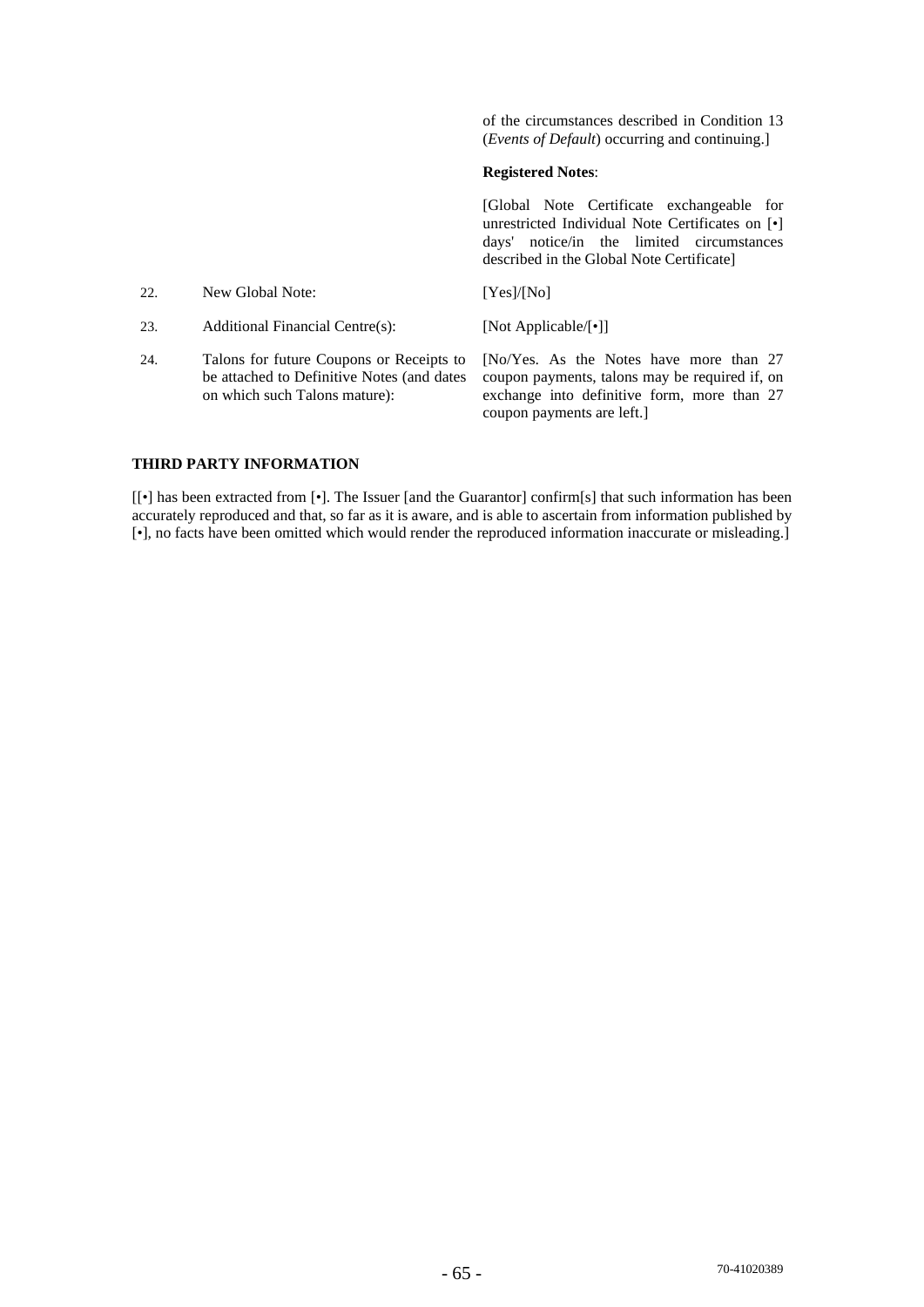of the circumstances described in Condition 13 (*Events of Default*) occurring and continuing.]

## **Registered Notes**:

[Global Note Certificate exchangeable for unrestricted Individual Note Certificates on [•] days' notice/in the limited circumstances described in the Global Note Certificate]

| 22. | New Global Note:                                                                                                        | [Yes]/[No]                                                                                                                                                             |
|-----|-------------------------------------------------------------------------------------------------------------------------|------------------------------------------------------------------------------------------------------------------------------------------------------------------------|
| 23. | Additional Financial Centre(s):                                                                                         | [Not Applicable/ $\lceil \cdot \rceil$ ]                                                                                                                               |
| 24. | Talons for future Coupons or Receipts to<br>be attached to Definitive Notes (and dates<br>on which such Talons mature): | [No/Yes. As the Notes have more than 27<br>coupon payments, talons may be required if, on<br>exchange into definitive form, more than 27<br>coupon payments are left.] |

## **THIRD PARTY INFORMATION**

[[•] has been extracted from [•]. The Issuer [and the Guarantor] confirm[s] that such information has been accurately reproduced and that, so far as it is aware, and is able to ascertain from information published by [•], no facts have been omitted which would render the reproduced information inaccurate or misleading.]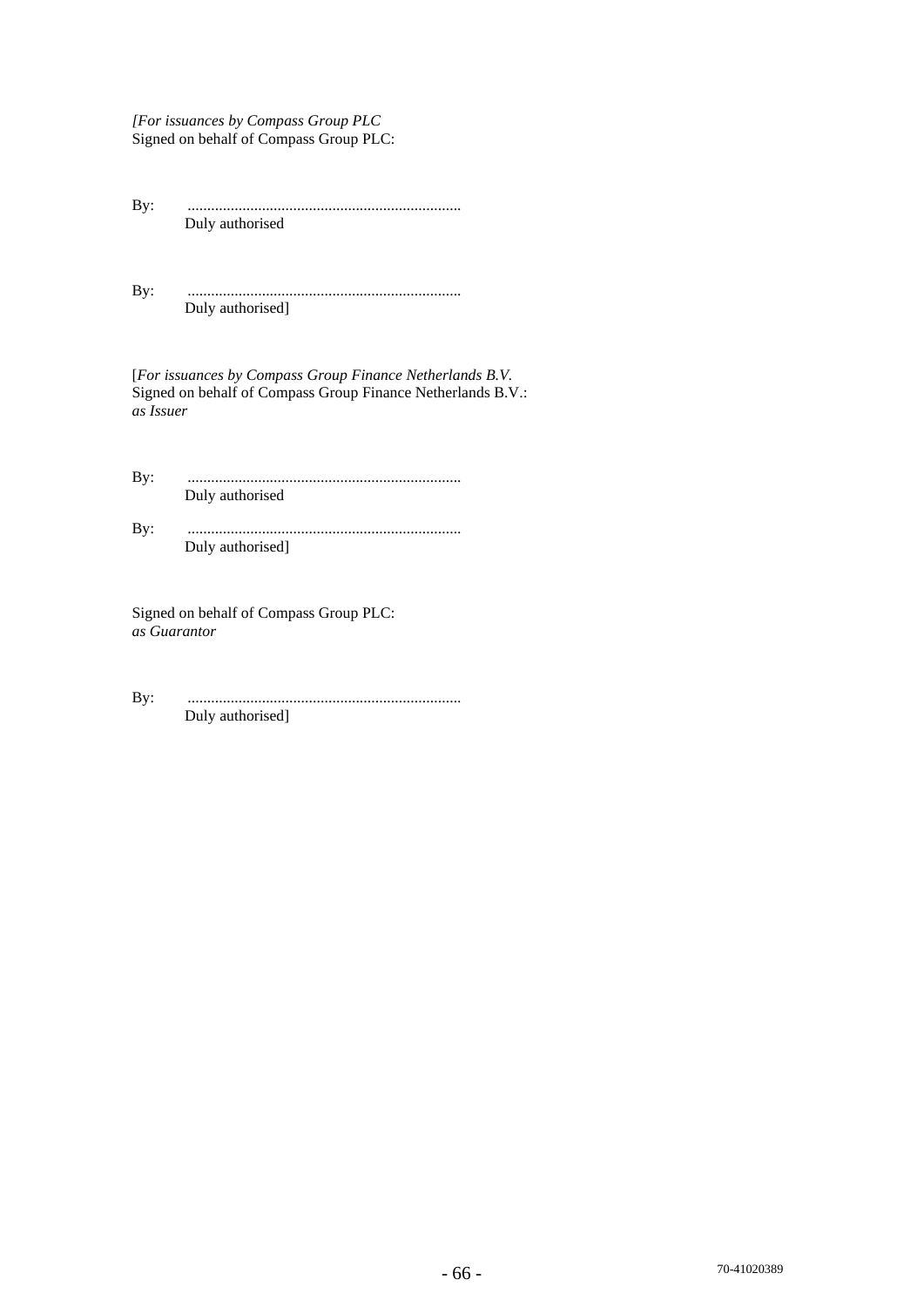*[For issuances by Compass Group PLC*  Signed on behalf of Compass Group PLC:

By: ...................................................................... Duly authorised

By: ...................................................................... Duly authorised]

[*For issuances by Compass Group Finance Netherlands B.V.* Signed on behalf of Compass Group Finance Netherlands B.V.: *as Issuer* 

By: ...................................................................... Duly authorised

By: ...................................................................... Duly authorised]

Signed on behalf of Compass Group PLC: *as Guarantor* 

By: ...................................................................... Duly authorised]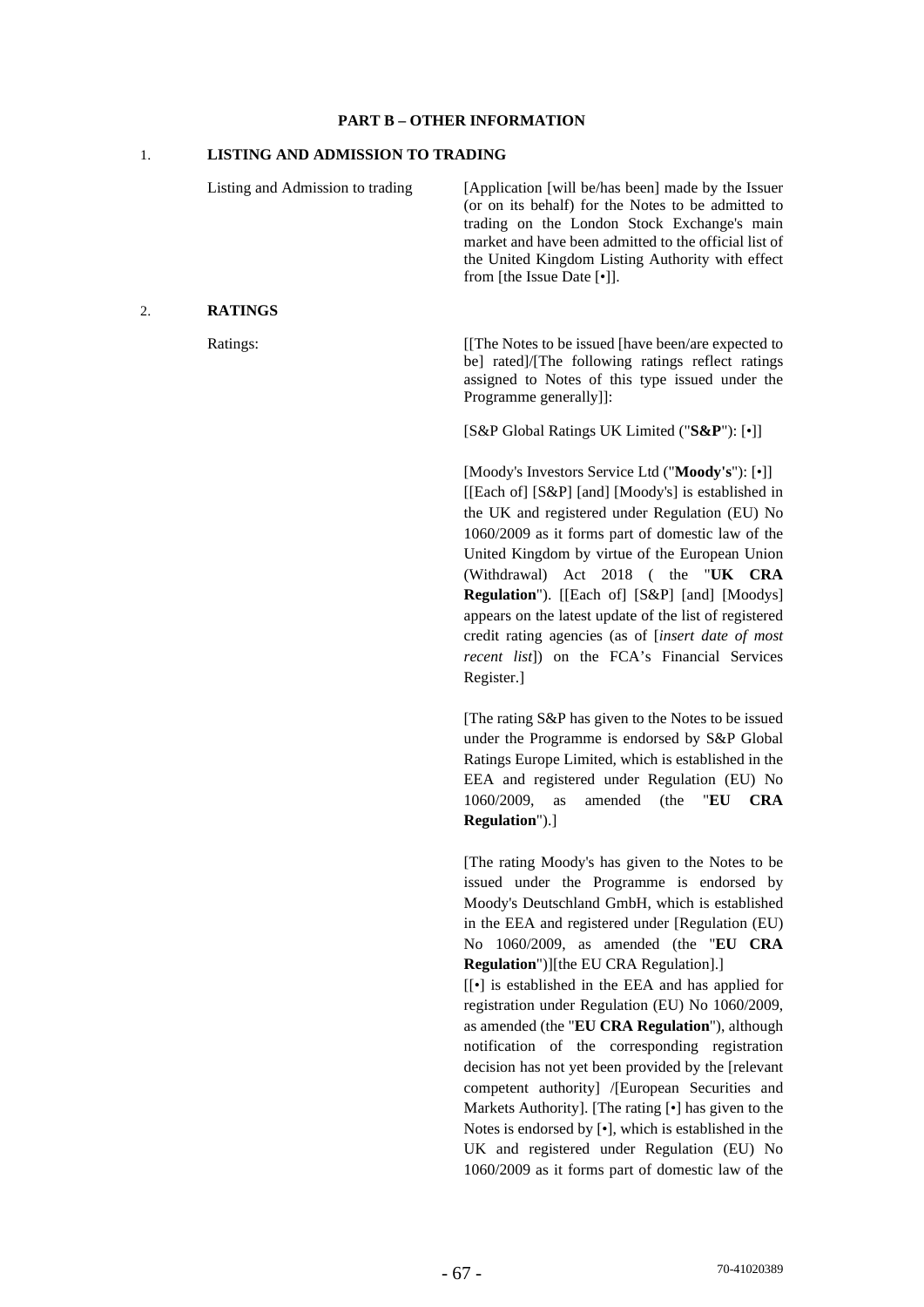#### **PART B – OTHER INFORMATION**

## 1. **LISTING AND ADMISSION TO TRADING**

Listing and Admission to trading [Application [will be/has been] made by the Issuer (or on its behalf) for the Notes to be admitted to trading on the London Stock Exchange's main market and have been admitted to the official list of the United Kingdom Listing Authority with effect from [the Issue Date [•]]. 2. **RATINGS** Ratings: [[The Notes to be issued [have been/are expected to be] rated]/[The following ratings reflect ratings assigned to Notes of this type issued under the Programme generally]]: [S&P Global Ratings UK Limited ("**S&P**"): [•]] [Moody's Investors Service Ltd ("**Moody's**"): [•]] [[Each of] [S&P] [and] [Moody's] is established in the UK and registered under Regulation (EU) No 1060/2009 as it forms part of domestic law of the United Kingdom by virtue of the European Union (Withdrawal) Act 2018 ( the "**UK CRA Regulation**"). [[Each of] [S&P] [and] [Moodys] appears on the latest update of the list of registered credit rating agencies (as of [*insert date of most recent list*]) on the FCA's Financial Services Register.] [The rating S&P has given to the Notes to be issued under the Programme is endorsed by S&P Global Ratings Europe Limited, which is established in the EEA and registered under Regulation (EU) No 1060/2009, as amended (the "**EU CRA Regulation**").] [The rating Moody's has given to the Notes to be issued under the Programme is endorsed by Moody's Deutschland GmbH, which is established in the EEA and registered under [Regulation (EU) No 1060/2009, as amended (the "**EU CRA Regulation**")][the EU CRA Regulation].] [[*•*] is established in the EEA and has applied for registration under Regulation (EU) No 1060/2009, as amended (the "**EU CRA Regulation**"), although notification of the corresponding registration

decision has not yet been provided by the [relevant competent authority] /[European Securities and Markets Authority]. [The rating [•] has given to the Notes is endorsed by [•], which is established in the UK and registered under Regulation (EU) No 1060/2009 as it forms part of domestic law of the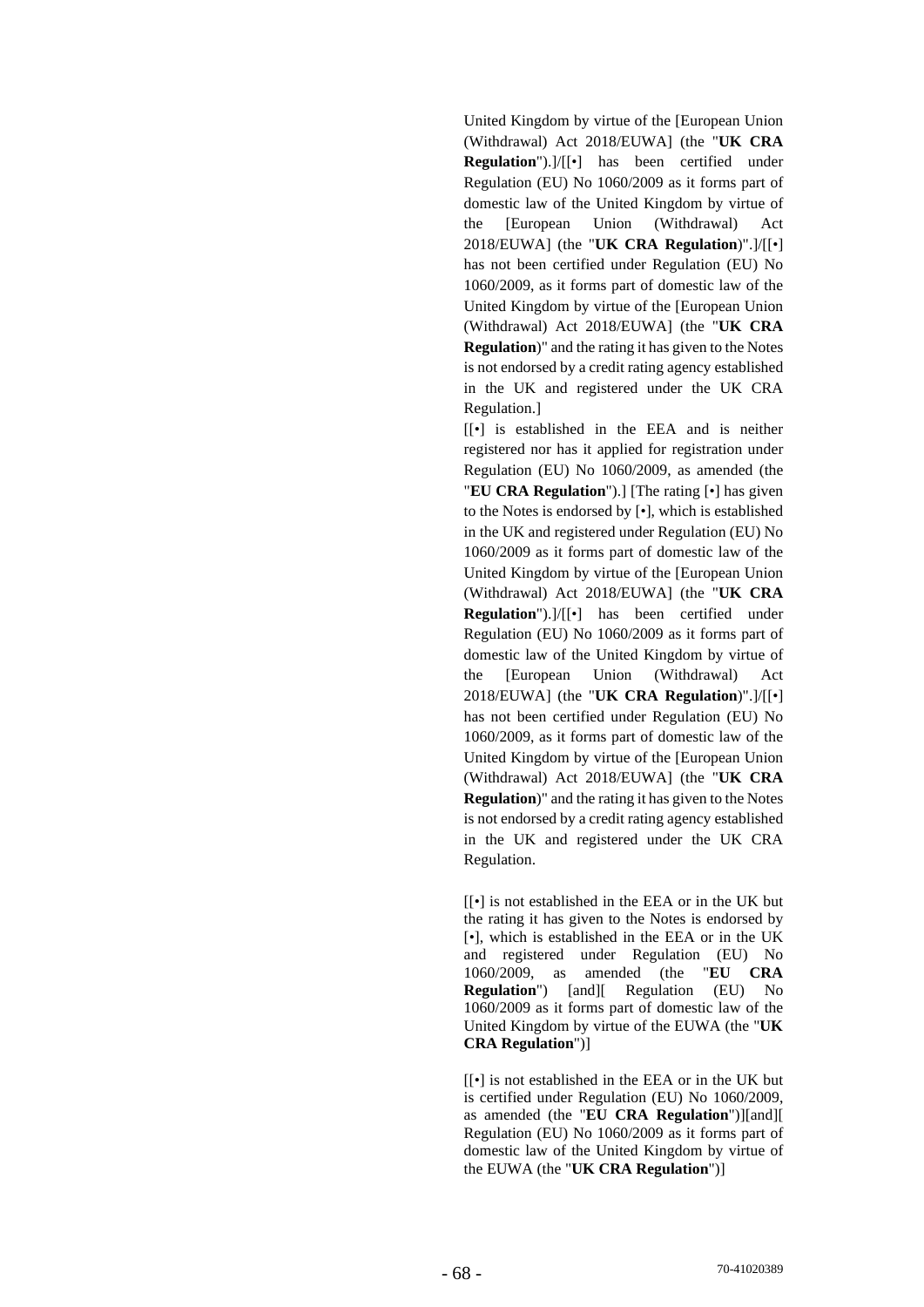United Kingdom by virtue of the [European Union (Withdrawal) Act 2018/EUWA] (the "**UK CRA Regulation**").]/[[•] has been certified under Regulation (EU) No 1060/2009 as it forms part of domestic law of the United Kingdom by virtue of the [European Union (Withdrawal) Act 2018/EUWA] (the "**UK CRA Regulation**)".]/[[•] has not been certified under Regulation (EU) No 1060/2009, as it forms part of domestic law of the United Kingdom by virtue of the [European Union (Withdrawal) Act 2018/EUWA] (the "**UK CRA Regulation**)" and the rating it has given to the Notes is not endorsed by a credit rating agency established in the UK and registered under the UK CRA Regulation.]

[[*•*] is established in the EEA and is neither registered nor has it applied for registration under Regulation (EU) No 1060/2009, as amended (the "**EU CRA Regulation**").] [The rating [•] has given to the Notes is endorsed by [•], which is established in the UK and registered under Regulation (EU) No 1060/2009 as it forms part of domestic law of the United Kingdom by virtue of the [European Union (Withdrawal) Act 2018/EUWA] (the "**UK CRA Regulation**").]/[[•] has been certified under Regulation (EU) No 1060/2009 as it forms part of domestic law of the United Kingdom by virtue of the [European Union (Withdrawal) Act 2018/EUWA] (the "**UK CRA Regulation**)".]/[[•] has not been certified under Regulation (EU) No 1060/2009, as it forms part of domestic law of the United Kingdom by virtue of the [European Union (Withdrawal) Act 2018/EUWA] (the "**UK CRA Regulation**)" and the rating it has given to the Notes is not endorsed by a credit rating agency established in the UK and registered under the UK CRA Regulation.

[[*•*] is not established in the EEA or in the UK but the rating it has given to the Notes is endorsed by [*•*], which is established in the EEA or in the UK and registered under Regulation (EU) No 1060/2009, as amended (the "**EU CRA Regulation**") [and][ Regulation (EU) No 1060/2009 as it forms part of domestic law of the United Kingdom by virtue of the EUWA (the "**UK CRA Regulation**")]

[[*•*] is not established in the EEA or in the UK but is certified under Regulation (EU) No 1060/2009, as amended (the "**EU CRA Regulation**")][and][ Regulation (EU) No 1060/2009 as it forms part of domestic law of the United Kingdom by virtue of the EUWA (the "**UK CRA Regulation**")]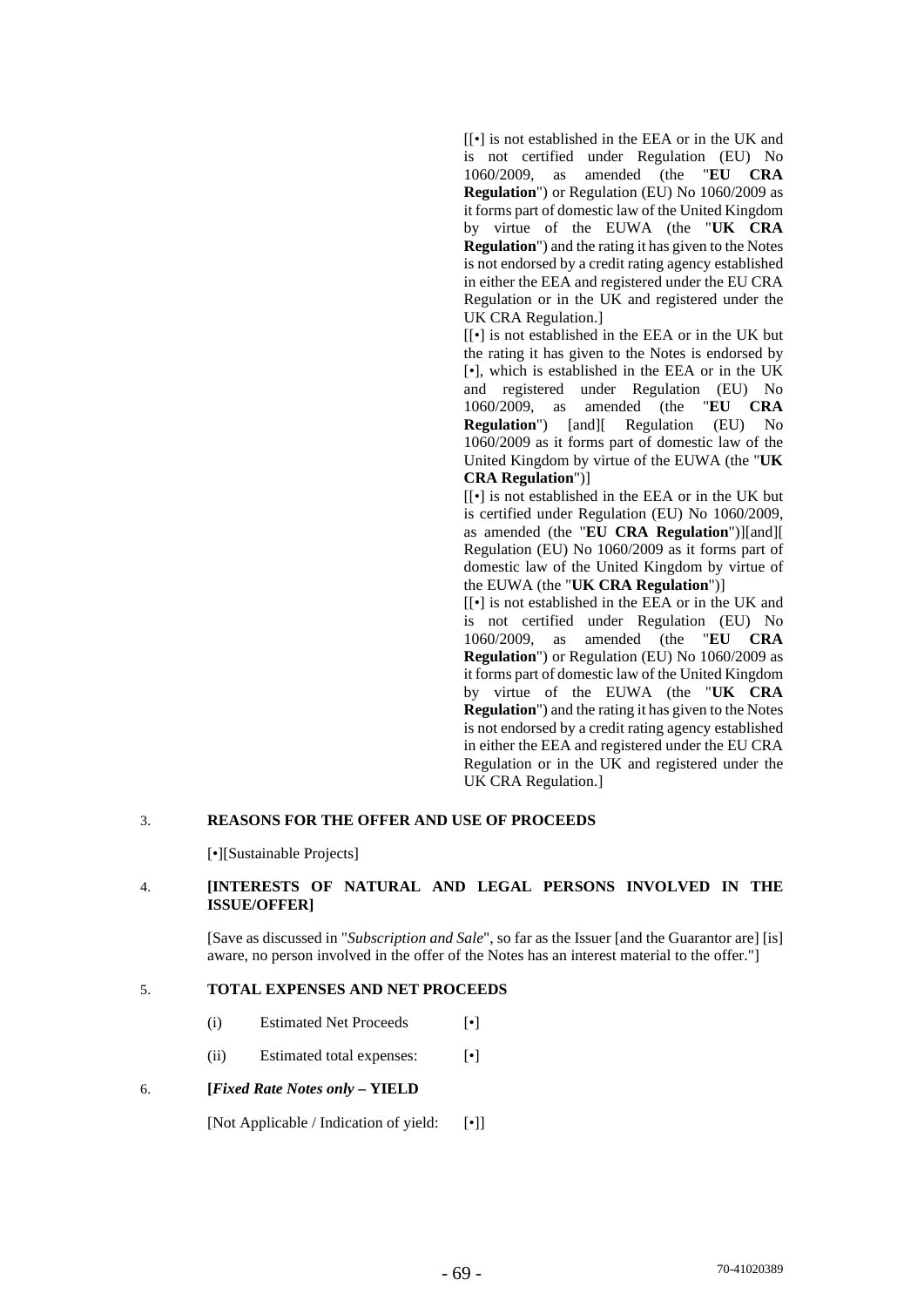[[*•*] is not established in the EEA or in the UK and is not certified under Regulation (EU) No 1060/2009, as amended (the "**EU CRA Regulation**") or Regulation (EU) No 1060/2009 as it forms part of domestic law of the United Kingdom by virtue of the EUWA (the "**UK CRA Regulation**") and the rating it has given to the Notes is not endorsed by a credit rating agency established in either the EEA and registered under the EU CRA Regulation or in the UK and registered under the UK CRA Regulation.]

[[*•*] is not established in the EEA or in the UK but the rating it has given to the Notes is endorsed by [*•*], which is established in the EEA or in the UK and registered under Regulation (EU) No<br>1060/2009. as amended (the "EU CRA 1060/2009, as amended (the **Regulation**") [and][ Regulation (EU) No 1060/2009 as it forms part of domestic law of the United Kingdom by virtue of the EUWA (the "**UK CRA Regulation**")]

[[*•*] is not established in the EEA or in the UK but is certified under Regulation (EU) No 1060/2009, as amended (the "**EU CRA Regulation**")][and][ Regulation (EU) No 1060/2009 as it forms part of domestic law of the United Kingdom by virtue of the EUWA (the "**UK CRA Regulation**")]

[[*•*] is not established in the EEA or in the UK and is not certified under Regulation (EU) No 1060/2009, as amended (the "**EU CRA Regulation**") or Regulation (EU) No 1060/2009 as it forms part of domestic law of the United Kingdom by virtue of the EUWA (the "**UK CRA Regulation**") and the rating it has given to the Notes is not endorsed by a credit rating agency established in either the EEA and registered under the EU CRA Regulation or in the UK and registered under the UK CRA Regulation.]

#### 3. **REASONS FOR THE OFFER AND USE OF PROCEEDS**

[•][Sustainable Projects]

## 4. **[INTERESTS OF NATURAL AND LEGAL PERSONS INVOLVED IN THE ISSUE/OFFER]**

[Save as discussed in "*Subscription and Sale*", so far as the Issuer [and the Guarantor are] [is] aware, no person involved in the offer of the Notes has an interest material to the offer."]

#### 5. **TOTAL EXPENSES AND NET PROCEEDS**

- (i) Estimated Net Proceeds [•]
- (ii) Estimated total expenses: [•]

#### 6. **[***Fixed Rate Notes only* **– YIELD**

[Not Applicable / Indication of yield: [•]]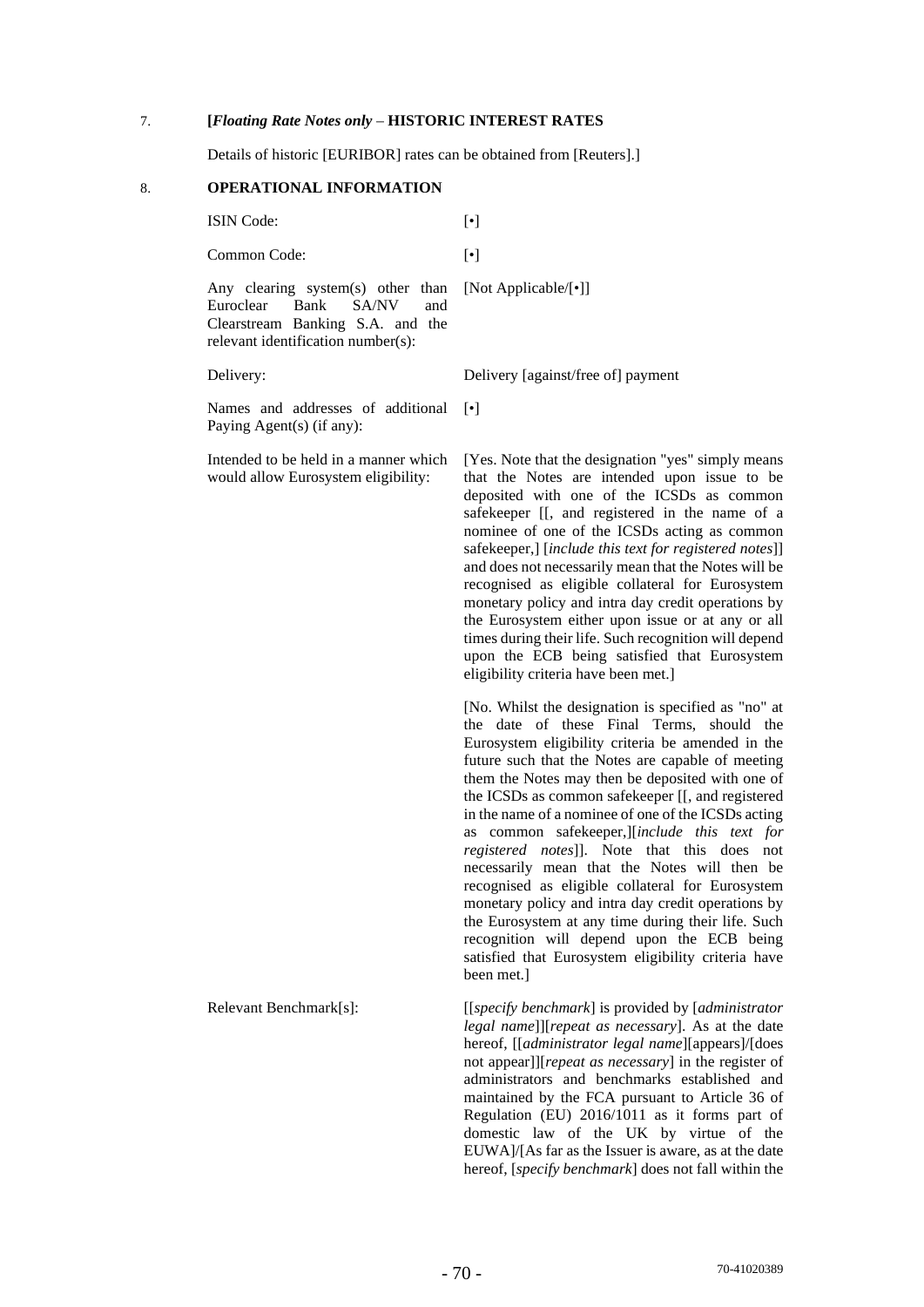#### 7. **[***Floating Rate Notes only* – **HISTORIC INTEREST RATES**

Details of historic [EURIBOR] rates can be obtained from [Reuters].]

## 8. **OPERATIONAL INFORMATION**

ISIN Code: [•]

Common Code: [•]

Any clearing system(s) other than Euroclear Bank SA/NV and Clearstream Banking S.A. and the relevant identification number(s):

Names and addresses of additional [•] Paying Agent(s) (if any):

Intended to be held in a manner which would allow Eurosystem eligibility:

[Not Applicable/[•]]

Delivery: Delivery [against/free of] payment

[Yes. Note that the designation "yes" simply means that the Notes are intended upon issue to be deposited with one of the ICSDs as common safekeeper [[, and registered in the name of a nominee of one of the ICSDs acting as common safekeeper,] [*include this text for registered notes*]] and does not necessarily mean that the Notes will be recognised as eligible collateral for Eurosystem monetary policy and intra day credit operations by the Eurosystem either upon issue or at any or all times during their life. Such recognition will depend upon the ECB being satisfied that Eurosystem eligibility criteria have been met.]

[No. Whilst the designation is specified as "no" at the date of these Final Terms, should the Eurosystem eligibility criteria be amended in the future such that the Notes are capable of meeting them the Notes may then be deposited with one of the ICSDs as common safekeeper [[, and registered in the name of a nominee of one of the ICSDs acting as common safekeeper,][*include this text for registered notes*]]. Note that this does not necessarily mean that the Notes will then be recognised as eligible collateral for Eurosystem monetary policy and intra day credit operations by the Eurosystem at any time during their life. Such recognition will depend upon the ECB being satisfied that Eurosystem eligibility criteria have been met.]

Relevant Benchmark[s]: [[*specify benchmark*] is provided by [*administrator legal name*]][*repeat as necessary*]. As at the date hereof, [[*administrator legal name*][appears]/[does not appear]][*repeat as necessary*] in the register of administrators and benchmarks established and maintained by the FCA pursuant to Article 36 of Regulation (EU) 2016/1011 as it forms part of domestic law of the UK by virtue of the EUWA]/[As far as the Issuer is aware, as at the date hereof, [*specify benchmark*] does not fall within the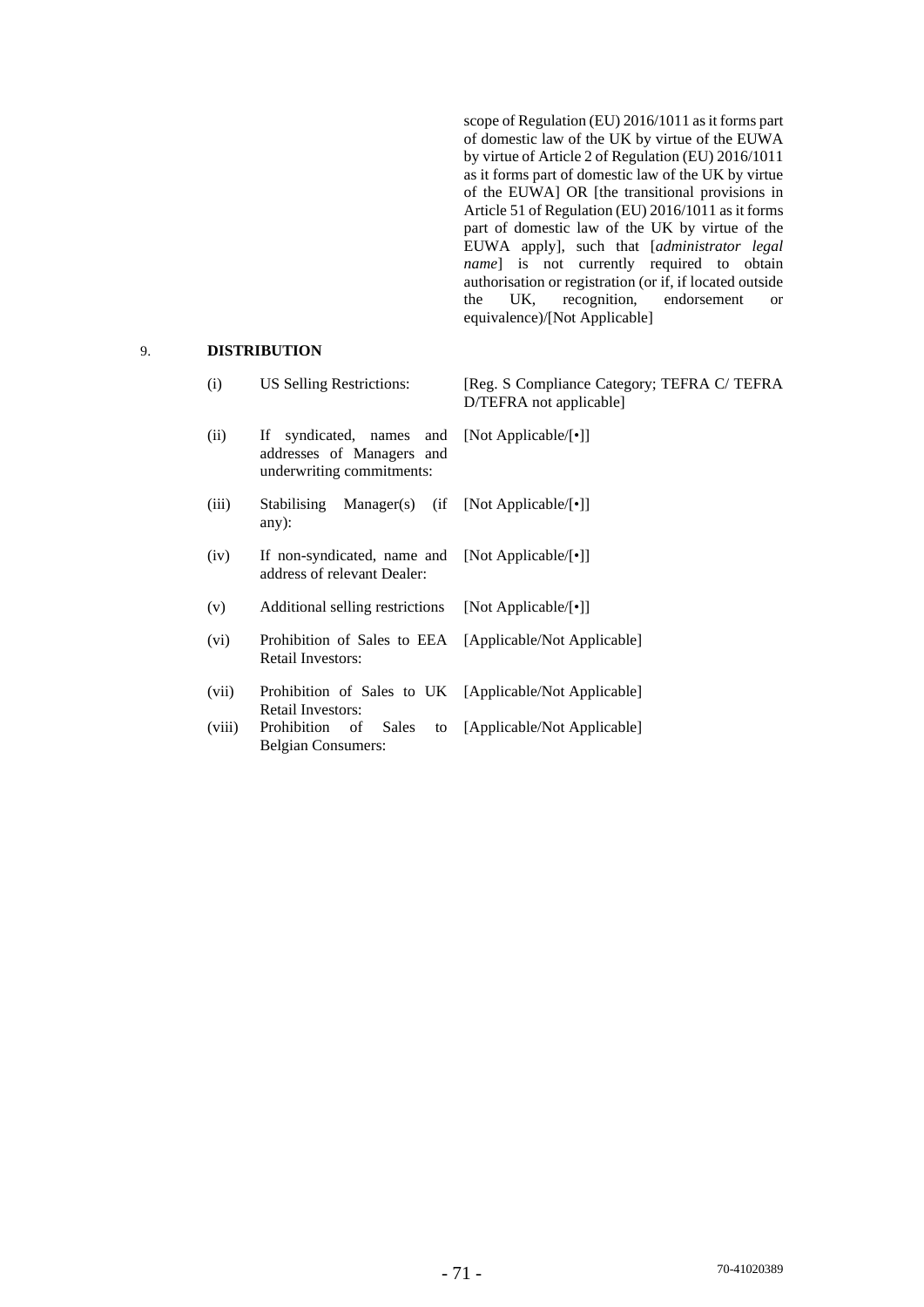scope of Regulation (EU) 2016/1011 as it forms part of domestic law of the UK by virtue of the EUWA by virtue of Article 2 of Regulation (EU) 2016/1011 as it forms part of domestic law of the UK by virtue of the EUWA] OR [the transitional provisions in Article 51 of Regulation (EU) 2016/1011 as it forms part of domestic law of the UK by virtue of the EUWA apply], such that [*administrator legal name* is not currently required to obtain authorisation or registration (or if, if located outside<br>the UK, recognition, endorsement or the UK, recognition, endorsement or equivalence)/[Not Applicable]

# 9. **DISTRIBUTION**

| (i)    | <b>US Selling Restrictions:</b>                                                       | [Reg. S Compliance Category; TEFRA C/ TEFRA<br>D/TEFRA not applicable] |
|--------|---------------------------------------------------------------------------------------|------------------------------------------------------------------------|
| (ii)   | If<br>syndicated, names and<br>addresses of Managers and<br>underwriting commitments: | [Not Applicable/[•]]                                                   |
| (iii)  | Manager(s)<br><b>Stabilising</b><br>(i f)<br>any):                                    | [Not Applicable/[•]]                                                   |
| (iv)   | If non-syndicated, name and [Not Applicable/[•]]<br>address of relevant Dealer:       |                                                                        |
| (v)    | Additional selling restrictions                                                       | [Not Applicable/ $\lceil \cdot \rceil$ ]                               |
| (vi)   | Prohibition of Sales to EEA<br><b>Retail Investors:</b>                               | [Applicable/Not Applicable]                                            |
| (vii)  | Prohibition of Sales to UK [Applicable/Not Applicable]<br><b>Retail Investors:</b>    |                                                                        |
| (viii) | Prohibition<br><b>Sales</b><br>of<br>to<br><b>Belgian Consumers:</b>                  | [Applicable/Not Applicable]                                            |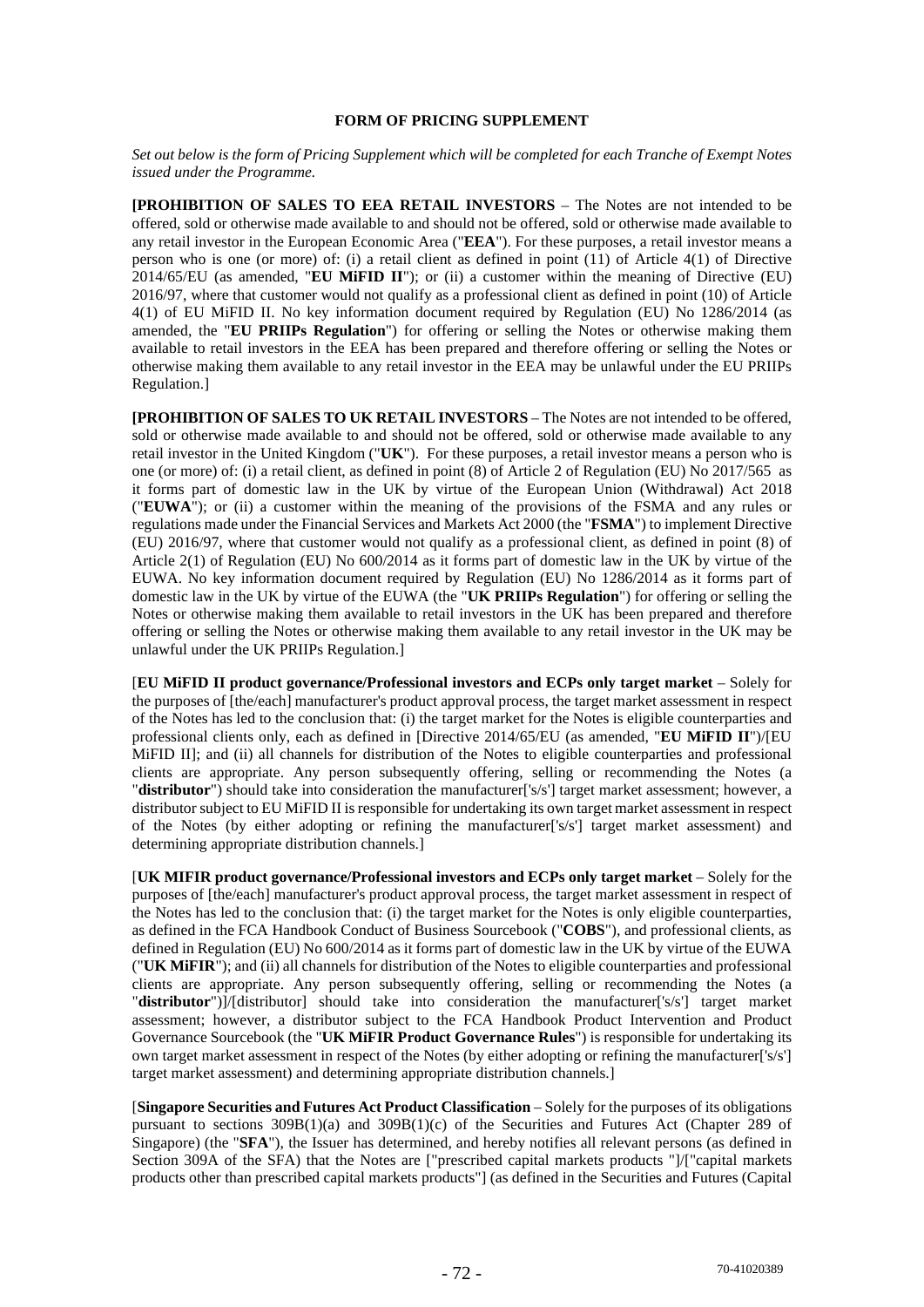## **FORM OF PRICING SUPPLEMENT**

*Set out below is the form of Pricing Supplement which will be completed for each Tranche of Exempt Notes issued under the Programme.* 

**[PROHIBITION OF SALES TO EEA RETAIL INVESTORS** – The Notes are not intended to be offered, sold or otherwise made available to and should not be offered, sold or otherwise made available to any retail investor in the European Economic Area ("**EEA**"). For these purposes, a retail investor means a person who is one (or more) of: (i) a retail client as defined in point (11) of Article 4(1) of Directive 2014/65/EU (as amended, "**EU MiFID II**"); or (ii) a customer within the meaning of Directive (EU) 2016/97, where that customer would not qualify as a professional client as defined in point (10) of Article 4(1) of EU MiFID II. No key information document required by Regulation (EU) No 1286/2014 (as amended, the "**EU PRIIPs Regulation**") for offering or selling the Notes or otherwise making them available to retail investors in the EEA has been prepared and therefore offering or selling the Notes or otherwise making them available to any retail investor in the EEA may be unlawful under the EU PRIIPs Regulation.]

**[PROHIBITION OF SALES TO UK RETAIL INVESTORS** – The Notes are not intended to be offered, sold or otherwise made available to and should not be offered, sold or otherwise made available to any retail investor in the United Kingdom ("**UK**"). For these purposes, a retail investor means a person who is one (or more) of: (i) a retail client, as defined in point (8) of Article 2 of Regulation (EU) No 2017/565 as it forms part of domestic law in the UK by virtue of the European Union (Withdrawal) Act 2018 ("**EUWA**"); or (ii) a customer within the meaning of the provisions of the FSMA and any rules or regulations made under the Financial Services and Markets Act 2000 (the "**FSMA**") to implement Directive (EU) 2016/97, where that customer would not qualify as a professional client, as defined in point (8) of Article 2(1) of Regulation (EU) No 600/2014 as it forms part of domestic law in the UK by virtue of the EUWA. No key information document required by Regulation (EU) No 1286/2014 as it forms part of domestic law in the UK by virtue of the EUWA (the "**UK PRIIPs Regulation**") for offering or selling the Notes or otherwise making them available to retail investors in the UK has been prepared and therefore offering or selling the Notes or otherwise making them available to any retail investor in the UK may be unlawful under the UK PRIIPs Regulation.]

[**EU MiFID II product governance/Professional investors and ECPs only target market** – Solely for the purposes of [the/each] manufacturer's product approval process, the target market assessment in respect of the Notes has led to the conclusion that: (i) the target market for the Notes is eligible counterparties and professional clients only, each as defined in [Directive 2014/65/EU (as amended, "**EU MiFID II**")/[EU MiFID II]; and (ii) all channels for distribution of the Notes to eligible counterparties and professional clients are appropriate. Any person subsequently offering, selling or recommending the Notes (a "**distributor**") should take into consideration the manufacturer['s/s'] target market assessment; however, a distributor subject to EU MiFID II is responsible for undertaking its own target market assessment in respect of the Notes (by either adopting or refining the manufacturer['s/s'] target market assessment) and determining appropriate distribution channels.

**[UK MIFIR product governance/Professional investors and ECPs only target market** – Solely for the purposes of [the/each] manufacturer's product approval process, the target market assessment in respect of the Notes has led to the conclusion that: (i) the target market for the Notes is only eligible counterparties, as defined in the FCA Handbook Conduct of Business Sourcebook ("**COBS**"), and professional clients, as defined in Regulation (EU) No 600/2014 as it forms part of domestic law in the UK by virtue of the EUWA ("**UK MiFIR**"); and (ii) all channels for distribution of the Notes to eligible counterparties and professional clients are appropriate. Any person subsequently offering, selling or recommending the Notes (a "**distributor**")]/[distributor] should take into consideration the manufacturer['s/s'] target market assessment; however, a distributor subject to the FCA Handbook Product Intervention and Product Governance Sourcebook (the "**UK MiFIR Product Governance Rules**") is responsible for undertaking its own target market assessment in respect of the Notes (by either adopting or refining the manufacturer['s/s'] target market assessment) and determining appropriate distribution channels.]

[**Singapore Securities and Futures Act Product Classification** – Solely for the purposes of its obligations pursuant to sections 309B(1)(a) and 309B(1)(c) of the Securities and Futures Act (Chapter 289 of Singapore) (the "**SFA**"), the Issuer has determined, and hereby notifies all relevant persons (as defined in Section 309A of the SFA) that the Notes are ["prescribed capital markets products "]/["capital markets products other than prescribed capital markets products"] (as defined in the Securities and Futures (Capital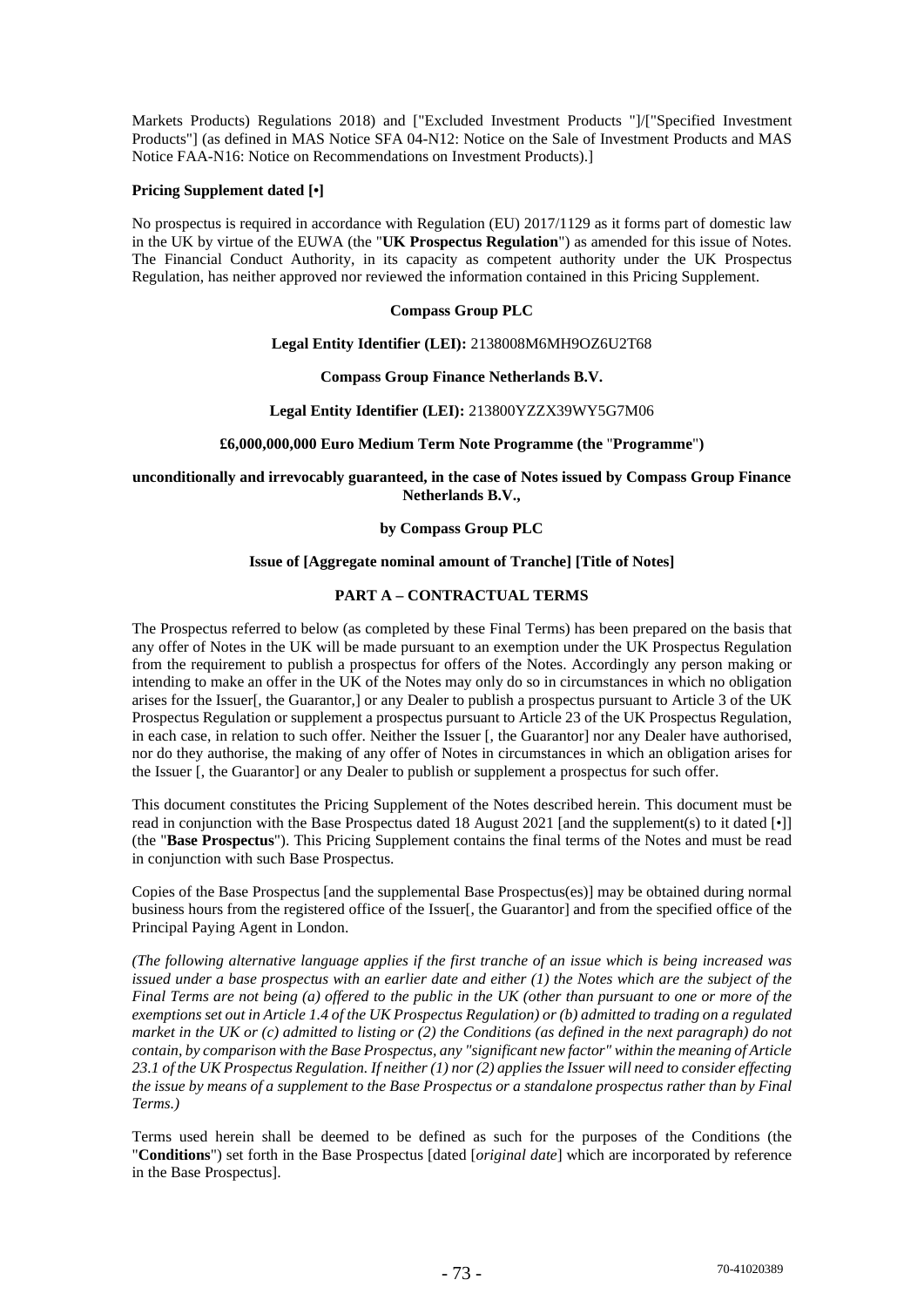Markets Products) Regulations 2018) and ["Excluded Investment Products "]/["Specified Investment Products"] (as defined in MAS Notice SFA 04-N12: Notice on the Sale of Investment Products and MAS Notice FAA-N16: Notice on Recommendations on Investment Products).]

#### **Pricing Supplement dated [•]**

No prospectus is required in accordance with Regulation (EU) 2017/1129 as it forms part of domestic law in the UK by virtue of the EUWA (the "**UK Prospectus Regulation**") as amended for this issue of Notes. The Financial Conduct Authority, in its capacity as competent authority under the UK Prospectus Regulation, has neither approved nor reviewed the information contained in this Pricing Supplement.

## **Compass Group PLC**

## **Legal Entity Identifier (LEI):** 2138008M6MH9OZ6U2T68

## **Compass Group Finance Netherlands B.V.**

## **Legal Entity Identifier (LEI):** 213800YZZX39WY5G7M06

## **£6,000,000,000 Euro Medium Term Note Programme (the** "**Programme**"**)**

**unconditionally and irrevocably guaranteed, in the case of Notes issued by Compass Group Finance Netherlands B.V.,** 

## **by Compass Group PLC**

## **Issue of [Aggregate nominal amount of Tranche] [Title of Notes]**

# **PART A – CONTRACTUAL TERMS**

The Prospectus referred to below (as completed by these Final Terms) has been prepared on the basis that any offer of Notes in the UK will be made pursuant to an exemption under the UK Prospectus Regulation from the requirement to publish a prospectus for offers of the Notes. Accordingly any person making or intending to make an offer in the UK of the Notes may only do so in circumstances in which no obligation arises for the Issuer[, the Guarantor,] or any Dealer to publish a prospectus pursuant to Article 3 of the UK Prospectus Regulation or supplement a prospectus pursuant to Article 23 of the UK Prospectus Regulation, in each case, in relation to such offer. Neither the Issuer [, the Guarantor] nor any Dealer have authorised, nor do they authorise, the making of any offer of Notes in circumstances in which an obligation arises for the Issuer [, the Guarantor] or any Dealer to publish or supplement a prospectus for such offer.

This document constitutes the Pricing Supplement of the Notes described herein. This document must be read in conjunction with the Base Prospectus dated 18 August 2021 [and the supplement(s) to it dated [•]] (the "**Base Prospectus**"). This Pricing Supplement contains the final terms of the Notes and must be read in conjunction with such Base Prospectus.

Copies of the Base Prospectus [and the supplemental Base Prospectus(es)] may be obtained during normal business hours from the registered office of the Issuer[, the Guarantor] and from the specified office of the Principal Paying Agent in London.

*(The following alternative language applies if the first tranche of an issue which is being increased was issued under a base prospectus with an earlier date and either (1) the Notes which are the subject of the Final Terms are not being (a) offered to the public in the UK (other than pursuant to one or more of the exemptions set out in Article 1.4 of the UK Prospectus Regulation) or (b) admitted to trading on a regulated market in the UK or (c) admitted to listing or (2) the Conditions (as defined in the next paragraph) do not contain, by comparison with the Base Prospectus, any "significant new factor" within the meaning of Article 23.1 of the UK Prospectus Regulation. If neither (1) nor (2) applies the Issuer will need to consider effecting the issue by means of a supplement to the Base Prospectus or a standalone prospectus rather than by Final Terms.)* 

Terms used herein shall be deemed to be defined as such for the purposes of the Conditions (the "**Conditions**") set forth in the Base Prospectus [dated [*original date*] which are incorporated by reference in the Base Prospectus].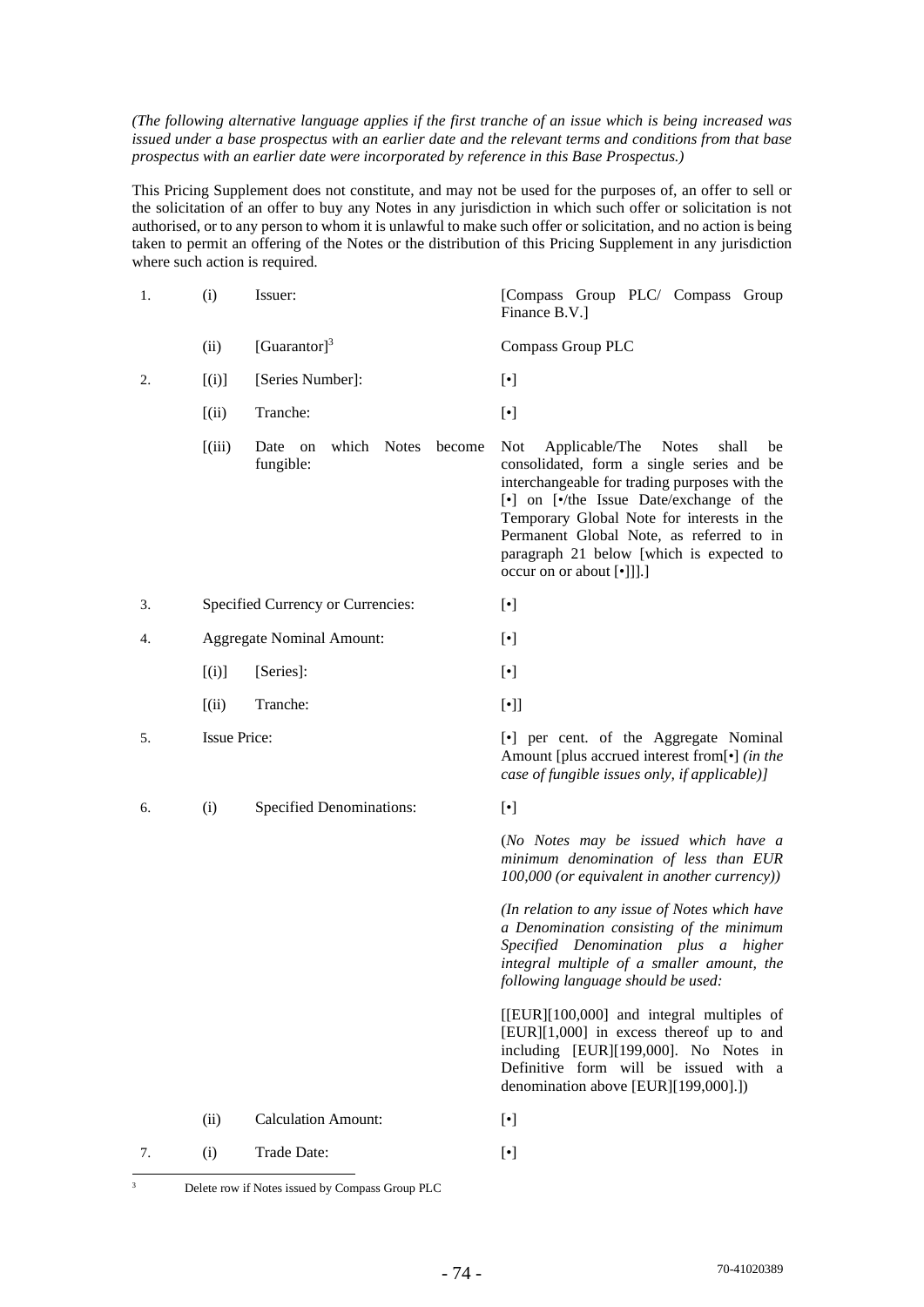*(The following alternative language applies if the first tranche of an issue which is being increased was issued under a base prospectus with an earlier date and the relevant terms and conditions from that base prospectus with an earlier date were incorporated by reference in this Base Prospectus.)* 

This Pricing Supplement does not constitute, and may not be used for the purposes of, an offer to sell or the solicitation of an offer to buy any Notes in any jurisdiction in which such offer or solicitation is not authorised, or to any person to whom it is unlawful to make such offer or solicitation, and no action is being taken to permit an offering of the Notes or the distribution of this Pricing Supplement in any jurisdiction where such action is required.

| 1. | (i)                 | Issuer:                                                    | [Compass Group PLC/ Compass Group<br>Finance B.V.]                                                                                                                                                                                                                                                                                                                |
|----|---------------------|------------------------------------------------------------|-------------------------------------------------------------------------------------------------------------------------------------------------------------------------------------------------------------------------------------------------------------------------------------------------------------------------------------------------------------------|
|    | (ii)                | [Guarantor] $3$                                            | Compass Group PLC                                                                                                                                                                                                                                                                                                                                                 |
| 2. | [(i)]               | [Series Number]:                                           | $[\cdot]$                                                                                                                                                                                                                                                                                                                                                         |
|    | (iii)               | Tranche:                                                   | $[\cdot]$                                                                                                                                                                                                                                                                                                                                                         |
|    | (iii)               | which<br><b>Notes</b><br>Date<br>become<br>on<br>fungible: | Not<br>Applicable/The<br><b>Notes</b><br>shall<br>be<br>consolidated, form a single series and be<br>interchangeable for trading purposes with the<br>[•] on [•/the Issue Date/exchange of the<br>Temporary Global Note for interests in the<br>Permanent Global Note, as referred to in<br>paragraph 21 below [which is expected to<br>occur on or about [•]]].] |
| 3. |                     | Specified Currency or Currencies:                          | $[\cdot]$                                                                                                                                                                                                                                                                                                                                                         |
| 4. |                     | <b>Aggregate Nominal Amount:</b>                           | $[\cdot]$                                                                                                                                                                                                                                                                                                                                                         |
|    | [(i)]               | [Series]:                                                  | $[\cdot]$                                                                                                                                                                                                                                                                                                                                                         |
|    | (iii)               | Tranche:                                                   | $[\cdot]$                                                                                                                                                                                                                                                                                                                                                         |
| 5. | <b>Issue Price:</b> |                                                            | [•] per cent. of the Aggregate Nominal<br>Amount [plus accrued interest from[•] (in the<br>case of fungible issues only, if applicable)]                                                                                                                                                                                                                          |
| 6. | (i)                 | <b>Specified Denominations:</b>                            | $[\cdot]$                                                                                                                                                                                                                                                                                                                                                         |
|    |                     |                                                            | (No Notes may be issued which have a<br>minimum denomination of less than EUR<br>100,000 (or equivalent in another currency))                                                                                                                                                                                                                                     |
|    |                     |                                                            | (In relation to any issue of Notes which have<br>a Denomination consisting of the minimum<br>Specified Denomination plus a higher<br>integral multiple of a smaller amount, the<br>following language should be used:                                                                                                                                             |
|    |                     |                                                            | [[EUR][100,000] and integral multiples of<br>[EUR][1,000] in excess thereof up to and<br>including [EUR][199,000]. No Notes in<br>Definitive form will be issued with a<br>denomination above [EUR][199,000].])                                                                                                                                                   |
|    | (ii)                | <b>Calculation Amount:</b>                                 | $[\cdot]$                                                                                                                                                                                                                                                                                                                                                         |
| 7. | (i)                 | Trade Date:                                                | $[\cdot]$                                                                                                                                                                                                                                                                                                                                                         |

70-41020389

<sup>&</sup>lt;sup>3</sup> Delete row if Notes issued by Compass Group PLC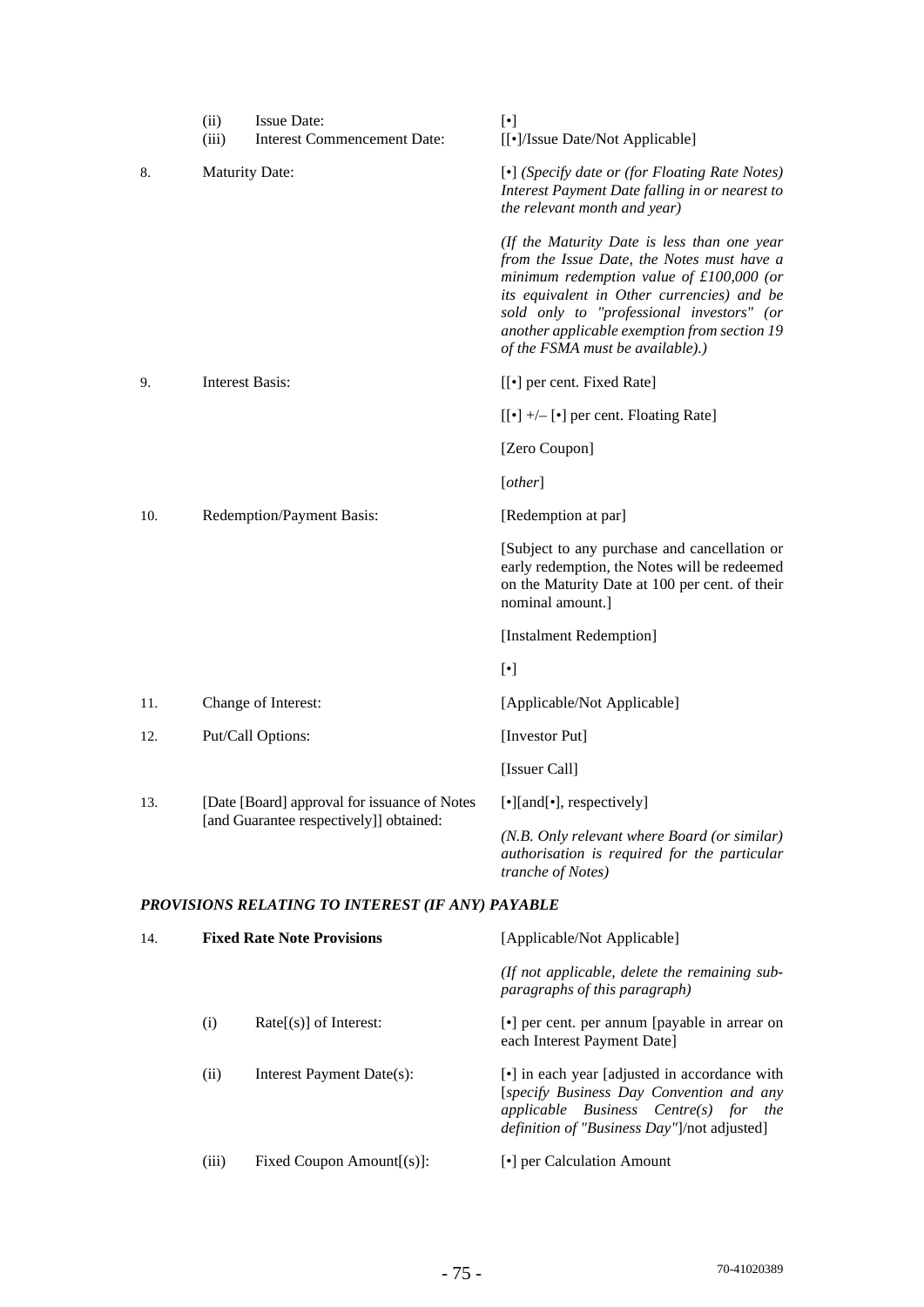|     | (ii)<br>(iii)                           | <b>Issue Date:</b><br>Interest Commencement Date: | $[\cdot]$<br>[[•]/Issue Date/Not Applicable]                                                                                                                                                                                                                                                                                                                                                                                                                                                                                                                                                                                                                                                                                                                                                                                                                                                                                                           |
|-----|-----------------------------------------|---------------------------------------------------|--------------------------------------------------------------------------------------------------------------------------------------------------------------------------------------------------------------------------------------------------------------------------------------------------------------------------------------------------------------------------------------------------------------------------------------------------------------------------------------------------------------------------------------------------------------------------------------------------------------------------------------------------------------------------------------------------------------------------------------------------------------------------------------------------------------------------------------------------------------------------------------------------------------------------------------------------------|
| 8.  | <b>Maturity Date:</b>                   |                                                   | [•] (Specify date or (for Floating Rate Notes)<br>Interest Payment Date falling in or nearest to<br>the relevant month and year)                                                                                                                                                                                                                                                                                                                                                                                                                                                                                                                                                                                                                                                                                                                                                                                                                       |
|     |                                         |                                                   | (If the Maturity Date is less than one year<br>from the Issue Date, the Notes must have a<br>minimum redemption value of $£100,000$ (or<br>its equivalent in Other currencies) and be<br>sold only to "professional investors" (or<br>another applicable exemption from section 19<br>of the FSMA must be available).)                                                                                                                                                                                                                                                                                                                                                                                                                                                                                                                                                                                                                                 |
| 9.  | <b>Interest Basis:</b>                  |                                                   | [[ $\bullet$ ] per cent. Fixed Rate]                                                                                                                                                                                                                                                                                                                                                                                                                                                                                                                                                                                                                                                                                                                                                                                                                                                                                                                   |
|     |                                         |                                                   | $[[\bullet] +/- [\bullet]$ per cent. Floating Rate]                                                                                                                                                                                                                                                                                                                                                                                                                                                                                                                                                                                                                                                                                                                                                                                                                                                                                                    |
|     |                                         |                                                   | [Zero Coupon]                                                                                                                                                                                                                                                                                                                                                                                                                                                                                                                                                                                                                                                                                                                                                                                                                                                                                                                                          |
|     |                                         |                                                   | [other]                                                                                                                                                                                                                                                                                                                                                                                                                                                                                                                                                                                                                                                                                                                                                                                                                                                                                                                                                |
| 10. |                                         | Redemption/Payment Basis:                         | [Redemption at par]                                                                                                                                                                                                                                                                                                                                                                                                                                                                                                                                                                                                                                                                                                                                                                                                                                                                                                                                    |
|     |                                         |                                                   | [Subject to any purchase and cancellation or<br>early redemption, the Notes will be redeemed<br>on the Maturity Date at 100 per cent. of their<br>nominal amount.]                                                                                                                                                                                                                                                                                                                                                                                                                                                                                                                                                                                                                                                                                                                                                                                     |
|     |                                         |                                                   | [Instalment Redemption]                                                                                                                                                                                                                                                                                                                                                                                                                                                                                                                                                                                                                                                                                                                                                                                                                                                                                                                                |
|     |                                         |                                                   | $[\bullet] % \centering \includegraphics[width=0.9\columnwidth]{figures/fig_10.pdf} \caption{The graph $\mathcal{N}_1$ is a function of the number of times, and the number of times, and the number of times, and the number of times, are indicated by the number of times, and the number of times, are indicated by the number of times, and the number of times, are indicated by the number of times, and the number of times, are indicated by the number of times, and the number of times, are indicated by the number of times, and the number of times, are indicated by the number of times, and the number of times, are indicated by the number of times, and the number of times, are indicated by the number of times, and the number of times, are indicated by the number of times, and the number of times, are indicated by the number of times, and the number of times, are indicated by the number of times, and the number of$ |
| 11. |                                         | Change of Interest:                               | [Applicable/Not Applicable]                                                                                                                                                                                                                                                                                                                                                                                                                                                                                                                                                                                                                                                                                                                                                                                                                                                                                                                            |
| 12. |                                         | Put/Call Options:                                 | [Investor Put]                                                                                                                                                                                                                                                                                                                                                                                                                                                                                                                                                                                                                                                                                                                                                                                                                                                                                                                                         |
|     |                                         |                                                   | [Issuer Call]                                                                                                                                                                                                                                                                                                                                                                                                                                                                                                                                                                                                                                                                                                                                                                                                                                                                                                                                          |
| 13. |                                         | [Date [Board] approval for issuance of Notes      | [•][and[•], respectively]                                                                                                                                                                                                                                                                                                                                                                                                                                                                                                                                                                                                                                                                                                                                                                                                                                                                                                                              |
|     | [and Guarantee respectively]] obtained: |                                                   | (N.B. Only relevant where Board (or similar)<br>authorisation is required for the particular<br>tranche of Notes)                                                                                                                                                                                                                                                                                                                                                                                                                                                                                                                                                                                                                                                                                                                                                                                                                                      |
|     |                                         | PROVISIONS RELATING TO INTEREST (IF ANY) PAYABLE  |                                                                                                                                                                                                                                                                                                                                                                                                                                                                                                                                                                                                                                                                                                                                                                                                                                                                                                                                                        |
| 14. |                                         | <b>Fixed Rate Note Provisions</b>                 | [Applicable/Not Applicable]                                                                                                                                                                                                                                                                                                                                                                                                                                                                                                                                                                                                                                                                                                                                                                                                                                                                                                                            |
|     |                                         |                                                   | (If not applicable, delete the remaining sub-<br>paragraphs of this paragraph)                                                                                                                                                                                                                                                                                                                                                                                                                                                                                                                                                                                                                                                                                                                                                                                                                                                                         |
|     | (i)                                     | $Rate[s]$ of Interest:                            | [•] per cent. per annum [payable in arrear on<br>each Interest Payment Date]                                                                                                                                                                                                                                                                                                                                                                                                                                                                                                                                                                                                                                                                                                                                                                                                                                                                           |

(iii) Fixed Coupon Amount[(s)]:  $[\cdot]$  per Calculation Amount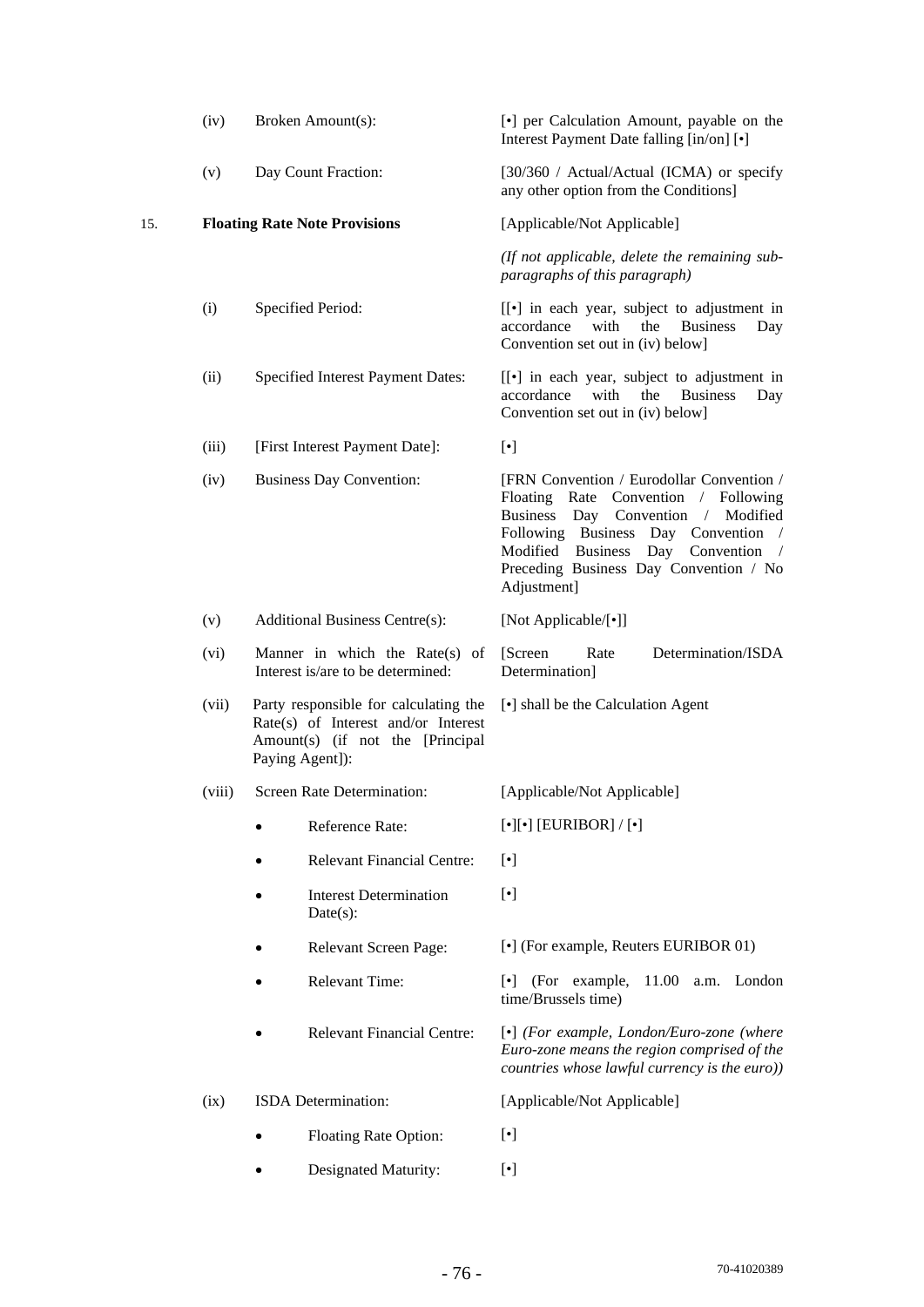|     | (iv)   | Broken Amount(s):                                                                                                                   | [•] per Calculation Amount, payable on the<br>Interest Payment Date falling [in/on] [ $\bullet$ ]                                                                                                                                                                            |
|-----|--------|-------------------------------------------------------------------------------------------------------------------------------------|------------------------------------------------------------------------------------------------------------------------------------------------------------------------------------------------------------------------------------------------------------------------------|
|     | (v)    | Day Count Fraction:                                                                                                                 | [30/360 / Actual/Actual (ICMA) or specify<br>any other option from the Conditions]                                                                                                                                                                                           |
| 15. |        | <b>Floating Rate Note Provisions</b>                                                                                                | [Applicable/Not Applicable]                                                                                                                                                                                                                                                  |
|     |        |                                                                                                                                     | (If not applicable, delete the remaining sub-<br>paragraphs of this paragraph)                                                                                                                                                                                               |
|     | (i)    | Specified Period:                                                                                                                   | $\left[\begin{bmatrix} \bullet \end{bmatrix}\right]$ in each year, subject to adjustment in<br>accordance<br>the<br>with<br><b>Business</b><br>Day<br>Convention set out in (iv) below]                                                                                      |
|     | (ii)   | <b>Specified Interest Payment Dates:</b>                                                                                            | [[•] in each year, subject to adjustment in<br>accordance<br>with<br>the<br><b>Business</b><br>Day<br>Convention set out in (iv) below]                                                                                                                                      |
|     | (iii)  | [First Interest Payment Date]:                                                                                                      | $[\cdot]$                                                                                                                                                                                                                                                                    |
|     | (iv)   | <b>Business Day Convention:</b>                                                                                                     | [FRN Convention / Eurodollar Convention /<br>Floating Rate Convention / Following<br>Business Day Convention / Modified<br>Following Business Day Convention /<br>Modified Business<br>Day Convention<br>$\sqrt{2}$<br>Preceding Business Day Convention / No<br>Adjustment] |
|     | (v)    | <b>Additional Business Centre(s):</b>                                                                                               | [Not Applicable/[•]]                                                                                                                                                                                                                                                         |
|     | (vi)   | Manner in which the Rate(s)<br>οf<br>Interest is/are to be determined:                                                              | Determination/ISDA<br>[Screen]<br>Rate<br>Determination]                                                                                                                                                                                                                     |
|     | (vii)  | Party responsible for calculating the<br>Rate(s) of Interest and/or Interest<br>Amount(s) (if not the [Principal<br>Paying Agent]): | [•] shall be the Calculation Agent                                                                                                                                                                                                                                           |
|     | (viii) | Screen Rate Determination:                                                                                                          | [Applicable/Not Applicable]                                                                                                                                                                                                                                                  |
|     |        | Reference Rate:                                                                                                                     | $[\bullet][\bullet]$ [EURIBOR] / $[\bullet]$                                                                                                                                                                                                                                 |
|     |        | <b>Relevant Financial Centre:</b>                                                                                                   | $[\cdot]$                                                                                                                                                                                                                                                                    |
|     |        | <b>Interest Determination</b><br>Date(s):                                                                                           | $[\cdot]$                                                                                                                                                                                                                                                                    |
|     |        | Relevant Screen Page:                                                                                                               | [ $\bullet$ ] (For example, Reuters EURIBOR 01)                                                                                                                                                                                                                              |
|     |        | <b>Relevant Time:</b>                                                                                                               | 11.00<br>(For example,<br>a.m. London<br>$\lceil \cdot \rceil$<br>time/Brussels time)                                                                                                                                                                                        |
|     |        | <b>Relevant Financial Centre:</b>                                                                                                   | [•] (For example, London/Euro-zone (where<br>Euro-zone means the region comprised of the<br>countries whose lawful currency is the euro))                                                                                                                                    |
|     | (ix)   | ISDA Determination:                                                                                                                 | [Applicable/Not Applicable]                                                                                                                                                                                                                                                  |
|     |        | Floating Rate Option:                                                                                                               | $[\cdot]$                                                                                                                                                                                                                                                                    |
|     |        | Designated Maturity:                                                                                                                | $[\cdot]$                                                                                                                                                                                                                                                                    |
|     |        |                                                                                                                                     |                                                                                                                                                                                                                                                                              |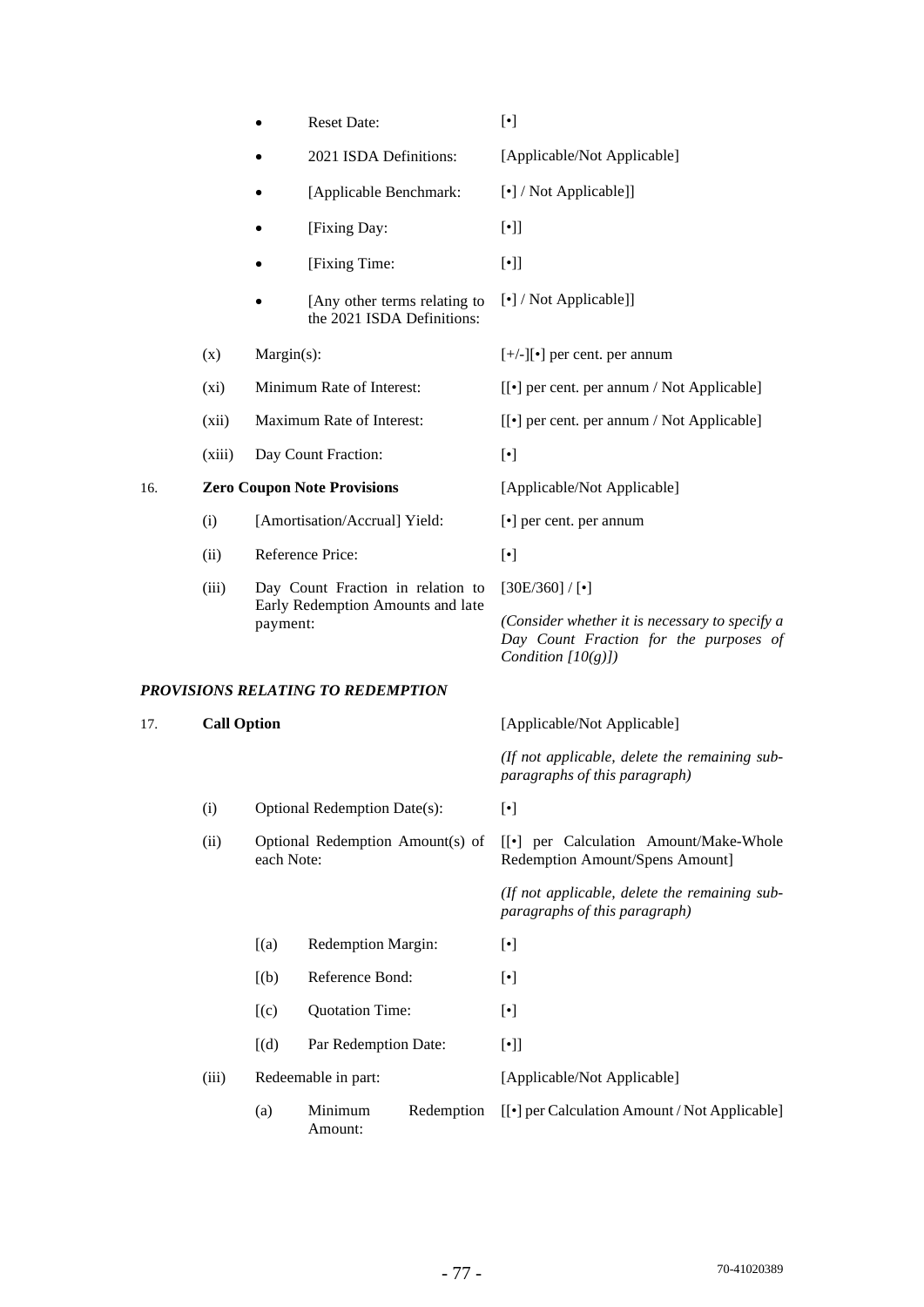|     |                    |                                                                        | <b>Reset Date:</b>                                         |            | $[\cdot]$                                                                                                         |
|-----|--------------------|------------------------------------------------------------------------|------------------------------------------------------------|------------|-------------------------------------------------------------------------------------------------------------------|
|     |                    |                                                                        | 2021 ISDA Definitions:                                     |            | [Applicable/Not Applicable]                                                                                       |
|     |                    |                                                                        | [Applicable Benchmark:                                     |            | [•] / Not Applicable]]                                                                                            |
|     |                    | ٠                                                                      | [Fixing Day:                                               |            | $[\cdot]$                                                                                                         |
|     |                    |                                                                        | [Fixing Time:                                              |            | $[\cdot]$                                                                                                         |
|     |                    |                                                                        | [Any other terms relating to<br>the 2021 ISDA Definitions: |            | [•] / Not Applicable]]                                                                                            |
|     | (x)                | $Margin(s)$ :                                                          |                                                            |            | $[+/$ -][ $\bullet$ ] per cent. per annum                                                                         |
|     | $(x_i)$            | Minimum Rate of Interest:                                              |                                                            |            | [[ $\bullet$ ] per cent. per annum / Not Applicable]                                                              |
|     | (xii)              |                                                                        | Maximum Rate of Interest:                                  |            | [[ $\bullet$ ] per cent. per annum / Not Applicable]                                                              |
|     | (xiii)             |                                                                        | Day Count Fraction:                                        |            | $[\cdot]$                                                                                                         |
| 16. |                    |                                                                        | <b>Zero Coupon Note Provisions</b>                         |            | [Applicable/Not Applicable]                                                                                       |
|     | (i)                |                                                                        | [Amortisation/Accrual] Yield:                              |            | [ $\bullet$ ] per cent. per annum                                                                                 |
|     | (ii)               |                                                                        | Reference Price:                                           |            | $[\cdot]$                                                                                                         |
|     | (iii)              | Day Count Fraction in relation to<br>Early Redemption Amounts and late |                                                            |            | $[30E/360] / [\cdot]$                                                                                             |
|     |                    | payment:                                                               |                                                            |            | (Consider whether it is necessary to specify a<br>Day Count Fraction for the purposes of<br>Condition $[10(g)]$ ) |
|     |                    |                                                                        | PROVISIONS RELATING TO REDEMPTION                          |            |                                                                                                                   |
| 17. | <b>Call Option</b> |                                                                        |                                                            |            | [Applicable/Not Applicable]                                                                                       |
|     |                    |                                                                        |                                                            |            | (If not applicable, delete the remaining sub-<br>paragraphs of this paragraph)                                    |
|     | (i)                |                                                                        | Optional Redemption Date(s):                               |            | $[\cdot]$                                                                                                         |
|     | (ii)               | Optional Redemption Amount(s) of<br>each Note:                         |                                                            |            | [[•] per Calculation Amount/Make-Whole<br>Redemption Amount/Spens Amount]                                         |
|     |                    |                                                                        |                                                            |            | (If not applicable, delete the remaining sub-<br>paragraphs of this paragraph)                                    |
|     |                    | [(a)]                                                                  | Redemption Margin:                                         |            | $[\cdot]$                                                                                                         |
|     |                    | [(b)]                                                                  | Reference Bond:                                            |            | $[\cdot]$                                                                                                         |
|     |                    | (c)                                                                    | <b>Quotation Time:</b>                                     |            | $[\cdot]$                                                                                                         |
|     |                    | [(d)]                                                                  | Par Redemption Date:                                       |            | $[\cdot]$                                                                                                         |
|     | (iii)              |                                                                        | Redeemable in part:                                        |            | [Applicable/Not Applicable]                                                                                       |
|     |                    | (a)                                                                    | Minimum<br>Amount:                                         | Redemption | [[ $\bullet$ ] per Calculation Amount / Not Applicable]                                                           |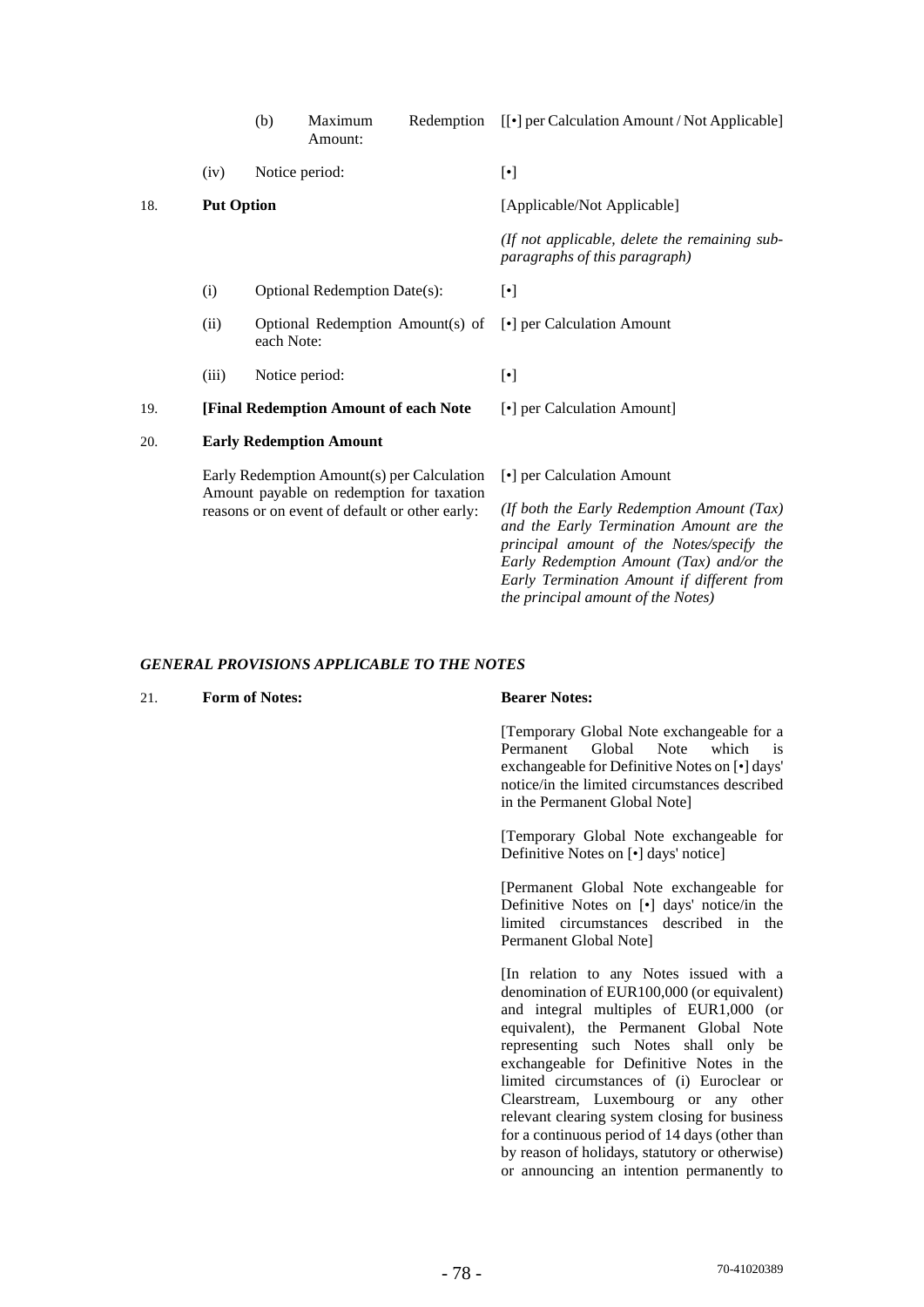|     |                   | (b)        | Maximum<br>Amount:                                                                                                                        | Redemption | [[ $\bullet$ ] per Calculation Amount / Not Applicable]                                                                                                               |
|-----|-------------------|------------|-------------------------------------------------------------------------------------------------------------------------------------------|------------|-----------------------------------------------------------------------------------------------------------------------------------------------------------------------|
|     | (iv)              |            | Notice period:                                                                                                                            |            | $[\cdot]$                                                                                                                                                             |
| 18. | <b>Put Option</b> |            |                                                                                                                                           |            | [Applicable/Not Applicable]                                                                                                                                           |
|     |                   |            |                                                                                                                                           |            | (If not applicable, delete the remaining sub-<br>paragraphs of this paragraph)                                                                                        |
|     | (i)               |            | Optional Redemption Date(s):                                                                                                              |            | $[\cdot]$                                                                                                                                                             |
|     | (ii)              | each Note: | Optional Redemption Amount(s) of                                                                                                          |            | [•] per Calculation Amount                                                                                                                                            |
|     | (iii)             |            | Notice period:                                                                                                                            |            | $[\cdot]$                                                                                                                                                             |
| 19. |                   |            | [Final Redemption Amount of each Note                                                                                                     |            | [•] per Calculation Amount]                                                                                                                                           |
| 20. |                   |            | <b>Early Redemption Amount</b>                                                                                                            |            |                                                                                                                                                                       |
|     |                   |            | Early Redemption Amount(s) per Calculation<br>Amount payable on redemption for taxation<br>reasons or on event of default or other early: |            | [•] per Calculation Amount<br>(If both the Early Redemption Amount $(Tax)$ )<br>and the Early Termination Amount are the<br>principal amount of the Notes/specify the |

# *GENERAL PROVISIONS APPLICABLE TO THE NOTES*

#### **Bearer Notes:**

[Temporary Global Note exchangeable for a Permanent Global Note which is exchangeable for Definitive Notes on [•] days' notice/in the limited circumstances described in the Permanent Global Note]

*Early Redemption Amount (Tax) and/or the Early Termination Amount if different from* 

*the principal amount of the Notes)* 

[Temporary Global Note exchangeable for Definitive Notes on [•] days' notice]

[Permanent Global Note exchangeable for Definitive Notes on [•] days' notice/in the limited circumstances described in the Permanent Global Note]

[In relation to any Notes issued with a denomination of EUR100,000 (or equivalent) and integral multiples of EUR1,000 (or equivalent), the Permanent Global Note representing such Notes shall only be exchangeable for Definitive Notes in the limited circumstances of (i) Euroclear or Clearstream, Luxembourg or any other relevant clearing system closing for business for a continuous period of 14 days (other than by reason of holidays, statutory or otherwise) or announcing an intention permanently to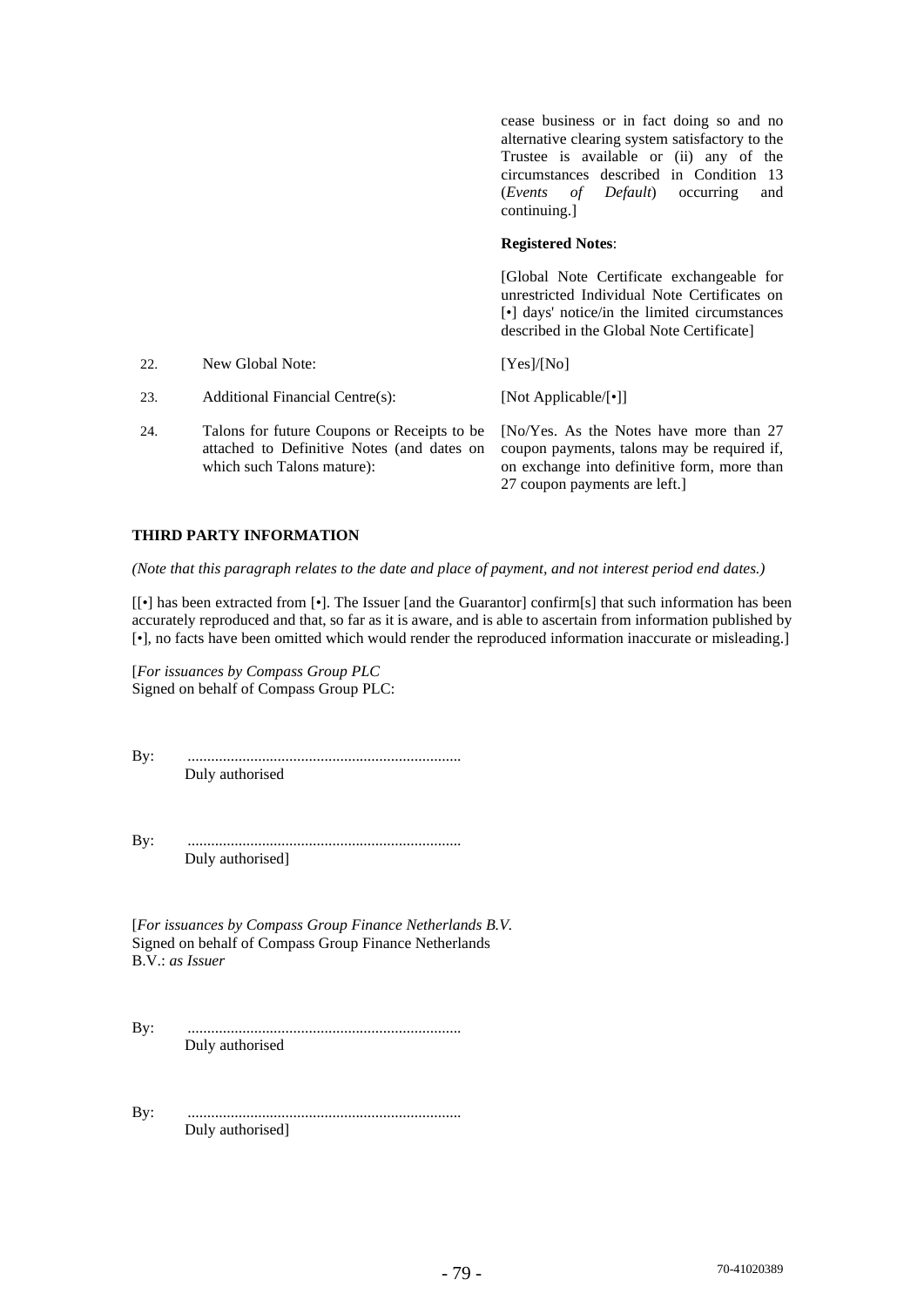|     |                                                                                                                         | cease business or in fact doing so and no<br>alternative clearing system satisfactory to the<br>Trustee is available or (ii) any of the<br>circumstances described in Condition 13<br>( <i>Events of Default</i> ) occurring<br>and<br>continuing. |
|-----|-------------------------------------------------------------------------------------------------------------------------|----------------------------------------------------------------------------------------------------------------------------------------------------------------------------------------------------------------------------------------------------|
|     |                                                                                                                         | <b>Registered Notes:</b>                                                                                                                                                                                                                           |
|     |                                                                                                                         | [Global Note Certificate exchangeable for<br>unrestricted Individual Note Certificates on<br>$\lceil \cdot \rceil$ days' notice/in the limited circumstances<br>described in the Global Note Certificate]                                          |
| 22. | New Global Note:                                                                                                        | [Yes]/[No]                                                                                                                                                                                                                                         |
| 23. | Additional Financial Centre(s):                                                                                         | [Not Applicable/[•]]                                                                                                                                                                                                                               |
| 24. | Talons for future Coupons or Receipts to be<br>attached to Definitive Notes (and dates on<br>which such Talons mature): | [No/Yes. As the Notes have more than 27<br>coupon payments, talons may be required if,<br>on exchange into definitive form, more than                                                                                                              |

#### **THIRD PARTY INFORMATION**

*(Note that this paragraph relates to the date and place of payment, and not interest period end dates.)*

[[•] has been extracted from [•]. The Issuer [and the Guarantor] confirm[s] that such information has been accurately reproduced and that, so far as it is aware, and is able to ascertain from information published by [•], no facts have been omitted which would render the reproduced information inaccurate or misleading.]

27 coupon payments are left.]

[*For issuances by Compass Group PLC*  Signed on behalf of Compass Group PLC:

By: ...................................................................... Duly authorised

By: ...................................................................... Duly authorised]

[*For issuances by Compass Group Finance Netherlands B.V.* Signed on behalf of Compass Group Finance Netherlands B.V.: *as Issuer* 

By: ...................................................................... Duly authorised

By: ...................................................................... Duly authorised]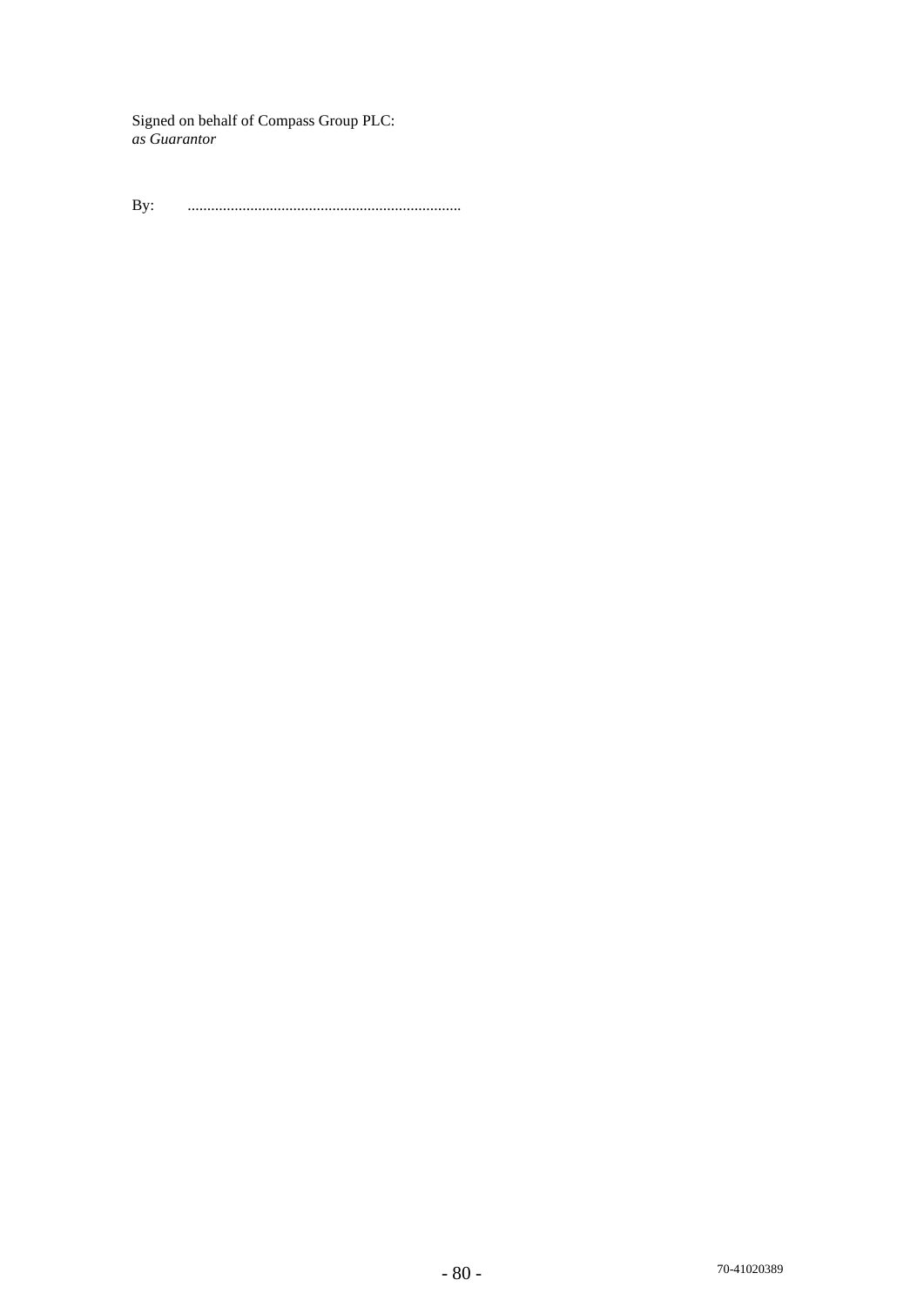Signed on behalf of Compass Group PLC: *as Guarantor* 

By: ......................................................................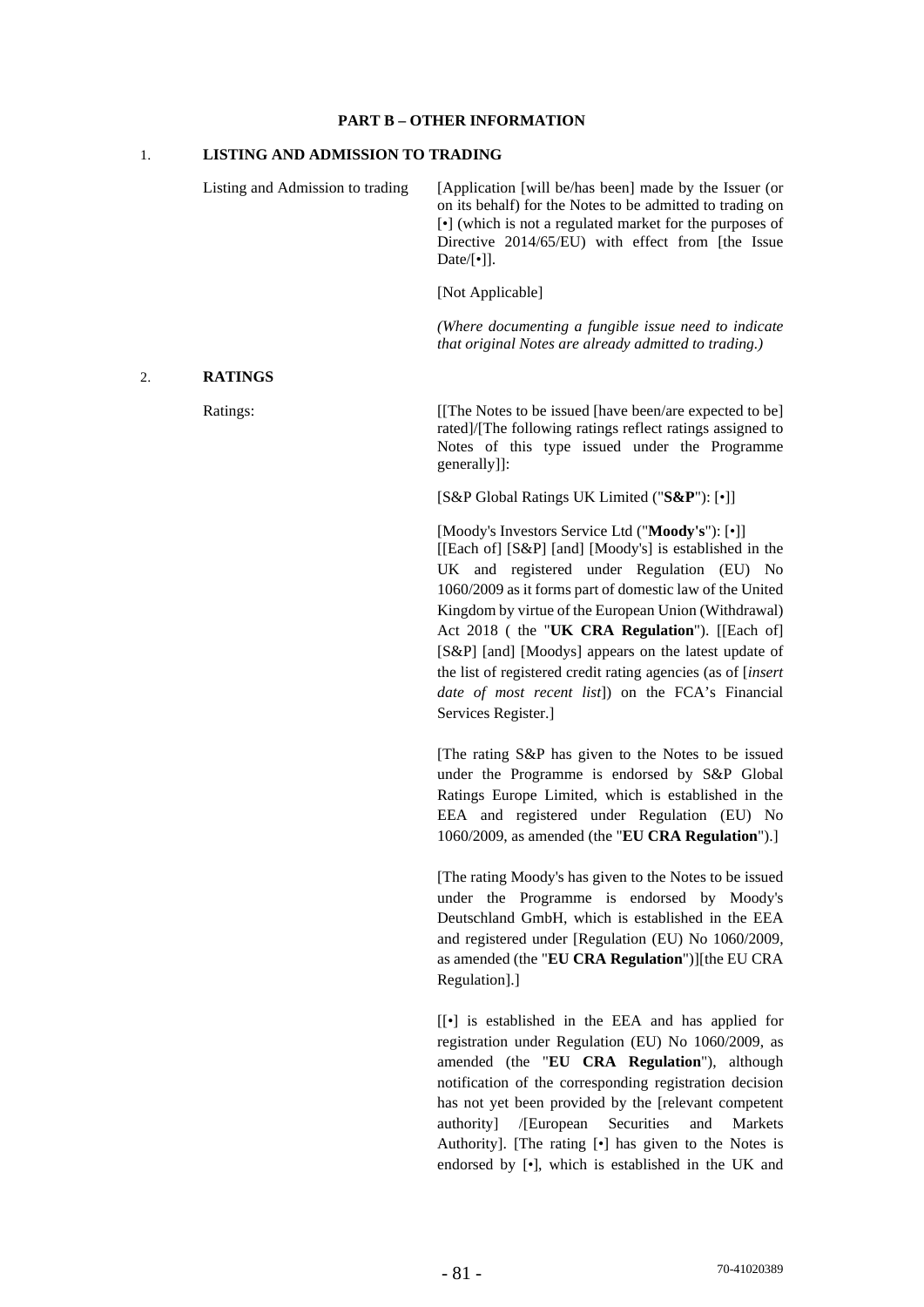#### **PART B – OTHER INFORMATION**

## 1. **LISTING AND ADMISSION TO TRADING**

Listing and Admission to trading [Application [will be/has been] made by the Issuer (or on its behalf) for the Notes to be admitted to trading on [•] (which is not a regulated market for the purposes of Directive 2014/65/EU) with effect from [the Issue Date/[•]]. [Not Applicable] *(Where documenting a fungible issue need to indicate that original Notes are already admitted to trading.)*

#### 2. **RATINGS**

Ratings: [[The Notes to be issued [have been/are expected to be] rated]/[The following ratings reflect ratings assigned to Notes of this type issued under the Programme generally]]:

[S&P Global Ratings UK Limited ("**S&P**"): [•]]

[Moody's Investors Service Ltd ("**Moody's**"): [•]] [[Each of] [S&P] [and] [Moody's] is established in the UK and registered under Regulation (EU) No 1060/2009 as it forms part of domestic law of the United Kingdom by virtue of the European Union (Withdrawal) Act 2018 ( the "**UK CRA Regulation**"). [[Each of] [S&P] [and] [Moodys] appears on the latest update of the list of registered credit rating agencies (as of [*insert date of most recent list*]) on the FCA's Financial Services Register.]

[The rating S&P has given to the Notes to be issued under the Programme is endorsed by S&P Global Ratings Europe Limited, which is established in the EEA and registered under Regulation (EU) No 1060/2009, as amended (the "**EU CRA Regulation**").]

[The rating Moody's has given to the Notes to be issued under the Programme is endorsed by Moody's Deutschland GmbH, which is established in the EEA and registered under [Regulation (EU) No 1060/2009, as amended (the "**EU CRA Regulation**")][the EU CRA Regulation].]

[[*•*] is established in the EEA and has applied for registration under Regulation (EU) No 1060/2009, as amended (the "**EU CRA Regulation**"), although notification of the corresponding registration decision has not yet been provided by the [relevant competent authority] /[European Securities and Markets Authority]. [The rating [•] has given to the Notes is endorsed by [•], which is established in the UK and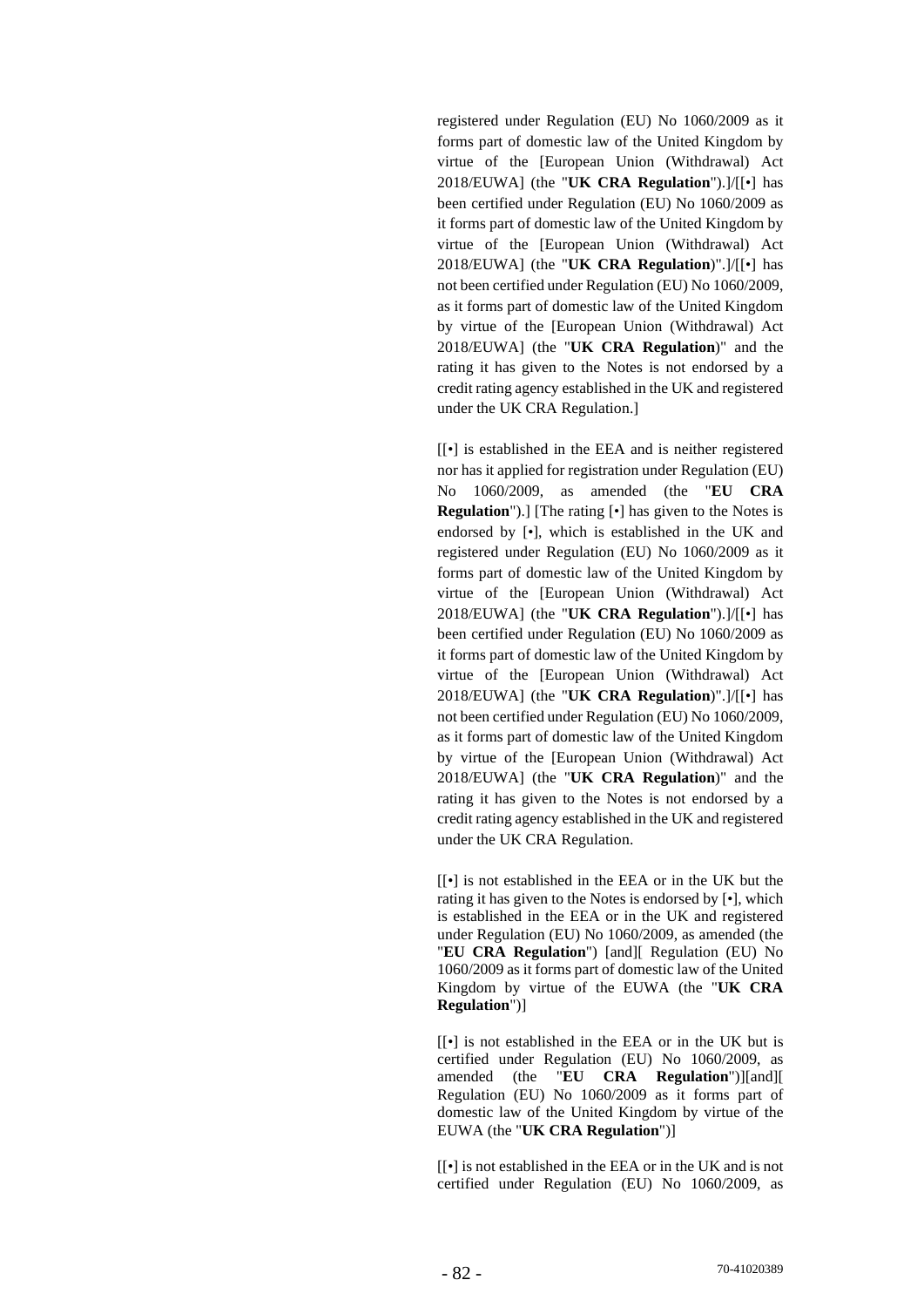registered under Regulation (EU) No 1060/2009 as it forms part of domestic law of the United Kingdom by virtue of the [European Union (Withdrawal) Act 2018/EUWA] (the "**UK CRA Regulation**").]/[[•] has been certified under Regulation (EU) No 1060/2009 as it forms part of domestic law of the United Kingdom by virtue of the [European Union (Withdrawal) Act 2018/EUWA] (the "**UK CRA Regulation**)".]/[[•] has not been certified under Regulation (EU) No 1060/2009, as it forms part of domestic law of the United Kingdom by virtue of the [European Union (Withdrawal) Act 2018/EUWA] (the "**UK CRA Regulation**)" and the rating it has given to the Notes is not endorsed by a credit rating agency established in the UK and registered under the UK CRA Regulation.]

[[*•*] is established in the EEA and is neither registered nor has it applied for registration under Regulation (EU) No 1060/2009, as amended (the "**EU CRA Regulation**").] [The rating [•] has given to the Notes is endorsed by [•], which is established in the UK and registered under Regulation (EU) No 1060/2009 as it forms part of domestic law of the United Kingdom by virtue of the [European Union (Withdrawal) Act 2018/EUWA] (the "**UK CRA Regulation**").]/[[•] has been certified under Regulation (EU) No 1060/2009 as it forms part of domestic law of the United Kingdom by virtue of the [European Union (Withdrawal) Act 2018/EUWA] (the "**UK CRA Regulation**)".]/[[•] has not been certified under Regulation (EU) No 1060/2009, as it forms part of domestic law of the United Kingdom by virtue of the [European Union (Withdrawal) Act 2018/EUWA] (the "**UK CRA Regulation**)" and the rating it has given to the Notes is not endorsed by a credit rating agency established in the UK and registered under the UK CRA Regulation.

[[*•*] is not established in the EEA or in the UK but the rating it has given to the Notes is endorsed by [*•*], which is established in the EEA or in the UK and registered under Regulation (EU) No 1060/2009, as amended (the "**EU CRA Regulation**") [and][ Regulation (EU) No 1060/2009 as it forms part of domestic law of the United Kingdom by virtue of the EUWA (the "**UK CRA Regulation**")]

[[*•*] is not established in the EEA or in the UK but is certified under Regulation (EU) No 1060/2009, as amended (the "**EU CRA Regulation**")][and][ Regulation (EU) No 1060/2009 as it forms part of domestic law of the United Kingdom by virtue of the EUWA (the "**UK CRA Regulation**")]

[[*•*] is not established in the EEA or in the UK and is not certified under Regulation (EU) No 1060/2009, as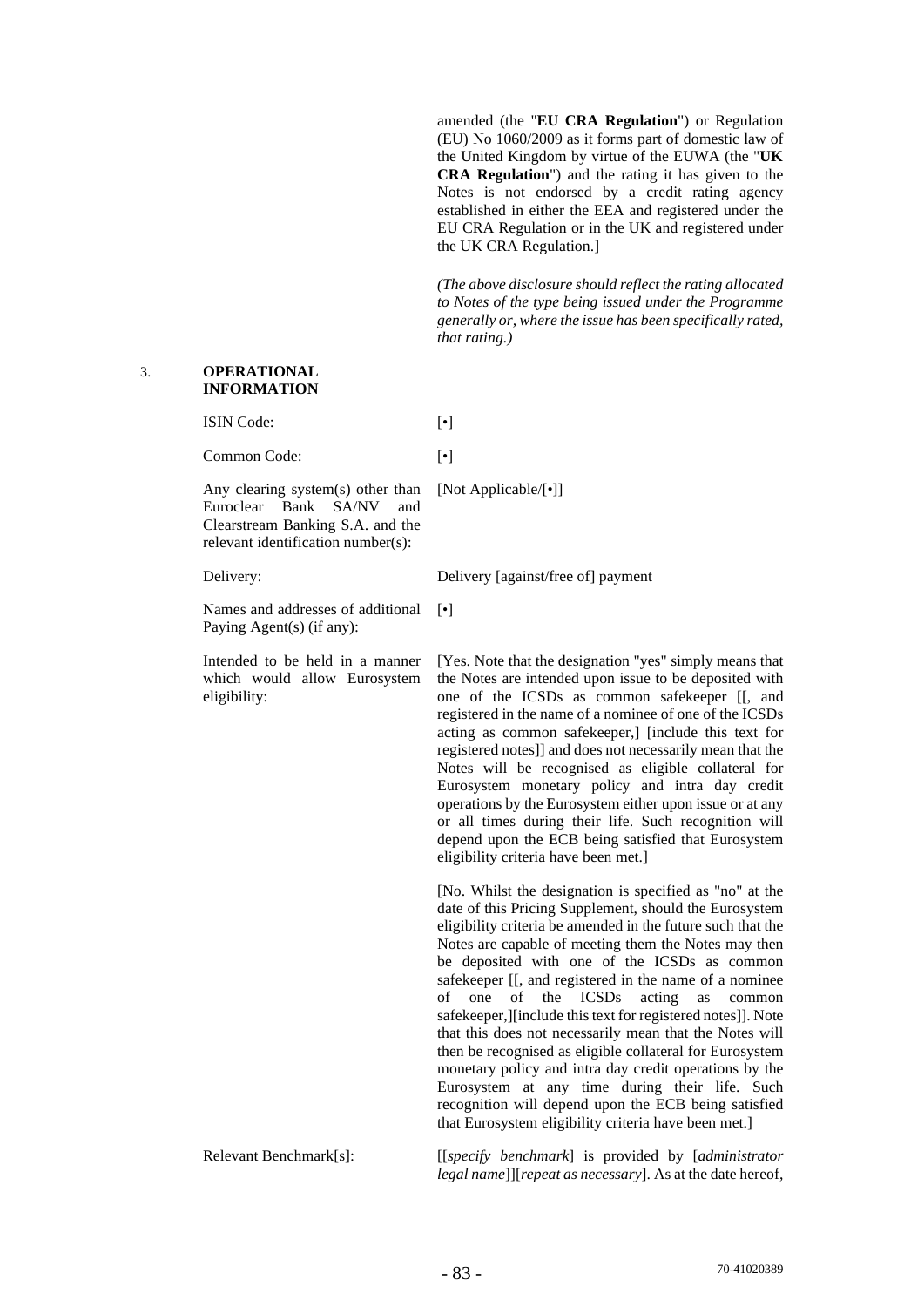amended (the "**EU CRA Regulation**") or Regulation (EU) No 1060/2009 as it forms part of domestic law of the United Kingdom by virtue of the EUWA (the "**UK CRA Regulation**") and the rating it has given to the Notes is not endorsed by a credit rating agency established in either the EEA and registered under the EU CRA Regulation or in the UK and registered under the UK CRA Regulation.]

*(The above disclosure should reflect the rating allocated to Notes of the type being issued under the Programme generally or, where the issue has been specifically rated, that rating.)* 

#### 3. **OPERATIONAL INFORMATION**

ISIN Code: [•]

Common Code: [•]

Any clearing system(s) other than Euroclear Bank SA/NV and Clearstream Banking S.A. and the relevant identification number(s):

[Not Applicable/[•]]

Delivery: Delivery [against/free of] payment

Names and addresses of additional Paying Agent(s) (if any):

Intended to be held in a manner which would allow Eurosystem eligibility:

[•]

[Yes. Note that the designation "yes" simply means that the Notes are intended upon issue to be deposited with one of the ICSDs as common safekeeper [[, and registered in the name of a nominee of one of the ICSDs acting as common safekeeper,] [include this text for registered notes]] and does not necessarily mean that the Notes will be recognised as eligible collateral for Eurosystem monetary policy and intra day credit operations by the Eurosystem either upon issue or at any or all times during their life. Such recognition will depend upon the ECB being satisfied that Eurosystem eligibility criteria have been met.]

[No. Whilst the designation is specified as "no" at the date of this Pricing Supplement, should the Eurosystem eligibility criteria be amended in the future such that the Notes are capable of meeting them the Notes may then be deposited with one of the ICSDs as common safekeeper [[, and registered in the name of a nominee] of one of the ICSDs acting as common safekeeper,][include this text for registered notes]]. Note that this does not necessarily mean that the Notes will then be recognised as eligible collateral for Eurosystem monetary policy and intra day credit operations by the Eurosystem at any time during their life. Such recognition will depend upon the ECB being satisfied that Eurosystem eligibility criteria have been met.]

Relevant Benchmark[s]: [[*specify benchmark*] is provided by [*administrator legal name*]][*repeat as necessary*]. As at the date hereof,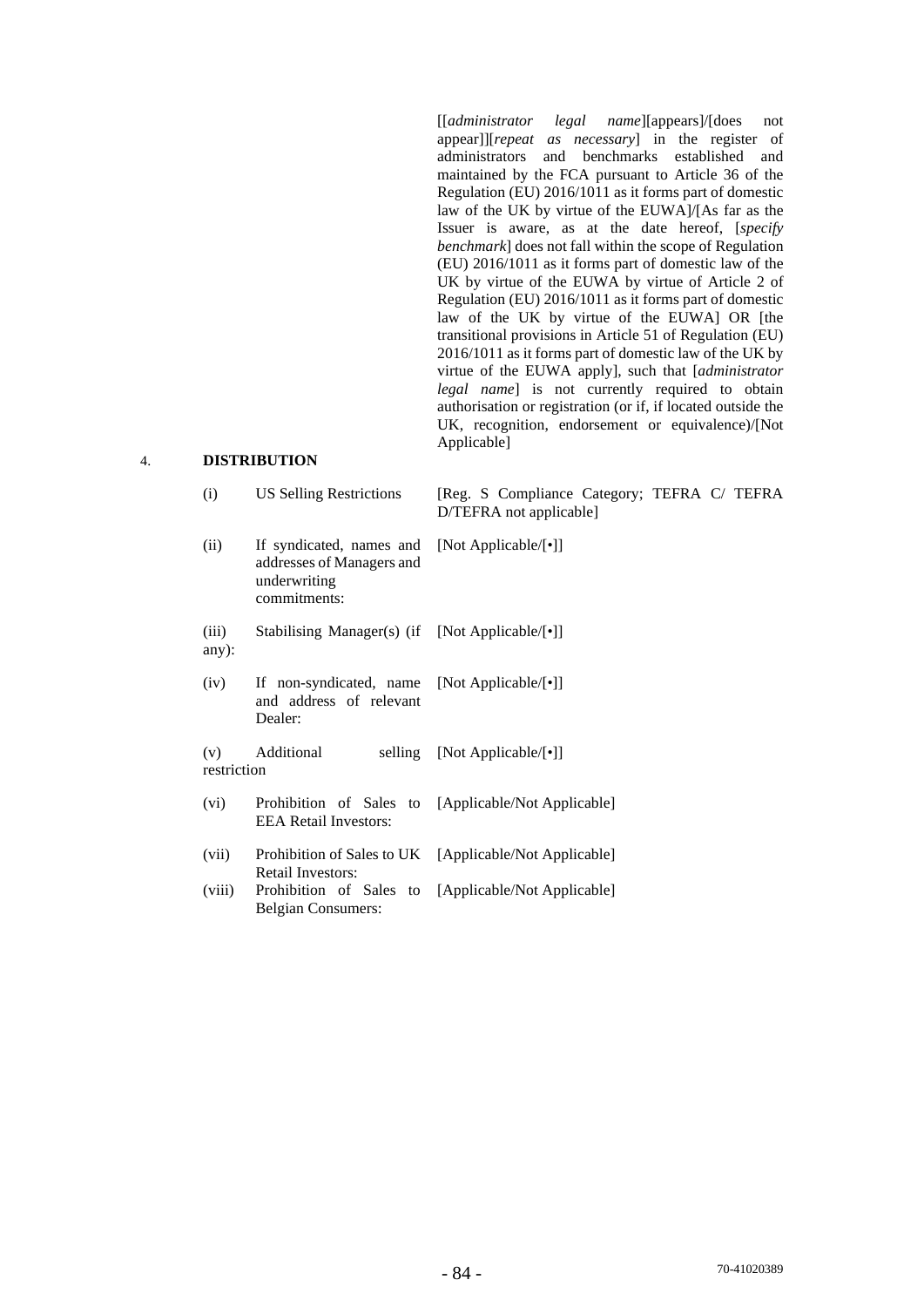[[*administrator legal name*][appears]/[does not appear]][*repeat as necessary*] in the register of administrators and benchmarks established and maintained by the FCA pursuant to Article 36 of the Regulation (EU) 2016/1011 as it forms part of domestic law of the UK by virtue of the EUWA]/[As far as the Issuer is aware, as at the date hereof, [*specify benchmark*] does not fall within the scope of Regulation (EU) 2016/1011 as it forms part of domestic law of the UK by virtue of the EUWA by virtue of Article 2 of Regulation (EU) 2016/1011 as it forms part of domestic law of the UK by virtue of the EUWA] OR [the transitional provisions in Article 51 of Regulation (EU) 2016/1011 as it forms part of domestic law of the UK by virtue of the EUWA apply], such that [*administrator legal name*] is not currently required to obtain authorisation or registration (or if, if located outside the UK, recognition, endorsement or equivalence)/[Not Applicable]

## 4. **DISTRIBUTION**

| (i)                | <b>US Selling Restrictions</b>                                                                             | [Reg. S Compliance Category; TEFRA C/ TEFRA<br>D/TEFRA not applicable] |
|--------------------|------------------------------------------------------------------------------------------------------------|------------------------------------------------------------------------|
| (ii)               | If syndicated, names and [Not Applicable/[•]]<br>addresses of Managers and<br>underwriting<br>commitments: |                                                                        |
| (iii)<br>$any)$ :  | Stabilising Manager(s) (if [Not Applicable/[•]]                                                            |                                                                        |
| (iv)               | If non-syndicated, name [Not Applicable/[•]]<br>and address of relevant<br>Dealer:                         |                                                                        |
| (v)<br>restriction | Additional<br>selling                                                                                      | [Not Applicable/[•]]                                                   |
| (vi)               | Prohibition of Sales to<br><b>EEA Retail Investors:</b>                                                    | [Applicable/Not Applicable]                                            |
| (vii)              | Prohibition of Sales to UK<br><b>Retail Investors:</b>                                                     | [Applicable/Not Applicable]                                            |
| (viii)             | Prohibition of Sales to<br>Belgian Consumers:                                                              | [Applicable/Not Applicable]                                            |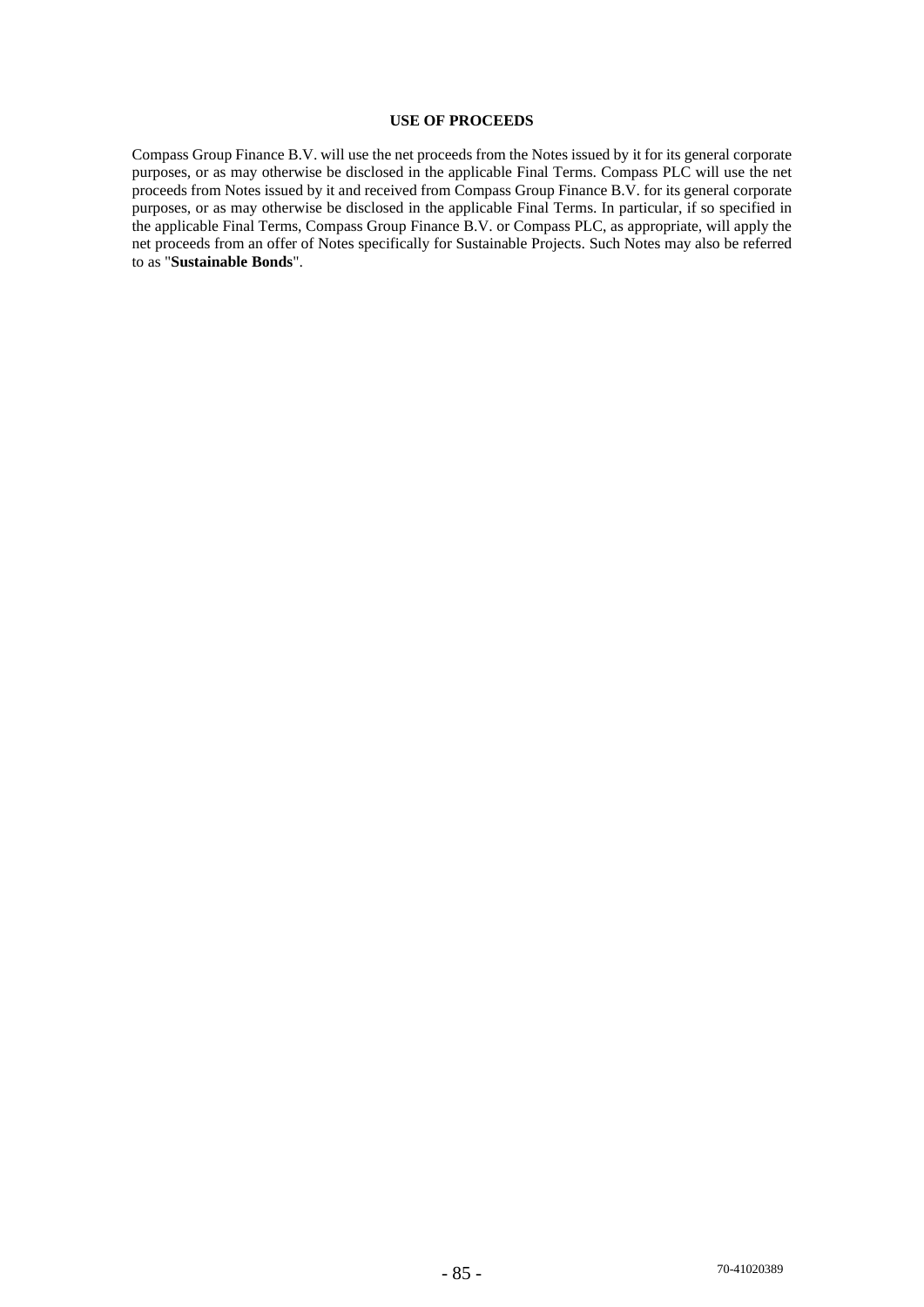# **USE OF PROCEEDS**

Compass Group Finance B.V. will use the net proceeds from the Notes issued by it for its general corporate purposes, or as may otherwise be disclosed in the applicable Final Terms. Compass PLC will use the net proceeds from Notes issued by it and received from Compass Group Finance B.V. for its general corporate purposes, or as may otherwise be disclosed in the applicable Final Terms. In particular, if so specified in the applicable Final Terms, Compass Group Finance B.V. or Compass PLC, as appropriate, will apply the net proceeds from an offer of Notes specifically for Sustainable Projects. Such Notes may also be referred to as "**Sustainable Bonds**".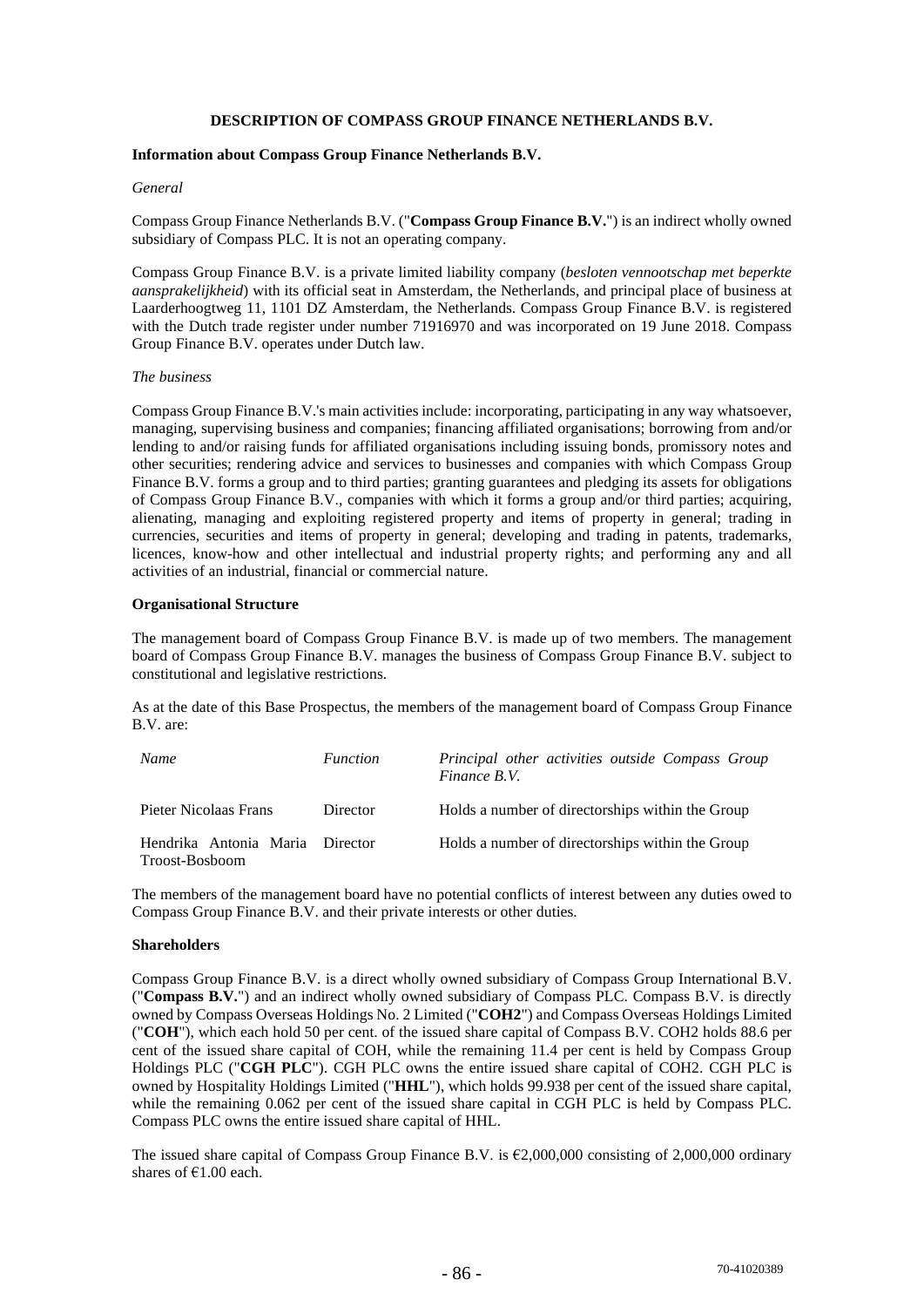## **DESCRIPTION OF COMPASS GROUP FINANCE NETHERLANDS B.V.**

## **Information about Compass Group Finance Netherlands B.V.**

#### *General*

Compass Group Finance Netherlands B.V. ("**Compass Group Finance B.V.**") is an indirect wholly owned subsidiary of Compass PLC. It is not an operating company.

Compass Group Finance B.V. is a private limited liability company (*besloten vennootschap met beperkte aansprakelijkheid*) with its official seat in Amsterdam, the Netherlands, and principal place of business at Laarderhoogtweg 11, 1101 DZ Amsterdam, the Netherlands. Compass Group Finance B.V. is registered with the Dutch trade register under number 71916970 and was incorporated on 19 June 2018. Compass Group Finance B.V. operates under Dutch law.

#### *The business*

Compass Group Finance B.V.'s main activities include: incorporating, participating in any way whatsoever, managing, supervising business and companies; financing affiliated organisations; borrowing from and/or lending to and/or raising funds for affiliated organisations including issuing bonds, promissory notes and other securities; rendering advice and services to businesses and companies with which Compass Group Finance B.V. forms a group and to third parties; granting guarantees and pledging its assets for obligations of Compass Group Finance B.V., companies with which it forms a group and/or third parties; acquiring, alienating, managing and exploiting registered property and items of property in general; trading in currencies, securities and items of property in general; developing and trading in patents, trademarks, licences, know-how and other intellectual and industrial property rights; and performing any and all activities of an industrial, financial or commercial nature.

#### **Organisational Structure**

The management board of Compass Group Finance B.V. is made up of two members. The management board of Compass Group Finance B.V. manages the business of Compass Group Finance B.V. subject to constitutional and legislative restrictions.

As at the date of this Base Prospectus, the members of the management board of Compass Group Finance B.V. are:

| Name                                              | <i>Function</i> | Principal other activities outside Compass Group<br>Finance B.V. |
|---------------------------------------------------|-----------------|------------------------------------------------------------------|
| Pieter Nicolaas Frans                             | Director        | Holds a number of directorships within the Group                 |
| Hendrika Antonia Maria Director<br>Troost-Bosboom |                 | Holds a number of directorships within the Group                 |

The members of the management board have no potential conflicts of interest between any duties owed to Compass Group Finance B.V. and their private interests or other duties.

#### **Shareholders**

Compass Group Finance B.V. is a direct wholly owned subsidiary of Compass Group International B.V. ("**Compass B.V.**") and an indirect wholly owned subsidiary of Compass PLC. Compass B.V. is directly owned by Compass Overseas Holdings No. 2 Limited ("**COH2**") and Compass Overseas Holdings Limited ("**COH**"), which each hold 50 per cent. of the issued share capital of Compass B.V. COH2 holds 88.6 per cent of the issued share capital of COH, while the remaining 11.4 per cent is held by Compass Group Holdings PLC ("**CGH PLC**"). CGH PLC owns the entire issued share capital of COH2. CGH PLC is owned by Hospitality Holdings Limited ("**HHL**"), which holds 99.938 per cent of the issued share capital, while the remaining 0.062 per cent of the issued share capital in CGH PLC is held by Compass PLC. Compass PLC owns the entire issued share capital of HHL.

The issued share capital of Compass Group Finance B.V. is  $\epsilon$ 2,000,000 consisting of 2,000,000 ordinary shares of  $£1.00$  each.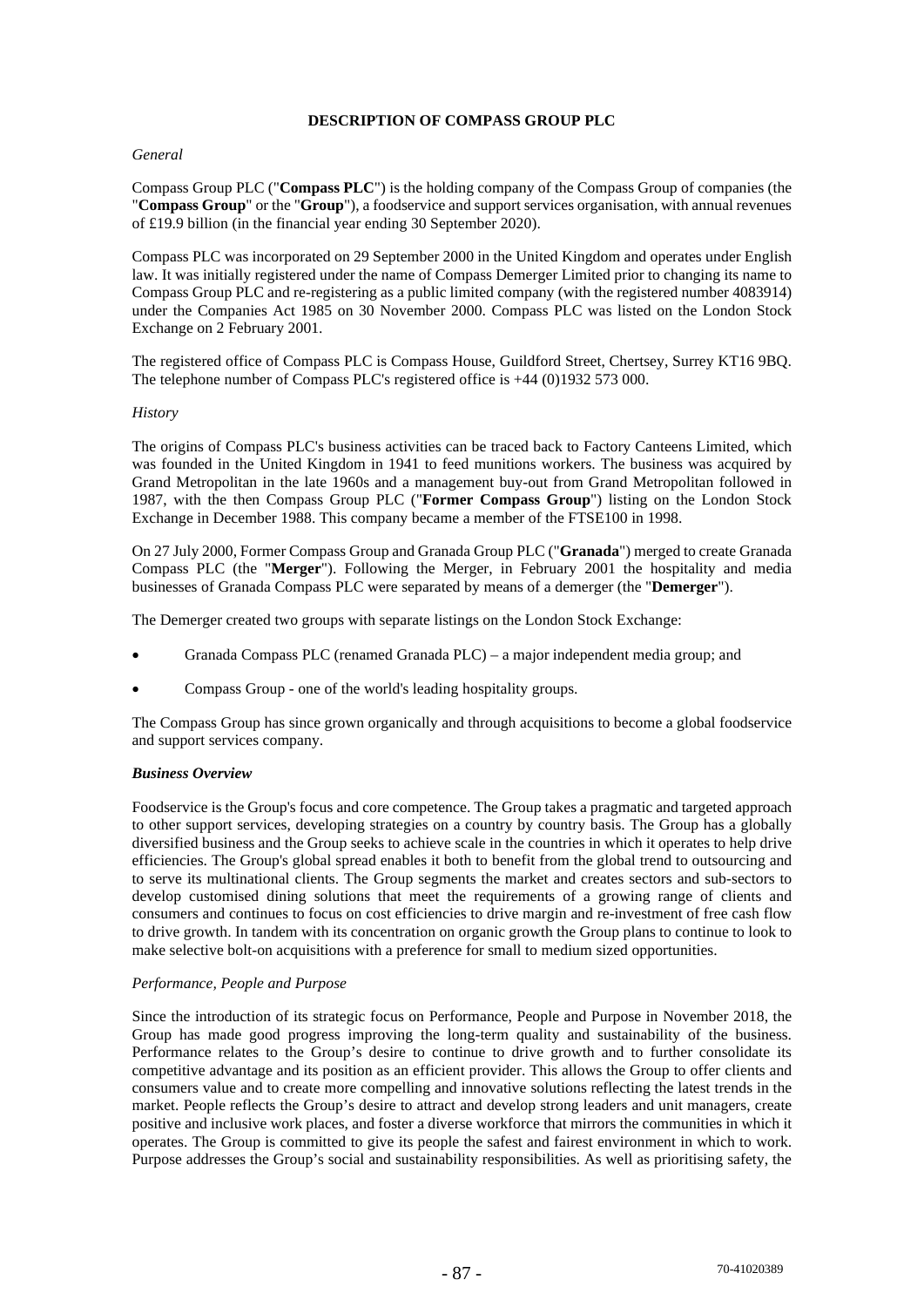## **DESCRIPTION OF COMPASS GROUP PLC**

## *General*

Compass Group PLC ("**Compass PLC**") is the holding company of the Compass Group of companies (the "**Compass Group**" or the "**Group**"), a foodservice and support services organisation, with annual revenues of £19.9 billion (in the financial year ending 30 September 2020).

Compass PLC was incorporated on 29 September 2000 in the United Kingdom and operates under English law. It was initially registered under the name of Compass Demerger Limited prior to changing its name to Compass Group PLC and re-registering as a public limited company (with the registered number 4083914) under the Companies Act 1985 on 30 November 2000. Compass PLC was listed on the London Stock Exchange on 2 February 2001.

The registered office of Compass PLC is Compass House, Guildford Street, Chertsey, Surrey KT16 9BQ. The telephone number of Compass PLC's registered office is +44 (0)1932 573 000.

# *History*

The origins of Compass PLC's business activities can be traced back to Factory Canteens Limited, which was founded in the United Kingdom in 1941 to feed munitions workers. The business was acquired by Grand Metropolitan in the late 1960s and a management buy-out from Grand Metropolitan followed in 1987, with the then Compass Group PLC ("**Former Compass Group**") listing on the London Stock Exchange in December 1988. This company became a member of the FTSE100 in 1998.

On 27 July 2000, Former Compass Group and Granada Group PLC ("**Granada**") merged to create Granada Compass PLC (the "**Merger**"). Following the Merger, in February 2001 the hospitality and media businesses of Granada Compass PLC were separated by means of a demerger (the "**Demerger**").

The Demerger created two groups with separate listings on the London Stock Exchange:

- Granada Compass PLC (renamed Granada PLC) a major independent media group; and
- Compass Group one of the world's leading hospitality groups.

The Compass Group has since grown organically and through acquisitions to become a global foodservice and support services company.

## *Business Overview*

Foodservice is the Group's focus and core competence. The Group takes a pragmatic and targeted approach to other support services, developing strategies on a country by country basis. The Group has a globally diversified business and the Group seeks to achieve scale in the countries in which it operates to help drive efficiencies. The Group's global spread enables it both to benefit from the global trend to outsourcing and to serve its multinational clients. The Group segments the market and creates sectors and sub-sectors to develop customised dining solutions that meet the requirements of a growing range of clients and consumers and continues to focus on cost efficiencies to drive margin and re-investment of free cash flow to drive growth. In tandem with its concentration on organic growth the Group plans to continue to look to make selective bolt-on acquisitions with a preference for small to medium sized opportunities.

## *Performance, People and Purpose*

Since the introduction of its strategic focus on Performance, People and Purpose in November 2018, the Group has made good progress improving the long-term quality and sustainability of the business. Performance relates to the Group's desire to continue to drive growth and to further consolidate its competitive advantage and its position as an efficient provider. This allows the Group to offer clients and consumers value and to create more compelling and innovative solutions reflecting the latest trends in the market. People reflects the Group's desire to attract and develop strong leaders and unit managers, create positive and inclusive work places, and foster a diverse workforce that mirrors the communities in which it operates. The Group is committed to give its people the safest and fairest environment in which to work. Purpose addresses the Group's social and sustainability responsibilities. As well as prioritising safety, the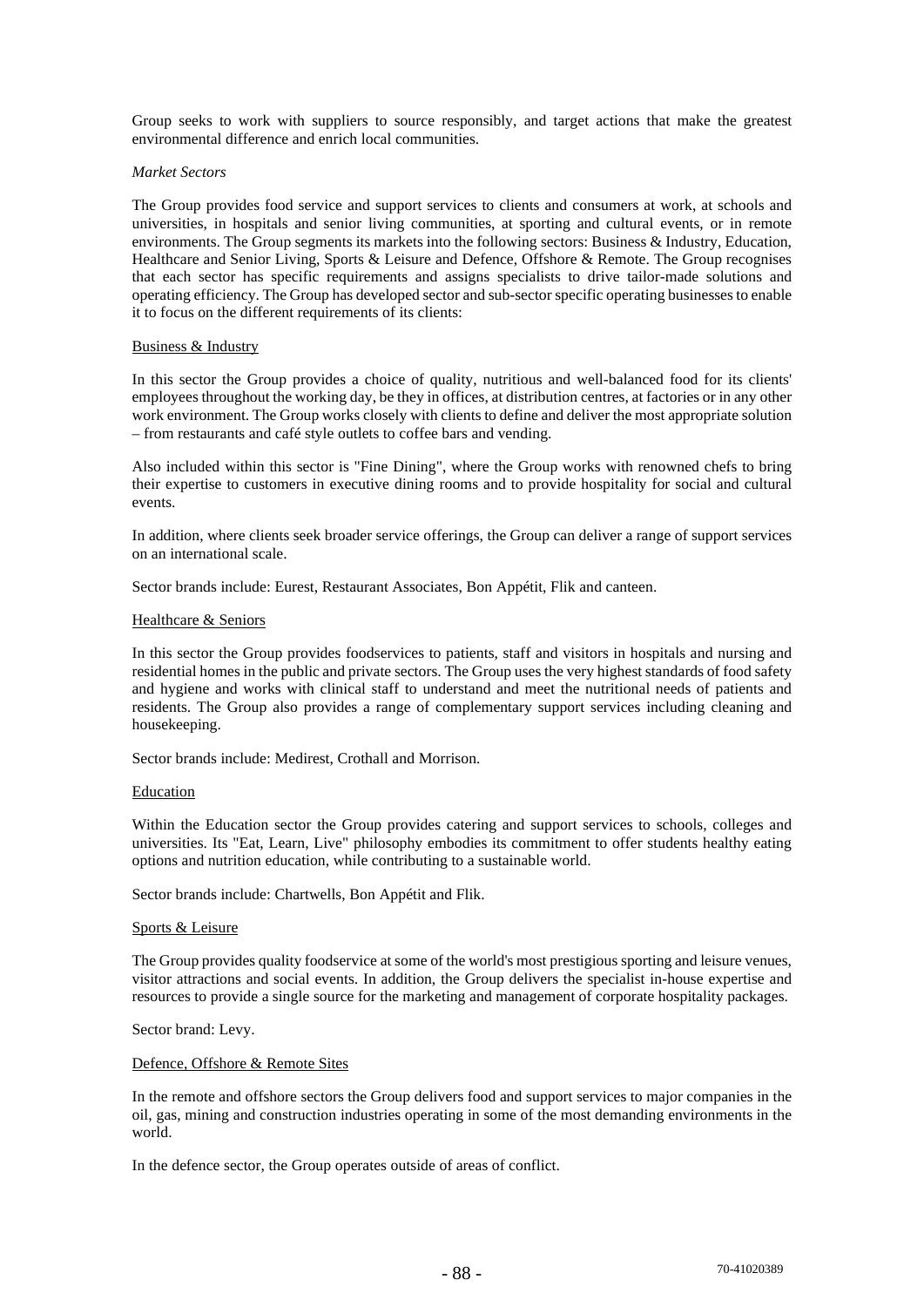Group seeks to work with suppliers to source responsibly, and target actions that make the greatest environmental difference and enrich local communities.

#### *Market Sectors*

The Group provides food service and support services to clients and consumers at work, at schools and universities, in hospitals and senior living communities, at sporting and cultural events, or in remote environments. The Group segments its markets into the following sectors: Business & Industry, Education, Healthcare and Senior Living, Sports & Leisure and Defence, Offshore & Remote. The Group recognises that each sector has specific requirements and assigns specialists to drive tailor-made solutions and operating efficiency. The Group has developed sector and sub-sector specific operating businesses to enable it to focus on the different requirements of its clients:

#### Business & Industry

In this sector the Group provides a choice of quality, nutritious and well-balanced food for its clients' employees throughout the working day, be they in offices, at distribution centres, at factories or in any other work environment. The Group works closely with clients to define and deliver the most appropriate solution – from restaurants and café style outlets to coffee bars and vending.

Also included within this sector is "Fine Dining", where the Group works with renowned chefs to bring their expertise to customers in executive dining rooms and to provide hospitality for social and cultural events.

In addition, where clients seek broader service offerings, the Group can deliver a range of support services on an international scale.

Sector brands include: Eurest, Restaurant Associates, Bon Appétit, Flik and canteen.

#### Healthcare & Seniors

In this sector the Group provides foodservices to patients, staff and visitors in hospitals and nursing and residential homes in the public and private sectors. The Group uses the very highest standards of food safety and hygiene and works with clinical staff to understand and meet the nutritional needs of patients and residents. The Group also provides a range of complementary support services including cleaning and housekeeping.

Sector brands include: Medirest, Crothall and Morrison.

#### Education

Within the Education sector the Group provides catering and support services to schools, colleges and universities. Its "Eat, Learn, Live" philosophy embodies its commitment to offer students healthy eating options and nutrition education, while contributing to a sustainable world.

Sector brands include: Chartwells, Bon Appétit and Flik.

#### Sports & Leisure

The Group provides quality foodservice at some of the world's most prestigious sporting and leisure venues, visitor attractions and social events. In addition, the Group delivers the specialist in-house expertise and resources to provide a single source for the marketing and management of corporate hospitality packages.

Sector brand: Levy.

## Defence, Offshore & Remote Sites

In the remote and offshore sectors the Group delivers food and support services to major companies in the oil, gas, mining and construction industries operating in some of the most demanding environments in the world.

In the defence sector, the Group operates outside of areas of conflict.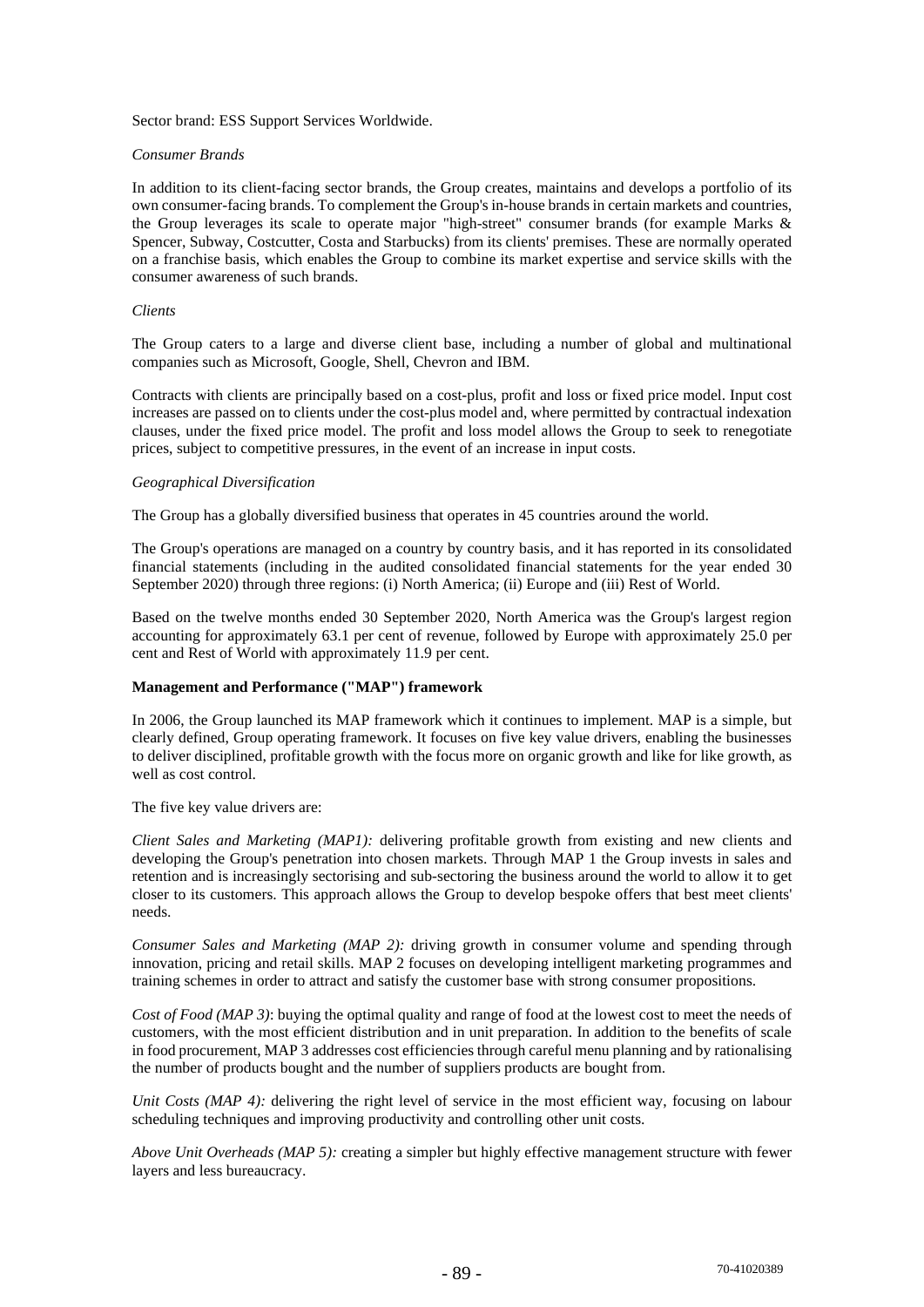Sector brand: ESS Support Services Worldwide.

#### *Consumer Brands*

In addition to its client-facing sector brands, the Group creates, maintains and develops a portfolio of its own consumer-facing brands. To complement the Group's in-house brands in certain markets and countries, the Group leverages its scale to operate major "high-street" consumer brands (for example Marks & Spencer, Subway, Costcutter, Costa and Starbucks) from its clients' premises. These are normally operated on a franchise basis, which enables the Group to combine its market expertise and service skills with the consumer awareness of such brands.

#### *Clients*

The Group caters to a large and diverse client base, including a number of global and multinational companies such as Microsoft, Google, Shell, Chevron and IBM.

Contracts with clients are principally based on a cost-plus, profit and loss or fixed price model. Input cost increases are passed on to clients under the cost-plus model and, where permitted by contractual indexation clauses, under the fixed price model. The profit and loss model allows the Group to seek to renegotiate prices, subject to competitive pressures, in the event of an increase in input costs.

#### *Geographical Diversification*

The Group has a globally diversified business that operates in 45 countries around the world.

The Group's operations are managed on a country by country basis, and it has reported in its consolidated financial statements (including in the audited consolidated financial statements for the year ended 30 September 2020) through three regions: (i) North America; (ii) Europe and (iii) Rest of World.

Based on the twelve months ended 30 September 2020, North America was the Group's largest region accounting for approximately 63.1 per cent of revenue, followed by Europe with approximately 25.0 per cent and Rest of World with approximately 11.9 per cent.

## **Management and Performance ("MAP") framework**

In 2006, the Group launched its MAP framework which it continues to implement. MAP is a simple, but clearly defined, Group operating framework. It focuses on five key value drivers, enabling the businesses to deliver disciplined, profitable growth with the focus more on organic growth and like for like growth, as well as cost control.

The five key value drivers are:

*Client Sales and Marketing (MAP1):* delivering profitable growth from existing and new clients and developing the Group's penetration into chosen markets. Through MAP 1 the Group invests in sales and retention and is increasingly sectorising and sub-sectoring the business around the world to allow it to get closer to its customers. This approach allows the Group to develop bespoke offers that best meet clients' needs.

*Consumer Sales and Marketing (MAP 2):* driving growth in consumer volume and spending through innovation, pricing and retail skills. MAP 2 focuses on developing intelligent marketing programmes and training schemes in order to attract and satisfy the customer base with strong consumer propositions.

*Cost of Food (MAP 3)*: buying the optimal quality and range of food at the lowest cost to meet the needs of customers, with the most efficient distribution and in unit preparation. In addition to the benefits of scale in food procurement, MAP 3 addresses cost efficiencies through careful menu planning and by rationalising the number of products bought and the number of suppliers products are bought from.

*Unit Costs (MAP 4):* delivering the right level of service in the most efficient way, focusing on labour scheduling techniques and improving productivity and controlling other unit costs.

*Above Unit Overheads (MAP 5):* creating a simpler but highly effective management structure with fewer layers and less bureaucracy.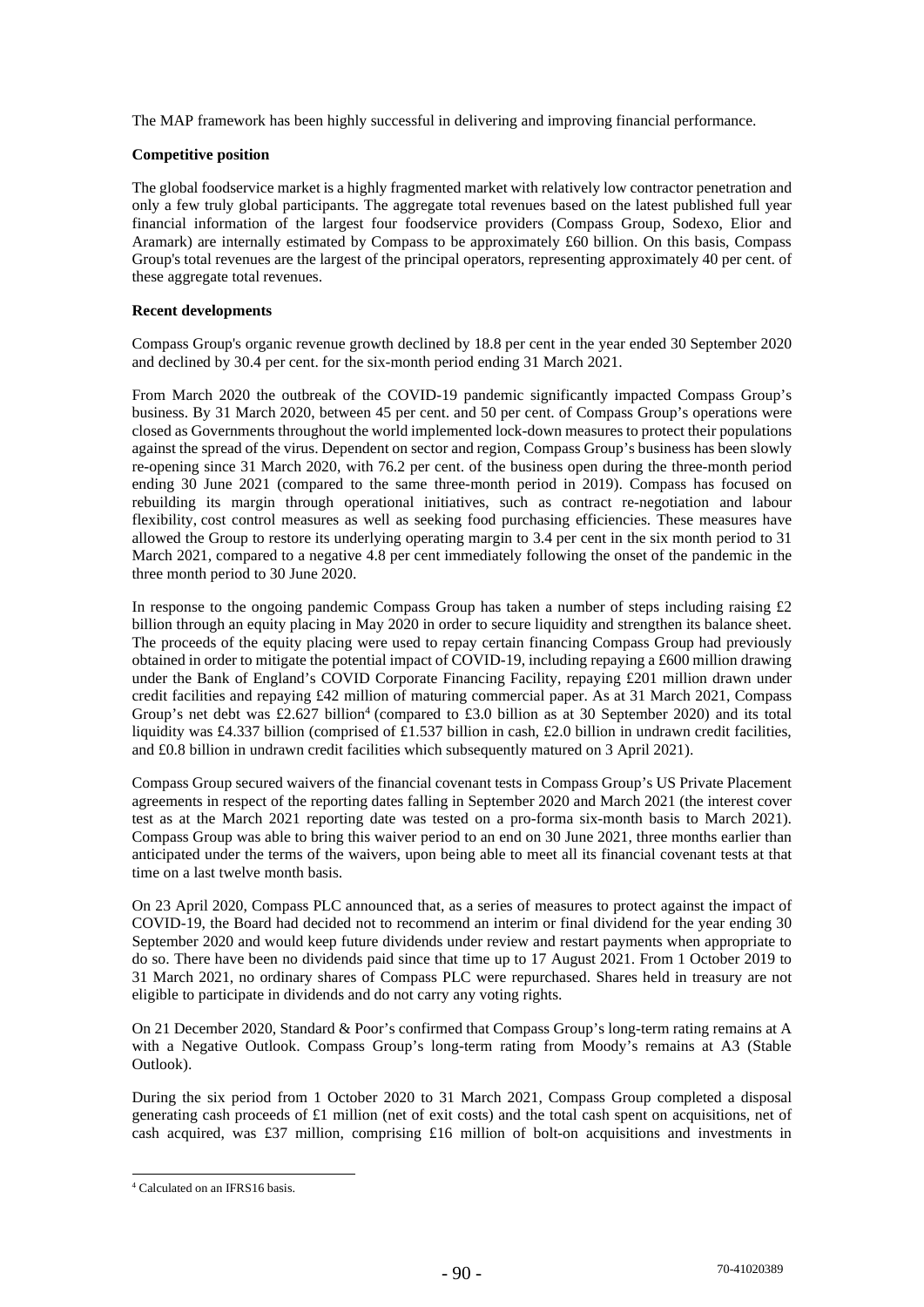The MAP framework has been highly successful in delivering and improving financial performance.

## **Competitive position**

The global foodservice market is a highly fragmented market with relatively low contractor penetration and only a few truly global participants. The aggregate total revenues based on the latest published full year financial information of the largest four foodservice providers (Compass Group, Sodexo, Elior and Aramark) are internally estimated by Compass to be approximately £60 billion. On this basis, Compass Group's total revenues are the largest of the principal operators, representing approximately 40 per cent. of these aggregate total revenues.

## **Recent developments**

Compass Group's organic revenue growth declined by 18.8 per cent in the year ended 30 September 2020 and declined by 30.4 per cent. for the six-month period ending 31 March 2021.

From March 2020 the outbreak of the COVID-19 pandemic significantly impacted Compass Group's business. By 31 March 2020, between 45 per cent. and 50 per cent. of Compass Group's operations were closed as Governments throughout the world implemented lock-down measures to protect their populations against the spread of the virus. Dependent on sector and region, Compass Group's business has been slowly re-opening since 31 March 2020, with 76.2 per cent. of the business open during the three-month period ending 30 June 2021 (compared to the same three-month period in 2019). Compass has focused on rebuilding its margin through operational initiatives, such as contract re-negotiation and labour flexibility, cost control measures as well as seeking food purchasing efficiencies. These measures have allowed the Group to restore its underlying operating margin to 3.4 per cent in the six month period to 31 March 2021, compared to a negative 4.8 per cent immediately following the onset of the pandemic in the three month period to 30 June 2020.

In response to the ongoing pandemic Compass Group has taken a number of steps including raising £2 billion through an equity placing in May 2020 in order to secure liquidity and strengthen its balance sheet. The proceeds of the equity placing were used to repay certain financing Compass Group had previously obtained in order to mitigate the potential impact of COVID-19, including repaying a £600 million drawing under the Bank of England's COVID Corporate Financing Facility, repaying £201 million drawn under credit facilities and repaying £42 million of maturing commercial paper. As at 31 March 2021, Compass Group's net debt was £2.627 billion<sup>4</sup> (compared to £3.0 billion as at 30 September 2020) and its total liquidity was £4.337 billion (comprised of £1.537 billion in cash, £2.0 billion in undrawn credit facilities, and £0.8 billion in undrawn credit facilities which subsequently matured on 3 April 2021).

Compass Group secured waivers of the financial covenant tests in Compass Group's US Private Placement agreements in respect of the reporting dates falling in September 2020 and March 2021 (the interest cover test as at the March 2021 reporting date was tested on a pro-forma six-month basis to March 2021). Compass Group was able to bring this waiver period to an end on 30 June 2021, three months earlier than anticipated under the terms of the waivers, upon being able to meet all its financial covenant tests at that time on a last twelve month basis.

On 23 April 2020, Compass PLC announced that, as a series of measures to protect against the impact of COVID-19, the Board had decided not to recommend an interim or final dividend for the year ending 30 September 2020 and would keep future dividends under review and restart payments when appropriate to do so. There have been no dividends paid since that time up to 17 August 2021. From 1 October 2019 to 31 March 2021, no ordinary shares of Compass PLC were repurchased. Shares held in treasury are not eligible to participate in dividends and do not carry any voting rights.

On 21 December 2020, Standard & Poor's confirmed that Compass Group's long-term rating remains at A with a Negative Outlook. Compass Group's long-term rating from Moody's remains at A3 (Stable Outlook).

During the six period from 1 October 2020 to 31 March 2021, Compass Group completed a disposal generating cash proceeds of £1 million (net of exit costs) and the total cash spent on acquisitions, net of cash acquired, was £37 million, comprising £16 million of bolt-on acquisitions and investments in

<sup>4</sup> Calculated on an IFRS16 basis.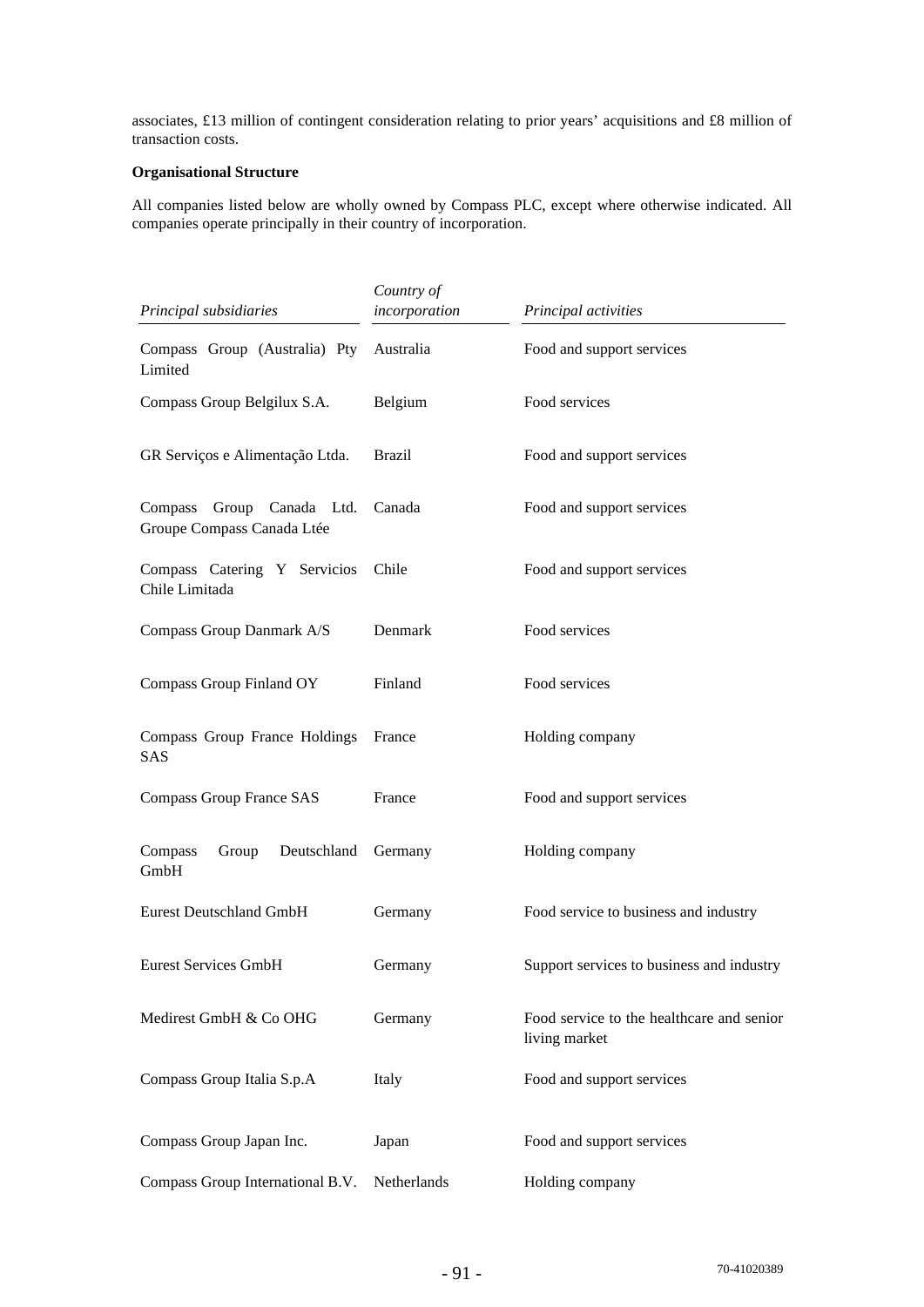associates, £13 million of contingent consideration relating to prior years' acquisitions and £8 million of transaction costs.

# **Organisational Structure**

All companies listed below are wholly owned by Compass PLC, except where otherwise indicated. All companies operate principally in their country of incorporation.

| Principal subsidiaries                                     | Country of<br>incorporation | Principal activities                                       |
|------------------------------------------------------------|-----------------------------|------------------------------------------------------------|
| Compass Group (Australia) Pty<br>Limited                   | Australia                   | Food and support services                                  |
| Compass Group Belgilux S.A.                                | Belgium                     | Food services                                              |
| GR Serviços e Alimentação Ltda.                            | <b>Brazil</b>               | Food and support services                                  |
| Group Canada Ltd.<br>Compass<br>Groupe Compass Canada Ltée | Canada                      | Food and support services                                  |
| Compass Catering Y Servicios<br>Chile Limitada             | Chile                       | Food and support services                                  |
| Compass Group Danmark A/S                                  | Denmark                     | Food services                                              |
| Compass Group Finland OY                                   | Finland                     | Food services                                              |
| Compass Group France Holdings<br><b>SAS</b>                | France                      | Holding company                                            |
| Compass Group France SAS                                   | France                      | Food and support services                                  |
| Deutschland<br>Compass<br>Group<br>GmbH                    | Germany                     | Holding company                                            |
| <b>Eurest Deutschland GmbH</b>                             | Germany                     | Food service to business and industry                      |
| <b>Eurest Services GmbH</b>                                | Germany                     | Support services to business and industry                  |
| Medirest GmbH & Co OHG                                     | Germany                     | Food service to the healthcare and senior<br>living market |
| Compass Group Italia S.p.A                                 | Italy                       | Food and support services                                  |
| Compass Group Japan Inc.                                   | Japan                       | Food and support services                                  |
| Compass Group International B.V.                           | Netherlands                 | Holding company                                            |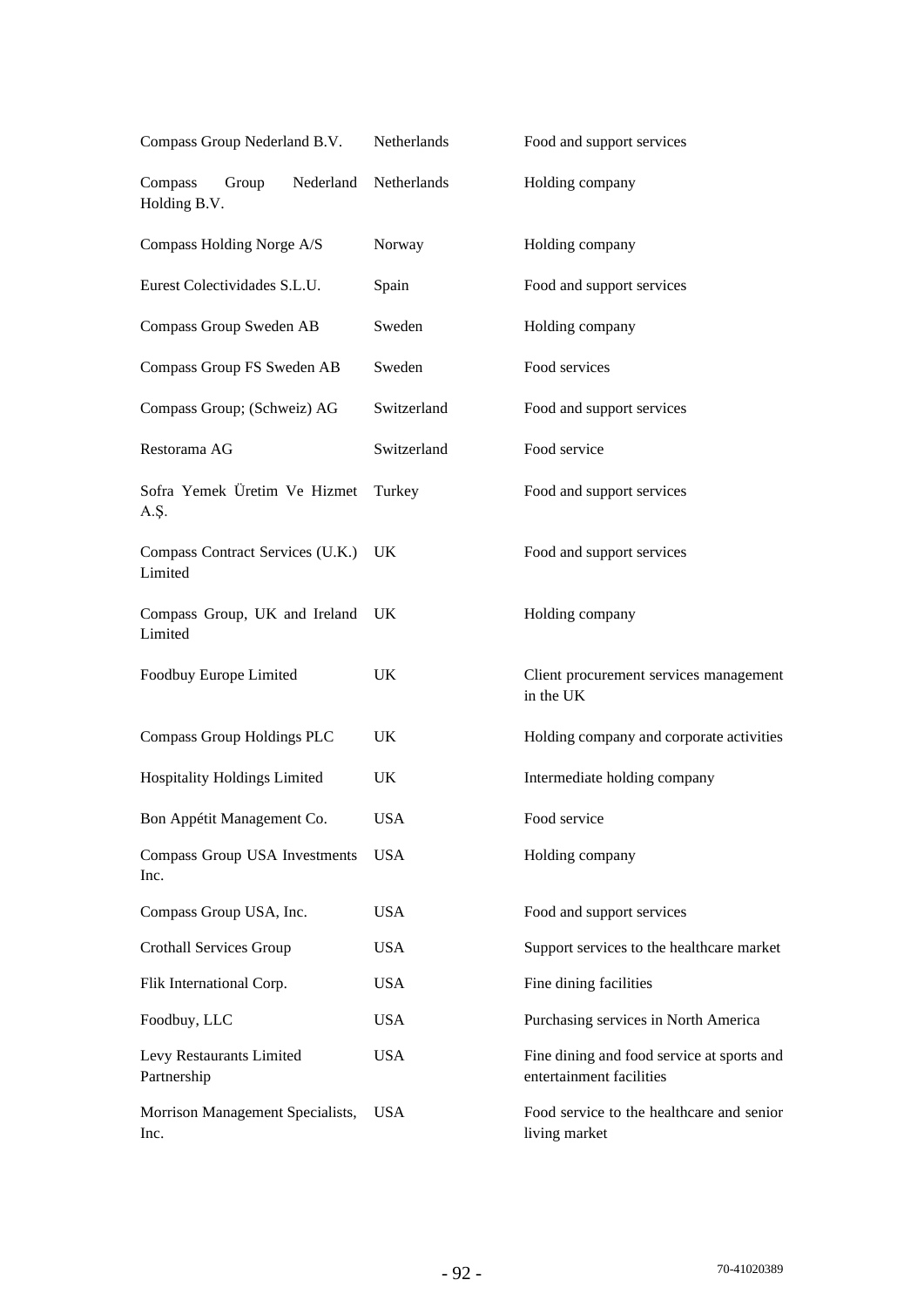| Compass Group Nederland B.V.                  | Netherlands | Food and support services                                              |  |
|-----------------------------------------------|-------------|------------------------------------------------------------------------|--|
| Compass<br>Nederland<br>Group<br>Holding B.V. | Netherlands | Holding company                                                        |  |
| Compass Holding Norge A/S                     | Norway      | Holding company                                                        |  |
| Eurest Colectividades S.L.U.                  | Spain       | Food and support services                                              |  |
| Compass Group Sweden AB                       | Sweden      | Holding company                                                        |  |
| Compass Group FS Sweden AB                    | Sweden      | Food services                                                          |  |
| Compass Group; (Schweiz) AG                   | Switzerland | Food and support services                                              |  |
| Restorama AG                                  | Switzerland | Food service                                                           |  |
| Sofra Yemek Üretim Ve Hizmet<br>A.Ş.          | Turkey      | Food and support services                                              |  |
| Compass Contract Services (U.K.)<br>Limited   | UK.         | Food and support services                                              |  |
| Compass Group, UK and Ireland<br>Limited      | <b>UK</b>   | Holding company                                                        |  |
| Foodbuy Europe Limited                        | UK          | Client procurement services management<br>in the UK                    |  |
| Compass Group Holdings PLC                    | UK          | Holding company and corporate activities                               |  |
| Hospitality Holdings Limited                  | UK          | Intermediate holding company                                           |  |
| Bon Appétit Management Co.                    | <b>USA</b>  | Food service                                                           |  |
| Compass Group USA Investments<br>Inc.         | <b>USA</b>  | Holding company                                                        |  |
| Compass Group USA, Inc.                       | <b>USA</b>  | Food and support services                                              |  |
| <b>Crothall Services Group</b>                | <b>USA</b>  | Support services to the healthcare market                              |  |
| Flik International Corp.                      | <b>USA</b>  | Fine dining facilities                                                 |  |
| Foodbuy, LLC                                  | <b>USA</b>  | Purchasing services in North America                                   |  |
| Levy Restaurants Limited<br>Partnership       | <b>USA</b>  | Fine dining and food service at sports and<br>entertainment facilities |  |
| Morrison Management Specialists,<br>Inc.      | <b>USA</b>  | Food service to the healthcare and senior<br>living market             |  |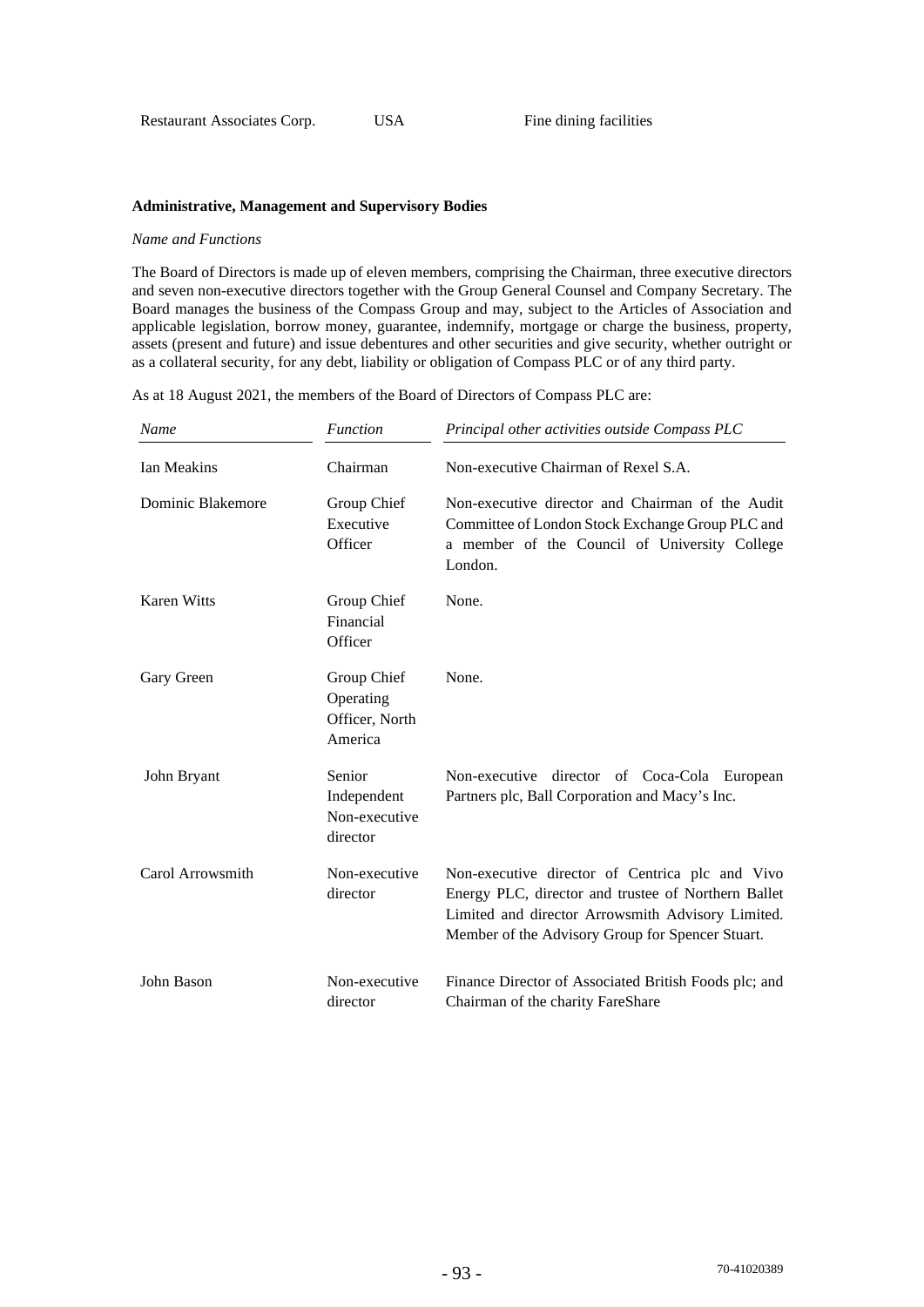#### **Administrative, Management and Supervisory Bodies**

#### *Name and Functions*

The Board of Directors is made up of eleven members, comprising the Chairman, three executive directors and seven non-executive directors together with the Group General Counsel and Company Secretary. The Board manages the business of the Compass Group and may, subject to the Articles of Association and applicable legislation, borrow money, guarantee, indemnify, mortgage or charge the business, property, assets (present and future) and issue debentures and other securities and give security, whether outright or as a collateral security, for any debt, liability or obligation of Compass PLC or of any third party.

As at 18 August 2021, the members of the Board of Directors of Compass PLC are:

| Name               | <b>Function</b>                                       | Principal other activities outside Compass PLC                                                                                                                                                                  |
|--------------------|-------------------------------------------------------|-----------------------------------------------------------------------------------------------------------------------------------------------------------------------------------------------------------------|
| Ian Meakins        | Chairman                                              | Non-executive Chairman of Rexel S.A.                                                                                                                                                                            |
| Dominic Blakemore  | Group Chief<br>Executive<br>Officer                   | Non-executive director and Chairman of the Audit<br>Committee of London Stock Exchange Group PLC and<br>a member of the Council of University College<br>London.                                                |
| <b>Karen Witts</b> | Group Chief<br>Financial<br>Officer                   | None.                                                                                                                                                                                                           |
| Gary Green         | Group Chief<br>Operating<br>Officer, North<br>America | None.                                                                                                                                                                                                           |
| John Bryant        | Senior<br>Independent<br>Non-executive<br>director    | Non-executive director of Coca-Cola European<br>Partners plc, Ball Corporation and Macy's Inc.                                                                                                                  |
| Carol Arrowsmith   | Non-executive<br>director                             | Non-executive director of Centrica plc and Vivo<br>Energy PLC, director and trustee of Northern Ballet<br>Limited and director Arrowsmith Advisory Limited.<br>Member of the Advisory Group for Spencer Stuart. |
| John Bason         | Non-executive<br>director                             | Finance Director of Associated British Foods plc; and<br>Chairman of the charity FareShare                                                                                                                      |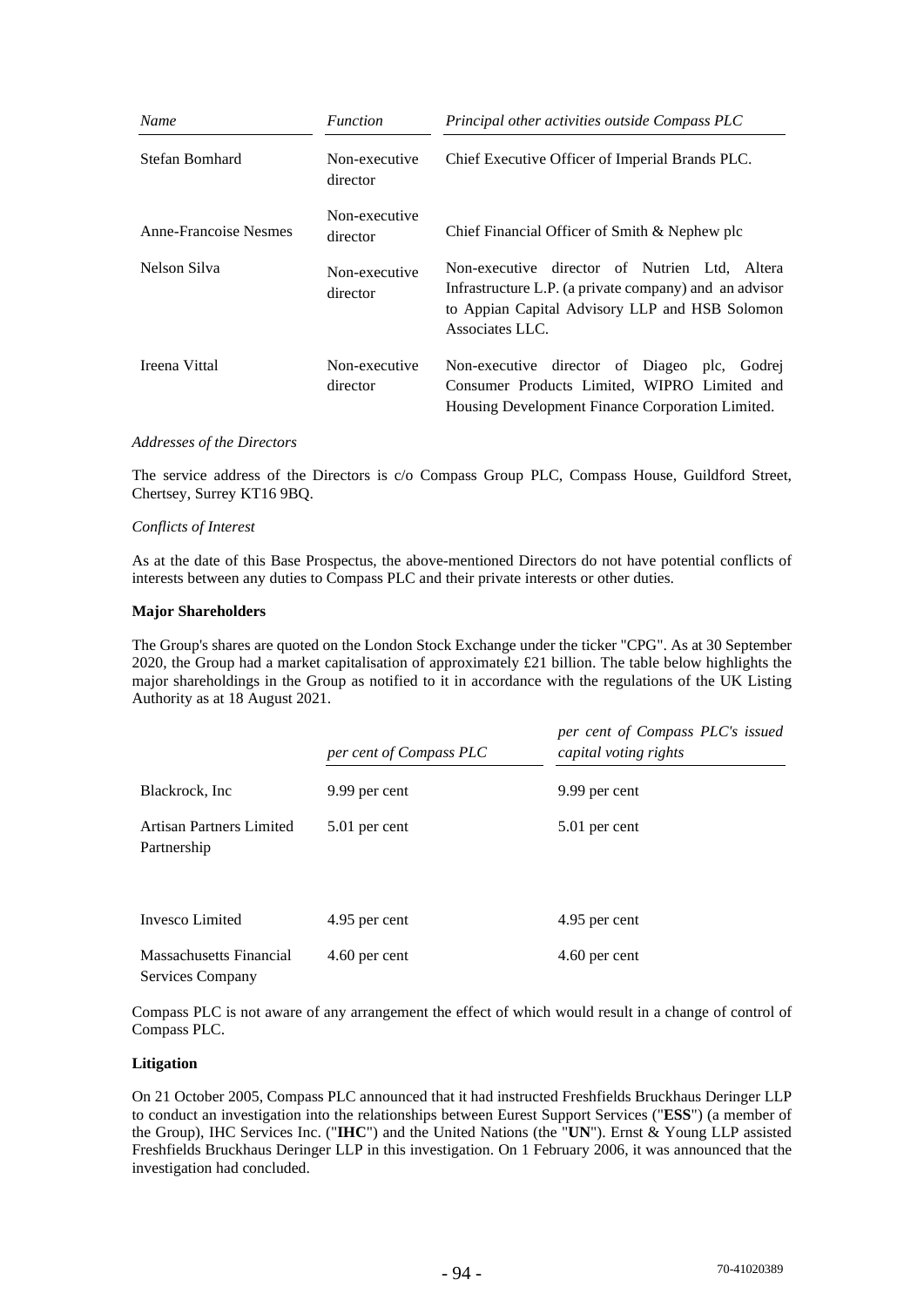| Name                  | <i>Function</i>           | Principal other activities outside Compass PLC                                                                                                                               |
|-----------------------|---------------------------|------------------------------------------------------------------------------------------------------------------------------------------------------------------------------|
| Stefan Bomhard        | Non-executive<br>director | Chief Executive Officer of Imperial Brands PLC.                                                                                                                              |
| Anne-Francoise Nesmes | Non-executive<br>director | Chief Financial Officer of Smith & Nephew plc                                                                                                                                |
| Nelson Silva          | Non-executive<br>director | Non-executive director of Nutrien Ltd, Altera<br>Infrastructure L.P. (a private company) and an advisor<br>to Appian Capital Advisory LLP and HSB Solomon<br>Associates LLC. |
| Ireena Vittal         | Non-executive<br>director | Non-executive director of Diageo plc, Godrej<br>Consumer Products Limited, WIPRO Limited and<br>Housing Development Finance Corporation Limited.                             |

#### *Addresses of the Directors*

The service address of the Directors is c/o Compass Group PLC, Compass House, Guildford Street, Chertsey, Surrey KT16 9BQ.

#### *Conflicts of Interest*

As at the date of this Base Prospectus, the above-mentioned Directors do not have potential conflicts of interests between any duties to Compass PLC and their private interests or other duties.

#### **Major Shareholders**

The Group's shares are quoted on the London Stock Exchange under the ticker "CPG". As at 30 September 2020, the Group had a market capitalisation of approximately £21 billion. The table below highlights the major shareholdings in the Group as notified to it in accordance with the regulations of the UK Listing Authority as at 18 August 2021.

|                                             | per cent of Compass PLC | per cent of Compass PLC's issued<br>capital voting rights |
|---------------------------------------------|-------------------------|-----------------------------------------------------------|
| Blackrock, Inc.                             | 9.99 per cent           | 9.99 per cent                                             |
| Artisan Partners Limited<br>Partnership     | 5.01 per cent           | 5.01 per cent                                             |
| Invesco Limited                             | 4.95 per cent           | 4.95 per cent                                             |
| Massachusetts Financial<br>Services Company | $4.60$ per cent         | 4.60 per cent                                             |

Compass PLC is not aware of any arrangement the effect of which would result in a change of control of Compass PLC.

## **Litigation**

On 21 October 2005, Compass PLC announced that it had instructed Freshfields Bruckhaus Deringer LLP to conduct an investigation into the relationships between Eurest Support Services ("**ESS**") (a member of the Group), IHC Services Inc. ("**IHC**") and the United Nations (the "**UN**"). Ernst & Young LLP assisted Freshfields Bruckhaus Deringer LLP in this investigation. On 1 February 2006, it was announced that the investigation had concluded.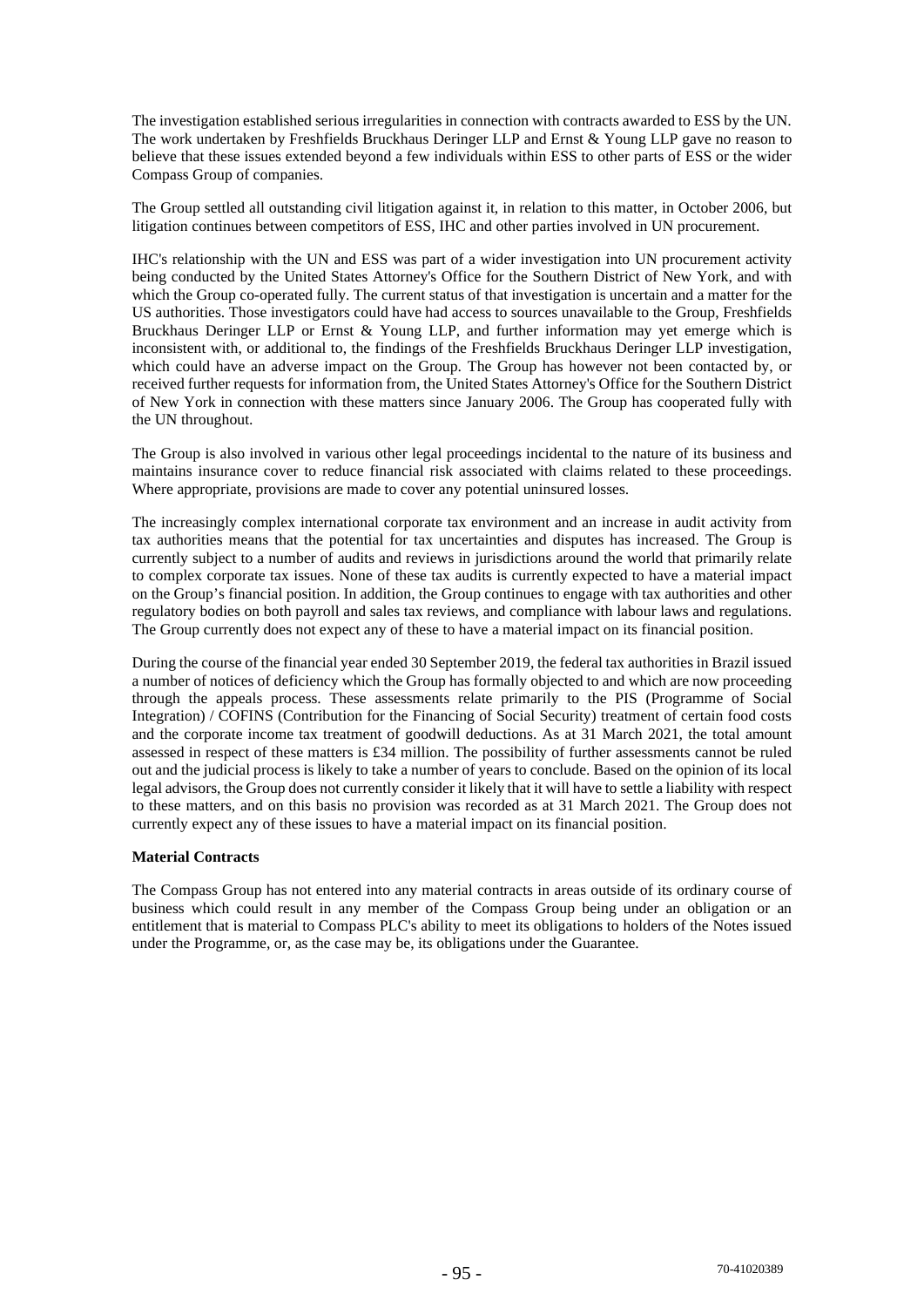The investigation established serious irregularities in connection with contracts awarded to ESS by the UN. The work undertaken by Freshfields Bruckhaus Deringer LLP and Ernst & Young LLP gave no reason to believe that these issues extended beyond a few individuals within ESS to other parts of ESS or the wider Compass Group of companies.

The Group settled all outstanding civil litigation against it, in relation to this matter, in October 2006, but litigation continues between competitors of ESS, IHC and other parties involved in UN procurement.

IHC's relationship with the UN and ESS was part of a wider investigation into UN procurement activity being conducted by the United States Attorney's Office for the Southern District of New York, and with which the Group co-operated fully. The current status of that investigation is uncertain and a matter for the US authorities. Those investigators could have had access to sources unavailable to the Group, Freshfields Bruckhaus Deringer LLP or Ernst & Young LLP, and further information may yet emerge which is inconsistent with, or additional to, the findings of the Freshfields Bruckhaus Deringer LLP investigation, which could have an adverse impact on the Group. The Group has however not been contacted by, or received further requests for information from, the United States Attorney's Office for the Southern District of New York in connection with these matters since January 2006. The Group has cooperated fully with the UN throughout.

The Group is also involved in various other legal proceedings incidental to the nature of its business and maintains insurance cover to reduce financial risk associated with claims related to these proceedings. Where appropriate, provisions are made to cover any potential uninsured losses.

The increasingly complex international corporate tax environment and an increase in audit activity from tax authorities means that the potential for tax uncertainties and disputes has increased. The Group is currently subject to a number of audits and reviews in jurisdictions around the world that primarily relate to complex corporate tax issues. None of these tax audits is currently expected to have a material impact on the Group's financial position. In addition, the Group continues to engage with tax authorities and other regulatory bodies on both payroll and sales tax reviews, and compliance with labour laws and regulations. The Group currently does not expect any of these to have a material impact on its financial position.

During the course of the financial year ended 30 September 2019, the federal tax authorities in Brazil issued a number of notices of deficiency which the Group has formally objected to and which are now proceeding through the appeals process. These assessments relate primarily to the PIS (Programme of Social Integration) / COFINS (Contribution for the Financing of Social Security) treatment of certain food costs and the corporate income tax treatment of goodwill deductions. As at 31 March 2021, the total amount assessed in respect of these matters is £34 million. The possibility of further assessments cannot be ruled out and the judicial process is likely to take a number of years to conclude. Based on the opinion of its local legal advisors, the Group does not currently consider it likely that it will have to settle a liability with respect to these matters, and on this basis no provision was recorded as at 31 March 2021. The Group does not currently expect any of these issues to have a material impact on its financial position.

## **Material Contracts**

The Compass Group has not entered into any material contracts in areas outside of its ordinary course of business which could result in any member of the Compass Group being under an obligation or an entitlement that is material to Compass PLC's ability to meet its obligations to holders of the Notes issued under the Programme, or, as the case may be, its obligations under the Guarantee.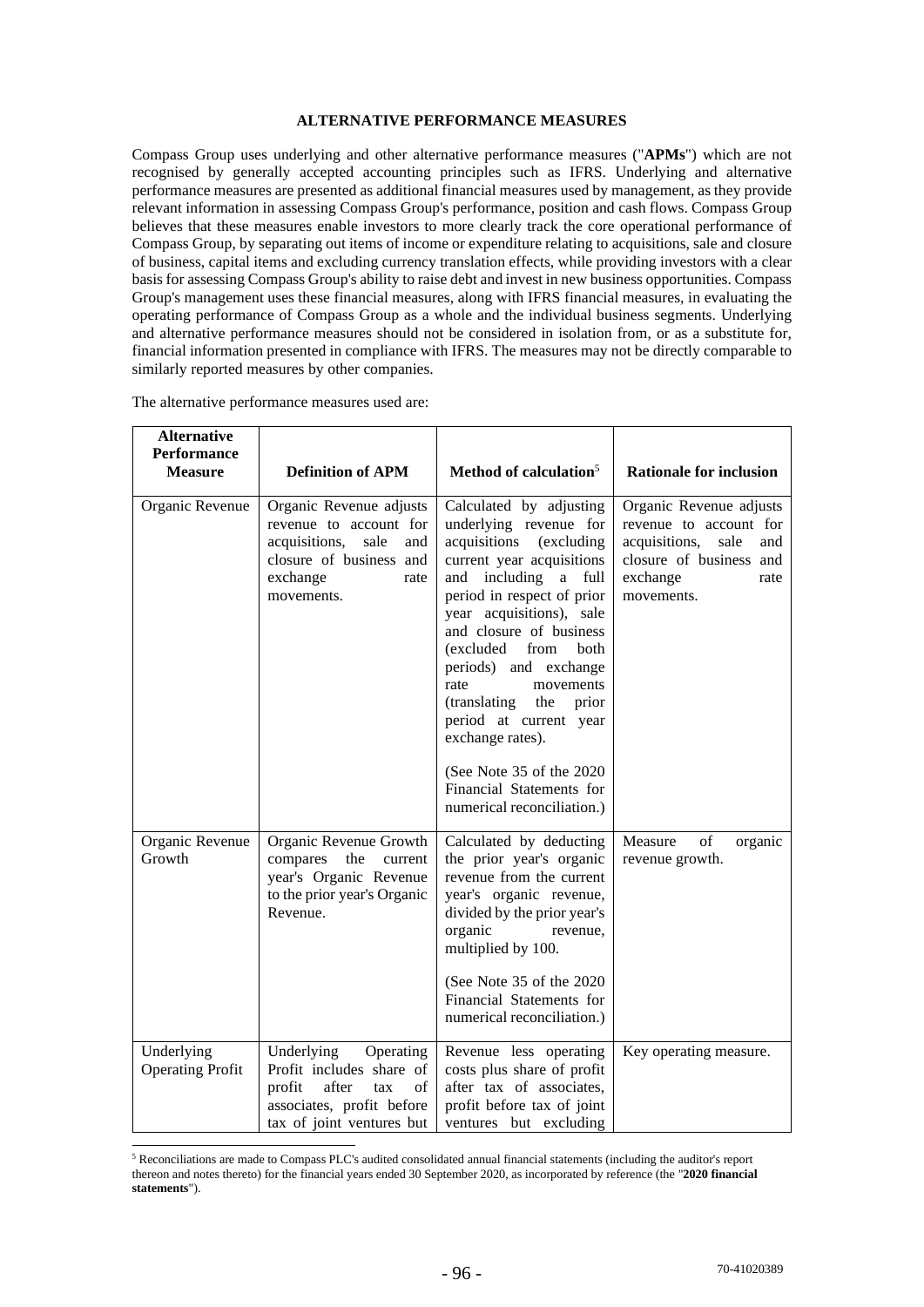## **ALTERNATIVE PERFORMANCE MEASURES**

Compass Group uses underlying and other alternative performance measures ("**APMs**") which are not recognised by generally accepted accounting principles such as IFRS. Underlying and alternative performance measures are presented as additional financial measures used by management, as they provide relevant information in assessing Compass Group's performance, position and cash flows. Compass Group believes that these measures enable investors to more clearly track the core operational performance of Compass Group, by separating out items of income or expenditure relating to acquisitions, sale and closure of business, capital items and excluding currency translation effects, while providing investors with a clear basis for assessing Compass Group's ability to raise debt and invest in new business opportunities. Compass Group's management uses these financial measures, along with IFRS financial measures, in evaluating the operating performance of Compass Group as a whole and the individual business segments. Underlying and alternative performance measures should not be considered in isolation from, or as a substitute for, financial information presented in compliance with IFRS. The measures may not be directly comparable to similarly reported measures by other companies.

| <b>Alternative</b><br><b>Performance</b><br><b>Measure</b> | <b>Definition of APM</b>                                                                                                                       | Method of calculation <sup>5</sup>                                                                                                                                                                                                                                                                                                                                                                                                                                              | <b>Rationale for inclusion</b>                                                                                                                 |
|------------------------------------------------------------|------------------------------------------------------------------------------------------------------------------------------------------------|---------------------------------------------------------------------------------------------------------------------------------------------------------------------------------------------------------------------------------------------------------------------------------------------------------------------------------------------------------------------------------------------------------------------------------------------------------------------------------|------------------------------------------------------------------------------------------------------------------------------------------------|
| Organic Revenue                                            | Organic Revenue adjusts<br>revenue to account for<br>acquisitions,<br>sale<br>and<br>closure of business and<br>exchange<br>rate<br>movements. | Calculated by adjusting<br>underlying revenue for<br>acquisitions<br>(excluding<br>current year acquisitions<br>including<br>and<br>a full<br>period in respect of prior<br>year acquisitions), sale<br>and closure of business<br>(excluded<br>from<br>both<br>periods) and exchange<br>rate<br>movements<br>(translating<br>the<br>prior<br>period at current year<br>exchange rates).<br>(See Note 35 of the 2020)<br>Financial Statements for<br>numerical reconciliation.) | Organic Revenue adjusts<br>revenue to account for<br>acquisitions,<br>sale<br>and<br>closure of business and<br>exchange<br>rate<br>movements. |
| Organic Revenue<br>Growth                                  | Organic Revenue Growth<br>the<br>compares<br>current<br>year's Organic Revenue<br>to the prior year's Organic<br>Revenue.                      | Calculated by deducting<br>the prior year's organic<br>revenue from the current<br>year's organic revenue,<br>divided by the prior year's<br>organic<br>revenue,<br>multiplied by 100.<br>(See Note 35 of the 2020)<br>Financial Statements for<br>numerical reconciliation.)                                                                                                                                                                                                   | Measure<br>of<br>organic<br>revenue growth.                                                                                                    |
| Underlying<br><b>Operating Profit</b>                      | Underlying<br>Operating<br>Profit includes share of<br>profit<br>after<br>of<br>tax<br>associates, profit before<br>tax of joint ventures but  | Revenue less operating<br>costs plus share of profit<br>after tax of associates,<br>profit before tax of joint<br>ventures but excluding                                                                                                                                                                                                                                                                                                                                        | Key operating measure.                                                                                                                         |

The alternative performance measures used are:

<sup>&</sup>lt;sup>5</sup> Reconciliations are made to Compass PLC's audited consolidated annual financial statements (including the auditor's report thereon and notes thereto) for the financial years ended 30 September 2020, as incorporated by reference (the "**2020 financial statements**").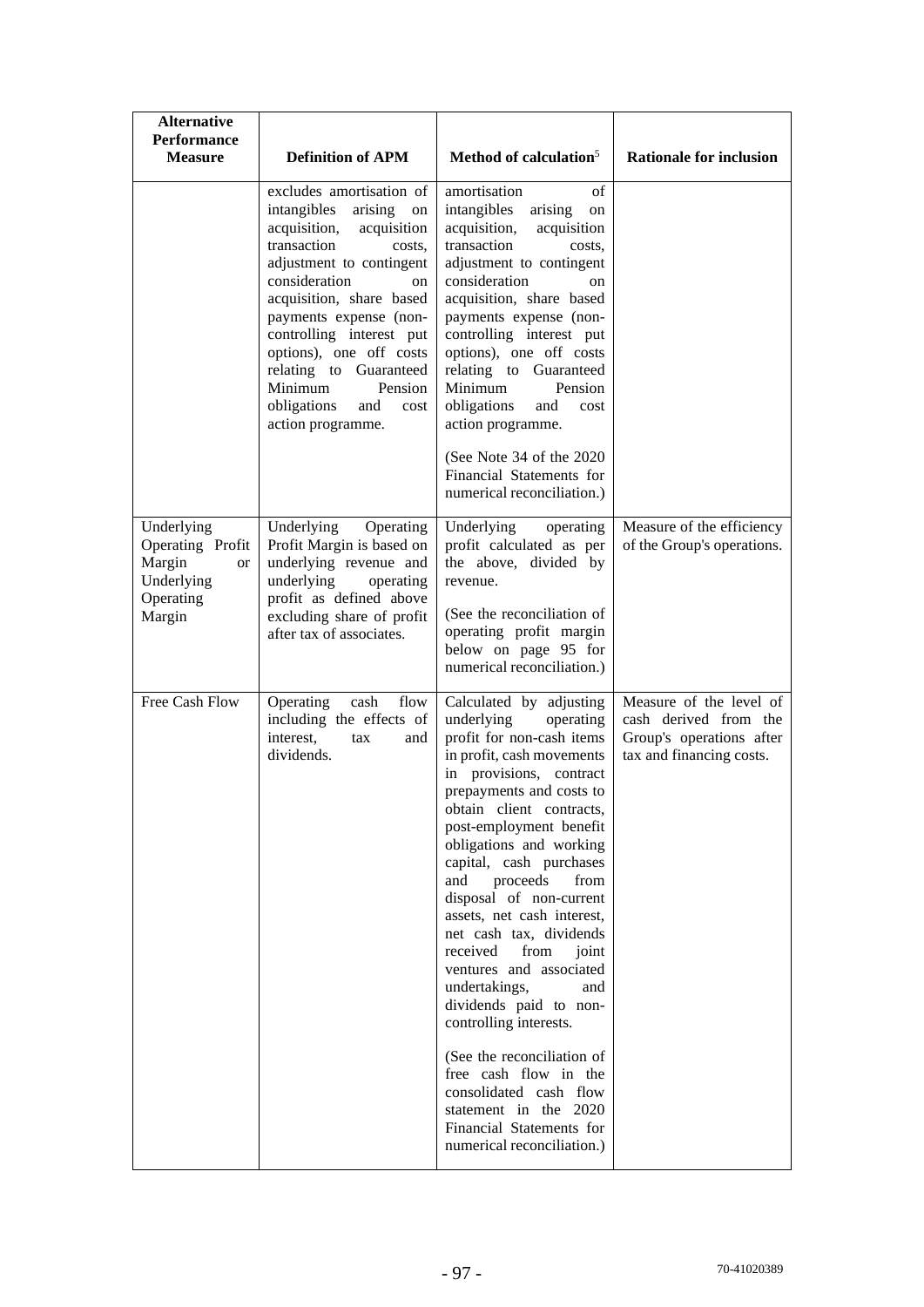| <b>Alternative</b><br><b>Performance</b><br><b>Measure</b>                       | <b>Definition of APM</b>                                                                                                                                                                                                                                                                                                                                                         | Method of calculation <sup>5</sup>                                                                                                                                                                                                                                                                                                                                                                                                                                                                                                                                                                                                                                                                      | <b>Rationale for inclusion</b>                                                                           |
|----------------------------------------------------------------------------------|----------------------------------------------------------------------------------------------------------------------------------------------------------------------------------------------------------------------------------------------------------------------------------------------------------------------------------------------------------------------------------|---------------------------------------------------------------------------------------------------------------------------------------------------------------------------------------------------------------------------------------------------------------------------------------------------------------------------------------------------------------------------------------------------------------------------------------------------------------------------------------------------------------------------------------------------------------------------------------------------------------------------------------------------------------------------------------------------------|----------------------------------------------------------------------------------------------------------|
|                                                                                  | excludes amortisation of<br>intangibles<br>arising on<br>acquisition,<br>acquisition<br>transaction<br>costs.<br>adjustment to contingent<br>consideration<br>on<br>acquisition, share based<br>payments expense (non-<br>controlling interest put<br>options), one off costs<br>relating to Guaranteed<br>Minimum<br>Pension<br>obligations<br>and<br>cost<br>action programme. | amortisation<br>of<br>intangibles<br>arising<br>${\rm on}$<br>acquisition,<br>acquisition<br>transaction<br>costs.<br>adjustment to contingent<br>consideration<br>on<br>acquisition, share based<br>payments expense (non-<br>controlling interest put<br>options), one off costs<br>relating to Guaranteed<br>Minimum<br>Pension<br>obligations<br>and<br>cost<br>action programme.<br>(See Note 34 of the 2020)<br>Financial Statements for                                                                                                                                                                                                                                                          |                                                                                                          |
| Underlying<br>Operating Profit<br>Margin<br><b>or</b><br>Underlying<br>Operating | Underlying<br>Operating<br>Profit Margin is based on<br>underlying revenue and<br>underlying<br>operating<br>profit as defined above                                                                                                                                                                                                                                             | numerical reconciliation.)<br>Underlying<br>operating<br>profit calculated as per<br>the above, divided by<br>revenue.                                                                                                                                                                                                                                                                                                                                                                                                                                                                                                                                                                                  | Measure of the efficiency<br>of the Group's operations.                                                  |
| Margin                                                                           | excluding share of profit<br>after tax of associates.                                                                                                                                                                                                                                                                                                                            | (See the reconciliation of<br>operating profit margin<br>below on page 95 for<br>numerical reconciliation.)                                                                                                                                                                                                                                                                                                                                                                                                                                                                                                                                                                                             |                                                                                                          |
| Free Cash Flow                                                                   | Operating<br>flow<br>cash<br>including the effects of<br>interest,<br>tax<br>and<br>dividends.                                                                                                                                                                                                                                                                                   | Calculated by adjusting<br>underlying<br>operating<br>profit for non-cash items<br>in profit, cash movements<br>in provisions, contract<br>prepayments and costs to<br>obtain client contracts,<br>post-employment benefit<br>obligations and working<br>capital, cash purchases<br>proceeds<br>and<br>from<br>disposal of non-current<br>assets, net cash interest,<br>net cash tax, dividends<br>received<br>from<br>joint<br>ventures and associated<br>undertakings,<br>and<br>dividends paid to non-<br>controlling interests.<br>(See the reconciliation of<br>free cash flow in the<br>consolidated cash flow<br>statement in the 2020<br>Financial Statements for<br>numerical reconciliation.) | Measure of the level of<br>cash derived from the<br>Group's operations after<br>tax and financing costs. |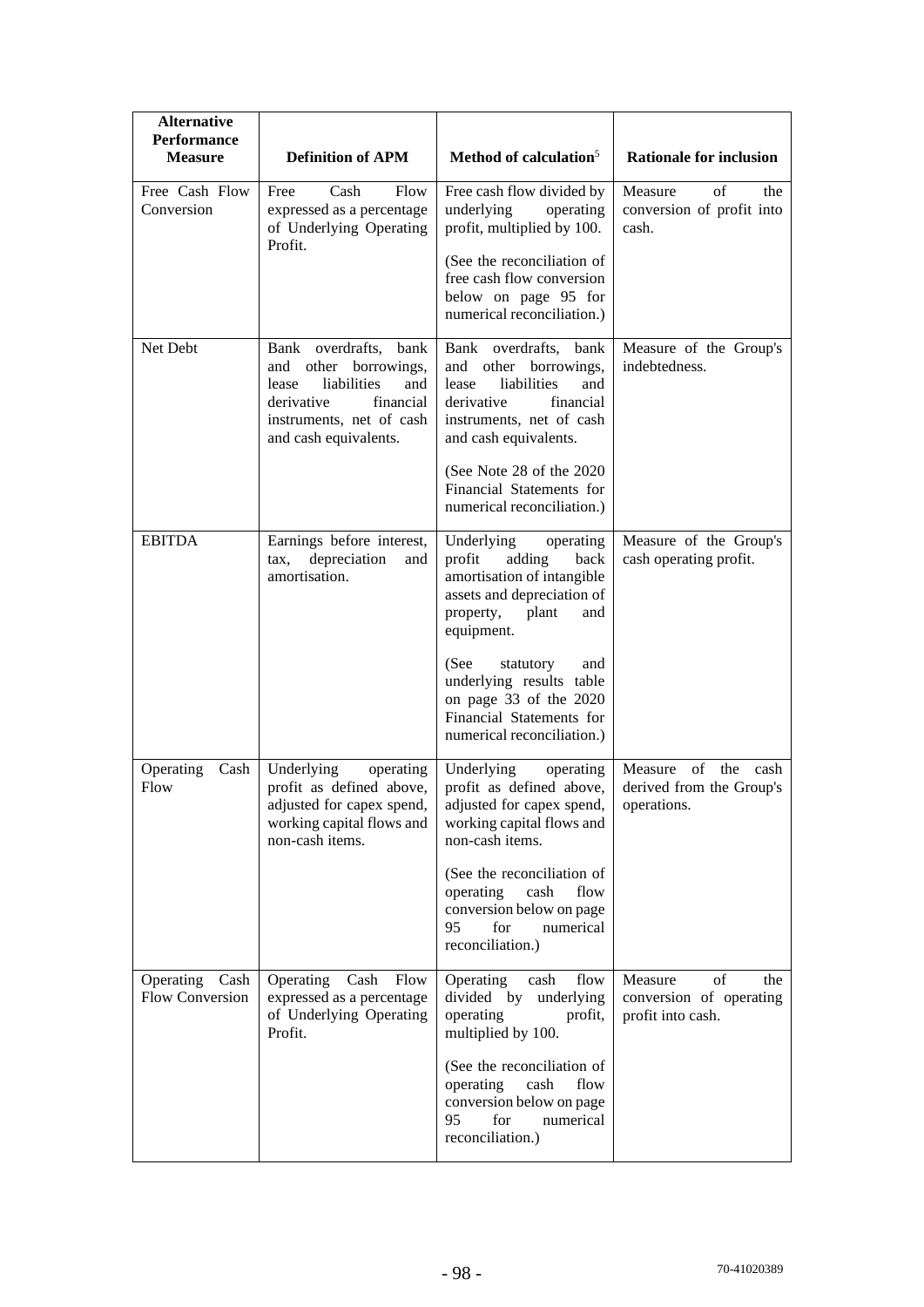| <b>Alternative</b><br><b>Performance</b><br><b>Measure</b> | <b>Definition of APM</b>                                                                                                                                         | Method of calculation <sup>5</sup>                                                                                                                            | <b>Rationale for inclusion</b>                                       |
|------------------------------------------------------------|------------------------------------------------------------------------------------------------------------------------------------------------------------------|---------------------------------------------------------------------------------------------------------------------------------------------------------------|----------------------------------------------------------------------|
| Free Cash Flow<br>Conversion                               | Cash<br>Free<br>Flow<br>expressed as a percentage<br>of Underlying Operating                                                                                     | Free cash flow divided by<br>underlying<br>operating<br>profit, multiplied by 100.                                                                            | of<br>Measure<br>the<br>conversion of profit into<br>cash.           |
|                                                            | Profit.                                                                                                                                                          | (See the reconciliation of<br>free cash flow conversion<br>below on page 95 for<br>numerical reconciliation.)                                                 |                                                                      |
| Net Debt                                                   | Bank overdrafts,<br>bank<br>and other borrowings,<br>liabilities<br>and<br>lease<br>financial<br>derivative<br>instruments, net of cash<br>and cash equivalents. | Bank overdrafts, bank<br>and other borrowings,<br>and<br>lease<br>liabilities<br>financial<br>derivative<br>instruments, net of cash<br>and cash equivalents. | Measure of the Group's<br>indebtedness.                              |
|                                                            |                                                                                                                                                                  | (See Note 28 of the 2020)<br>Financial Statements for<br>numerical reconciliation.)                                                                           |                                                                      |
| <b>EBITDA</b>                                              | Earnings before interest,<br>depreciation<br>tax,<br>and<br>amortisation.                                                                                        | Underlying<br>operating<br>profit<br>adding<br>back<br>amortisation of intangible<br>assets and depreciation of<br>property,<br>plant<br>and<br>equipment.    | Measure of the Group's<br>cash operating profit.                     |
|                                                            |                                                                                                                                                                  | (See<br>statutory<br>and<br>underlying results table<br>on page 33 of the 2020<br>Financial Statements for<br>numerical reconciliation.)                      |                                                                      |
| Operating<br>Cash<br>Flow                                  | Underlying<br>operating<br>profit as defined above,<br>adjusted for capex spend,<br>working capital flows and<br>non-cash items.                                 | Underlying<br>operating<br>profit as defined above,<br>adjusted for capex spend,<br>working capital flows and<br>non-cash items.                              | Measure of the<br>cash<br>derived from the Group's<br>operations.    |
|                                                            |                                                                                                                                                                  | (See the reconciliation of<br>operating<br>cash<br>flow<br>conversion below on page<br>95<br>for<br>numerical<br>reconciliation.)                             |                                                                      |
| Operating<br>Cash<br>Flow Conversion                       | Operating<br>Cash<br>Flow<br>expressed as a percentage<br>of Underlying Operating<br>Profit.                                                                     | Operating<br>cash<br>flow<br>divided by<br>underlying<br>operating<br>profit,<br>multiplied by 100.                                                           | of<br>Measure<br>the<br>conversion of operating<br>profit into cash. |
|                                                            |                                                                                                                                                                  | (See the reconciliation of<br>operating<br>cash<br>flow<br>conversion below on page<br>95<br>numerical<br>for<br>reconciliation.)                             |                                                                      |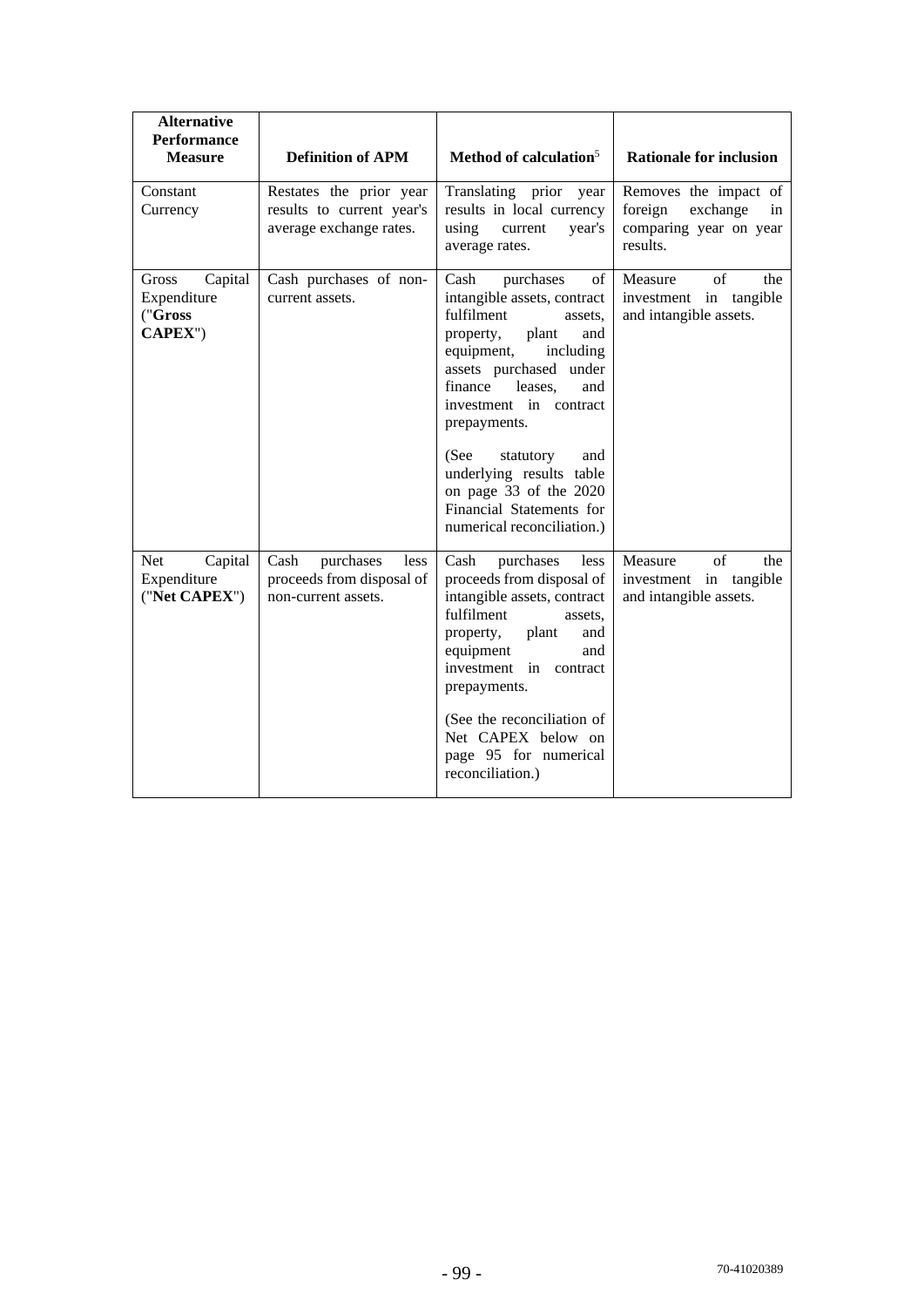| <b>Alternative</b><br><b>Performance</b><br><b>Measure</b> | <b>Definition of APM</b>                                                        | Method of calculation <sup>5</sup>                                                                                                                                                                                                                                                                                                                                                   | <b>Rationale for inclusion</b>                                                           |
|------------------------------------------------------------|---------------------------------------------------------------------------------|--------------------------------------------------------------------------------------------------------------------------------------------------------------------------------------------------------------------------------------------------------------------------------------------------------------------------------------------------------------------------------------|------------------------------------------------------------------------------------------|
| Constant<br>Currency                                       | Restates the prior year<br>results to current year's<br>average exchange rates. | Translating prior<br>year<br>results in local currency<br>using<br>year's<br>current<br>average rates.                                                                                                                                                                                                                                                                               | Removes the impact of<br>foreign<br>exchange<br>in<br>comparing year on year<br>results. |
| Gross<br>Capital<br>Expenditure<br>("Gross<br>CAPEX")      | Cash purchases of non-<br>current assets.                                       | purchases<br>Cash<br>of<br>intangible assets, contract<br>fulfilment<br>assets.<br>property,<br>plant<br>and<br>equipment,<br>including<br>assets purchased under<br>finance<br>leases,<br>and<br>investment in contract<br>prepayments.<br>(See<br>statutory<br>and<br>underlying results table<br>on page 33 of the 2020<br>Financial Statements for<br>numerical reconciliation.) | of<br>Measure<br>the<br>investment in tangible<br>and intangible assets.                 |
| Net<br>Capital<br>Expenditure<br>("Net CAPEX")             | Cash<br>purchases<br>less<br>proceeds from disposal of<br>non-current assets.   | Cash<br>purchases<br>less<br>proceeds from disposal of<br>intangible assets, contract<br>fulfilment<br>assets.<br>plant<br>property,<br>and<br>equipment<br>and<br>investment in contract<br>prepayments.<br>(See the reconciliation of<br>Net CAPEX below on<br>page 95 for numerical<br>reconciliation.)                                                                           | Measure<br>of<br>the<br>investment in tangible<br>and intangible assets.                 |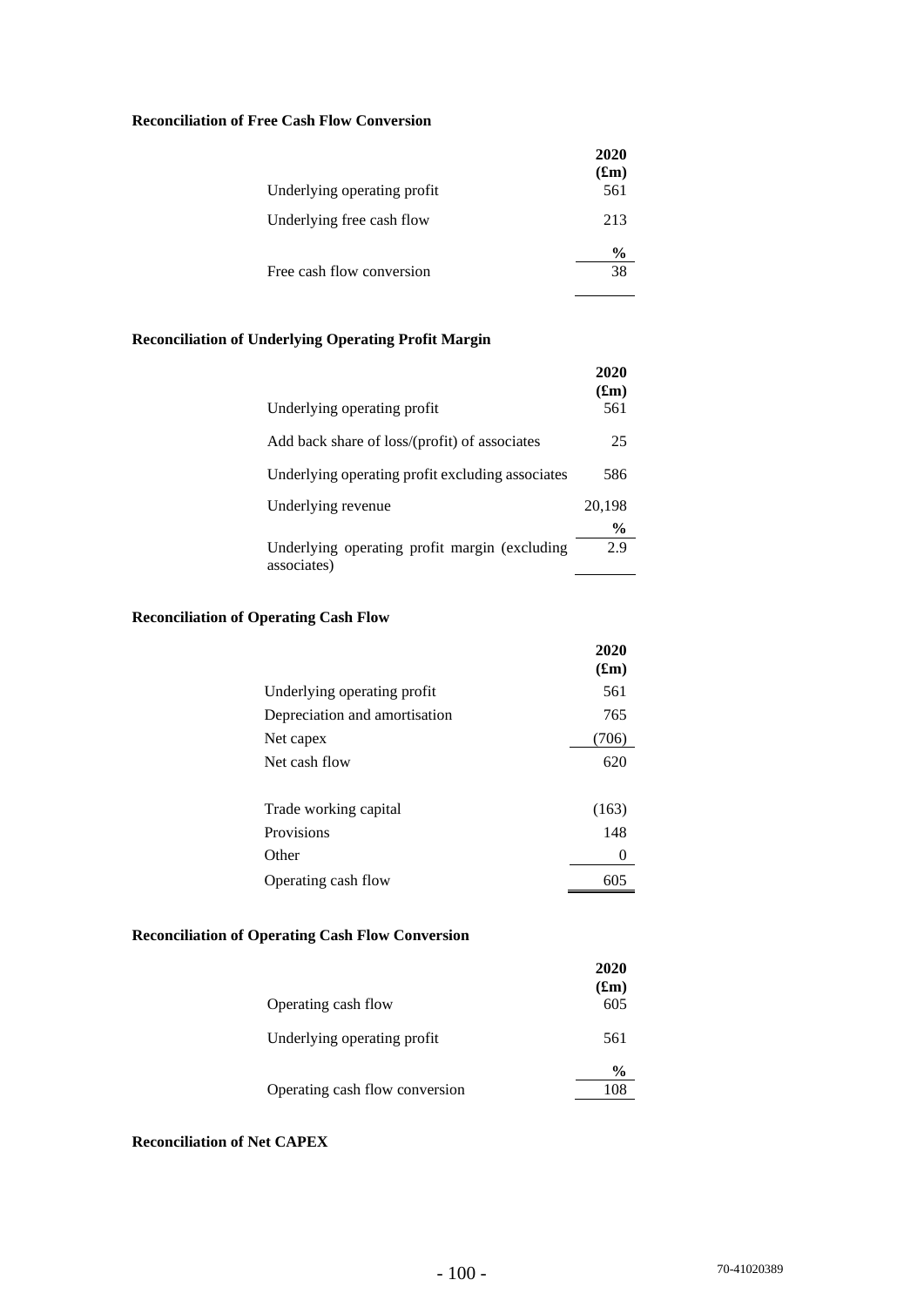# **Reconciliation of Free Cash Flow Conversion**

| Underlying operating profit | 2020<br>(f <sub>rm</sub> )<br>561 |
|-----------------------------|-----------------------------------|
| Underlying free cash flow   | 213                               |
| Free cash flow conversion   | $\frac{6}{9}$<br>38               |

# **Reconciliation of Underlying Operating Profit Margin**

| Underlying operating profit                                  | 2020<br>(f <sub>m</sub> )<br>561 |
|--------------------------------------------------------------|----------------------------------|
| Add back share of loss/(profit) of associates                | 25                               |
| Underlying operating profit excluding associates             | 586                              |
| Underlying revenue                                           | 20,198                           |
| Underlying operating profit margin (excluding<br>associates) | $\%$<br>2.9                      |

# **Reconciliation of Operating Cash Flow**

|                               | 2020<br>(f <sub>rm</sub> ) |
|-------------------------------|----------------------------|
| Underlying operating profit   | 561                        |
| Depreciation and amortisation | 765                        |
| Net capex                     | (706)                      |
| Net cash flow                 | 620                        |
| Trade working capital         | (163)                      |
| Provisions                    | 148                        |
| Other                         | 0                          |
| Operating cash flow           | 605                        |

# **Reconciliation of Operating Cash Flow Conversion**

|                                | 2020<br>$(f_m)$ |
|--------------------------------|-----------------|
| Operating cash flow            | 605             |
| Underlying operating profit    | 561             |
|                                | $\frac{0}{0}$   |
| Operating cash flow conversion | 108             |

# **Reconciliation of Net CAPEX**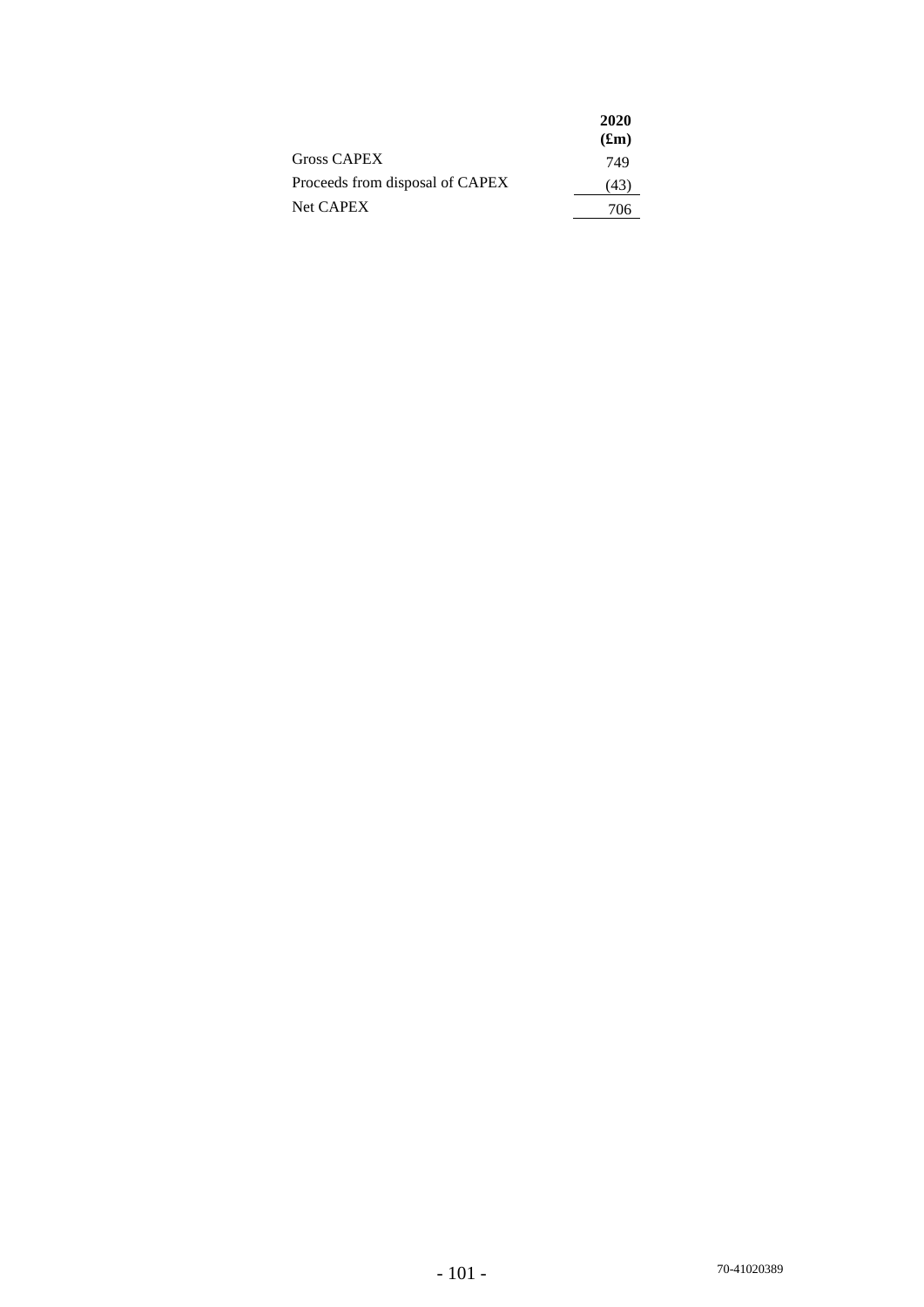|                                 | 2020    |
|---------------------------------|---------|
|                                 | $(f_m)$ |
| Gross CAPEX                     | 749     |
| Proceeds from disposal of CAPEX | (43)    |
| Net CAPEX                       | 706     |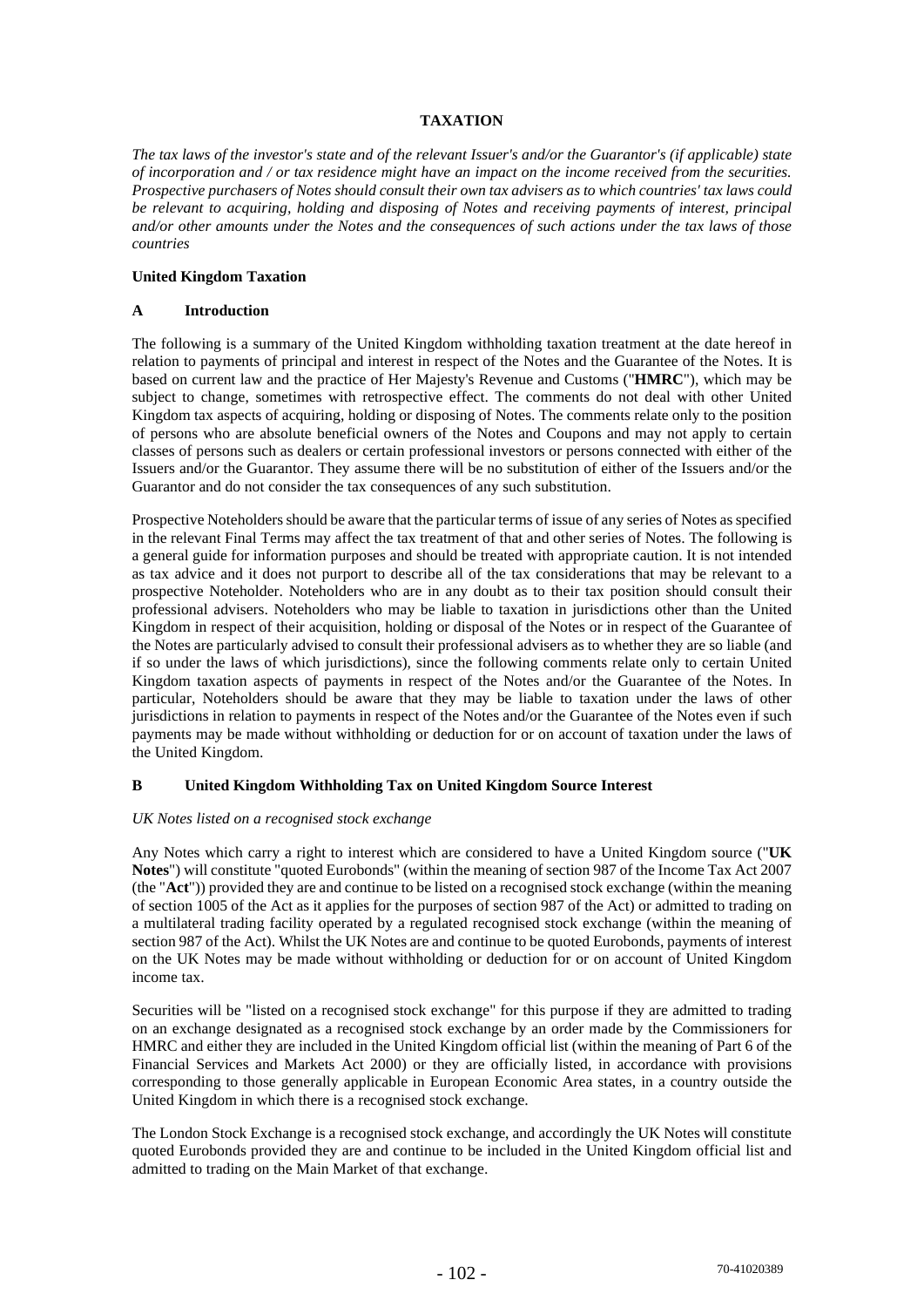# **TAXATION**

*The tax laws of the investor's state and of the relevant Issuer's and/or the Guarantor's (if applicable) state of incorporation and / or tax residence might have an impact on the income received from the securities. Prospective purchasers of Notes should consult their own tax advisers as to which countries' tax laws could be relevant to acquiring, holding and disposing of Notes and receiving payments of interest, principal and/or other amounts under the Notes and the consequences of such actions under the tax laws of those countries* 

#### **United Kingdom Taxation**

#### **A Introduction**

The following is a summary of the United Kingdom withholding taxation treatment at the date hereof in relation to payments of principal and interest in respect of the Notes and the Guarantee of the Notes. It is based on current law and the practice of Her Majesty's Revenue and Customs ("**HMRC**"), which may be subject to change, sometimes with retrospective effect. The comments do not deal with other United Kingdom tax aspects of acquiring, holding or disposing of Notes. The comments relate only to the position of persons who are absolute beneficial owners of the Notes and Coupons and may not apply to certain classes of persons such as dealers or certain professional investors or persons connected with either of the Issuers and/or the Guarantor. They assume there will be no substitution of either of the Issuers and/or the Guarantor and do not consider the tax consequences of any such substitution.

Prospective Noteholders should be aware that the particular terms of issue of any series of Notes as specified in the relevant Final Terms may affect the tax treatment of that and other series of Notes. The following is a general guide for information purposes and should be treated with appropriate caution. It is not intended as tax advice and it does not purport to describe all of the tax considerations that may be relevant to a prospective Noteholder. Noteholders who are in any doubt as to their tax position should consult their professional advisers. Noteholders who may be liable to taxation in jurisdictions other than the United Kingdom in respect of their acquisition, holding or disposal of the Notes or in respect of the Guarantee of the Notes are particularly advised to consult their professional advisers as to whether they are so liable (and if so under the laws of which jurisdictions), since the following comments relate only to certain United Kingdom taxation aspects of payments in respect of the Notes and/or the Guarantee of the Notes. In particular, Noteholders should be aware that they may be liable to taxation under the laws of other jurisdictions in relation to payments in respect of the Notes and/or the Guarantee of the Notes even if such payments may be made without withholding or deduction for or on account of taxation under the laws of the United Kingdom.

## **B United Kingdom Withholding Tax on United Kingdom Source Interest**

#### *UK Notes listed on a recognised stock exchange*

Any Notes which carry a right to interest which are considered to have a United Kingdom source ("**UK Notes**") will constitute "quoted Eurobonds" (within the meaning of section 987 of the Income Tax Act 2007 (the "**Act**")) provided they are and continue to be listed on a recognised stock exchange (within the meaning of section 1005 of the Act as it applies for the purposes of section 987 of the Act) or admitted to trading on a multilateral trading facility operated by a regulated recognised stock exchange (within the meaning of section 987 of the Act). Whilst the UK Notes are and continue to be quoted Eurobonds, payments of interest on the UK Notes may be made without withholding or deduction for or on account of United Kingdom income tax.

Securities will be "listed on a recognised stock exchange" for this purpose if they are admitted to trading on an exchange designated as a recognised stock exchange by an order made by the Commissioners for HMRC and either they are included in the United Kingdom official list (within the meaning of Part 6 of the Financial Services and Markets Act 2000) or they are officially listed, in accordance with provisions corresponding to those generally applicable in European Economic Area states, in a country outside the United Kingdom in which there is a recognised stock exchange.

The London Stock Exchange is a recognised stock exchange, and accordingly the UK Notes will constitute quoted Eurobonds provided they are and continue to be included in the United Kingdom official list and admitted to trading on the Main Market of that exchange.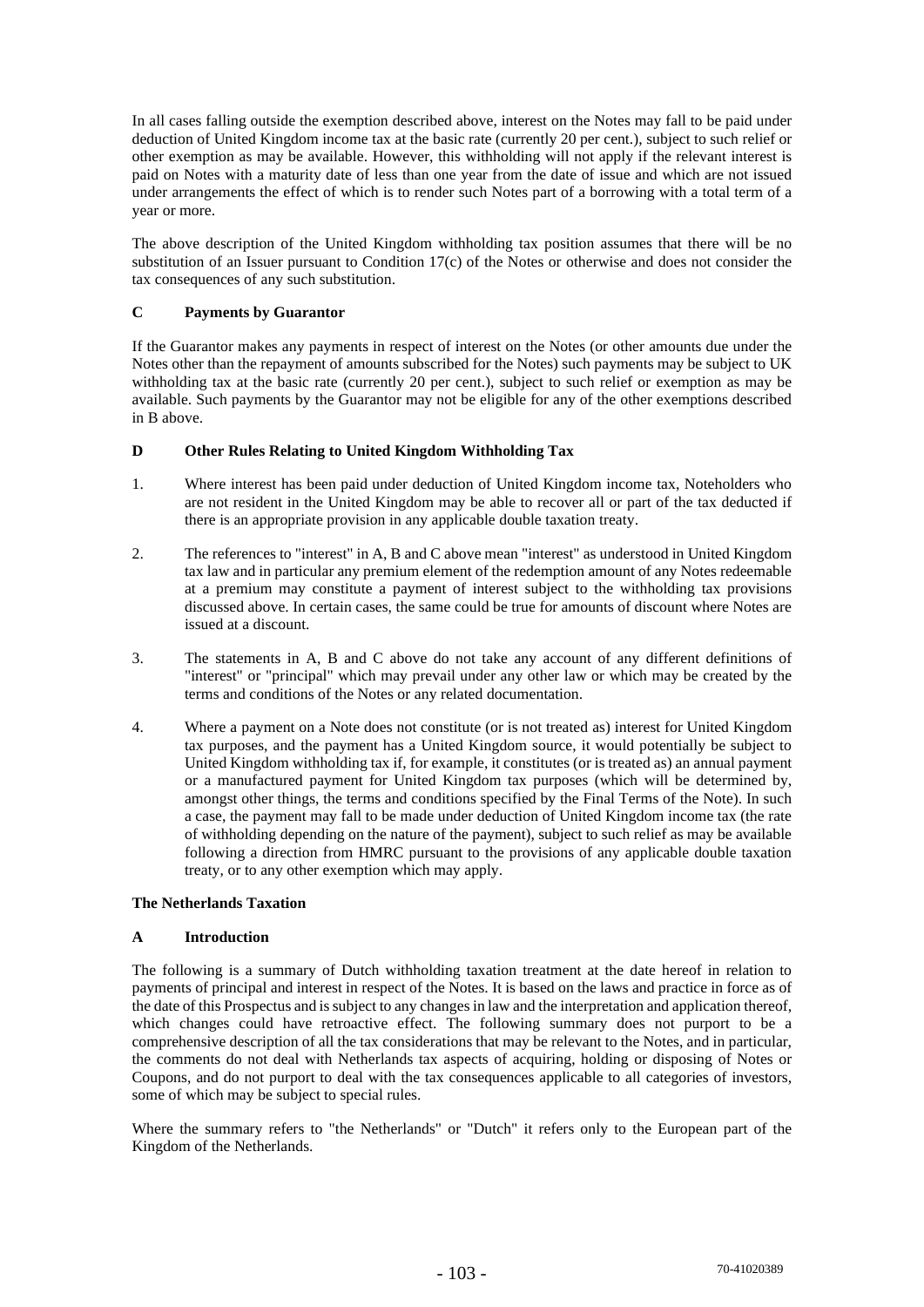In all cases falling outside the exemption described above, interest on the Notes may fall to be paid under deduction of United Kingdom income tax at the basic rate (currently 20 per cent.), subject to such relief or other exemption as may be available. However, this withholding will not apply if the relevant interest is paid on Notes with a maturity date of less than one year from the date of issue and which are not issued under arrangements the effect of which is to render such Notes part of a borrowing with a total term of a year or more.

The above description of the United Kingdom withholding tax position assumes that there will be no substitution of an Issuer pursuant to Condition 17(c) of the Notes or otherwise and does not consider the tax consequences of any such substitution.

# **C Payments by Guarantor**

If the Guarantor makes any payments in respect of interest on the Notes (or other amounts due under the Notes other than the repayment of amounts subscribed for the Notes) such payments may be subject to UK withholding tax at the basic rate (currently 20 per cent.), subject to such relief or exemption as may be available. Such payments by the Guarantor may not be eligible for any of the other exemptions described in B above.

# **D Other Rules Relating to United Kingdom Withholding Tax**

- 1. Where interest has been paid under deduction of United Kingdom income tax, Noteholders who are not resident in the United Kingdom may be able to recover all or part of the tax deducted if there is an appropriate provision in any applicable double taxation treaty.
- 2. The references to "interest" in A, B and C above mean "interest" as understood in United Kingdom tax law and in particular any premium element of the redemption amount of any Notes redeemable at a premium may constitute a payment of interest subject to the withholding tax provisions discussed above. In certain cases, the same could be true for amounts of discount where Notes are issued at a discount.
- 3. The statements in A, B and C above do not take any account of any different definitions of "interest" or "principal" which may prevail under any other law or which may be created by the terms and conditions of the Notes or any related documentation.
- 4. Where a payment on a Note does not constitute (or is not treated as) interest for United Kingdom tax purposes, and the payment has a United Kingdom source, it would potentially be subject to United Kingdom withholding tax if, for example, it constitutes (or is treated as) an annual payment or a manufactured payment for United Kingdom tax purposes (which will be determined by, amongst other things, the terms and conditions specified by the Final Terms of the Note). In such a case, the payment may fall to be made under deduction of United Kingdom income tax (the rate of withholding depending on the nature of the payment), subject to such relief as may be available following a direction from HMRC pursuant to the provisions of any applicable double taxation treaty, or to any other exemption which may apply.

## **The Netherlands Taxation**

## **A Introduction**

The following is a summary of Dutch withholding taxation treatment at the date hereof in relation to payments of principal and interest in respect of the Notes. It is based on the laws and practice in force as of the date of this Prospectus and is subject to any changes in law and the interpretation and application thereof, which changes could have retroactive effect. The following summary does not purport to be a comprehensive description of all the tax considerations that may be relevant to the Notes, and in particular, the comments do not deal with Netherlands tax aspects of acquiring, holding or disposing of Notes or Coupons, and do not purport to deal with the tax consequences applicable to all categories of investors, some of which may be subject to special rules.

Where the summary refers to "the Netherlands" or "Dutch" it refers only to the European part of the Kingdom of the Netherlands.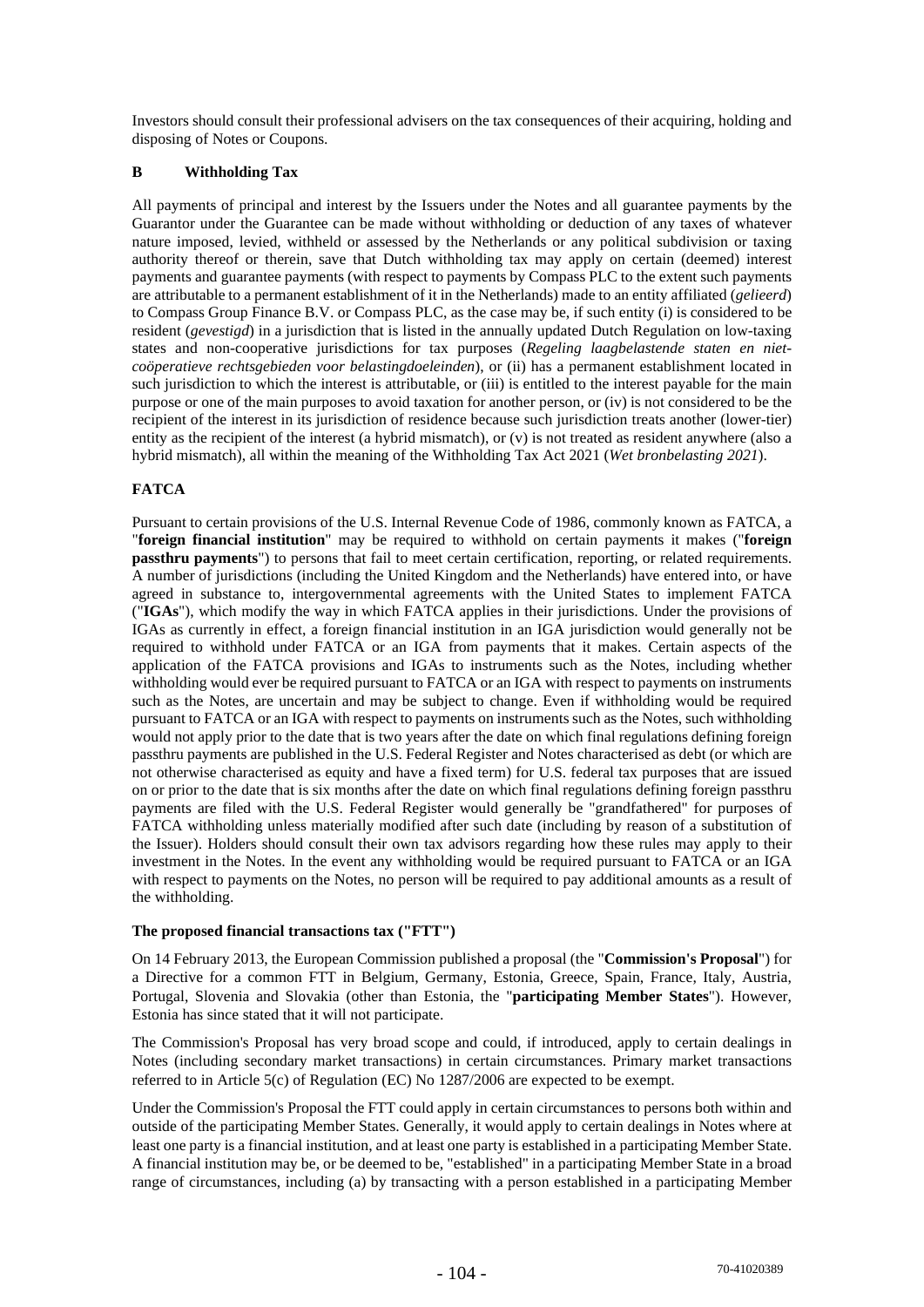Investors should consult their professional advisers on the tax consequences of their acquiring, holding and disposing of Notes or Coupons.

# **B Withholding Tax**

All payments of principal and interest by the Issuers under the Notes and all guarantee payments by the Guarantor under the Guarantee can be made without withholding or deduction of any taxes of whatever nature imposed, levied, withheld or assessed by the Netherlands or any political subdivision or taxing authority thereof or therein, save that Dutch withholding tax may apply on certain (deemed) interest payments and guarantee payments (with respect to payments by Compass PLC to the extent such payments are attributable to a permanent establishment of it in the Netherlands) made to an entity affiliated (*gelieerd*) to Compass Group Finance B.V. or Compass PLC, as the case may be, if such entity (i) is considered to be resident (*gevestigd*) in a jurisdiction that is listed in the annually updated Dutch Regulation on low-taxing states and non-cooperative jurisdictions for tax purposes (*Regeling laagbelastende staten en nietcoöperatieve rechtsgebieden voor belastingdoeleinden*), or (ii) has a permanent establishment located in such jurisdiction to which the interest is attributable, or (iii) is entitled to the interest payable for the main purpose or one of the main purposes to avoid taxation for another person, or (iv) is not considered to be the recipient of the interest in its jurisdiction of residence because such jurisdiction treats another (lower-tier) entity as the recipient of the interest (a hybrid mismatch), or (v) is not treated as resident anywhere (also a hybrid mismatch), all within the meaning of the Withholding Tax Act 2021 (*Wet bronbelasting 2021*).

# **FATCA**

Pursuant to certain provisions of the U.S. Internal Revenue Code of 1986, commonly known as FATCA, a "**foreign financial institution**" may be required to withhold on certain payments it makes ("**foreign passthru payments**") to persons that fail to meet certain certification, reporting, or related requirements. A number of jurisdictions (including the United Kingdom and the Netherlands) have entered into, or have agreed in substance to, intergovernmental agreements with the United States to implement FATCA ("**IGAs**"), which modify the way in which FATCA applies in their jurisdictions. Under the provisions of IGAs as currently in effect, a foreign financial institution in an IGA jurisdiction would generally not be required to withhold under FATCA or an IGA from payments that it makes. Certain aspects of the application of the FATCA provisions and IGAs to instruments such as the Notes, including whether withholding would ever be required pursuant to FATCA or an IGA with respect to payments on instruments such as the Notes, are uncertain and may be subject to change. Even if withholding would be required pursuant to FATCA or an IGA with respect to payments on instruments such as the Notes, such withholding would not apply prior to the date that is two years after the date on which final regulations defining foreign passthru payments are published in the U.S. Federal Register and Notes characterised as debt (or which are not otherwise characterised as equity and have a fixed term) for U.S. federal tax purposes that are issued on or prior to the date that is six months after the date on which final regulations defining foreign passthru payments are filed with the U.S. Federal Register would generally be "grandfathered" for purposes of FATCA withholding unless materially modified after such date (including by reason of a substitution of the Issuer). Holders should consult their own tax advisors regarding how these rules may apply to their investment in the Notes. In the event any withholding would be required pursuant to FATCA or an IGA with respect to payments on the Notes, no person will be required to pay additional amounts as a result of the withholding.

## **The proposed financial transactions tax ("FTT")**

On 14 February 2013, the European Commission published a proposal (the "**Commission's Proposal**") for a Directive for a common FTT in Belgium, Germany, Estonia, Greece, Spain, France, Italy, Austria, Portugal, Slovenia and Slovakia (other than Estonia, the "**participating Member States**"). However, Estonia has since stated that it will not participate.

The Commission's Proposal has very broad scope and could, if introduced, apply to certain dealings in Notes (including secondary market transactions) in certain circumstances. Primary market transactions referred to in Article 5(c) of Regulation (EC) No 1287/2006 are expected to be exempt.

Under the Commission's Proposal the FTT could apply in certain circumstances to persons both within and outside of the participating Member States. Generally, it would apply to certain dealings in Notes where at least one party is a financial institution, and at least one party is established in a participating Member State. A financial institution may be, or be deemed to be, "established" in a participating Member State in a broad range of circumstances, including (a) by transacting with a person established in a participating Member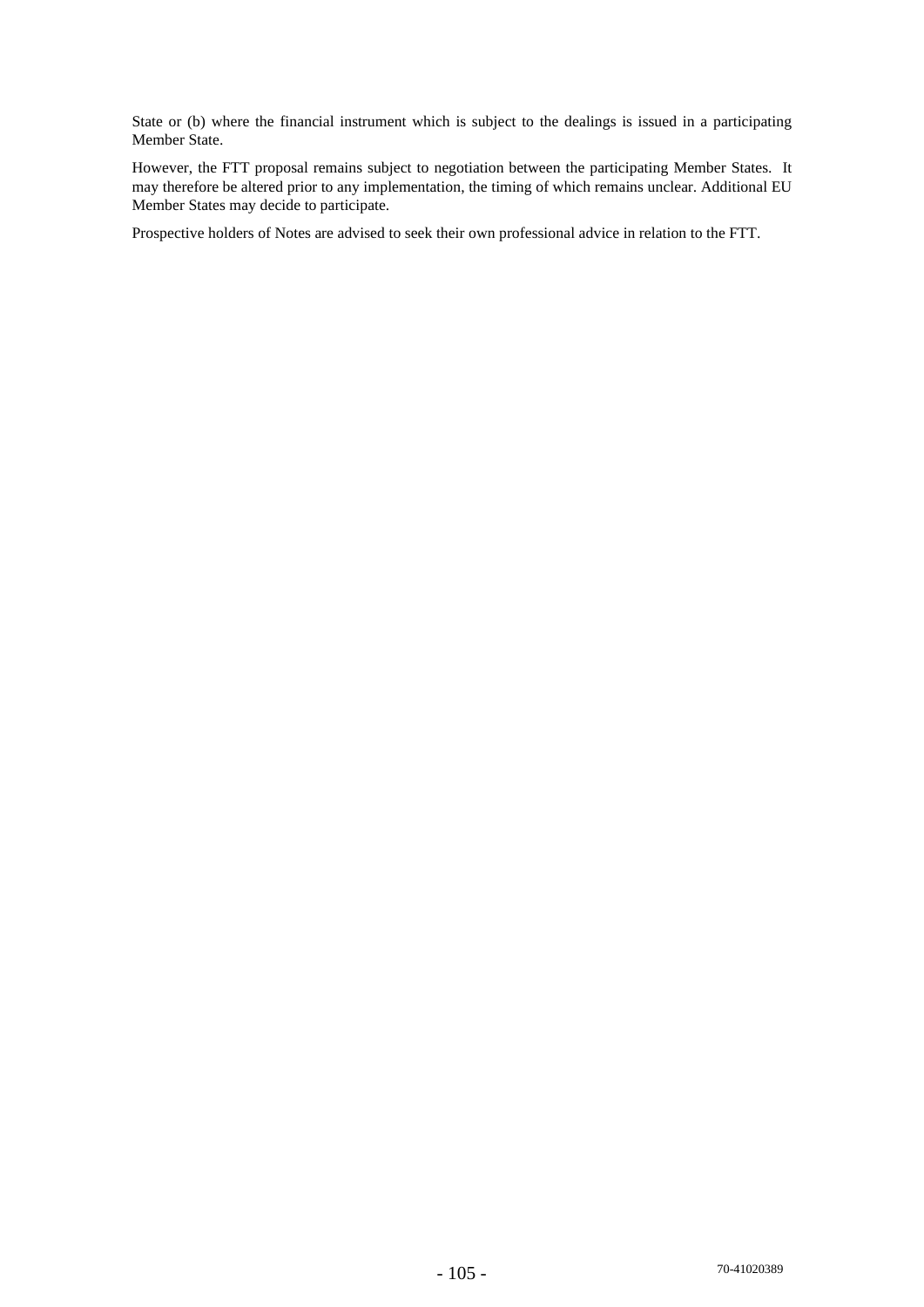State or (b) where the financial instrument which is subject to the dealings is issued in a participating Member State.

However, the FTT proposal remains subject to negotiation between the participating Member States. It may therefore be altered prior to any implementation, the timing of which remains unclear. Additional EU Member States may decide to participate.

Prospective holders of Notes are advised to seek their own professional advice in relation to the FTT.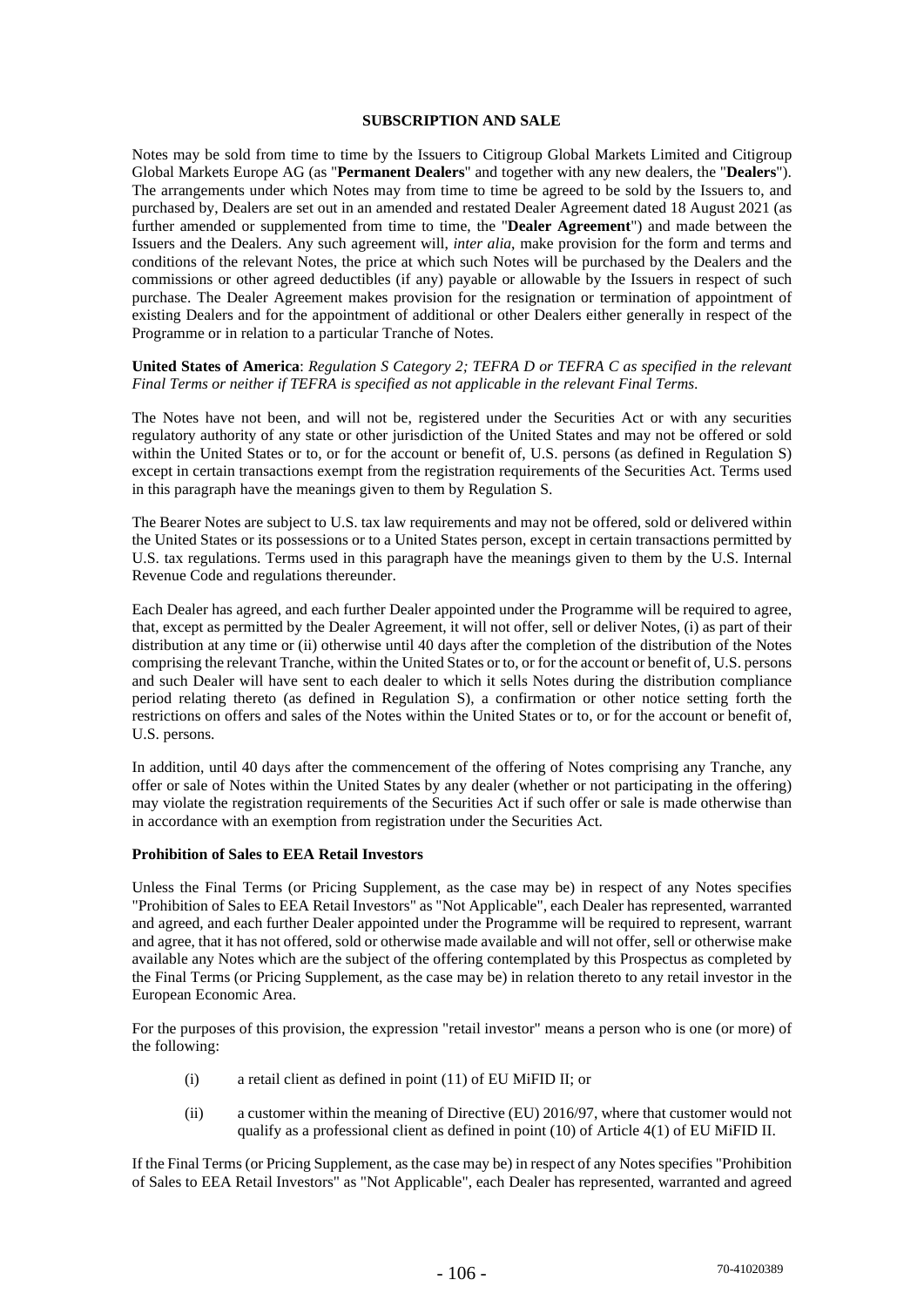#### **SUBSCRIPTION AND SALE**

Notes may be sold from time to time by the Issuers to Citigroup Global Markets Limited and Citigroup Global Markets Europe AG (as "**Permanent Dealers**" and together with any new dealers, the "**Dealers**"). The arrangements under which Notes may from time to time be agreed to be sold by the Issuers to, and purchased by, Dealers are set out in an amended and restated Dealer Agreement dated 18 August 2021 (as further amended or supplemented from time to time, the "**Dealer Agreement**") and made between the Issuers and the Dealers. Any such agreement will, *inter alia*, make provision for the form and terms and conditions of the relevant Notes, the price at which such Notes will be purchased by the Dealers and the commissions or other agreed deductibles (if any) payable or allowable by the Issuers in respect of such purchase. The Dealer Agreement makes provision for the resignation or termination of appointment of existing Dealers and for the appointment of additional or other Dealers either generally in respect of the Programme or in relation to a particular Tranche of Notes.

#### **United States of America**: *Regulation S Category 2; TEFRA D or TEFRA C as specified in the relevant Final Terms or neither if TEFRA is specified as not applicable in the relevant Final Terms*.

The Notes have not been, and will not be, registered under the Securities Act or with any securities regulatory authority of any state or other jurisdiction of the United States and may not be offered or sold within the United States or to, or for the account or benefit of, U.S. persons (as defined in Regulation S) except in certain transactions exempt from the registration requirements of the Securities Act. Terms used in this paragraph have the meanings given to them by Regulation S.

The Bearer Notes are subject to U.S. tax law requirements and may not be offered, sold or delivered within the United States or its possessions or to a United States person, except in certain transactions permitted by U.S. tax regulations. Terms used in this paragraph have the meanings given to them by the U.S. Internal Revenue Code and regulations thereunder.

Each Dealer has agreed, and each further Dealer appointed under the Programme will be required to agree, that, except as permitted by the Dealer Agreement, it will not offer, sell or deliver Notes, (i) as part of their distribution at any time or (ii) otherwise until 40 days after the completion of the distribution of the Notes comprising the relevant Tranche, within the United States or to, or for the account or benefit of, U.S. persons and such Dealer will have sent to each dealer to which it sells Notes during the distribution compliance period relating thereto (as defined in Regulation S), a confirmation or other notice setting forth the restrictions on offers and sales of the Notes within the United States or to, or for the account or benefit of, U.S. persons.

In addition, until 40 days after the commencement of the offering of Notes comprising any Tranche, any offer or sale of Notes within the United States by any dealer (whether or not participating in the offering) may violate the registration requirements of the Securities Act if such offer or sale is made otherwise than in accordance with an exemption from registration under the Securities Act.

#### **Prohibition of Sales to EEA Retail Investors**

Unless the Final Terms (or Pricing Supplement, as the case may be) in respect of any Notes specifies "Prohibition of Sales to EEA Retail Investors" as "Not Applicable", each Dealer has represented, warranted and agreed, and each further Dealer appointed under the Programme will be required to represent, warrant and agree, that it has not offered, sold or otherwise made available and will not offer, sell or otherwise make available any Notes which are the subject of the offering contemplated by this Prospectus as completed by the Final Terms (or Pricing Supplement, as the case may be) in relation thereto to any retail investor in the European Economic Area.

For the purposes of this provision, the expression "retail investor" means a person who is one (or more) of the following:

- (i) a retail client as defined in point (11) of EU MiFID II; or
- (ii) a customer within the meaning of Directive (EU) 2016/97, where that customer would not qualify as a professional client as defined in point (10) of Article 4(1) of EU MiFID II.

If the Final Terms (or Pricing Supplement, as the case may be) in respect of any Notes specifies "Prohibition of Sales to EEA Retail Investors" as "Not Applicable", each Dealer has represented, warranted and agreed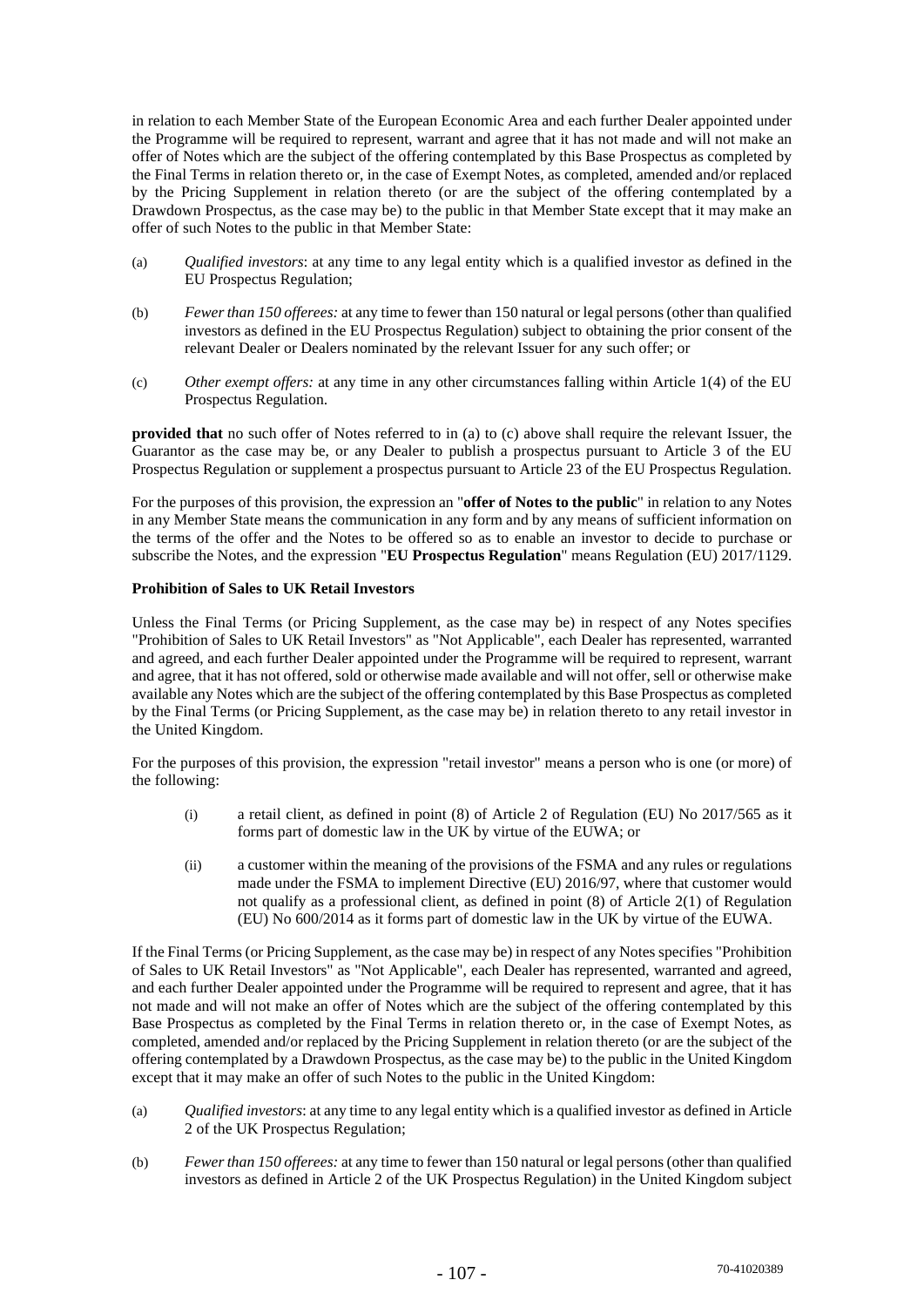in relation to each Member State of the European Economic Area and each further Dealer appointed under the Programme will be required to represent, warrant and agree that it has not made and will not make an offer of Notes which are the subject of the offering contemplated by this Base Prospectus as completed by the Final Terms in relation thereto or, in the case of Exempt Notes, as completed, amended and/or replaced by the Pricing Supplement in relation thereto (or are the subject of the offering contemplated by a Drawdown Prospectus, as the case may be) to the public in that Member State except that it may make an offer of such Notes to the public in that Member State:

- (a) *Qualified investors*: at any time to any legal entity which is a qualified investor as defined in the EU Prospectus Regulation;
- (b) *Fewer than 150 offerees:* at any time to fewer than 150 natural or legal persons (other than qualified investors as defined in the EU Prospectus Regulation) subject to obtaining the prior consent of the relevant Dealer or Dealers nominated by the relevant Issuer for any such offer; or
- (c) *Other exempt offers:* at any time in any other circumstances falling within Article 1(4) of the EU Prospectus Regulation.

**provided that** no such offer of Notes referred to in (a) to (c) above shall require the relevant Issuer, the Guarantor as the case may be, or any Dealer to publish a prospectus pursuant to Article 3 of the EU Prospectus Regulation or supplement a prospectus pursuant to Article 23 of the EU Prospectus Regulation.

For the purposes of this provision, the expression an "**offer of Notes to the public**" in relation to any Notes in any Member State means the communication in any form and by any means of sufficient information on the terms of the offer and the Notes to be offered so as to enable an investor to decide to purchase or subscribe the Notes, and the expression "**EU Prospectus Regulation**" means Regulation (EU) 2017/1129.

# **Prohibition of Sales to UK Retail Investors**

Unless the Final Terms (or Pricing Supplement, as the case may be) in respect of any Notes specifies "Prohibition of Sales to UK Retail Investors" as "Not Applicable", each Dealer has represented, warranted and agreed, and each further Dealer appointed under the Programme will be required to represent, warrant and agree, that it has not offered, sold or otherwise made available and will not offer, sell or otherwise make available any Notes which are the subject of the offering contemplated by this Base Prospectus as completed by the Final Terms (or Pricing Supplement, as the case may be) in relation thereto to any retail investor in the United Kingdom.

For the purposes of this provision, the expression "retail investor" means a person who is one (or more) of the following:

- (i) a retail client, as defined in point (8) of Article 2 of Regulation (EU) No 2017/565 as it forms part of domestic law in the UK by virtue of the EUWA; or
- (ii) a customer within the meaning of the provisions of the FSMA and any rules or regulations made under the FSMA to implement Directive (EU) 2016/97, where that customer would not qualify as a professional client, as defined in point (8) of Article 2(1) of Regulation (EU) No 600/2014 as it forms part of domestic law in the UK by virtue of the EUWA.

If the Final Terms (or Pricing Supplement, as the case may be) in respect of any Notes specifies "Prohibition of Sales to UK Retail Investors" as "Not Applicable", each Dealer has represented, warranted and agreed, and each further Dealer appointed under the Programme will be required to represent and agree, that it has not made and will not make an offer of Notes which are the subject of the offering contemplated by this Base Prospectus as completed by the Final Terms in relation thereto or, in the case of Exempt Notes, as completed, amended and/or replaced by the Pricing Supplement in relation thereto (or are the subject of the offering contemplated by a Drawdown Prospectus, as the case may be) to the public in the United Kingdom except that it may make an offer of such Notes to the public in the United Kingdom:

- (a) *Qualified investors*: at any time to any legal entity which is a qualified investor as defined in Article 2 of the UK Prospectus Regulation;
- (b) *Fewer than 150 offerees:* at any time to fewer than 150 natural or legal persons (other than qualified investors as defined in Article 2 of the UK Prospectus Regulation) in the United Kingdom subject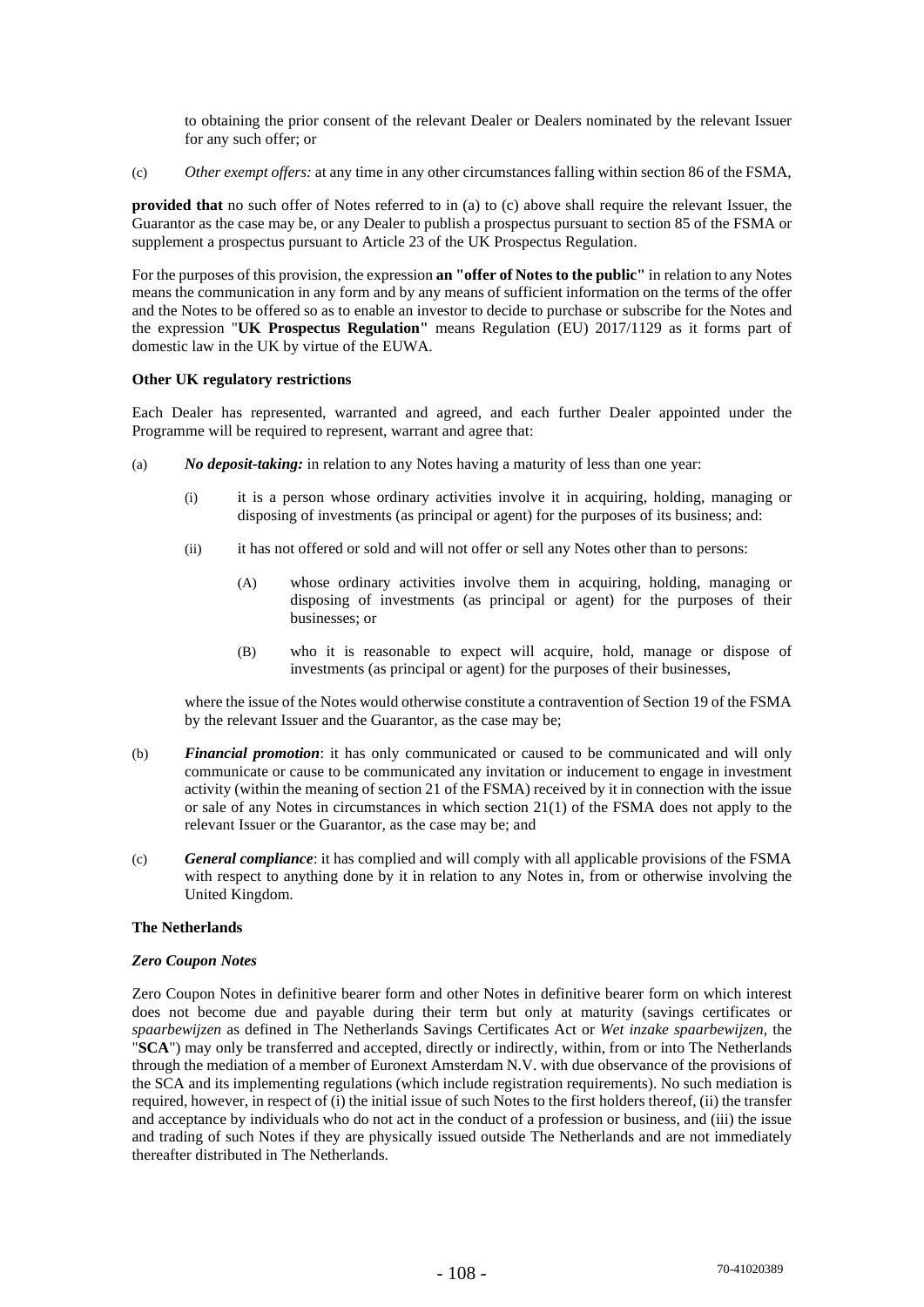to obtaining the prior consent of the relevant Dealer or Dealers nominated by the relevant Issuer for any such offer; or

(c) *Other exempt offers:* at any time in any other circumstances falling within section 86 of the FSMA,

**provided that** no such offer of Notes referred to in (a) to (c) above shall require the relevant Issuer, the Guarantor as the case may be, or any Dealer to publish a prospectus pursuant to section 85 of the FSMA or supplement a prospectus pursuant to Article 23 of the UK Prospectus Regulation.

For the purposes of this provision, the expression **an "offer of Notes to the public"** in relation to any Notes means the communication in any form and by any means of sufficient information on the terms of the offer and the Notes to be offered so as to enable an investor to decide to purchase or subscribe for the Notes and the expression "**UK Prospectus Regulation"** means Regulation (EU) 2017/1129 as it forms part of domestic law in the UK by virtue of the EUWA.

## **Other UK regulatory restrictions**

Each Dealer has represented, warranted and agreed, and each further Dealer appointed under the Programme will be required to represent, warrant and agree that:

- (a) *No deposit-taking:* in relation to any Notes having a maturity of less than one year:
	- (i) it is a person whose ordinary activities involve it in acquiring, holding, managing or disposing of investments (as principal or agent) for the purposes of its business; and:
	- (ii) it has not offered or sold and will not offer or sell any Notes other than to persons:
		- (A) whose ordinary activities involve them in acquiring, holding, managing or disposing of investments (as principal or agent) for the purposes of their businesses; or
		- (B) who it is reasonable to expect will acquire, hold, manage or dispose of investments (as principal or agent) for the purposes of their businesses,

where the issue of the Notes would otherwise constitute a contravention of Section 19 of the FSMA by the relevant Issuer and the Guarantor, as the case may be;

- (b) *Financial promotion*: it has only communicated or caused to be communicated and will only communicate or cause to be communicated any invitation or inducement to engage in investment activity (within the meaning of section 21 of the FSMA) received by it in connection with the issue or sale of any Notes in circumstances in which section 21(1) of the FSMA does not apply to the relevant Issuer or the Guarantor, as the case may be; and
- (c) *General compliance*: it has complied and will comply with all applicable provisions of the FSMA with respect to anything done by it in relation to any Notes in, from or otherwise involving the United Kingdom.

## **The Netherlands**

#### *Zero Coupon Notes*

Zero Coupon Notes in definitive bearer form and other Notes in definitive bearer form on which interest does not become due and payable during their term but only at maturity (savings certificates or *spaarbewijzen* as defined in The Netherlands Savings Certificates Act or *Wet inzake spaarbewijzen*, the "**SCA**") may only be transferred and accepted, directly or indirectly, within, from or into The Netherlands through the mediation of a member of Euronext Amsterdam N.V. with due observance of the provisions of the SCA and its implementing regulations (which include registration requirements). No such mediation is required, however, in respect of (i) the initial issue of such Notes to the first holders thereof, (ii) the transfer and acceptance by individuals who do not act in the conduct of a profession or business, and (iii) the issue and trading of such Notes if they are physically issued outside The Netherlands and are not immediately thereafter distributed in The Netherlands.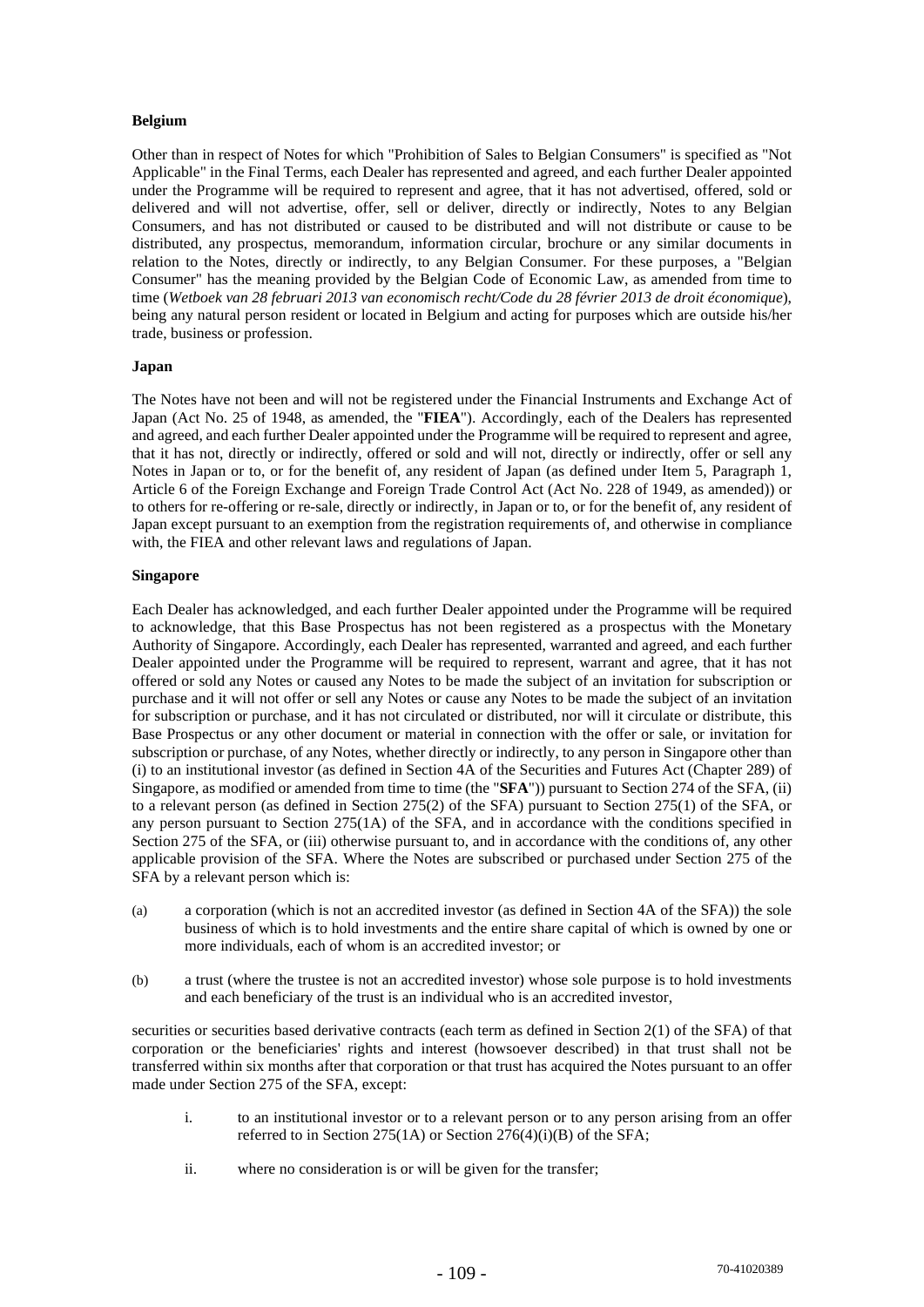# **Belgium**

Other than in respect of Notes for which "Prohibition of Sales to Belgian Consumers" is specified as "Not Applicable" in the Final Terms, each Dealer has represented and agreed, and each further Dealer appointed under the Programme will be required to represent and agree, that it has not advertised, offered, sold or delivered and will not advertise, offer, sell or deliver, directly or indirectly, Notes to any Belgian Consumers, and has not distributed or caused to be distributed and will not distribute or cause to be distributed, any prospectus, memorandum, information circular, brochure or any similar documents in relation to the Notes, directly or indirectly, to any Belgian Consumer. For these purposes, a "Belgian Consumer" has the meaning provided by the Belgian Code of Economic Law, as amended from time to time (*Wetboek van 28 februari 2013 van economisch recht/Code du 28 février 2013 de droit économique*), being any natural person resident or located in Belgium and acting for purposes which are outside his/her trade, business or profession.

## **Japan**

The Notes have not been and will not be registered under the Financial Instruments and Exchange Act of Japan (Act No. 25 of 1948, as amended, the "**FIEA**"). Accordingly, each of the Dealers has represented and agreed, and each further Dealer appointed under the Programme will be required to represent and agree, that it has not, directly or indirectly, offered or sold and will not, directly or indirectly, offer or sell any Notes in Japan or to, or for the benefit of, any resident of Japan (as defined under Item 5, Paragraph 1, Article 6 of the Foreign Exchange and Foreign Trade Control Act (Act No. 228 of 1949, as amended)) or to others for re-offering or re-sale, directly or indirectly, in Japan or to, or for the benefit of, any resident of Japan except pursuant to an exemption from the registration requirements of, and otherwise in compliance with, the FIEA and other relevant laws and regulations of Japan.

# **Singapore**

Each Dealer has acknowledged, and each further Dealer appointed under the Programme will be required to acknowledge, that this Base Prospectus has not been registered as a prospectus with the Monetary Authority of Singapore. Accordingly, each Dealer has represented, warranted and agreed, and each further Dealer appointed under the Programme will be required to represent, warrant and agree, that it has not offered or sold any Notes or caused any Notes to be made the subject of an invitation for subscription or purchase and it will not offer or sell any Notes or cause any Notes to be made the subject of an invitation for subscription or purchase, and it has not circulated or distributed, nor will it circulate or distribute, this Base Prospectus or any other document or material in connection with the offer or sale, or invitation for subscription or purchase, of any Notes, whether directly or indirectly, to any person in Singapore other than (i) to an institutional investor (as defined in Section 4A of the Securities and Futures Act (Chapter 289) of Singapore, as modified or amended from time to time (the "**SFA**")) pursuant to Section 274 of the SFA, (ii) to a relevant person (as defined in Section 275(2) of the SFA) pursuant to Section 275(1) of the SFA, or any person pursuant to Section 275(1A) of the SFA, and in accordance with the conditions specified in Section 275 of the SFA, or (iii) otherwise pursuant to, and in accordance with the conditions of, any other applicable provision of the SFA. Where the Notes are subscribed or purchased under Section 275 of the SFA by a relevant person which is:

- (a) a corporation (which is not an accredited investor (as defined in Section 4A of the SFA)) the sole business of which is to hold investments and the entire share capital of which is owned by one or more individuals, each of whom is an accredited investor; or
- (b) a trust (where the trustee is not an accredited investor) whose sole purpose is to hold investments and each beneficiary of the trust is an individual who is an accredited investor,

securities or securities based derivative contracts (each term as defined in Section 2(1) of the SFA) of that corporation or the beneficiaries' rights and interest (howsoever described) in that trust shall not be transferred within six months after that corporation or that trust has acquired the Notes pursuant to an offer made under Section 275 of the SFA, except:

- i. to an institutional investor or to a relevant person or to any person arising from an offer referred to in Section 275(1A) or Section 276(4)(i)(B) of the SFA;
- ii. where no consideration is or will be given for the transfer;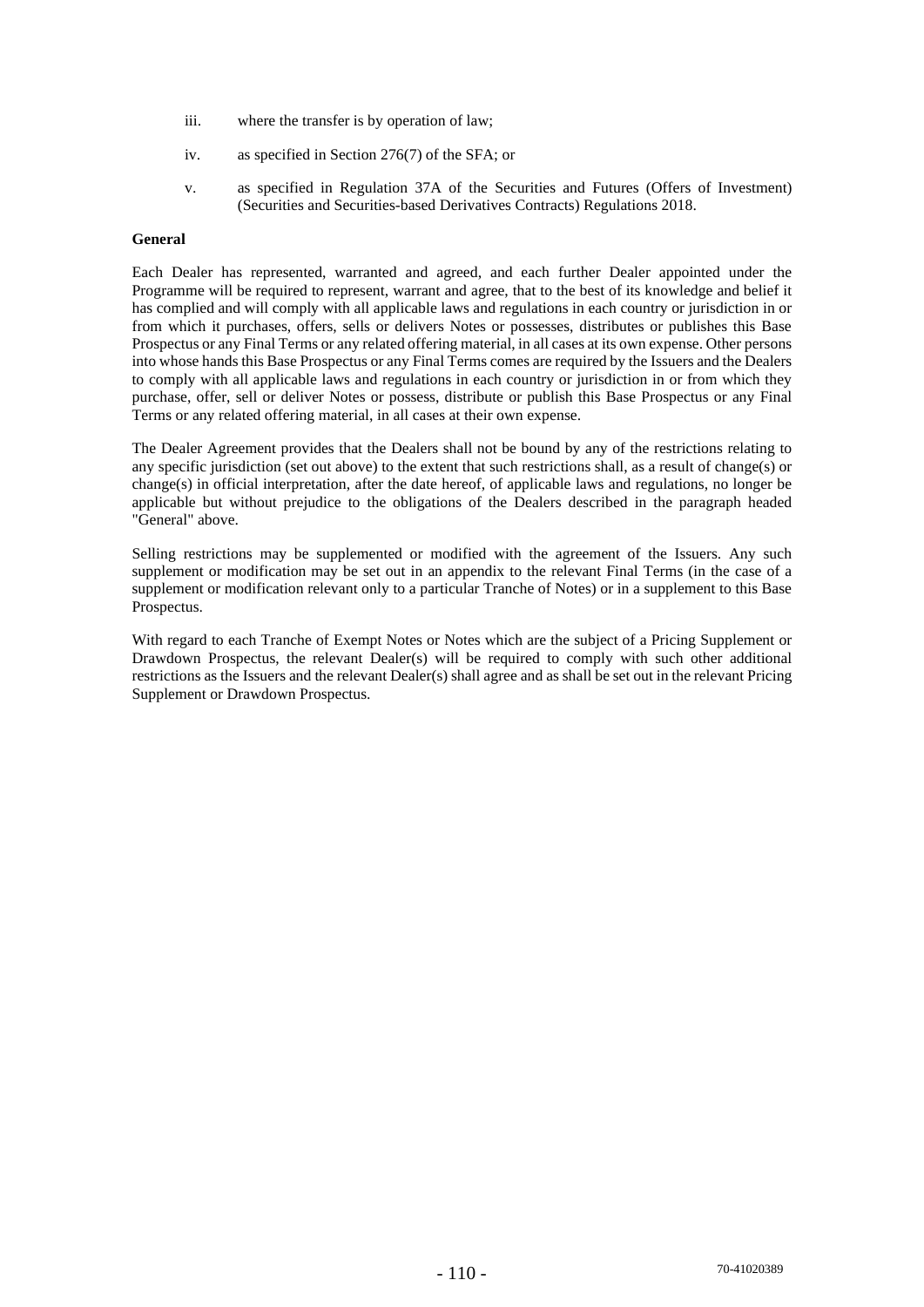- iii. where the transfer is by operation of law;
- iv. as specified in Section 276(7) of the SFA; or
- v. as specified in Regulation 37A of the Securities and Futures (Offers of Investment) (Securities and Securities-based Derivatives Contracts) Regulations 2018.

## **General**

Each Dealer has represented, warranted and agreed, and each further Dealer appointed under the Programme will be required to represent, warrant and agree, that to the best of its knowledge and belief it has complied and will comply with all applicable laws and regulations in each country or jurisdiction in or from which it purchases, offers, sells or delivers Notes or possesses, distributes or publishes this Base Prospectus or any Final Terms or any related offering material, in all cases at its own expense. Other persons into whose hands this Base Prospectus or any Final Terms comes are required by the Issuers and the Dealers to comply with all applicable laws and regulations in each country or jurisdiction in or from which they purchase, offer, sell or deliver Notes or possess, distribute or publish this Base Prospectus or any Final Terms or any related offering material, in all cases at their own expense.

The Dealer Agreement provides that the Dealers shall not be bound by any of the restrictions relating to any specific jurisdiction (set out above) to the extent that such restrictions shall, as a result of change(s) or change(s) in official interpretation, after the date hereof, of applicable laws and regulations, no longer be applicable but without prejudice to the obligations of the Dealers described in the paragraph headed "General" above.

Selling restrictions may be supplemented or modified with the agreement of the Issuers. Any such supplement or modification may be set out in an appendix to the relevant Final Terms (in the case of a supplement or modification relevant only to a particular Tranche of Notes) or in a supplement to this Base Prospectus.

With regard to each Tranche of Exempt Notes or Notes which are the subject of a Pricing Supplement or Drawdown Prospectus, the relevant Dealer(s) will be required to comply with such other additional restrictions as the Issuers and the relevant Dealer(s) shall agree and as shall be set out in the relevant Pricing Supplement or Drawdown Prospectus.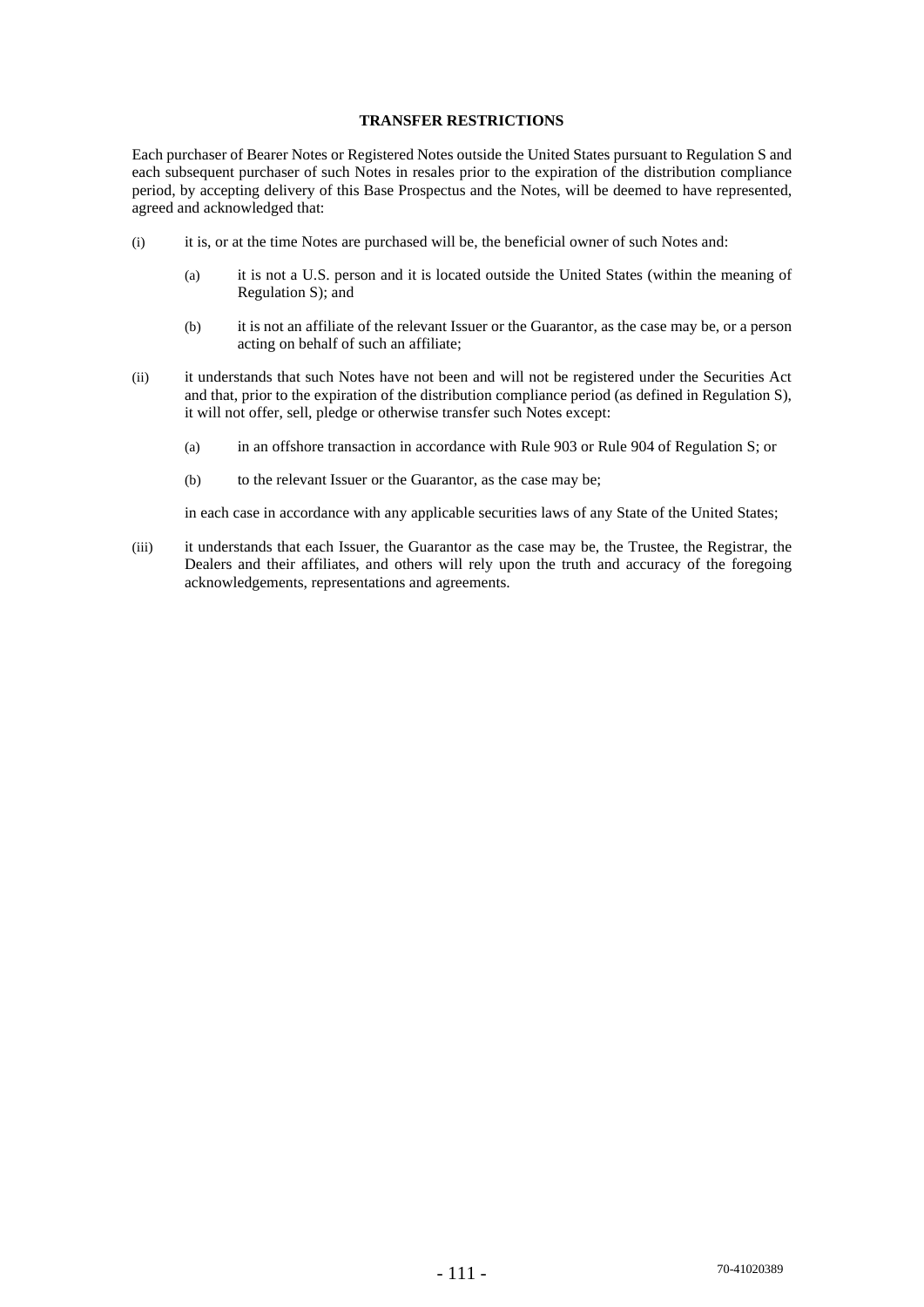# **TRANSFER RESTRICTIONS**

Each purchaser of Bearer Notes or Registered Notes outside the United States pursuant to Regulation S and each subsequent purchaser of such Notes in resales prior to the expiration of the distribution compliance period, by accepting delivery of this Base Prospectus and the Notes, will be deemed to have represented, agreed and acknowledged that:

- (i) it is, or at the time Notes are purchased will be, the beneficial owner of such Notes and:
	- (a) it is not a U.S. person and it is located outside the United States (within the meaning of Regulation S); and
	- (b) it is not an affiliate of the relevant Issuer or the Guarantor, as the case may be, or a person acting on behalf of such an affiliate;
- (ii) it understands that such Notes have not been and will not be registered under the Securities Act and that, prior to the expiration of the distribution compliance period (as defined in Regulation S), it will not offer, sell, pledge or otherwise transfer such Notes except:
	- (a) in an offshore transaction in accordance with Rule 903 or Rule 904 of Regulation S; or
	- (b) to the relevant Issuer or the Guarantor, as the case may be;

in each case in accordance with any applicable securities laws of any State of the United States;

(iii) it understands that each Issuer, the Guarantor as the case may be, the Trustee, the Registrar, the Dealers and their affiliates, and others will rely upon the truth and accuracy of the foregoing acknowledgements, representations and agreements.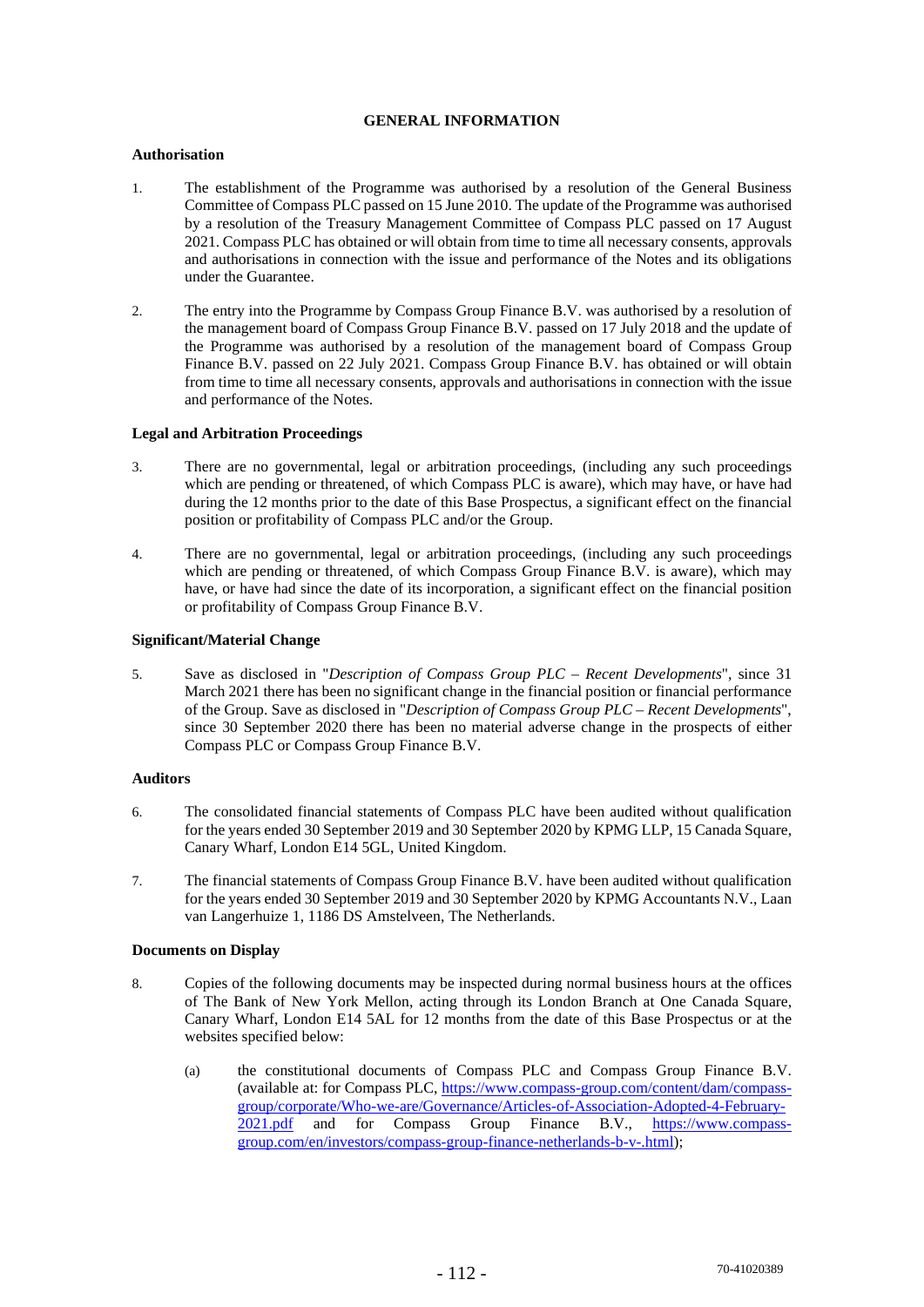# **GENERAL INFORMATION**

# **Authorisation**

- 1. The establishment of the Programme was authorised by a resolution of the General Business Committee of Compass PLC passed on 15 June 2010. The update of the Programme was authorised by a resolution of the Treasury Management Committee of Compass PLC passed on 17 August 2021. Compass PLC has obtained or will obtain from time to time all necessary consents, approvals and authorisations in connection with the issue and performance of the Notes and its obligations under the Guarantee.
- 2. The entry into the Programme by Compass Group Finance B.V. was authorised by a resolution of the management board of Compass Group Finance B.V. passed on 17 July 2018 and the update of the Programme was authorised by a resolution of the management board of Compass Group Finance B.V. passed on 22 July 2021. Compass Group Finance B.V. has obtained or will obtain from time to time all necessary consents, approvals and authorisations in connection with the issue and performance of the Notes.

# **Legal and Arbitration Proceedings**

- 3. There are no governmental, legal or arbitration proceedings, (including any such proceedings which are pending or threatened, of which Compass PLC is aware), which may have, or have had during the 12 months prior to the date of this Base Prospectus, a significant effect on the financial position or profitability of Compass PLC and/or the Group.
- 4. There are no governmental, legal or arbitration proceedings, (including any such proceedings which are pending or threatened, of which Compass Group Finance B.V. is aware), which may have, or have had since the date of its incorporation, a significant effect on the financial position or profitability of Compass Group Finance B.V.

# **Significant/Material Change**

5. Save as disclosed in "*Description of Compass Group PLC – Recent Developments*", since 31 March 2021 there has been no significant change in the financial position or financial performance of the Group. Save as disclosed in "*Description of Compass Group PLC – Recent Developments*", since 30 September 2020 there has been no material adverse change in the prospects of either Compass PLC or Compass Group Finance B.V.

#### **Auditors**

- 6. The consolidated financial statements of Compass PLC have been audited without qualification for the years ended 30 September 2019 and 30 September 2020 by KPMG LLP, 15 Canada Square, Canary Wharf, London E14 5GL, United Kingdom.
- 7. The financial statements of Compass Group Finance B.V. have been audited without qualification for the years ended 30 September 2019 and 30 September 2020 by KPMG Accountants N.V., Laan van Langerhuize 1, 1186 DS Amstelveen, The Netherlands.

# **Documents on Display**

- 8. Copies of the following documents may be inspected during normal business hours at the offices of The Bank of New York Mellon, acting through its London Branch at One Canada Square, Canary Wharf, London E14 5AL for 12 months from the date of this Base Prospectus or at the websites specified below:
	- (a) the constitutional documents of Compass PLC and Compass Group Finance B.V. (available at: for Compass PLC, https://www.compass-group.com/content/dam/compassgroup/corporate/Who-we-are/Governance/Articles-of-Association-Adopted-4-February-<br>2021.ndf and for Compass Group Finance B.V., https://www.compassand for Compass Group Finance B.V., https://www.compassgroup.com/en/investors/compass-group-finance-netherlands-b-v-.html);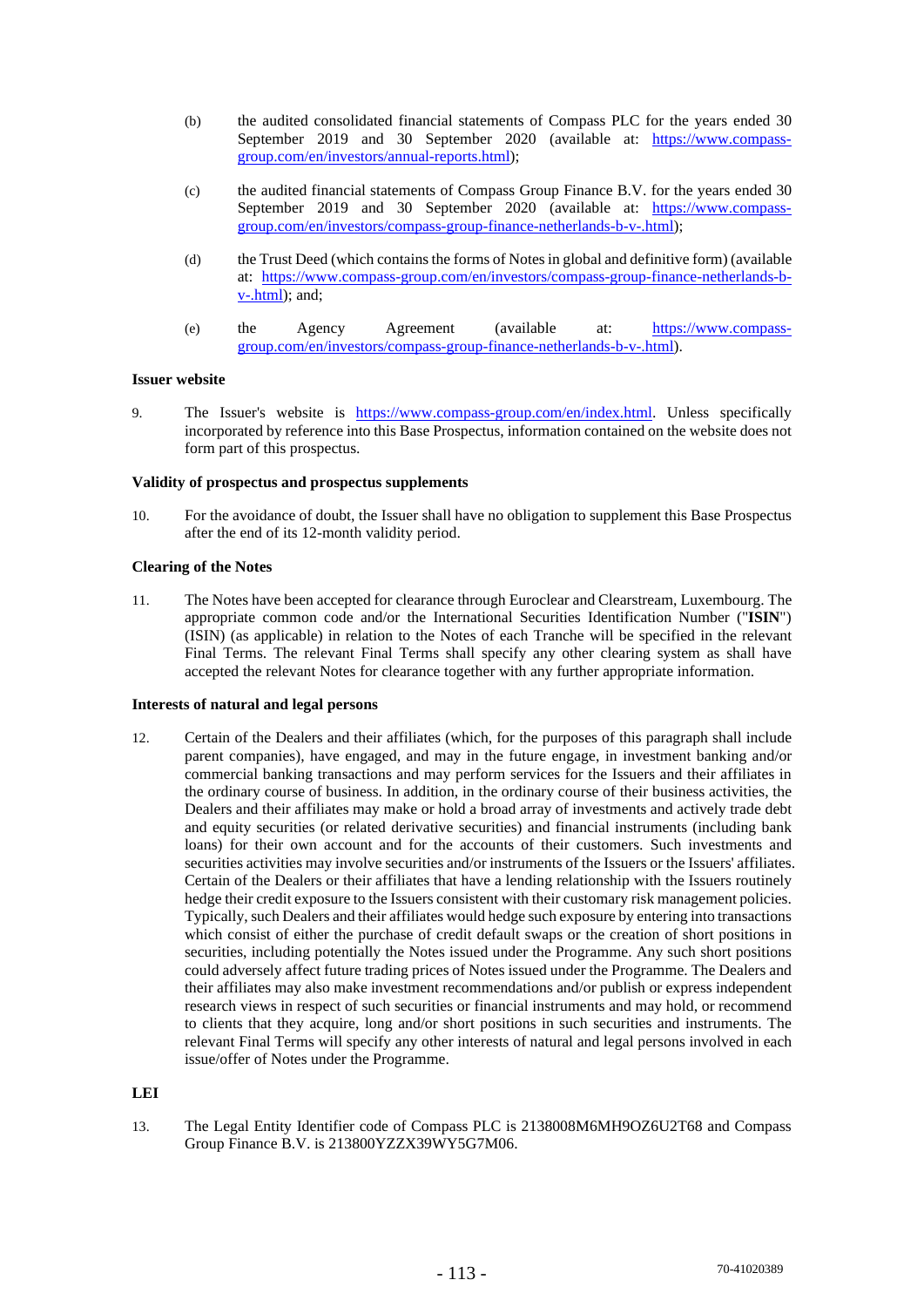- (b) the audited consolidated financial statements of Compass PLC for the years ended 30 September 2019 and 30 September 2020 (available at: https://www.compassgroup.com/en/investors/annual-reports.html);
- (c) the audited financial statements of Compass Group Finance B.V. for the years ended 30 September 2019 and 30 September 2020 (available at: https://www.compassgroup.com/en/investors/compass-group-finance-netherlands-b-v-.html);
- (d) the Trust Deed (which contains the forms of Notes in global and definitive form) (available at: https://www.compass-group.com/en/investors/compass-group-finance-netherlands-bv-.html); and;
- (e) the Agency Agreement (available at: https://www.compassgroup.com/en/investors/compass-group-finance-netherlands-b-v-.html).

## **Issuer website**

9. The Issuer's website is https://www.compass-group.com/en/index.html. Unless specifically incorporated by reference into this Base Prospectus, information contained on the website does not form part of this prospectus.

# **Validity of prospectus and prospectus supplements**

10. For the avoidance of doubt, the Issuer shall have no obligation to supplement this Base Prospectus after the end of its 12-month validity period.

## **Clearing of the Notes**

11. The Notes have been accepted for clearance through Euroclear and Clearstream, Luxembourg. The appropriate common code and/or the International Securities Identification Number ("**ISIN**") (ISIN) (as applicable) in relation to the Notes of each Tranche will be specified in the relevant Final Terms. The relevant Final Terms shall specify any other clearing system as shall have accepted the relevant Notes for clearance together with any further appropriate information.

# **Interests of natural and legal persons**

12. Certain of the Dealers and their affiliates (which, for the purposes of this paragraph shall include parent companies), have engaged, and may in the future engage, in investment banking and/or commercial banking transactions and may perform services for the Issuers and their affiliates in the ordinary course of business. In addition, in the ordinary course of their business activities, the Dealers and their affiliates may make or hold a broad array of investments and actively trade debt and equity securities (or related derivative securities) and financial instruments (including bank loans) for their own account and for the accounts of their customers. Such investments and securities activities may involve securities and/or instruments of the Issuers or the Issuers' affiliates. Certain of the Dealers or their affiliates that have a lending relationship with the Issuers routinely hedge their credit exposure to the Issuers consistent with their customary risk management policies. Typically, such Dealers and their affiliates would hedge such exposure by entering into transactions which consist of either the purchase of credit default swaps or the creation of short positions in securities, including potentially the Notes issued under the Programme. Any such short positions could adversely affect future trading prices of Notes issued under the Programme. The Dealers and their affiliates may also make investment recommendations and/or publish or express independent research views in respect of such securities or financial instruments and may hold, or recommend to clients that they acquire, long and/or short positions in such securities and instruments. The relevant Final Terms will specify any other interests of natural and legal persons involved in each issue/offer of Notes under the Programme.

# **LEI**

13. The Legal Entity Identifier code of Compass PLC is 2138008M6MH9OZ6U2T68 and Compass Group Finance B.V. is 213800YZZX39WY5G7M06.